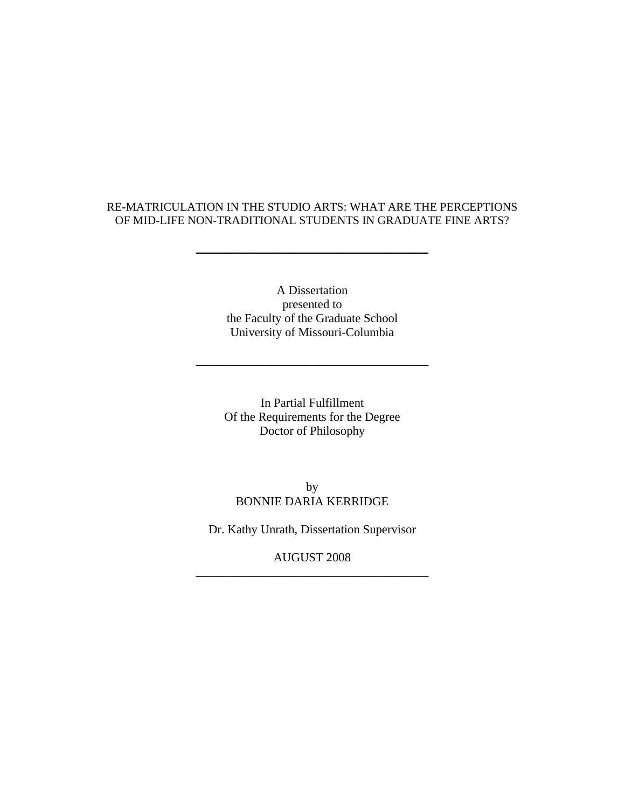## RE-MATRICULATION IN THE STUDIO ARTS: WHAT ARE THE PERCEPTIONS OF MID-LIFE NON-TRADITIONAL STUDENTS IN GRADUATE FINE ARTS?

\_\_\_\_\_\_\_\_\_\_\_\_\_\_\_\_\_\_\_\_\_\_\_\_\_\_\_\_\_\_\_\_\_\_\_\_\_\_

A Dissertation presented to the Faculty of the Graduate School University of Missouri-Columbia

\_\_\_\_\_\_\_\_\_\_\_\_\_\_\_\_\_\_\_\_\_\_\_\_\_\_\_\_\_\_\_\_\_\_\_\_\_\_

In Partial Fulfillment Of the Requirements for the Degree Doctor of Philosophy

by BONNIE DARIA KERRIDGE

Dr. Kathy Unrath, Dissertation Supervisor

AUGUST 2008 \_\_\_\_\_\_\_\_\_\_\_\_\_\_\_\_\_\_\_\_\_\_\_\_\_\_\_\_\_\_\_\_\_\_\_\_\_\_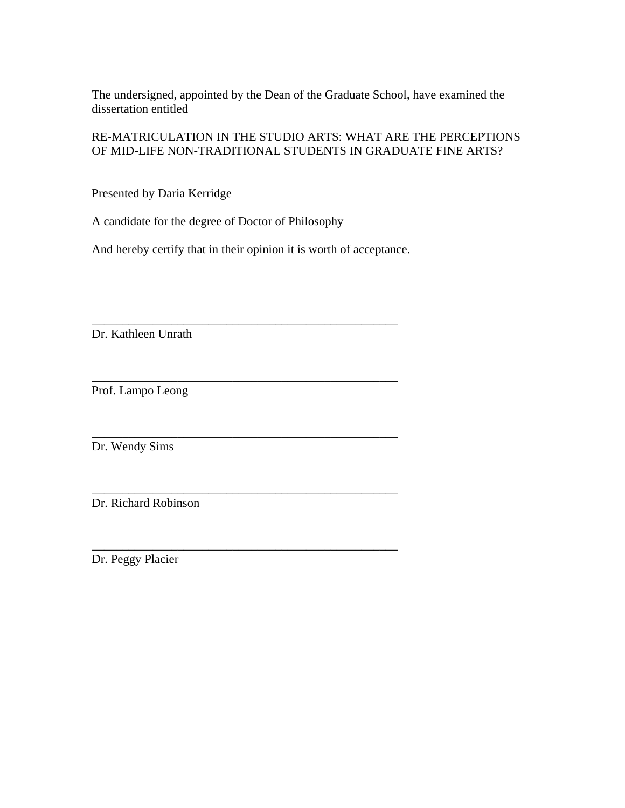The undersigned, appointed by the Dean of the Graduate School, have examined the dissertation entitled

RE-MATRICULATION IN THE STUDIO ARTS: WHAT ARE THE PERCEPTIONS OF MID-LIFE NON-TRADITIONAL STUDENTS IN GRADUATE FINE ARTS?

Presented by Daria Kerridge

A candidate for the degree of Doctor of Philosophy

And hereby certify that in their opinion it is worth of acceptance.

\_\_\_\_\_\_\_\_\_\_\_\_\_\_\_\_\_\_\_\_\_\_\_\_\_\_\_\_\_\_\_\_\_\_\_\_\_\_\_\_\_\_\_\_\_\_\_\_\_\_

\_\_\_\_\_\_\_\_\_\_\_\_\_\_\_\_\_\_\_\_\_\_\_\_\_\_\_\_\_\_\_\_\_\_\_\_\_\_\_\_\_\_\_\_\_\_\_\_\_\_

\_\_\_\_\_\_\_\_\_\_\_\_\_\_\_\_\_\_\_\_\_\_\_\_\_\_\_\_\_\_\_\_\_\_\_\_\_\_\_\_\_\_\_\_\_\_\_\_\_\_

\_\_\_\_\_\_\_\_\_\_\_\_\_\_\_\_\_\_\_\_\_\_\_\_\_\_\_\_\_\_\_\_\_\_\_\_\_\_\_\_\_\_\_\_\_\_\_\_\_\_

\_\_\_\_\_\_\_\_\_\_\_\_\_\_\_\_\_\_\_\_\_\_\_\_\_\_\_\_\_\_\_\_\_\_\_\_\_\_\_\_\_\_\_\_\_\_\_\_\_\_

Dr. Kathleen Unrath

Prof. Lampo Leong

Dr. Wendy Sims

Dr. Richard Robinson

Dr. Peggy Placier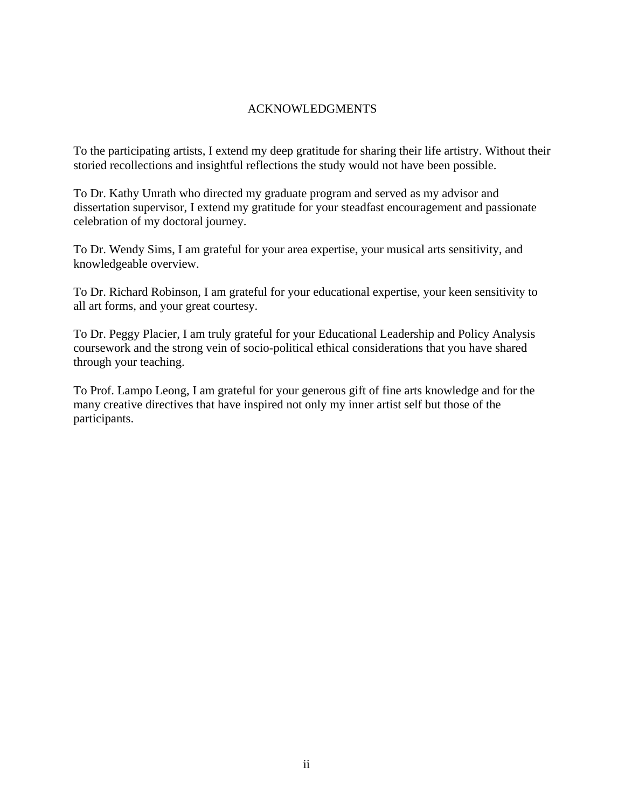# ACKNOWLEDGMENTS

To the participating artists, I extend my deep gratitude for sharing their life artistry. Without their storied recollections and insightful reflections the study would not have been possible.

To Dr. Kathy Unrath who directed my graduate program and served as my advisor and dissertation supervisor, I extend my gratitude for your steadfast encouragement and passionate celebration of my doctoral journey.

To Dr. Wendy Sims, I am grateful for your area expertise, your musical arts sensitivity, and knowledgeable overview.

To Dr. Richard Robinson, I am grateful for your educational expertise, your keen sensitivity to all art forms, and your great courtesy.

To Dr. Peggy Placier, I am truly grateful for your Educational Leadership and Policy Analysis coursework and the strong vein of socio-political ethical considerations that you have shared through your teaching.

To Prof. Lampo Leong, I am grateful for your generous gift of fine arts knowledge and for the many creative directives that have inspired not only my inner artist self but those of the participants.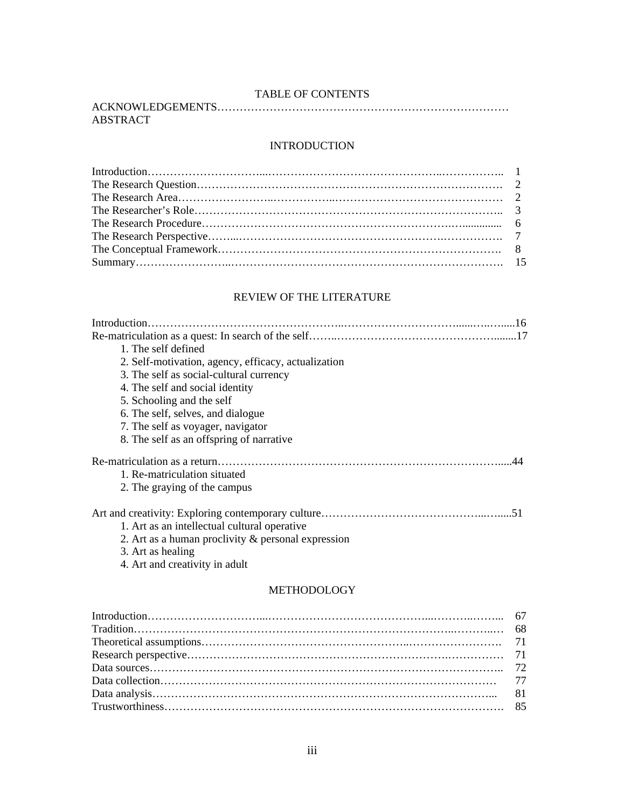## TABLE OF CONTENTS

| ABSTRACT |  |
|----------|--|

## INTRODUCTION

## REVIEW OF THE LITERATURE

| Introduction.                                         |
|-------------------------------------------------------|
|                                                       |
| 1. The self defined                                   |
| 2. Self-motivation, agency, efficacy, actualization   |
| 3. The self as social-cultural currency               |
| 4. The self and social identity                       |
| 5. Schooling and the self                             |
| 6. The self, selves, and dialogue                     |
| 7. The self as voyager, navigator                     |
| 8. The self as an offspring of narrative              |
|                                                       |
| 1. Re-matriculation situated                          |
| 2. The graying of the campus                          |
|                                                       |
| 1. Art as an intellectual cultural operative          |
| 2. Art as a human proclivity $\&$ personal expression |
| 3. Art as healing                                     |

4. Art and creativity in adult

## METHODOLOGY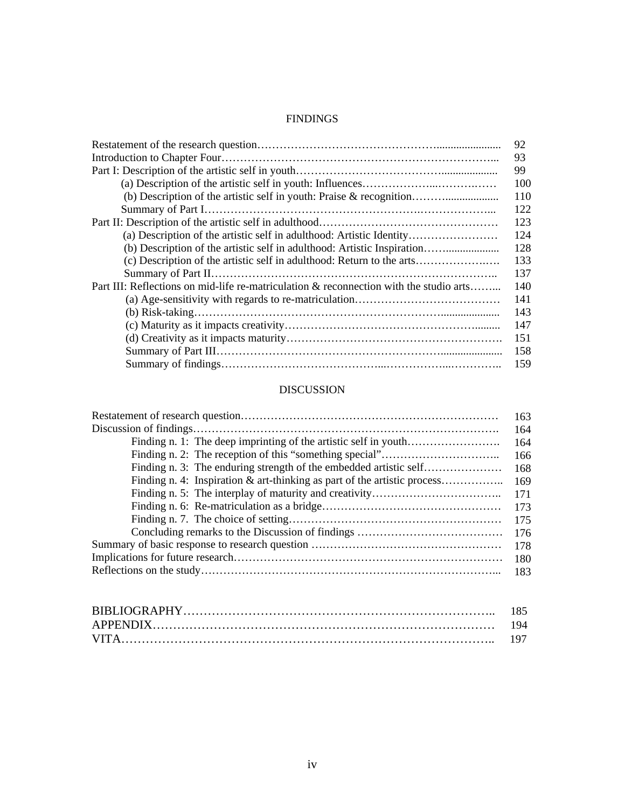## FINDINGS

|                                                                                        | 92  |
|----------------------------------------------------------------------------------------|-----|
|                                                                                        | 93  |
|                                                                                        | 99  |
|                                                                                        | 100 |
|                                                                                        | 110 |
|                                                                                        | 122 |
|                                                                                        | 123 |
| (a) Description of the artistic self in adulthood: Artistic Identity                   | 124 |
| (b) Description of the artistic self in adulthood: Artistic Inspiration                | 128 |
|                                                                                        | 133 |
|                                                                                        | 137 |
| Part III: Reflections on mid-life re-matriculation & reconnection with the studio arts | 140 |
|                                                                                        | 141 |
|                                                                                        | 143 |
|                                                                                        | 147 |
|                                                                                        | 151 |
|                                                                                        | 158 |
|                                                                                        | 159 |

# DISCUSSION

|                                                                          | 163 |
|--------------------------------------------------------------------------|-----|
|                                                                          | 164 |
|                                                                          | 164 |
|                                                                          | 166 |
| Finding n. 3: The enduring strength of the embedded artistic self        | 168 |
| Finding n. 4: Inspiration & art-thinking as part of the artistic process | 169 |
|                                                                          | 171 |
|                                                                          | 173 |
|                                                                          | 175 |
|                                                                          | 176 |
|                                                                          | 178 |
|                                                                          | 180 |
|                                                                          | 183 |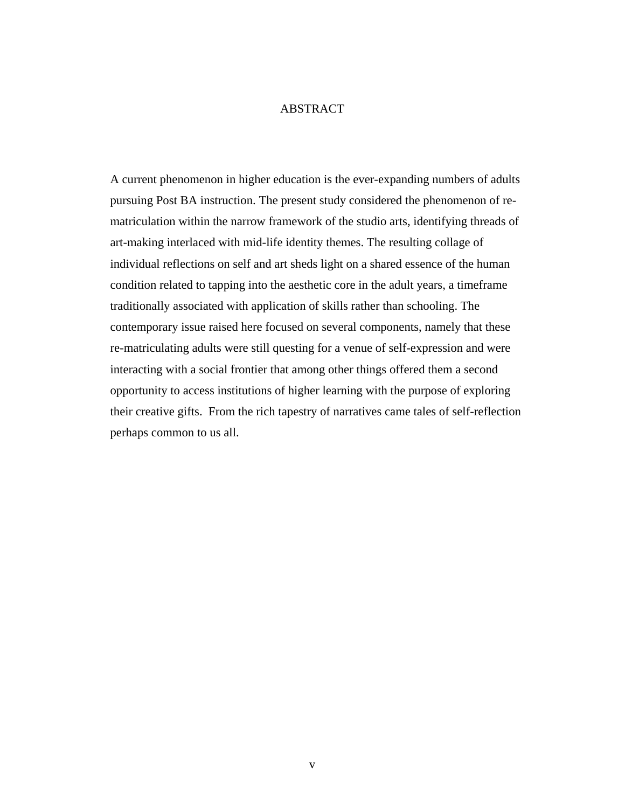## ABSTRACT

A current phenomenon in higher education is the ever-expanding numbers of adults pursuing Post BA instruction. The present study considered the phenomenon of rematriculation within the narrow framework of the studio arts, identifying threads of art-making interlaced with mid-life identity themes. The resulting collage of individual reflections on self and art sheds light on a shared essence of the human condition related to tapping into the aesthetic core in the adult years, a timeframe traditionally associated with application of skills rather than schooling. The contemporary issue raised here focused on several components, namely that these re-matriculating adults were still questing for a venue of self-expression and were interacting with a social frontier that among other things offered them a second opportunity to access institutions of higher learning with the purpose of exploring their creative gifts. From the rich tapestry of narratives came tales of self-reflection perhaps common to us all.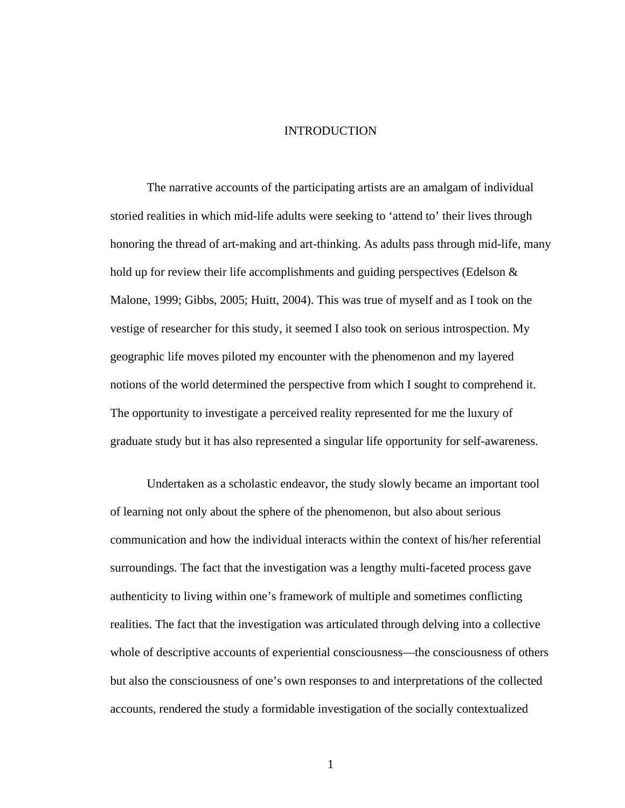# INTRODUCTION

The narrative accounts of the participating artists are an amalgam of individual storied realities in which mid-life adults were seeking to 'attend to' their lives through honoring the thread of art-making and art-thinking. As adults pass through mid-life, many hold up for review their life accomplishments and guiding perspectives (Edelson & Malone, 1999; Gibbs, 2005; Huitt, 2004). This was true of myself and as I took on the vestige of researcher for this study, it seemed I also took on serious introspection. My geographic life moves piloted my encounter with the phenomenon and my layered notions of the world determined the perspective from which I sought to comprehend it. The opportunity to investigate a perceived reality represented for me the luxury of graduate study but it has also represented a singular life opportunity for self-awareness.

 Undertaken as a scholastic endeavor, the study slowly became an important tool of learning not only about the sphere of the phenomenon, but also about serious communication and how the individual interacts within the context of his/her referential surroundings. The fact that the investigation was a lengthy multi-faceted process gave authenticity to living within one's framework of multiple and sometimes conflicting realities. The fact that the investigation was articulated through delving into a collective whole of descriptive accounts of experiential consciousness—the consciousness of others but also the consciousness of one's own responses to and interpretations of the collected accounts, rendered the study a formidable investigation of the socially contextualized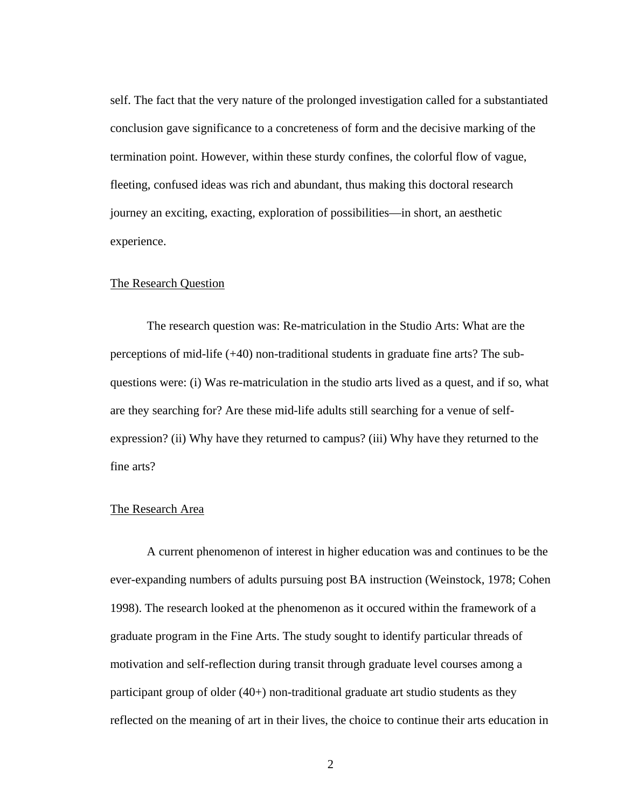self. The fact that the very nature of the prolonged investigation called for a substantiated conclusion gave significance to a concreteness of form and the decisive marking of the termination point. However, within these sturdy confines, the colorful flow of vague, fleeting, confused ideas was rich and abundant, thus making this doctoral research journey an exciting, exacting, exploration of possibilities—in short, an aesthetic experience.

#### The Research Question

The research question was: Re-matriculation in the Studio Arts: What are the perceptions of mid-life (+40) non-traditional students in graduate fine arts? The subquestions were: (i) Was re-matriculation in the studio arts lived as a quest, and if so, what are they searching for? Are these mid-life adults still searching for a venue of selfexpression? (ii) Why have they returned to campus? (iii) Why have they returned to the fine arts?

#### The Research Area

A current phenomenon of interest in higher education was and continues to be the ever-expanding numbers of adults pursuing post BA instruction (Weinstock, 1978; Cohen 1998). The research looked at the phenomenon as it occured within the framework of a graduate program in the Fine Arts. The study sought to identify particular threads of motivation and self-reflection during transit through graduate level courses among a participant group of older (40+) non-traditional graduate art studio students as they reflected on the meaning of art in their lives, the choice to continue their arts education in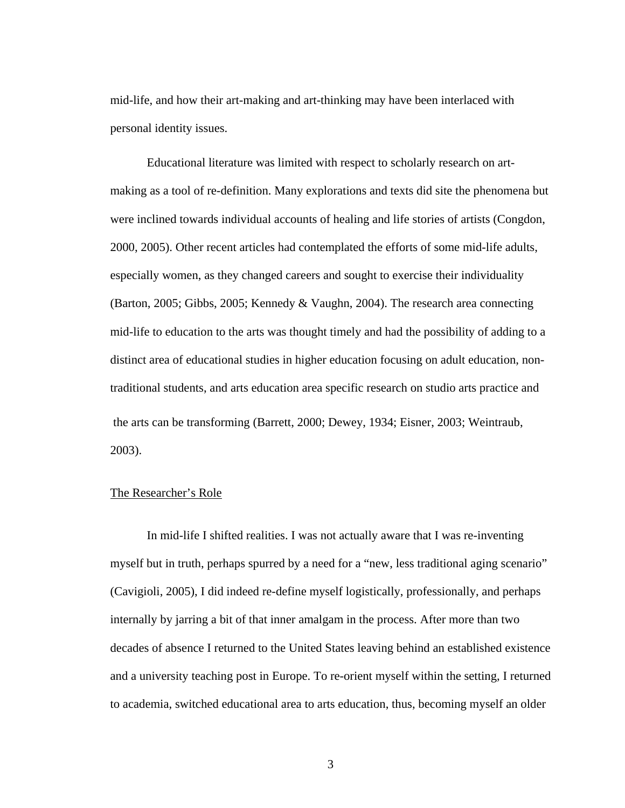mid-life, and how their art-making and art-thinking may have been interlaced with personal identity issues.

 Educational literature was limited with respect to scholarly research on artmaking as a tool of re-definition. Many explorations and texts did site the phenomena but were inclined towards individual accounts of healing and life stories of artists (Congdon, 2000, 2005). Other recent articles had contemplated the efforts of some mid-life adults, especially women, as they changed careers and sought to exercise their individuality (Barton, 2005; Gibbs, 2005; Kennedy & Vaughn, 2004). The research area connecting mid-life to education to the arts was thought timely and had the possibility of adding to a distinct area of educational studies in higher education focusing on adult education, nontraditional students, and arts education area specific research on studio arts practice and the arts can be transforming (Barrett, 2000; Dewey, 1934; Eisner, 2003; Weintraub, 2003).

#### The Researcher's Role

In mid-life I shifted realities. I was not actually aware that I was re-inventing myself but in truth, perhaps spurred by a need for a "new, less traditional aging scenario" (Cavigioli, 2005), I did indeed re-define myself logistically, professionally, and perhaps internally by jarring a bit of that inner amalgam in the process. After more than two decades of absence I returned to the United States leaving behind an established existence and a university teaching post in Europe. To re-orient myself within the setting, I returned to academia, switched educational area to arts education, thus, becoming myself an older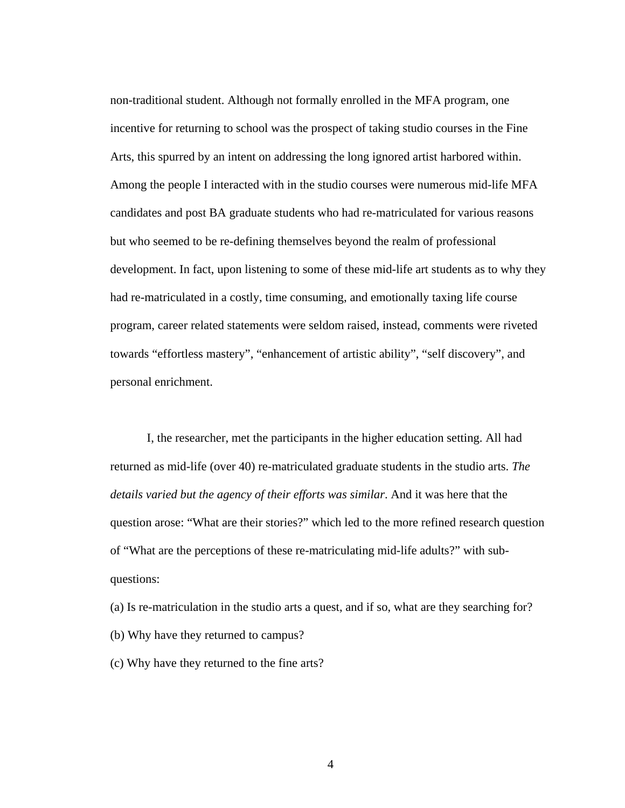non-traditional student. Although not formally enrolled in the MFA program, one incentive for returning to school was the prospect of taking studio courses in the Fine Arts, this spurred by an intent on addressing the long ignored artist harbored within. Among the people I interacted with in the studio courses were numerous mid-life MFA candidates and post BA graduate students who had re-matriculated for various reasons but who seemed to be re-defining themselves beyond the realm of professional development. In fact, upon listening to some of these mid-life art students as to why they had re-matriculated in a costly, time consuming, and emotionally taxing life course program, career related statements were seldom raised, instead, comments were riveted towards "effortless mastery", "enhancement of artistic ability", "self discovery", and personal enrichment.

 I, the researcher, met the participants in the higher education setting. All had returned as mid-life (over 40) re-matriculated graduate students in the studio arts. *The details varied but the agency of their efforts was similar*. And it was here that the question arose: "What are their stories?" which led to the more refined research question of "What are the perceptions of these re-matriculating mid-life adults?" with subquestions:

(a) Is re-matriculation in the studio arts a quest, and if so, what are they searching for? (b) Why have they returned to campus?

(c) Why have they returned to the fine arts?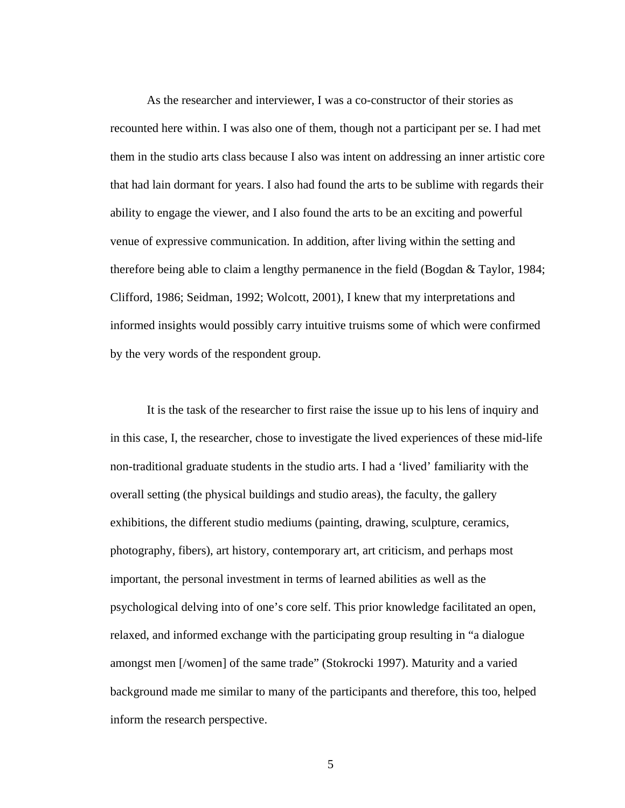As the researcher and interviewer, I was a co-constructor of their stories as recounted here within. I was also one of them, though not a participant per se. I had met them in the studio arts class because I also was intent on addressing an inner artistic core that had lain dormant for years. I also had found the arts to be sublime with regards their ability to engage the viewer, and I also found the arts to be an exciting and powerful venue of expressive communication. In addition, after living within the setting and therefore being able to claim a lengthy permanence in the field (Bogdan & Taylor, 1984; Clifford, 1986; Seidman, 1992; Wolcott, 2001), I knew that my interpretations and informed insights would possibly carry intuitive truisms some of which were confirmed by the very words of the respondent group.

 It is the task of the researcher to first raise the issue up to his lens of inquiry and in this case, I, the researcher, chose to investigate the lived experiences of these mid-life non-traditional graduate students in the studio arts. I had a 'lived' familiarity with the overall setting (the physical buildings and studio areas), the faculty, the gallery exhibitions, the different studio mediums (painting, drawing, sculpture, ceramics, photography, fibers), art history, contemporary art, art criticism, and perhaps most important, the personal investment in terms of learned abilities as well as the psychological delving into of one's core self. This prior knowledge facilitated an open, relaxed, and informed exchange with the participating group resulting in "a dialogue amongst men [/women] of the same trade" (Stokrocki 1997). Maturity and a varied background made me similar to many of the participants and therefore, this too, helped inform the research perspective.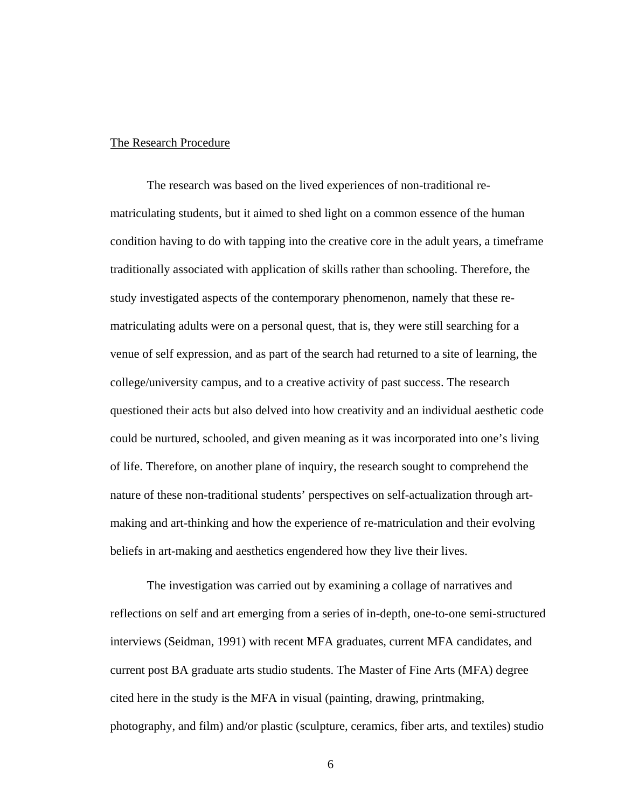## The Research Procedure

The research was based on the lived experiences of non-traditional rematriculating students, but it aimed to shed light on a common essence of the human condition having to do with tapping into the creative core in the adult years, a timeframe traditionally associated with application of skills rather than schooling. Therefore, the study investigated aspects of the contemporary phenomenon, namely that these rematriculating adults were on a personal quest, that is, they were still searching for a venue of self expression, and as part of the search had returned to a site of learning, the college/university campus, and to a creative activity of past success. The research questioned their acts but also delved into how creativity and an individual aesthetic code could be nurtured, schooled, and given meaning as it was incorporated into one's living of life. Therefore, on another plane of inquiry, the research sought to comprehend the nature of these non-traditional students' perspectives on self-actualization through artmaking and art-thinking and how the experience of re-matriculation and their evolving beliefs in art-making and aesthetics engendered how they live their lives.

The investigation was carried out by examining a collage of narratives and reflections on self and art emerging from a series of in-depth, one-to-one semi-structured interviews (Seidman, 1991) with recent MFA graduates, current MFA candidates, and current post BA graduate arts studio students. The Master of Fine Arts (MFA) degree cited here in the study is the MFA in visual (painting, drawing, printmaking, photography, and film) and/or plastic (sculpture, ceramics, fiber arts, and textiles) studio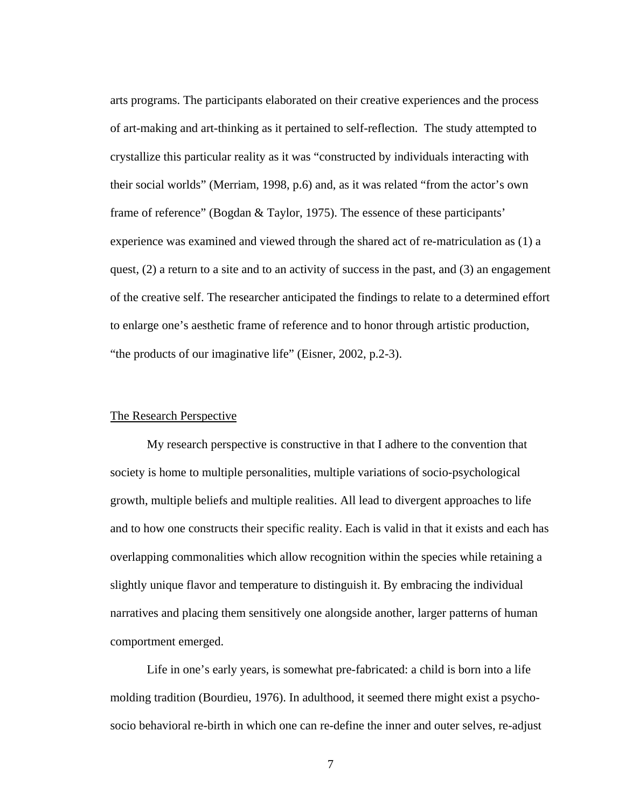arts programs. The participants elaborated on their creative experiences and the process of art-making and art-thinking as it pertained to self-reflection. The study attempted to crystallize this particular reality as it was "constructed by individuals interacting with their social worlds" (Merriam, 1998, p.6) and, as it was related "from the actor's own frame of reference" (Bogdan & Taylor, 1975). The essence of these participants' experience was examined and viewed through the shared act of re-matriculation as (1) a quest, (2) a return to a site and to an activity of success in the past, and (3) an engagement of the creative self. The researcher anticipated the findings to relate to a determined effort to enlarge one's aesthetic frame of reference and to honor through artistic production, "the products of our imaginative life" (Eisner, 2002, p.2-3).

## The Research Perspective

My research perspective is constructive in that I adhere to the convention that society is home to multiple personalities, multiple variations of socio-psychological growth, multiple beliefs and multiple realities. All lead to divergent approaches to life and to how one constructs their specific reality. Each is valid in that it exists and each has overlapping commonalities which allow recognition within the species while retaining a slightly unique flavor and temperature to distinguish it. By embracing the individual narratives and placing them sensitively one alongside another, larger patterns of human comportment emerged.

Life in one's early years, is somewhat pre-fabricated: a child is born into a life molding tradition (Bourdieu, 1976). In adulthood, it seemed there might exist a psychosocio behavioral re-birth in which one can re-define the inner and outer selves, re-adjust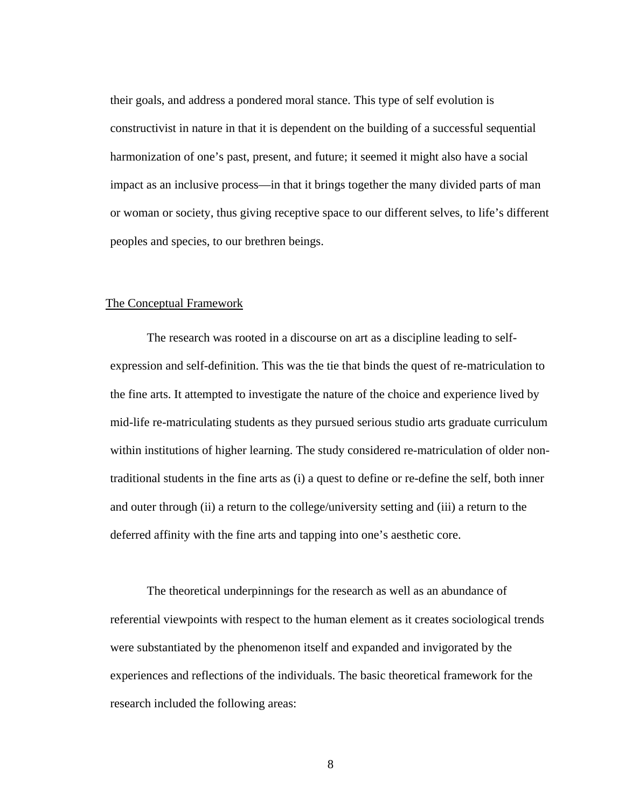their goals, and address a pondered moral stance. This type of self evolution is constructivist in nature in that it is dependent on the building of a successful sequential harmonization of one's past, present, and future; it seemed it might also have a social impact as an inclusive process—in that it brings together the many divided parts of man or woman or society, thus giving receptive space to our different selves, to life's different peoples and species, to our brethren beings.

#### The Conceptual Framework

The research was rooted in a discourse on art as a discipline leading to selfexpression and self-definition. This was the tie that binds the quest of re-matriculation to the fine arts. It attempted to investigate the nature of the choice and experience lived by mid-life re-matriculating students as they pursued serious studio arts graduate curriculum within institutions of higher learning. The study considered re-matriculation of older nontraditional students in the fine arts as (i) a quest to define or re-define the self, both inner and outer through (ii) a return to the college/university setting and (iii) a return to the deferred affinity with the fine arts and tapping into one's aesthetic core.

The theoretical underpinnings for the research as well as an abundance of referential viewpoints with respect to the human element as it creates sociological trends were substantiated by the phenomenon itself and expanded and invigorated by the experiences and reflections of the individuals. The basic theoretical framework for the research included the following areas: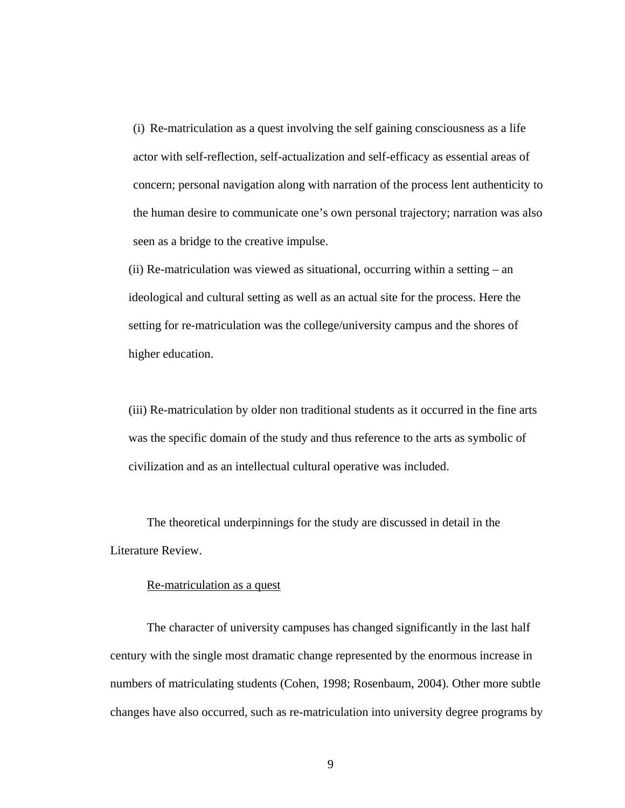(i) Re-matriculation as a quest involving the self gaining consciousness as a life actor with self-reflection, self-actualization and self-efficacy as essential areas of concern; personal navigation along with narration of the process lent authenticity to the human desire to communicate one's own personal trajectory; narration was also seen as a bridge to the creative impulse.

(ii) Re-matriculation was viewed as situational, occurring within a setting – an ideological and cultural setting as well as an actual site for the process. Here the setting for re-matriculation was the college/university campus and the shores of higher education.

(iii) Re-matriculation by older non traditional students as it occurred in the fine arts was the specific domain of the study and thus reference to the arts as symbolic of civilization and as an intellectual cultural operative was included.

 The theoretical underpinnings for the study are discussed in detail in the Literature Review.

## Re-matriculation as a quest

The character of university campuses has changed significantly in the last half century with the single most dramatic change represented by the enormous increase in numbers of matriculating students (Cohen, 1998; Rosenbaum, 2004). Other more subtle changes have also occurred, such as re-matriculation into university degree programs by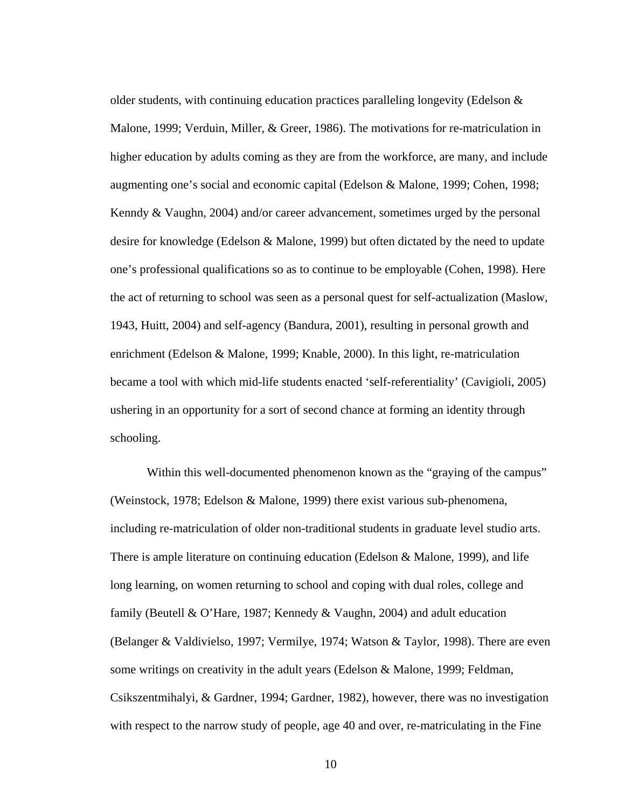older students, with continuing education practices paralleling longevity (Edelson & Malone, 1999; Verduin, Miller, & Greer, 1986). The motivations for re-matriculation in higher education by adults coming as they are from the workforce, are many, and include augmenting one's social and economic capital (Edelson & Malone, 1999; Cohen, 1998; Kenndy & Vaughn, 2004) and/or career advancement, sometimes urged by the personal desire for knowledge (Edelson & Malone, 1999) but often dictated by the need to update one's professional qualifications so as to continue to be employable (Cohen, 1998). Here the act of returning to school was seen as a personal quest for self-actualization (Maslow, 1943, Huitt, 2004) and self-agency (Bandura, 2001), resulting in personal growth and enrichment (Edelson & Malone, 1999; Knable, 2000). In this light, re-matriculation became a tool with which mid-life students enacted 'self-referentiality' (Cavigioli, 2005) ushering in an opportunity for a sort of second chance at forming an identity through schooling.

Within this well-documented phenomenon known as the "graying of the campus" (Weinstock, 1978; Edelson & Malone, 1999) there exist various sub-phenomena, including re-matriculation of older non-traditional students in graduate level studio arts. There is ample literature on continuing education (Edelson & Malone, 1999), and life long learning, on women returning to school and coping with dual roles, college and family (Beutell & O'Hare, 1987; Kennedy & Vaughn, 2004) and adult education (Belanger & Valdivielso, 1997; Vermilye, 1974; Watson & Taylor, 1998). There are even some writings on creativity in the adult years (Edelson & Malone, 1999; Feldman, Csikszentmihalyi, & Gardner, 1994; Gardner, 1982), however, there was no investigation with respect to the narrow study of people, age 40 and over, re-matriculating in the Fine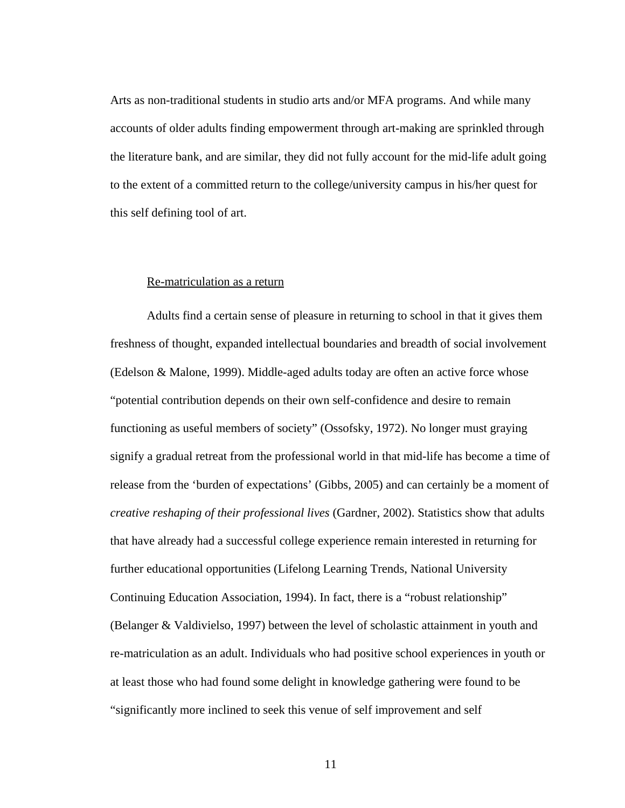Arts as non-traditional students in studio arts and/or MFA programs. And while many accounts of older adults finding empowerment through art-making are sprinkled through the literature bank, and are similar, they did not fully account for the mid-life adult going to the extent of a committed return to the college/university campus in his/her quest for this self defining tool of art.

## Re-matriculation as a return

Adults find a certain sense of pleasure in returning to school in that it gives them freshness of thought, expanded intellectual boundaries and breadth of social involvement (Edelson & Malone, 1999). Middle-aged adults today are often an active force whose "potential contribution depends on their own self-confidence and desire to remain functioning as useful members of society" (Ossofsky, 1972). No longer must graying signify a gradual retreat from the professional world in that mid-life has become a time of release from the 'burden of expectations' (Gibbs, 2005) and can certainly be a moment of *creative reshaping of their professional lives* (Gardner, 2002). Statistics show that adults that have already had a successful college experience remain interested in returning for further educational opportunities (Lifelong Learning Trends, National University Continuing Education Association, 1994). In fact, there is a "robust relationship" (Belanger & Valdivielso, 1997) between the level of scholastic attainment in youth and re-matriculation as an adult. Individuals who had positive school experiences in youth or at least those who had found some delight in knowledge gathering were found to be "significantly more inclined to seek this venue of self improvement and self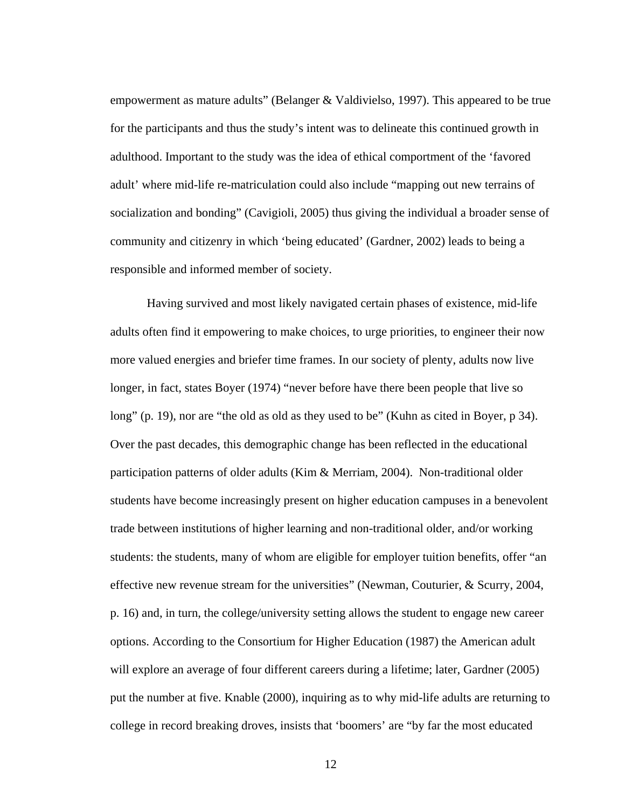empowerment as mature adults" (Belanger & Valdivielso, 1997). This appeared to be true for the participants and thus the study's intent was to delineate this continued growth in adulthood. Important to the study was the idea of ethical comportment of the 'favored adult' where mid-life re-matriculation could also include "mapping out new terrains of socialization and bonding" (Cavigioli, 2005) thus giving the individual a broader sense of community and citizenry in which 'being educated' (Gardner, 2002) leads to being a responsible and informed member of society.

 Having survived and most likely navigated certain phases of existence, mid-life adults often find it empowering to make choices, to urge priorities, to engineer their now more valued energies and briefer time frames. In our society of plenty, adults now live longer, in fact, states Boyer (1974) "never before have there been people that live so long" (p. 19), nor are "the old as old as they used to be" (Kuhn as cited in Boyer, p 34). Over the past decades, this demographic change has been reflected in the educational participation patterns of older adults (Kim & Merriam, 2004). Non-traditional older students have become increasingly present on higher education campuses in a benevolent trade between institutions of higher learning and non-traditional older, and/or working students: the students, many of whom are eligible for employer tuition benefits, offer "an effective new revenue stream for the universities" (Newman, Couturier, & Scurry, 2004, p. 16) and, in turn, the college/university setting allows the student to engage new career options. According to the Consortium for Higher Education (1987) the American adult will explore an average of four different careers during a lifetime; later, Gardner (2005) put the number at five. Knable (2000), inquiring as to why mid-life adults are returning to college in record breaking droves, insists that 'boomers' are "by far the most educated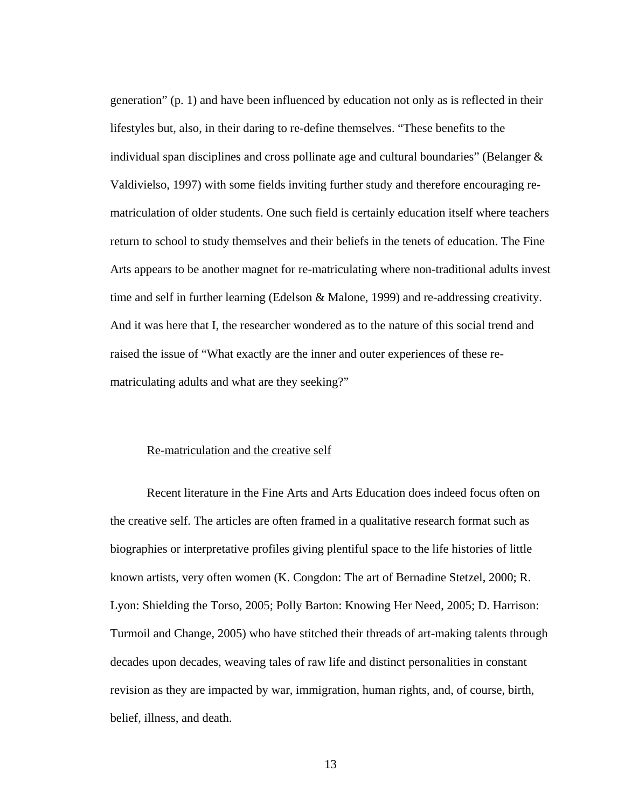generation" (p. 1) and have been influenced by education not only as is reflected in their lifestyles but, also, in their daring to re-define themselves. "These benefits to the individual span disciplines and cross pollinate age and cultural boundaries" (Belanger  $\&$ Valdivielso, 1997) with some fields inviting further study and therefore encouraging rematriculation of older students. One such field is certainly education itself where teachers return to school to study themselves and their beliefs in the tenets of education. The Fine Arts appears to be another magnet for re-matriculating where non-traditional adults invest time and self in further learning (Edelson & Malone, 1999) and re-addressing creativity. And it was here that I, the researcher wondered as to the nature of this social trend and raised the issue of "What exactly are the inner and outer experiences of these rematriculating adults and what are they seeking?"

#### Re-matriculation and the creative self

Recent literature in the Fine Arts and Arts Education does indeed focus often on the creative self. The articles are often framed in a qualitative research format such as biographies or interpretative profiles giving plentiful space to the life histories of little known artists, very often women (K. Congdon: The art of Bernadine Stetzel, 2000; R. Lyon: Shielding the Torso, 2005; Polly Barton: Knowing Her Need, 2005; D. Harrison: Turmoil and Change, 2005) who have stitched their threads of art-making talents through decades upon decades, weaving tales of raw life and distinct personalities in constant revision as they are impacted by war, immigration, human rights, and, of course, birth, belief, illness, and death.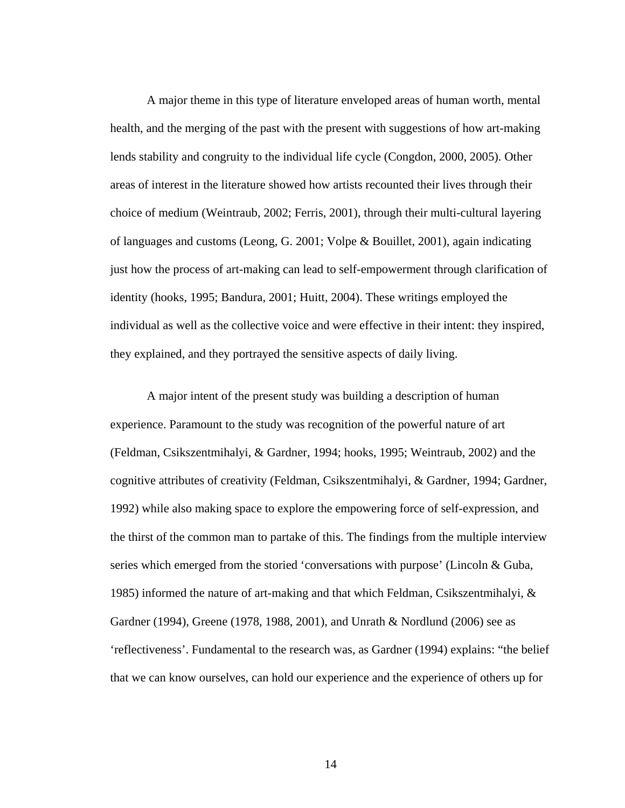A major theme in this type of literature enveloped areas of human worth, mental health, and the merging of the past with the present with suggestions of how art-making lends stability and congruity to the individual life cycle (Congdon, 2000, 2005). Other areas of interest in the literature showed how artists recounted their lives through their choice of medium (Weintraub, 2002; Ferris, 2001), through their multi-cultural layering of languages and customs (Leong, G. 2001; Volpe & Bouillet, 2001), again indicating just how the process of art-making can lead to self-empowerment through clarification of identity (hooks, 1995; Bandura, 2001; Huitt, 2004). These writings employed the individual as well as the collective voice and were effective in their intent: they inspired, they explained, and they portrayed the sensitive aspects of daily living.

A major intent of the present study was building a description of human experience. Paramount to the study was recognition of the powerful nature of art (Feldman, Csikszentmihalyi, & Gardner, 1994; hooks, 1995; Weintraub, 2002) and the cognitive attributes of creativity (Feldman, Csikszentmihalyi, & Gardner, 1994; Gardner, 1992) while also making space to explore the empowering force of self-expression, and the thirst of the common man to partake of this. The findings from the multiple interview series which emerged from the storied 'conversations with purpose' (Lincoln & Guba, 1985) informed the nature of art-making and that which Feldman, Csikszentmihalyi, & Gardner (1994), Greene (1978, 1988, 2001), and Unrath & Nordlund (2006) see as 'reflectiveness'. Fundamental to the research was, as Gardner (1994) explains: "the belief that we can know ourselves, can hold our experience and the experience of others up for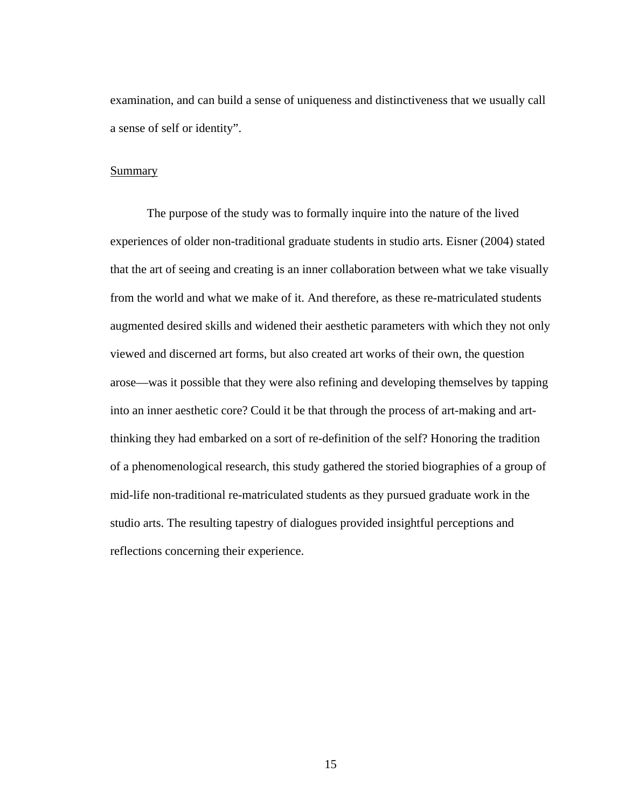examination, and can build a sense of uniqueness and distinctiveness that we usually call a sense of self or identity".

#### Summary

The purpose of the study was to formally inquire into the nature of the lived experiences of older non-traditional graduate students in studio arts. Eisner (2004) stated that the art of seeing and creating is an inner collaboration between what we take visually from the world and what we make of it. And therefore, as these re-matriculated students augmented desired skills and widened their aesthetic parameters with which they not only viewed and discerned art forms, but also created art works of their own, the question arose—was it possible that they were also refining and developing themselves by tapping into an inner aesthetic core? Could it be that through the process of art-making and artthinking they had embarked on a sort of re-definition of the self? Honoring the tradition of a phenomenological research, this study gathered the storied biographies of a group of mid-life non-traditional re-matriculated students as they pursued graduate work in the studio arts. The resulting tapestry of dialogues provided insightful perceptions and reflections concerning their experience.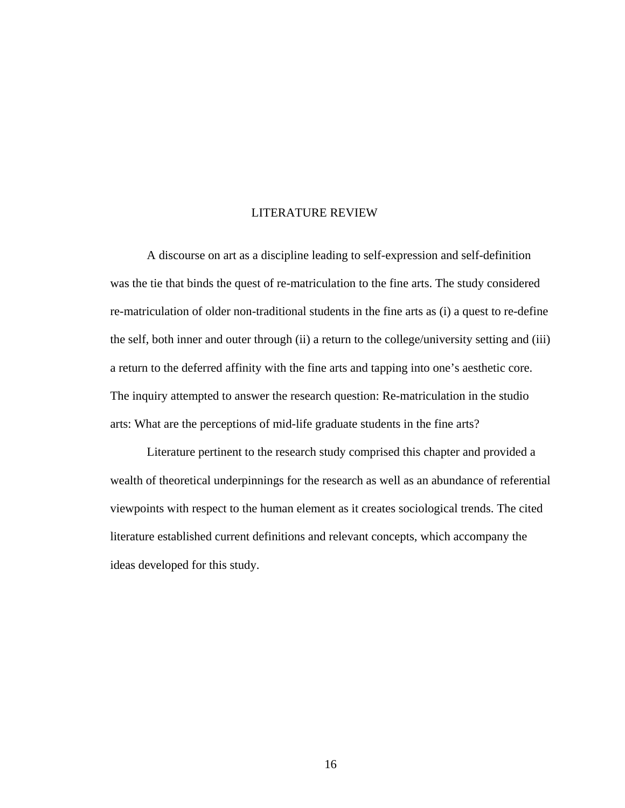#### LITERATURE REVIEW

 A discourse on art as a discipline leading to self-expression and self-definition was the tie that binds the quest of re-matriculation to the fine arts. The study considered re-matriculation of older non-traditional students in the fine arts as (i) a quest to re-define the self, both inner and outer through (ii) a return to the college/university setting and (iii) a return to the deferred affinity with the fine arts and tapping into one's aesthetic core. The inquiry attempted to answer the research question: Re-matriculation in the studio arts: What are the perceptions of mid-life graduate students in the fine arts?

 Literature pertinent to the research study comprised this chapter and provided a wealth of theoretical underpinnings for the research as well as an abundance of referential viewpoints with respect to the human element as it creates sociological trends. The cited literature established current definitions and relevant concepts, which accompany the ideas developed for this study.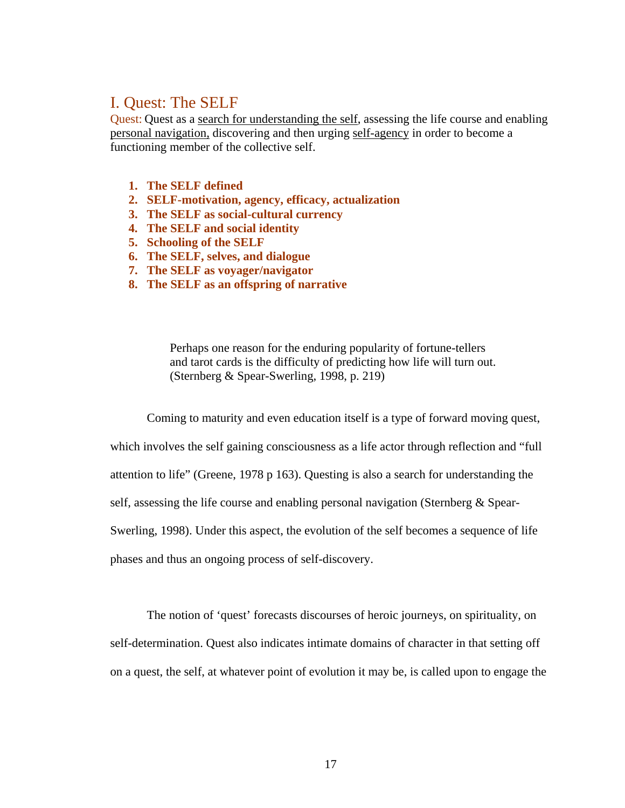# I. Quest: The SELF

Quest: Quest as a search for understanding the self, assessing the life course and enabling personal navigation, discovering and then urging self-agency in order to become a functioning member of the collective self.

- **1. The SELF defined**
- **2. SELF-motivation, agency, efficacy, actualization**
- **3. The SELF as social-cultural currency**
- **4. The SELF and social identity**
- **5. Schooling of the SELF**
- **6. The SELF, selves, and dialogue**
- **7. The SELF as voyager/navigator**
- **8. The SELF as an offspring of narrative**

Perhaps one reason for the enduring popularity of fortune-tellers and tarot cards is the difficulty of predicting how life will turn out. (Sternberg & Spear-Swerling, 1998, p. 219)

Coming to maturity and even education itself is a type of forward moving quest,

which involves the self gaining consciousness as a life actor through reflection and "full attention to life" (Greene, 1978 p 163). Questing is also a search for understanding the self, assessing the life course and enabling personal navigation (Sternberg & Spear-Swerling, 1998). Under this aspect, the evolution of the self becomes a sequence of life phases and thus an ongoing process of self-discovery.

The notion of 'quest' forecasts discourses of heroic journeys, on spirituality, on self-determination. Quest also indicates intimate domains of character in that setting off on a quest, the self, at whatever point of evolution it may be, is called upon to engage the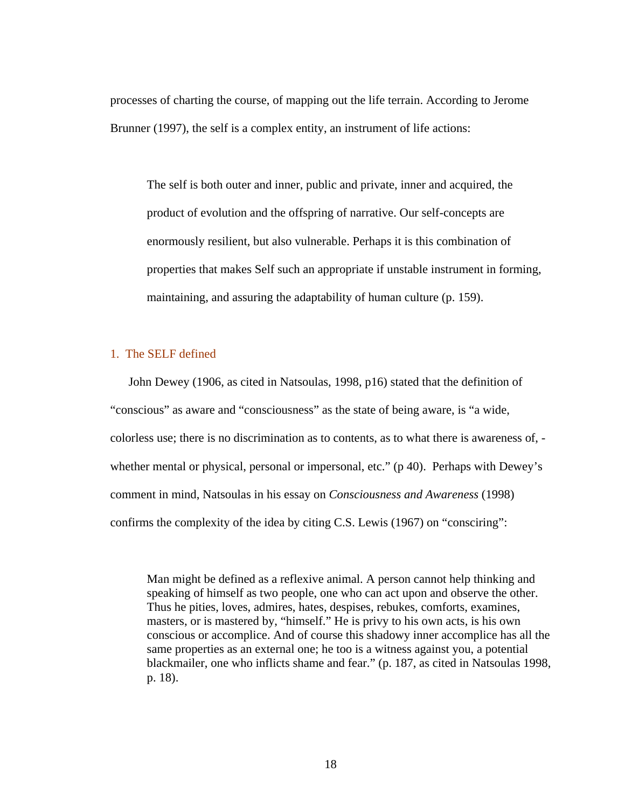processes of charting the course, of mapping out the life terrain. According to Jerome Brunner (1997), the self is a complex entity, an instrument of life actions:

The self is both outer and inner, public and private, inner and acquired, the product of evolution and the offspring of narrative. Our self-concepts are enormously resilient, but also vulnerable. Perhaps it is this combination of properties that makes Self such an appropriate if unstable instrument in forming, maintaining, and assuring the adaptability of human culture (p. 159).

# 1. The SELF defined

John Dewey (1906, as cited in Natsoulas, 1998, p16) stated that the definition of "conscious" as aware and "consciousness" as the state of being aware, is "a wide, colorless use; there is no discrimination as to contents, as to what there is awareness of, whether mental or physical, personal or impersonal, etc." (p 40). Perhaps with Dewey's comment in mind, Natsoulas in his essay on *Consciousness and Awareness* (1998) confirms the complexity of the idea by citing C.S. Lewis (1967) on "consciring":

Man might be defined as a reflexive animal. A person cannot help thinking and speaking of himself as two people, one who can act upon and observe the other. Thus he pities, loves, admires, hates, despises, rebukes, comforts, examines, masters, or is mastered by, "himself." He is privy to his own acts, is his own conscious or accomplice. And of course this shadowy inner accomplice has all the same properties as an external one; he too is a witness against you, a potential blackmailer, one who inflicts shame and fear." (p. 187, as cited in Natsoulas 1998, p. 18).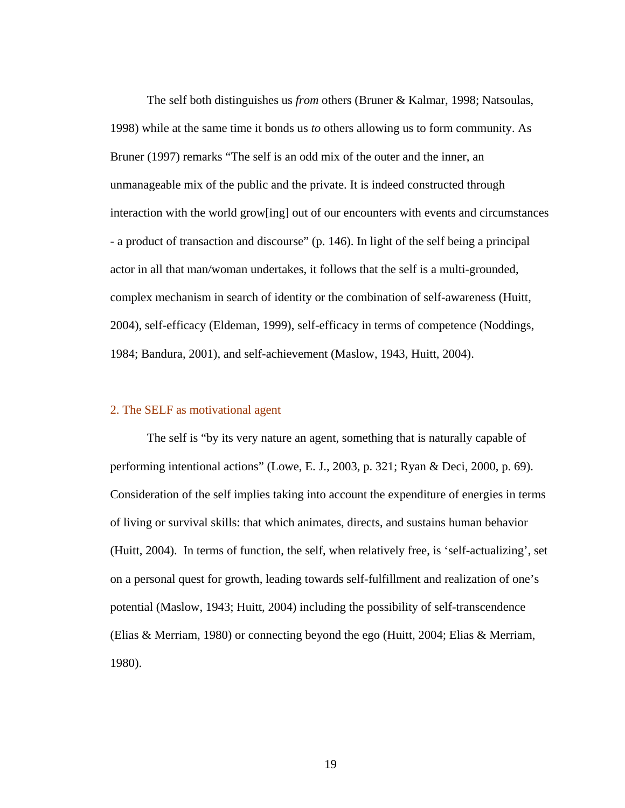The self both distinguishes us *from* others (Bruner & Kalmar, 1998; Natsoulas, 1998) while at the same time it bonds us *to* others allowing us to form community. As Bruner (1997) remarks "The self is an odd mix of the outer and the inner, an unmanageable mix of the public and the private. It is indeed constructed through interaction with the world grow[ing] out of our encounters with events and circumstances - a product of transaction and discourse" (p. 146). In light of the self being a principal actor in all that man/woman undertakes, it follows that the self is a multi-grounded, complex mechanism in search of identity or the combination of self-awareness (Huitt, 2004), self-efficacy (Eldeman, 1999), self-efficacy in terms of competence (Noddings, 1984; Bandura, 2001), and self-achievement (Maslow, 1943, Huitt, 2004).

## 2. The SELF as motivational agent

 The self is "by its very nature an agent, something that is naturally capable of performing intentional actions" (Lowe, E. J., 2003, p. 321; Ryan & Deci, 2000, p. 69). Consideration of the self implies taking into account the expenditure of energies in terms of living or survival skills: that which animates, directs, and sustains human behavior (Huitt, 2004). In terms of function, the self, when relatively free, is 'self-actualizing', set on a personal quest for growth, leading towards self-fulfillment and realization of one's potential (Maslow, 1943; Huitt, 2004) including the possibility of self-transcendence (Elias & Merriam, 1980) or connecting beyond the ego (Huitt, 2004; Elias & Merriam, 1980).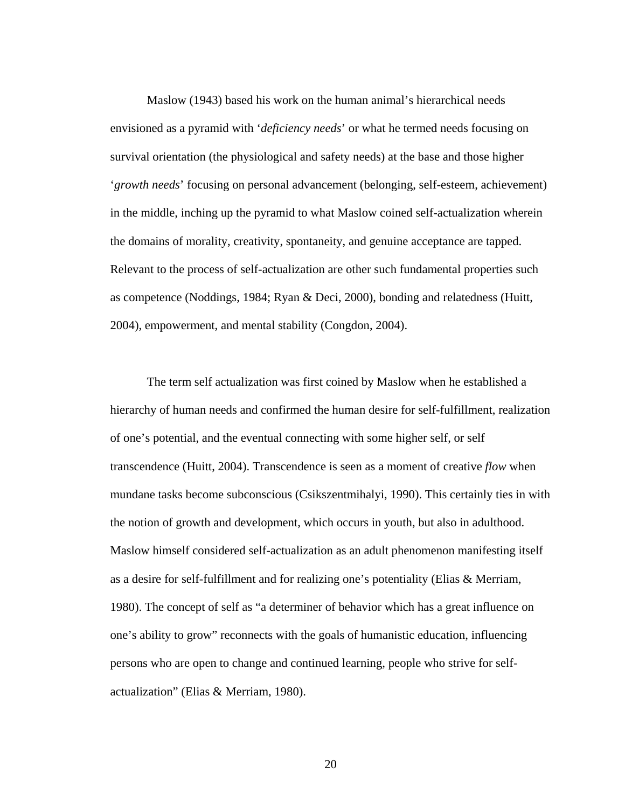Maslow (1943) based his work on the human animal's hierarchical needs envisioned as a pyramid with '*deficiency needs*' or what he termed needs focusing on survival orientation (the physiological and safety needs) at the base and those higher '*growth needs*' focusing on personal advancement (belonging, self-esteem, achievement) in the middle, inching up the pyramid to what Maslow coined self-actualization wherein the domains of morality, creativity, spontaneity, and genuine acceptance are tapped. Relevant to the process of self-actualization are other such fundamental properties such as competence (Noddings, 1984; Ryan & Deci, 2000), bonding and relatedness (Huitt, 2004), empowerment, and mental stability (Congdon, 2004).

 The term self actualization was first coined by Maslow when he established a hierarchy of human needs and confirmed the human desire for self-fulfillment, realization of one's potential, and the eventual connecting with some higher self, or self transcendence (Huitt, 2004). Transcendence is seen as a moment of creative *flow* when mundane tasks become subconscious (Csikszentmihalyi, 1990). This certainly ties in with the notion of growth and development, which occurs in youth, but also in adulthood. Maslow himself considered self-actualization as an adult phenomenon manifesting itself as a desire for self-fulfillment and for realizing one's potentiality (Elias & Merriam, 1980). The concept of self as "a determiner of behavior which has a great influence on one's ability to grow" reconnects with the goals of humanistic education, influencing persons who are open to change and continued learning, people who strive for selfactualization" (Elias & Merriam, 1980).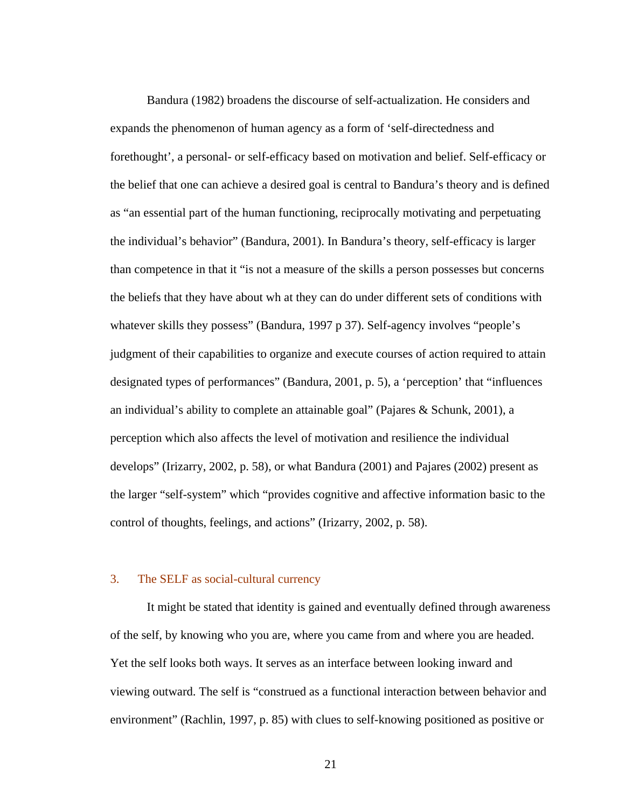Bandura (1982) broadens the discourse of self-actualization. He considers and expands the phenomenon of human agency as a form of 'self-directedness and forethought', a personal- or self-efficacy based on motivation and belief. Self-efficacy or the belief that one can achieve a desired goal is central to Bandura's theory and is defined as "an essential part of the human functioning, reciprocally motivating and perpetuating the individual's behavior" (Bandura, 2001). In Bandura's theory, self-efficacy is larger than competence in that it "is not a measure of the skills a person possesses but concerns the beliefs that they have about wh at they can do under different sets of conditions with whatever skills they possess" (Bandura, 1997 p 37). Self-agency involves "people's judgment of their capabilities to organize and execute courses of action required to attain designated types of performances" (Bandura, 2001, p. 5), a 'perception' that "influences an individual's ability to complete an attainable goal" (Pajares & Schunk, 2001), a perception which also affects the level of motivation and resilience the individual develops" (Irizarry, 2002, p. 58), or what Bandura (2001) and Pajares (2002) present as the larger "self-system" which "provides cognitive and affective information basic to the control of thoughts, feelings, and actions" (Irizarry, 2002, p. 58).

#### 3. The SELF as social-cultural currency

 It might be stated that identity is gained and eventually defined through awareness of the self, by knowing who you are, where you came from and where you are headed. Yet the self looks both ways. It serves as an interface between looking inward and viewing outward. The self is "construed as a functional interaction between behavior and environment" (Rachlin, 1997, p. 85) with clues to self-knowing positioned as positive or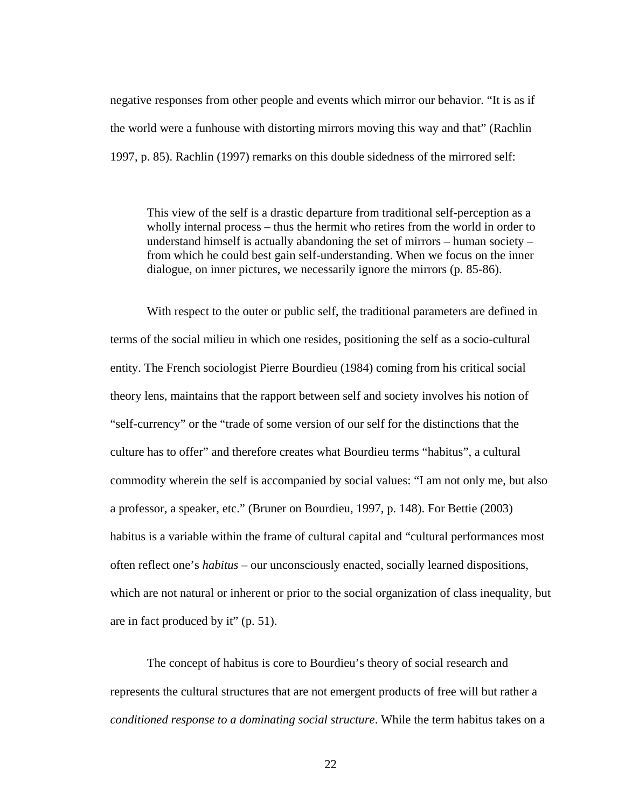negative responses from other people and events which mirror our behavior. "It is as if the world were a funhouse with distorting mirrors moving this way and that" (Rachlin 1997, p. 85). Rachlin (1997) remarks on this double sidedness of the mirrored self:

This view of the self is a drastic departure from traditional self-perception as a wholly internal process – thus the hermit who retires from the world in order to understand himself is actually abandoning the set of mirrors – human society – from which he could best gain self-understanding. When we focus on the inner dialogue, on inner pictures, we necessarily ignore the mirrors (p. 85-86).

With respect to the outer or public self, the traditional parameters are defined in terms of the social milieu in which one resides, positioning the self as a socio-cultural entity. The French sociologist Pierre Bourdieu (1984) coming from his critical social theory lens, maintains that the rapport between self and society involves his notion of "self-currency" or the "trade of some version of our self for the distinctions that the culture has to offer" and therefore creates what Bourdieu terms "habitus", a cultural commodity wherein the self is accompanied by social values: "I am not only me, but also a professor, a speaker, etc." (Bruner on Bourdieu, 1997, p. 148). For Bettie (2003) habitus is a variable within the frame of cultural capital and "cultural performances most often reflect one's *habitus* – our unconsciously enacted, socially learned dispositions, which are not natural or inherent or prior to the social organization of class inequality, but are in fact produced by it" (p. 51).

The concept of habitus is core to Bourdieu's theory of social research and represents the cultural structures that are not emergent products of free will but rather a *conditioned response to a dominating social structure*. While the term habitus takes on a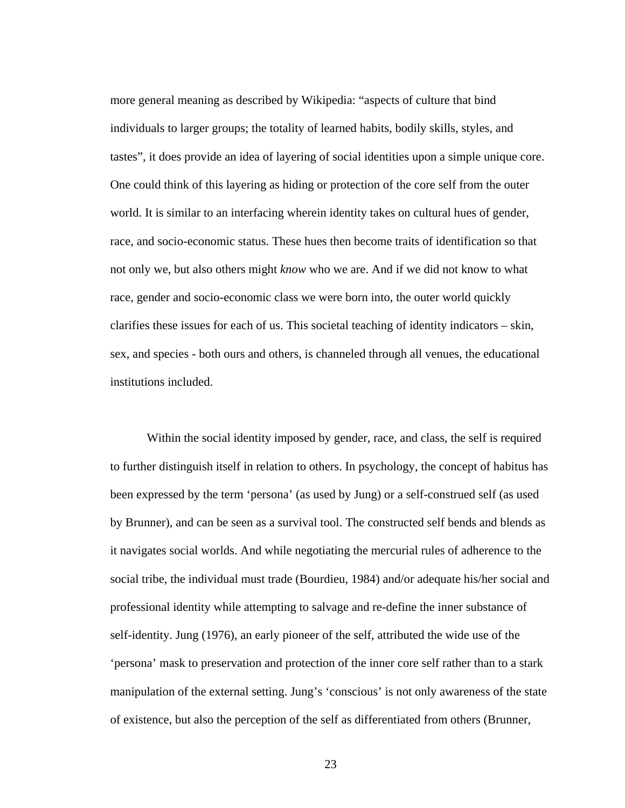more general meaning as described by Wikipedia: "aspects of culture that bind individuals to larger groups; the totality of learned habits, bodily skills, styles, and tastes", it does provide an idea of layering of social identities upon a simple unique core. One could think of this layering as hiding or protection of the core self from the outer world. It is similar to an interfacing wherein identity takes on cultural hues of gender, race, and socio-economic status. These hues then become traits of identification so that not only we, but also others might *know* who we are. And if we did not know to what race, gender and socio-economic class we were born into, the outer world quickly clarifies these issues for each of us. This societal teaching of identity indicators – skin, sex, and species - both ours and others, is channeled through all venues, the educational institutions included.

Within the social identity imposed by gender, race, and class, the self is required to further distinguish itself in relation to others. In psychology, the concept of habitus has been expressed by the term 'persona' (as used by Jung) or a self-construed self (as used by Brunner), and can be seen as a survival tool. The constructed self bends and blends as it navigates social worlds. And while negotiating the mercurial rules of adherence to the social tribe, the individual must trade (Bourdieu, 1984) and/or adequate his/her social and professional identity while attempting to salvage and re-define the inner substance of self-identity. Jung (1976), an early pioneer of the self, attributed the wide use of the 'persona' mask to preservation and protection of the inner core self rather than to a stark manipulation of the external setting. Jung's 'conscious' is not only awareness of the state of existence, but also the perception of the self as differentiated from others (Brunner,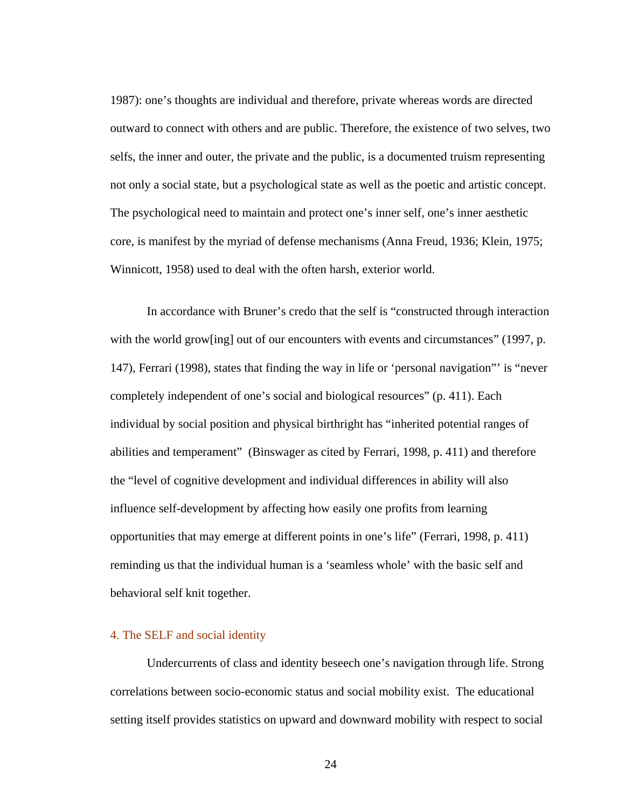1987): one's thoughts are individual and therefore, private whereas words are directed outward to connect with others and are public. Therefore, the existence of two selves, two selfs, the inner and outer, the private and the public, is a documented truism representing not only a social state, but a psychological state as well as the poetic and artistic concept. The psychological need to maintain and protect one's inner self, one's inner aesthetic core, is manifest by the myriad of defense mechanisms (Anna Freud, 1936; Klein, 1975; Winnicott, 1958) used to deal with the often harsh, exterior world.

 In accordance with Bruner's credo that the self is "constructed through interaction with the world grow[ing] out of our encounters with events and circumstances" (1997, p. 147), Ferrari (1998), states that finding the way in life or 'personal navigation"' is "never completely independent of one's social and biological resources" (p. 411). Each individual by social position and physical birthright has "inherited potential ranges of abilities and temperament" (Binswager as cited by Ferrari, 1998, p. 411) and therefore the "level of cognitive development and individual differences in ability will also influence self-development by affecting how easily one profits from learning opportunities that may emerge at different points in one's life" (Ferrari, 1998, p. 411) reminding us that the individual human is a 'seamless whole' with the basic self and behavioral self knit together.

## 4. The SELF and social identity

 Undercurrents of class and identity beseech one's navigation through life. Strong correlations between socio-economic status and social mobility exist. The educational setting itself provides statistics on upward and downward mobility with respect to social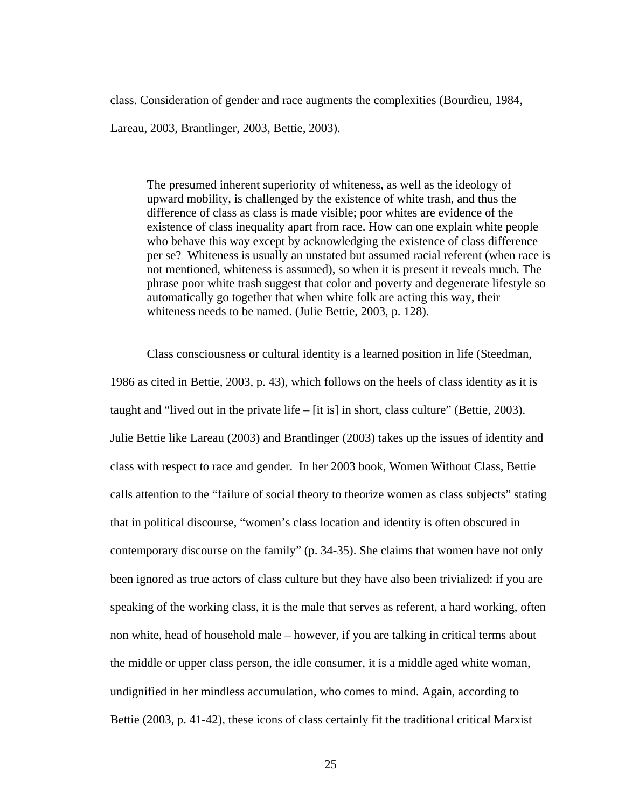class. Consideration of gender and race augments the complexities (Bourdieu, 1984,

Lareau, 2003, Brantlinger, 2003, Bettie, 2003).

The presumed inherent superiority of whiteness, as well as the ideology of upward mobility, is challenged by the existence of white trash, and thus the difference of class as class is made visible; poor whites are evidence of the existence of class inequality apart from race. How can one explain white people who behave this way except by acknowledging the existence of class difference per se? Whiteness is usually an unstated but assumed racial referent (when race is not mentioned, whiteness is assumed), so when it is present it reveals much. The phrase poor white trash suggest that color and poverty and degenerate lifestyle so automatically go together that when white folk are acting this way, their whiteness needs to be named. (Julie Bettie, 2003, p. 128).

Class consciousness or cultural identity is a learned position in life (Steedman, 1986 as cited in Bettie, 2003, p. 43), which follows on the heels of class identity as it is taught and "lived out in the private life  $-$  [it is] in short, class culture" (Bettie, 2003). Julie Bettie like Lareau (2003) and Brantlinger (2003) takes up the issues of identity and class with respect to race and gender. In her 2003 book, Women Without Class, Bettie calls attention to the "failure of social theory to theorize women as class subjects" stating that in political discourse, "women's class location and identity is often obscured in contemporary discourse on the family" (p. 34-35). She claims that women have not only been ignored as true actors of class culture but they have also been trivialized: if you are speaking of the working class, it is the male that serves as referent, a hard working, often non white, head of household male – however, if you are talking in critical terms about the middle or upper class person, the idle consumer, it is a middle aged white woman, undignified in her mindless accumulation, who comes to mind. Again, according to Bettie (2003, p. 41-42), these icons of class certainly fit the traditional critical Marxist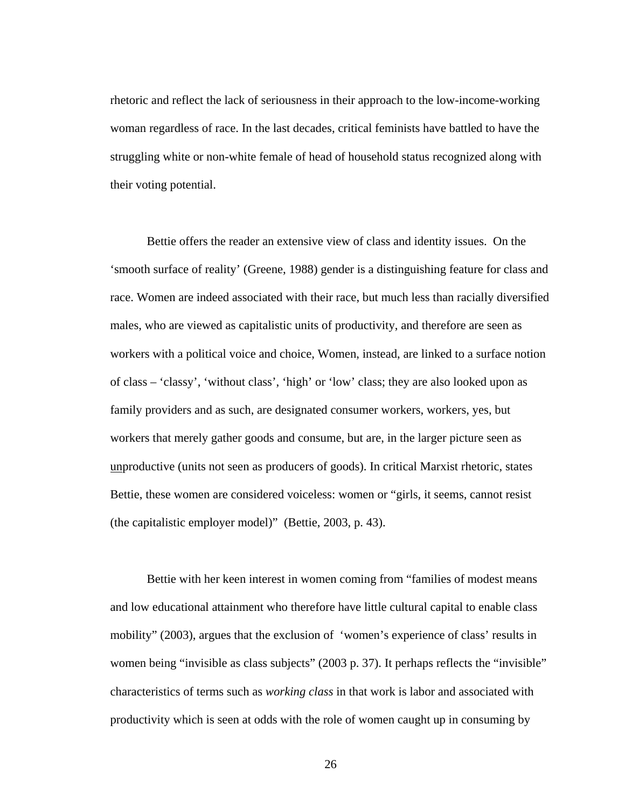rhetoric and reflect the lack of seriousness in their approach to the low-income-working woman regardless of race. In the last decades, critical feminists have battled to have the struggling white or non-white female of head of household status recognized along with their voting potential.

Bettie offers the reader an extensive view of class and identity issues. On the 'smooth surface of reality' (Greene, 1988) gender is a distinguishing feature for class and race. Women are indeed associated with their race, but much less than racially diversified males, who are viewed as capitalistic units of productivity, and therefore are seen as workers with a political voice and choice, Women, instead, are linked to a surface notion of class – 'classy', 'without class', 'high' or 'low' class; they are also looked upon as family providers and as such, are designated consumer workers, workers, yes, but workers that merely gather goods and consume, but are, in the larger picture seen as unproductive (units not seen as producers of goods). In critical Marxist rhetoric, states Bettie, these women are considered voiceless: women or "girls, it seems, cannot resist (the capitalistic employer model)" (Bettie, 2003, p. 43).

Bettie with her keen interest in women coming from "families of modest means and low educational attainment who therefore have little cultural capital to enable class mobility" (2003), argues that the exclusion of 'women's experience of class' results in women being "invisible as class subjects" (2003 p. 37). It perhaps reflects the "invisible" characteristics of terms such as *working class* in that work is labor and associated with productivity which is seen at odds with the role of women caught up in consuming by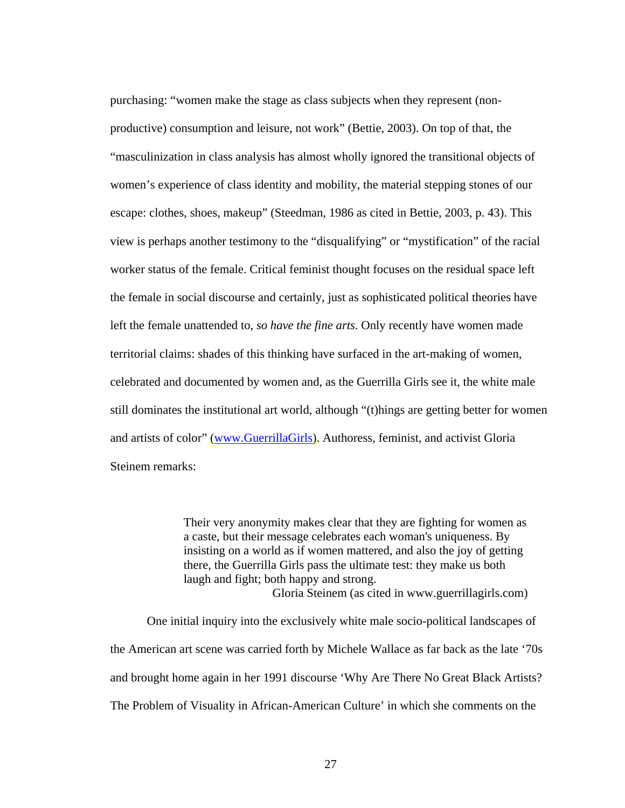purchasing: "women make the stage as class subjects when they represent (nonproductive) consumption and leisure, not work" (Bettie, 2003). On top of that, the "masculinization in class analysis has almost wholly ignored the transitional objects of women's experience of class identity and mobility, the material stepping stones of our escape: clothes, shoes, makeup" (Steedman, 1986 as cited in Bettie, 2003, p. 43). This view is perhaps another testimony to the "disqualifying" or "mystification" of the racial worker status of the female. Critical feminist thought focuses on the residual space left the female in social discourse and certainly, just as sophisticated political theories have left the female unattended to, *so have the fine arts*. Only recently have women made territorial claims: shades of this thinking have surfaced in the art-making of women, celebrated and documented by women and, as the Guerrilla Girls see it, the white male still dominates the institutional art world, although "(t)hings are getting better for women and artists of color" ([www.GuerrillaGirls](http://www.GuerrillaGirls)). Authoress, feminist, and activist Gloria Steinem remarks:

> Their very anonymity makes clear that they are fighting for women as a caste, but their message celebrates each woman's uniqueness. By insisting on a world as if women mattered, and also the joy of getting there, the Guerrilla Girls pass the ultimate test: they make us both laugh and fight; both happy and strong.

> > Gloria Steinem (as cited in www.guerrillagirls.com)

 One initial inquiry into the exclusively white male socio-political landscapes of the American art scene was carried forth by Michele Wallace as far back as the late '70s and brought home again in her 1991 discourse 'Why Are There No Great Black Artists? The Problem of Visuality in African-American Culture' in which she comments on the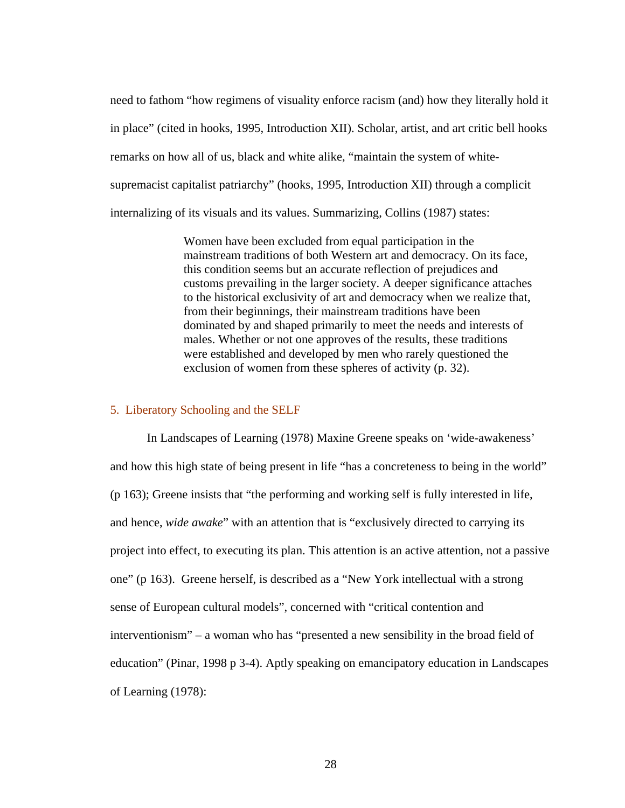need to fathom "how regimens of visuality enforce racism (and) how they literally hold it in place" (cited in hooks, 1995, Introduction XII). Scholar, artist, and art critic bell hooks remarks on how all of us, black and white alike, "maintain the system of whitesupremacist capitalist patriarchy" (hooks, 1995, Introduction XII) through a complicit internalizing of its visuals and its values. Summarizing, Collins (1987) states:

> Women have been excluded from equal participation in the mainstream traditions of both Western art and democracy. On its face, this condition seems but an accurate reflection of prejudices and customs prevailing in the larger society. A deeper significance attaches to the historical exclusivity of art and democracy when we realize that, from their beginnings, their mainstream traditions have been dominated by and shaped primarily to meet the needs and interests of males. Whether or not one approves of the results, these traditions were established and developed by men who rarely questioned the exclusion of women from these spheres of activity (p. 32).

#### 5. Liberatory Schooling and the SELF

 In Landscapes of Learning (1978) Maxine Greene speaks on 'wide-awakeness' and how this high state of being present in life "has a concreteness to being in the world" (p 163); Greene insists that "the performing and working self is fully interested in life, and hence, *wide awake*" with an attention that is "exclusively directed to carrying its project into effect, to executing its plan. This attention is an active attention, not a passive one" (p 163). Greene herself, is described as a "New York intellectual with a strong sense of European cultural models", concerned with "critical contention and interventionism" – a woman who has "presented a new sensibility in the broad field of education" (Pinar, 1998 p 3-4). Aptly speaking on emancipatory education in Landscapes of Learning (1978):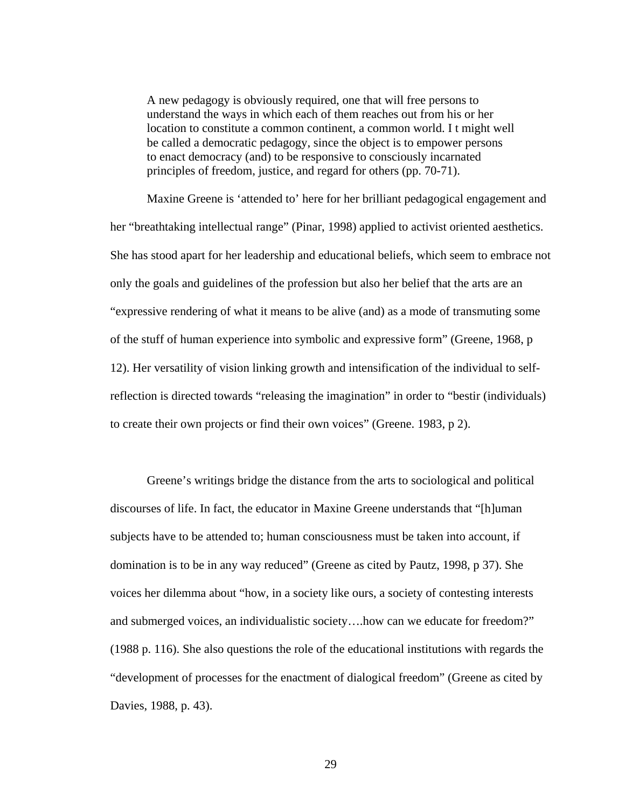A new pedagogy is obviously required, one that will free persons to understand the ways in which each of them reaches out from his or her location to constitute a common continent, a common world. I t might well be called a democratic pedagogy, since the object is to empower persons to enact democracy (and) to be responsive to consciously incarnated principles of freedom, justice, and regard for others (pp. 70-71).

Maxine Greene is 'attended to' here for her brilliant pedagogical engagement and her "breathtaking intellectual range" (Pinar, 1998) applied to activist oriented aesthetics. She has stood apart for her leadership and educational beliefs, which seem to embrace not only the goals and guidelines of the profession but also her belief that the arts are an "expressive rendering of what it means to be alive (and) as a mode of transmuting some of the stuff of human experience into symbolic and expressive form" (Greene, 1968, p 12). Her versatility of vision linking growth and intensification of the individual to selfreflection is directed towards "releasing the imagination" in order to "bestir (individuals) to create their own projects or find their own voices" (Greene. 1983, p 2).

Greene's writings bridge the distance from the arts to sociological and political discourses of life. In fact, the educator in Maxine Greene understands that "[h]uman subjects have to be attended to; human consciousness must be taken into account, if domination is to be in any way reduced" (Greene as cited by Pautz, 1998, p 37). She voices her dilemma about "how, in a society like ours, a society of contesting interests and submerged voices, an individualistic society….how can we educate for freedom?" (1988 p. 116). She also questions the role of the educational institutions with regards the "development of processes for the enactment of dialogical freedom" (Greene as cited by Davies, 1988, p. 43).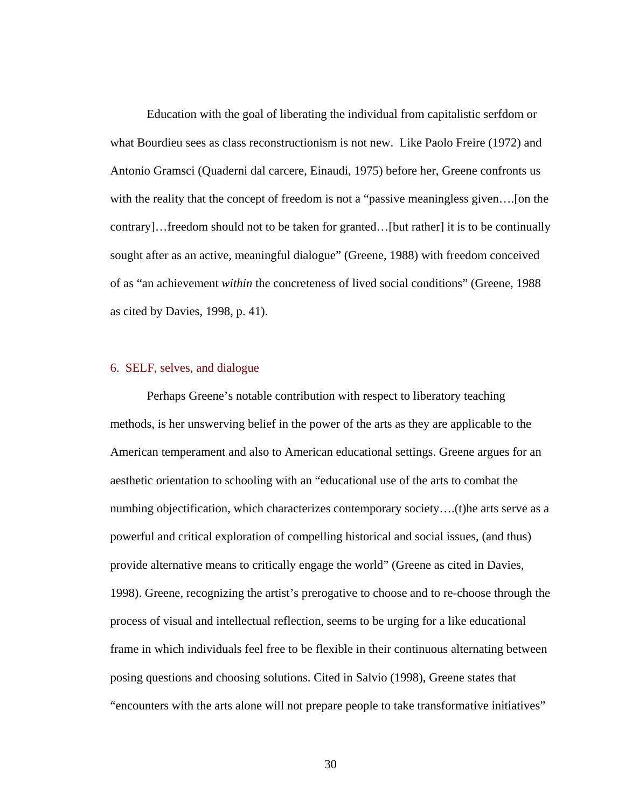Education with the goal of liberating the individual from capitalistic serfdom or what Bourdieu sees as class reconstructionism is not new. Like Paolo Freire (1972) and Antonio Gramsci (Quaderni dal carcere, Einaudi, 1975) before her, Greene confronts us with the reality that the concept of freedom is not a "passive meaningless given….[on the contrary]…freedom should not to be taken for granted…[but rather] it is to be continually sought after as an active, meaningful dialogue" (Greene, 1988) with freedom conceived of as "an achievement *within* the concreteness of lived social conditions" (Greene, 1988 as cited by Davies, 1998, p. 41).

#### 6. SELF, selves, and dialogue

Perhaps Greene's notable contribution with respect to liberatory teaching methods, is her unswerving belief in the power of the arts as they are applicable to the American temperament and also to American educational settings. Greene argues for an aesthetic orientation to schooling with an "educational use of the arts to combat the numbing objectification, which characterizes contemporary society….(t)he arts serve as a powerful and critical exploration of compelling historical and social issues, (and thus) provide alternative means to critically engage the world" (Greene as cited in Davies, 1998). Greene, recognizing the artist's prerogative to choose and to re-choose through the process of visual and intellectual reflection, seems to be urging for a like educational frame in which individuals feel free to be flexible in their continuous alternating between posing questions and choosing solutions. Cited in Salvio (1998), Greene states that "encounters with the arts alone will not prepare people to take transformative initiatives"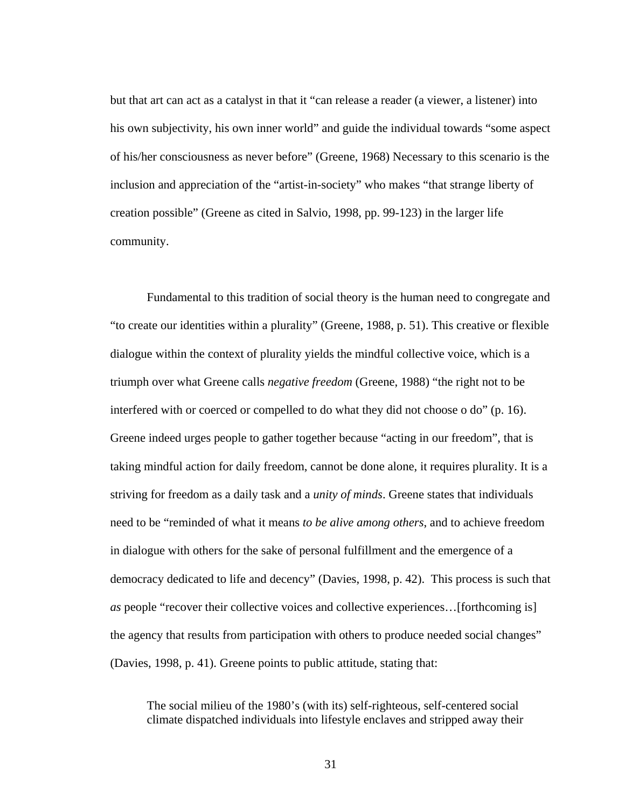but that art can act as a catalyst in that it "can release a reader (a viewer, a listener) into his own subjectivity, his own inner world" and guide the individual towards "some aspect of his/her consciousness as never before" (Greene, 1968) Necessary to this scenario is the inclusion and appreciation of the "artist-in-society" who makes "that strange liberty of creation possible" (Greene as cited in Salvio, 1998, pp. 99-123) in the larger life community.

Fundamental to this tradition of social theory is the human need to congregate and "to create our identities within a plurality" (Greene, 1988, p. 51). This creative or flexible dialogue within the context of plurality yields the mindful collective voice, which is a triumph over what Greene calls *negative freedom* (Greene, 1988) "the right not to be interfered with or coerced or compelled to do what they did not choose o do" (p. 16). Greene indeed urges people to gather together because "acting in our freedom", that is taking mindful action for daily freedom, cannot be done alone, it requires plurality. It is a striving for freedom as a daily task and a *unity of minds*. Greene states that individuals need to be "reminded of what it means *to be alive among others*, and to achieve freedom in dialogue with others for the sake of personal fulfillment and the emergence of a democracy dedicated to life and decency" (Davies, 1998, p. 42). This process is such that *as* people "recover their collective voices and collective experiences…[forthcoming is] the agency that results from participation with others to produce needed social changes" (Davies, 1998, p. 41). Greene points to public attitude, stating that:

The social milieu of the 1980's (with its) self-righteous, self-centered social climate dispatched individuals into lifestyle enclaves and stripped away their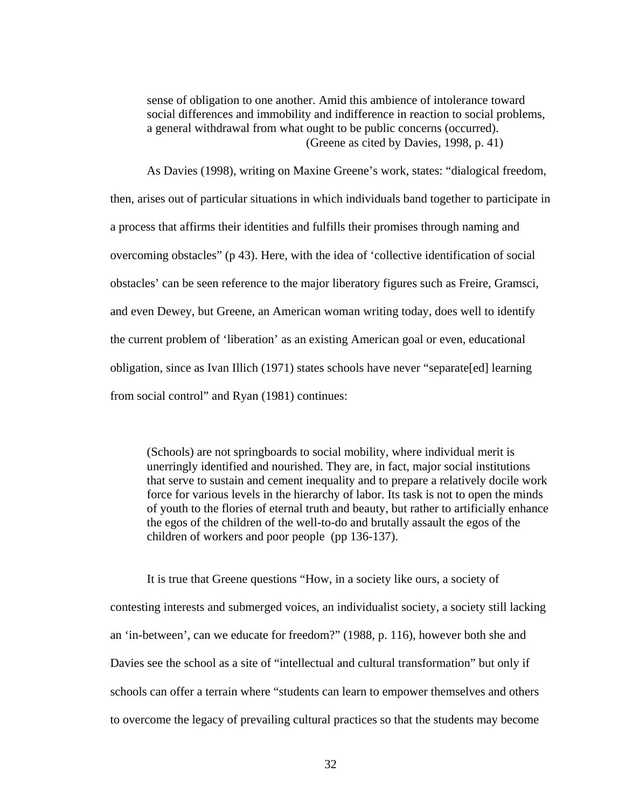sense of obligation to one another. Amid this ambience of intolerance toward social differences and immobility and indifference in reaction to social problems, a general withdrawal from what ought to be public concerns (occurred). (Greene as cited by Davies, 1998, p. 41)

As Davies (1998), writing on Maxine Greene's work, states: "dialogical freedom, then, arises out of particular situations in which individuals band together to participate in a process that affirms their identities and fulfills their promises through naming and overcoming obstacles" (p 43). Here, with the idea of 'collective identification of social obstacles' can be seen reference to the major liberatory figures such as Freire, Gramsci, and even Dewey, but Greene, an American woman writing today, does well to identify the current problem of 'liberation' as an existing American goal or even, educational obligation, since as Ivan Illich (1971) states schools have never "separate[ed] learning from social control" and Ryan (1981) continues:

(Schools) are not springboards to social mobility, where individual merit is unerringly identified and nourished. They are, in fact, major social institutions that serve to sustain and cement inequality and to prepare a relatively docile work force for various levels in the hierarchy of labor. Its task is not to open the minds of youth to the flories of eternal truth and beauty, but rather to artificially enhance the egos of the children of the well-to-do and brutally assault the egos of the children of workers and poor people (pp 136-137).

It is true that Greene questions "How, in a society like ours, a society of contesting interests and submerged voices, an individualist society, a society still lacking an 'in-between', can we educate for freedom?" (1988, p. 116), however both she and Davies see the school as a site of "intellectual and cultural transformation" but only if schools can offer a terrain where "students can learn to empower themselves and others to overcome the legacy of prevailing cultural practices so that the students may become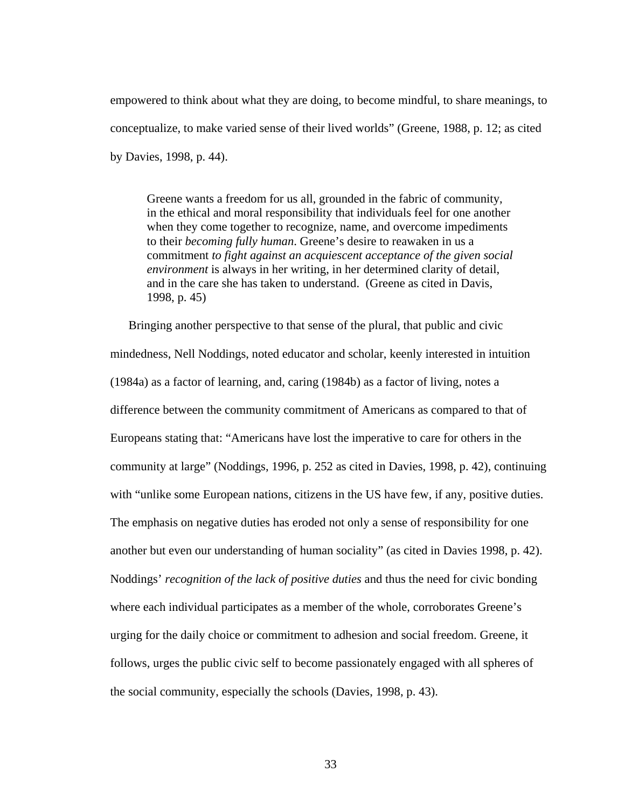empowered to think about what they are doing, to become mindful, to share meanings, to conceptualize, to make varied sense of their lived worlds" (Greene, 1988, p. 12; as cited by Davies, 1998, p. 44).

Greene wants a freedom for us all, grounded in the fabric of community, in the ethical and moral responsibility that individuals feel for one another when they come together to recognize, name, and overcome impediments to their *becoming fully human*. Greene's desire to reawaken in us a commitment *to fight against an acquiescent acceptance of the given social environment* is always in her writing, in her determined clarity of detail, and in the care she has taken to understand. (Greene as cited in Davis, 1998, p. 45)

Bringing another perspective to that sense of the plural, that public and civic mindedness, Nell Noddings, noted educator and scholar, keenly interested in intuition (1984a) as a factor of learning, and, caring (1984b) as a factor of living, notes a difference between the community commitment of Americans as compared to that of Europeans stating that: "Americans have lost the imperative to care for others in the community at large" (Noddings, 1996, p. 252 as cited in Davies, 1998, p. 42), continuing with "unlike some European nations, citizens in the US have few, if any, positive duties. The emphasis on negative duties has eroded not only a sense of responsibility for one another but even our understanding of human sociality" (as cited in Davies 1998, p. 42). Noddings' *recognition of the lack of positive duties* and thus the need for civic bonding where each individual participates as a member of the whole, corroborates Greene's urging for the daily choice or commitment to adhesion and social freedom. Greene, it follows, urges the public civic self to become passionately engaged with all spheres of the social community, especially the schools (Davies, 1998, p. 43).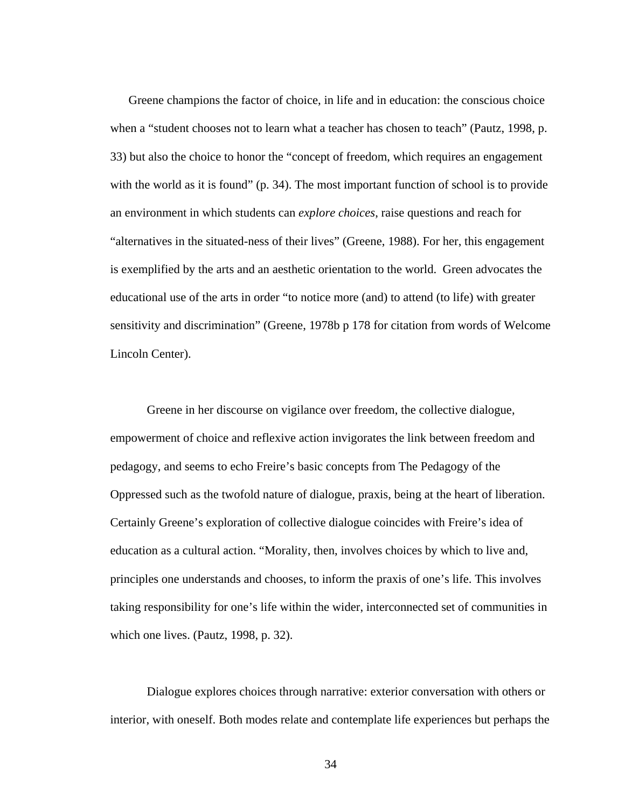Greene champions the factor of choice, in life and in education: the conscious choice when a "student chooses not to learn what a teacher has chosen to teach" (Pautz, 1998, p. 33) but also the choice to honor the "concept of freedom, which requires an engagement with the world as it is found" (p. 34). The most important function of school is to provide an environment in which students can *explore choices*, raise questions and reach for "alternatives in the situated-ness of their lives" (Greene, 1988). For her, this engagement is exemplified by the arts and an aesthetic orientation to the world. Green advocates the educational use of the arts in order "to notice more (and) to attend (to life) with greater sensitivity and discrimination" (Greene, 1978b p 178 for citation from words of Welcome Lincoln Center).

 Greene in her discourse on vigilance over freedom, the collective dialogue, empowerment of choice and reflexive action invigorates the link between freedom and pedagogy, and seems to echo Freire's basic concepts from The Pedagogy of the Oppressed such as the twofold nature of dialogue, praxis, being at the heart of liberation. Certainly Greene's exploration of collective dialogue coincides with Freire's idea of education as a cultural action. "Morality, then, involves choices by which to live and, principles one understands and chooses, to inform the praxis of one's life. This involves taking responsibility for one's life within the wider, interconnected set of communities in which one lives. (Pautz, 1998, p. 32).

Dialogue explores choices through narrative: exterior conversation with others or interior, with oneself. Both modes relate and contemplate life experiences but perhaps the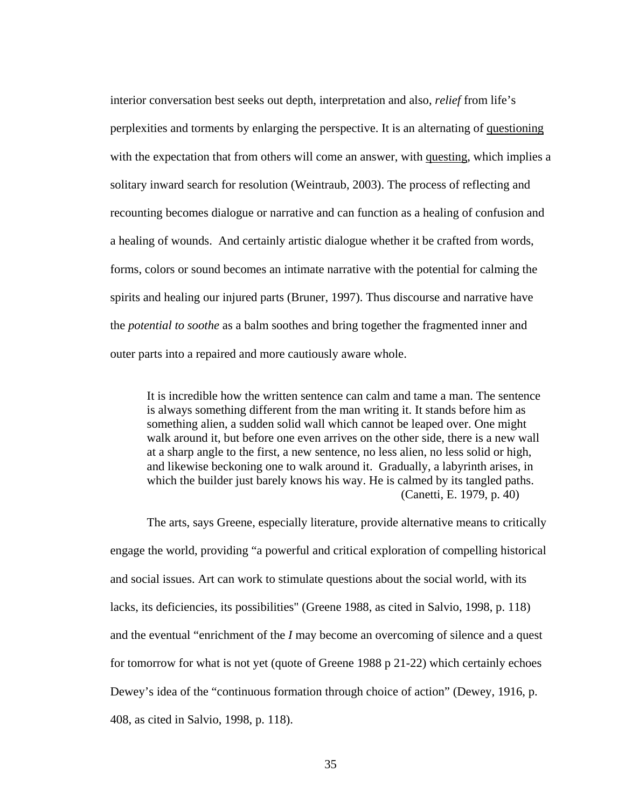interior conversation best seeks out depth, interpretation and also, *relief* from life's perplexities and torments by enlarging the perspective. It is an alternating of questioning with the expectation that from others will come an answer, with questing, which implies a solitary inward search for resolution (Weintraub, 2003). The process of reflecting and recounting becomes dialogue or narrative and can function as a healing of confusion and a healing of wounds. And certainly artistic dialogue whether it be crafted from words, forms, colors or sound becomes an intimate narrative with the potential for calming the spirits and healing our injured parts (Bruner, 1997). Thus discourse and narrative have the *potential to soothe* as a balm soothes and bring together the fragmented inner and outer parts into a repaired and more cautiously aware whole.

It is incredible how the written sentence can calm and tame a man. The sentence is always something different from the man writing it. It stands before him as something alien, a sudden solid wall which cannot be leaped over. One might walk around it, but before one even arrives on the other side, there is a new wall at a sharp angle to the first, a new sentence, no less alien, no less solid or high, and likewise beckoning one to walk around it. Gradually, a labyrinth arises, in which the builder just barely knows his way. He is calmed by its tangled paths. (Canetti, E. 1979, p. 40)

The arts, says Greene, especially literature, provide alternative means to critically engage the world, providing "a powerful and critical exploration of compelling historical and social issues. Art can work to stimulate questions about the social world, with its lacks, its deficiencies, its possibilities" (Greene 1988, as cited in Salvio, 1998, p. 118) and the eventual "enrichment of the *I* may become an overcoming of silence and a quest for tomorrow for what is not yet (quote of Greene 1988 p 21-22) which certainly echoes Dewey's idea of the "continuous formation through choice of action" (Dewey, 1916, p. 408, as cited in Salvio, 1998, p. 118).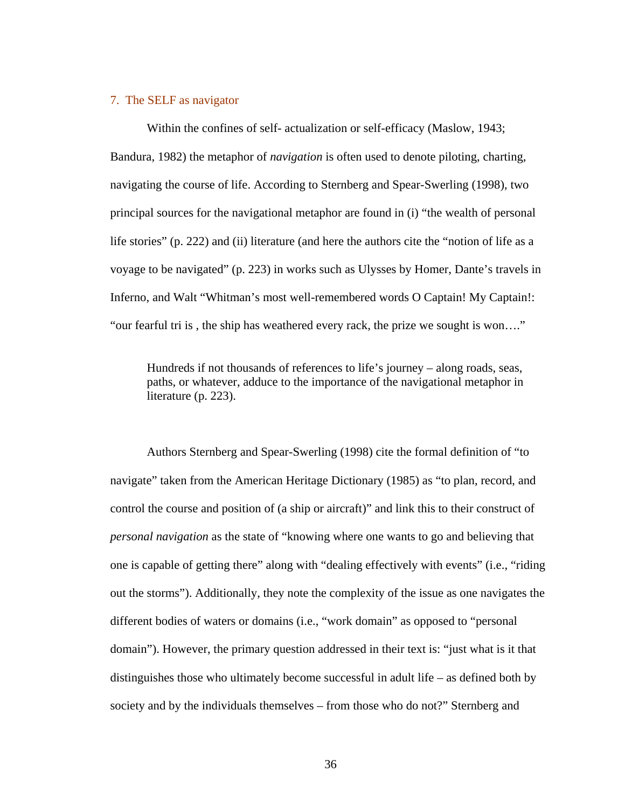### 7. The SELF as navigator

 Within the confines of self- actualization or self-efficacy (Maslow, 1943; Bandura, 1982) the metaphor of *navigation* is often used to denote piloting, charting, navigating the course of life. According to Sternberg and Spear-Swerling (1998), two principal sources for the navigational metaphor are found in (i) "the wealth of personal life stories" (p. 222) and (ii) literature (and here the authors cite the "notion of life as a voyage to be navigated" (p. 223) in works such as Ulysses by Homer, Dante's travels in Inferno, and Walt "Whitman's most well-remembered words O Captain! My Captain!: "our fearful tri is , the ship has weathered every rack, the prize we sought is won…."

Hundreds if not thousands of references to life's journey – along roads, seas, paths, or whatever, adduce to the importance of the navigational metaphor in literature (p. 223).

 Authors Sternberg and Spear-Swerling (1998) cite the formal definition of "to navigate" taken from the American Heritage Dictionary (1985) as "to plan, record, and control the course and position of (a ship or aircraft)" and link this to their construct of *personal navigation* as the state of "knowing where one wants to go and believing that one is capable of getting there" along with "dealing effectively with events" (i.e., "riding out the storms"). Additionally, they note the complexity of the issue as one navigates the different bodies of waters or domains (i.e., "work domain" as opposed to "personal domain"). However, the primary question addressed in their text is: "just what is it that distinguishes those who ultimately become successful in adult life – as defined both by society and by the individuals themselves – from those who do not?" Sternberg and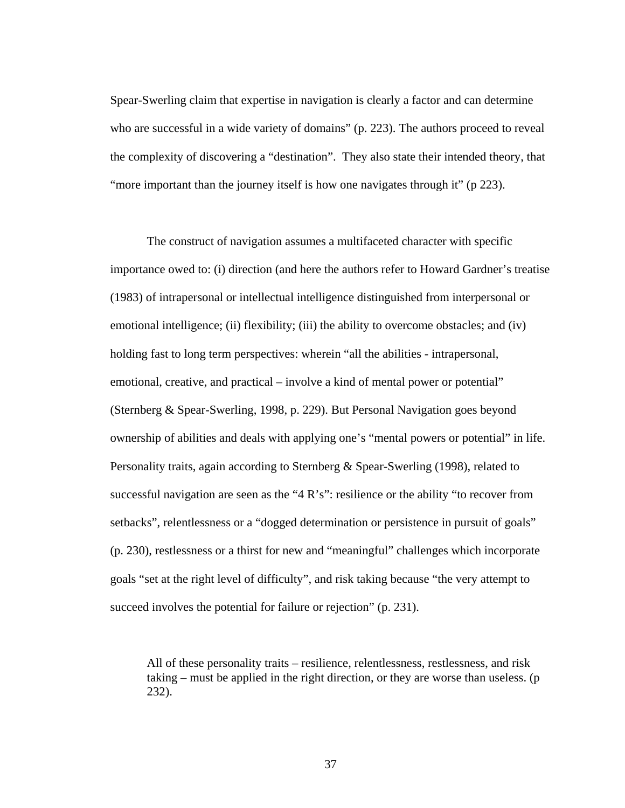Spear-Swerling claim that expertise in navigation is clearly a factor and can determine who are successful in a wide variety of domains" (p. 223). The authors proceed to reveal the complexity of discovering a "destination". They also state their intended theory, that "more important than the journey itself is how one navigates through it" (p 223).

 The construct of navigation assumes a multifaceted character with specific importance owed to: (i) direction (and here the authors refer to Howard Gardner's treatise (1983) of intrapersonal or intellectual intelligence distinguished from interpersonal or emotional intelligence; (ii) flexibility; (iii) the ability to overcome obstacles; and (iv) holding fast to long term perspectives: wherein "all the abilities - intrapersonal, emotional, creative, and practical – involve a kind of mental power or potential" (Sternberg & Spear-Swerling, 1998, p. 229). But Personal Navigation goes beyond ownership of abilities and deals with applying one's "mental powers or potential" in life. Personality traits, again according to Sternberg & Spear-Swerling (1998), related to successful navigation are seen as the "4 R's": resilience or the ability "to recover from setbacks", relentlessness or a "dogged determination or persistence in pursuit of goals" (p. 230), restlessness or a thirst for new and "meaningful" challenges which incorporate goals "set at the right level of difficulty", and risk taking because "the very attempt to succeed involves the potential for failure or rejection" (p. 231).

All of these personality traits – resilience, relentlessness, restlessness, and risk taking – must be applied in the right direction, or they are worse than useless. (p 232).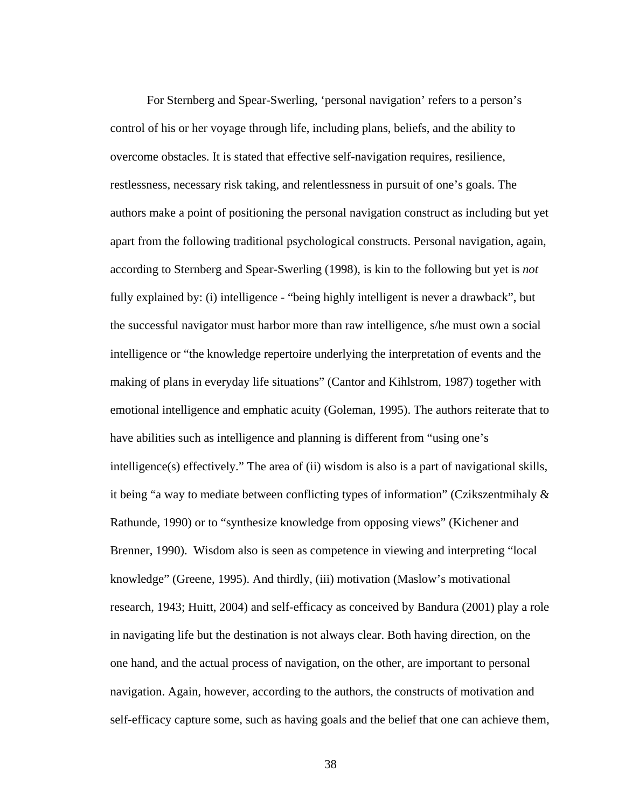For Sternberg and Spear-Swerling, 'personal navigation' refers to a person's control of his or her voyage through life, including plans, beliefs, and the ability to overcome obstacles. It is stated that effective self-navigation requires, resilience, restlessness, necessary risk taking, and relentlessness in pursuit of one's goals. The authors make a point of positioning the personal navigation construct as including but yet apart from the following traditional psychological constructs. Personal navigation, again, according to Sternberg and Spear-Swerling (1998), is kin to the following but yet is *not*  fully explained by: (i) intelligence - "being highly intelligent is never a drawback", but the successful navigator must harbor more than raw intelligence, s/he must own a social intelligence or "the knowledge repertoire underlying the interpretation of events and the making of plans in everyday life situations" (Cantor and Kihlstrom, 1987) together with emotional intelligence and emphatic acuity (Goleman, 1995). The authors reiterate that to have abilities such as intelligence and planning is different from "using one's intelligence(s) effectively." The area of (ii) wisdom is also is a part of navigational skills, it being "a way to mediate between conflicting types of information" (Czikszentmihaly & Rathunde, 1990) or to "synthesize knowledge from opposing views" (Kichener and Brenner, 1990). Wisdom also is seen as competence in viewing and interpreting "local knowledge" (Greene, 1995). And thirdly, (iii) motivation (Maslow's motivational research, 1943; Huitt, 2004) and self-efficacy as conceived by Bandura (2001) play a role in navigating life but the destination is not always clear. Both having direction, on the one hand, and the actual process of navigation, on the other, are important to personal navigation. Again, however, according to the authors, the constructs of motivation and self-efficacy capture some, such as having goals and the belief that one can achieve them,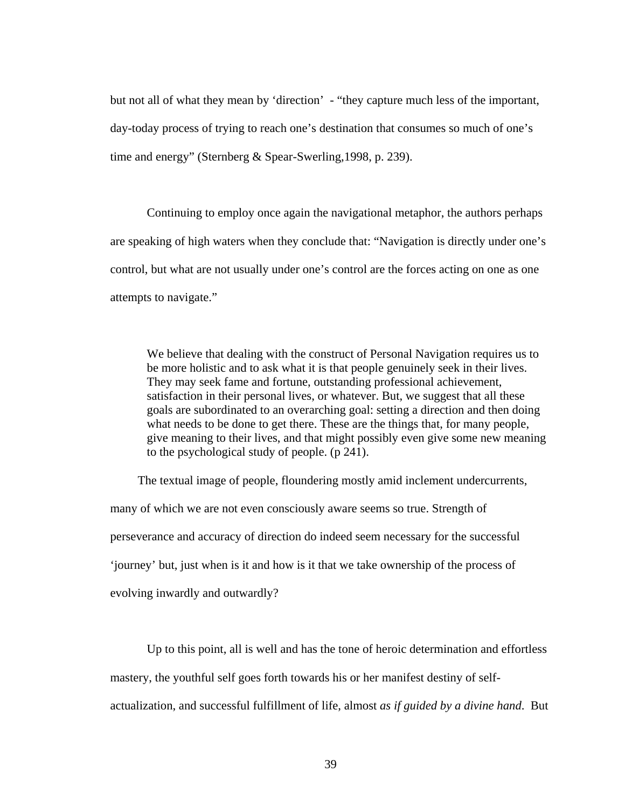but not all of what they mean by 'direction' - "they capture much less of the important, day-today process of trying to reach one's destination that consumes so much of one's time and energy" (Sternberg & Spear-Swerling,1998, p. 239).

 Continuing to employ once again the navigational metaphor, the authors perhaps are speaking of high waters when they conclude that: "Navigation is directly under one's control, but what are not usually under one's control are the forces acting on one as one attempts to navigate."

We believe that dealing with the construct of Personal Navigation requires us to be more holistic and to ask what it is that people genuinely seek in their lives. They may seek fame and fortune, outstanding professional achievement, satisfaction in their personal lives, or whatever. But, we suggest that all these goals are subordinated to an overarching goal: setting a direction and then doing what needs to be done to get there. These are the things that, for many people, give meaning to their lives, and that might possibly even give some new meaning to the psychological study of people. (p 241).

 The textual image of people, floundering mostly amid inclement undercurrents, many of which we are not even consciously aware seems so true. Strength of perseverance and accuracy of direction do indeed seem necessary for the successful 'journey' but, just when is it and how is it that we take ownership of the process of evolving inwardly and outwardly?

 Up to this point, all is well and has the tone of heroic determination and effortless mastery, the youthful self goes forth towards his or her manifest destiny of selfactualization, and successful fulfillment of life, almost *as if guided by a divine hand*. But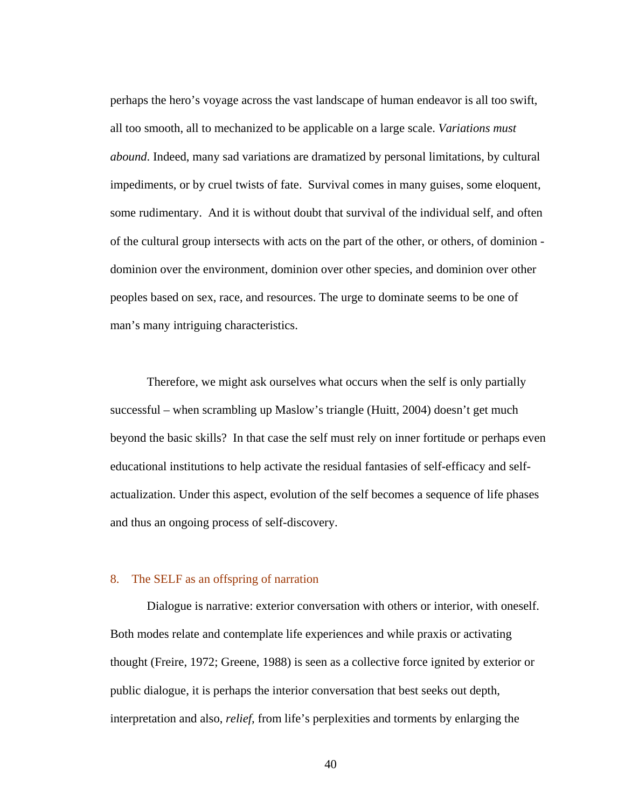perhaps the hero's voyage across the vast landscape of human endeavor is all too swift, all too smooth, all to mechanized to be applicable on a large scale. *Variations must abound*. Indeed, many sad variations are dramatized by personal limitations, by cultural impediments, or by cruel twists of fate. Survival comes in many guises, some eloquent, some rudimentary. And it is without doubt that survival of the individual self, and often of the cultural group intersects with acts on the part of the other, or others, of dominion dominion over the environment, dominion over other species, and dominion over other peoples based on sex, race, and resources. The urge to dominate seems to be one of man's many intriguing characteristics.

 Therefore, we might ask ourselves what occurs when the self is only partially successful – when scrambling up Maslow's triangle (Huitt, 2004) doesn't get much beyond the basic skills? In that case the self must rely on inner fortitude or perhaps even educational institutions to help activate the residual fantasies of self-efficacy and selfactualization. Under this aspect, evolution of the self becomes a sequence of life phases and thus an ongoing process of self-discovery.

### 8. The SELF as an offspring of narration

Dialogue is narrative: exterior conversation with others or interior, with oneself. Both modes relate and contemplate life experiences and while praxis or activating thought (Freire, 1972; Greene, 1988) is seen as a collective force ignited by exterior or public dialogue, it is perhaps the interior conversation that best seeks out depth, interpretation and also, *relief,* from life's perplexities and torments by enlarging the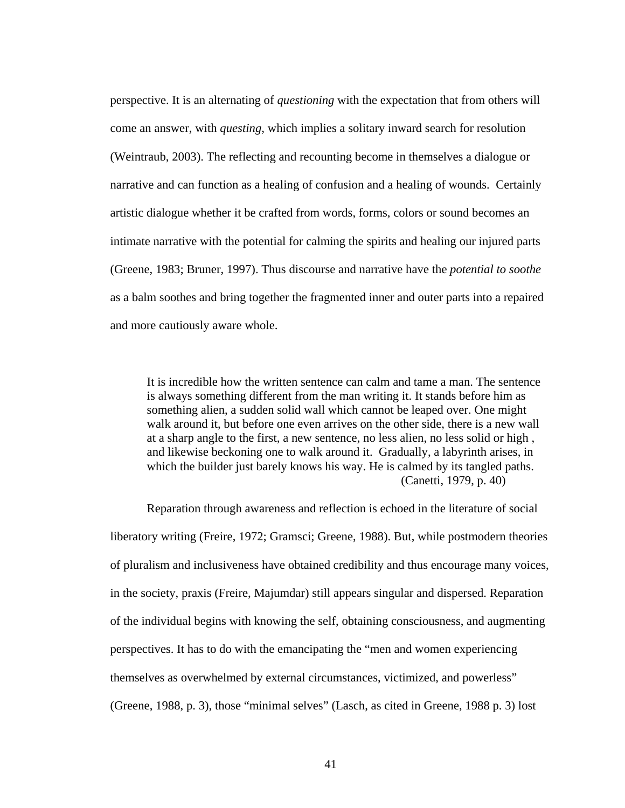perspective. It is an alternating of *questioning* with the expectation that from others will come an answer, with *questing*, which implies a solitary inward search for resolution (Weintraub, 2003). The reflecting and recounting become in themselves a dialogue or narrative and can function as a healing of confusion and a healing of wounds. Certainly artistic dialogue whether it be crafted from words, forms, colors or sound becomes an intimate narrative with the potential for calming the spirits and healing our injured parts (Greene, 1983; Bruner, 1997). Thus discourse and narrative have the *potential to soothe* as a balm soothes and bring together the fragmented inner and outer parts into a repaired and more cautiously aware whole.

It is incredible how the written sentence can calm and tame a man. The sentence is always something different from the man writing it. It stands before him as something alien, a sudden solid wall which cannot be leaped over. One might walk around it, but before one even arrives on the other side, there is a new wall at a sharp angle to the first, a new sentence, no less alien, no less solid or high , and likewise beckoning one to walk around it. Gradually, a labyrinth arises, in which the builder just barely knows his way. He is calmed by its tangled paths. (Canetti, 1979, p. 40)

 Reparation through awareness and reflection is echoed in the literature of social liberatory writing (Freire, 1972; Gramsci; Greene, 1988). But, while postmodern theories of pluralism and inclusiveness have obtained credibility and thus encourage many voices, in the society, praxis (Freire, Majumdar) still appears singular and dispersed. Reparation of the individual begins with knowing the self, obtaining consciousness, and augmenting perspectives. It has to do with the emancipating the "men and women experiencing themselves as overwhelmed by external circumstances, victimized, and powerless" (Greene, 1988, p. 3), those "minimal selves" (Lasch, as cited in Greene, 1988 p. 3) lost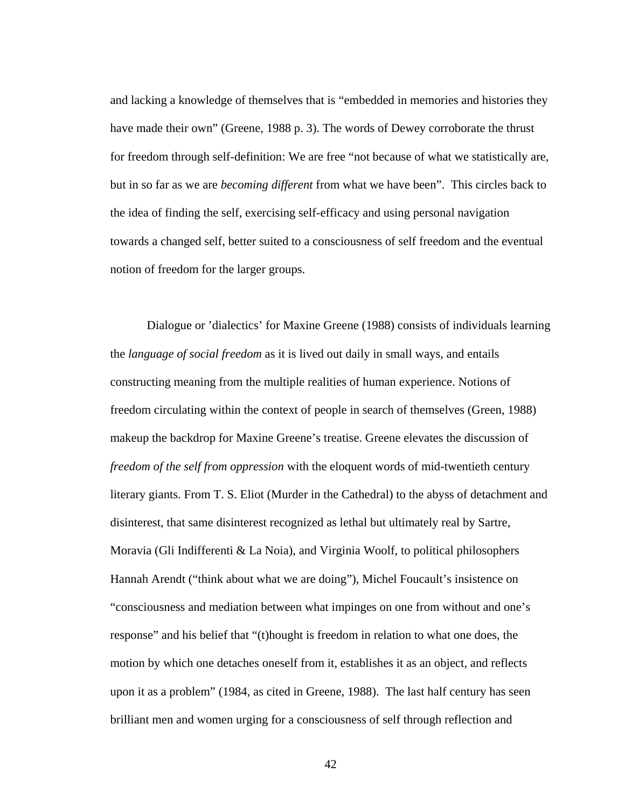and lacking a knowledge of themselves that is "embedded in memories and histories they have made their own" (Greene, 1988 p. 3). The words of Dewey corroborate the thrust for freedom through self-definition: We are free "not because of what we statistically are, but in so far as we are *becoming different* from what we have been". This circles back to the idea of finding the self, exercising self-efficacy and using personal navigation towards a changed self, better suited to a consciousness of self freedom and the eventual notion of freedom for the larger groups.

 Dialogue or 'dialectics' for Maxine Greene (1988) consists of individuals learning the *language of social freedom* as it is lived out daily in small ways, and entails constructing meaning from the multiple realities of human experience. Notions of freedom circulating within the context of people in search of themselves (Green, 1988) makeup the backdrop for Maxine Greene's treatise. Greene elevates the discussion of *freedom of the self from oppression* with the eloquent words of mid-twentieth century literary giants. From T. S. Eliot (Murder in the Cathedral) to the abyss of detachment and disinterest, that same disinterest recognized as lethal but ultimately real by Sartre, Moravia (Gli Indifferenti & La Noia), and Virginia Woolf, to political philosophers Hannah Arendt ("think about what we are doing"), Michel Foucault's insistence on "consciousness and mediation between what impinges on one from without and one's response" and his belief that "(t)hought is freedom in relation to what one does, the motion by which one detaches oneself from it, establishes it as an object, and reflects upon it as a problem" (1984, as cited in Greene, 1988). The last half century has seen brilliant men and women urging for a consciousness of self through reflection and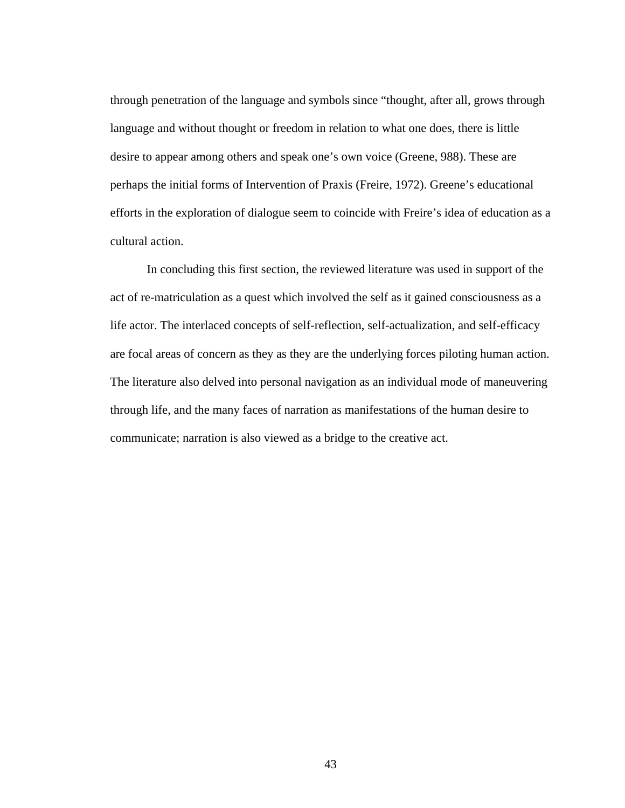through penetration of the language and symbols since "thought, after all, grows through language and without thought or freedom in relation to what one does, there is little desire to appear among others and speak one's own voice (Greene, 988). These are perhaps the initial forms of Intervention of Praxis (Freire, 1972). Greene's educational efforts in the exploration of dialogue seem to coincide with Freire's idea of education as a cultural action.

 In concluding this first section, the reviewed literature was used in support of the act of re-matriculation as a quest which involved the self as it gained consciousness as a life actor. The interlaced concepts of self-reflection, self-actualization, and self-efficacy are focal areas of concern as they as they are the underlying forces piloting human action. The literature also delved into personal navigation as an individual mode of maneuvering through life, and the many faces of narration as manifestations of the human desire to communicate; narration is also viewed as a bridge to the creative act.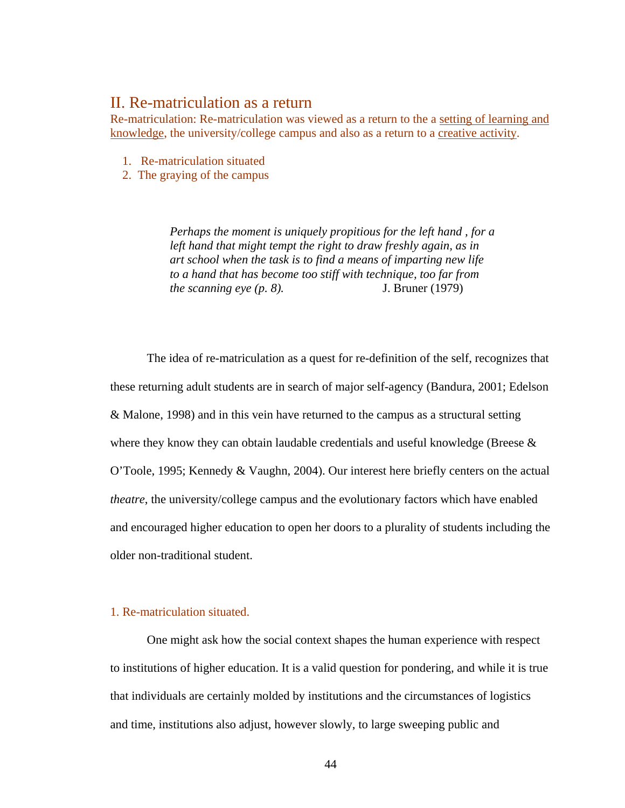## II. Re-matriculation as a return

Re-matriculation: Re-matriculation was viewed as a return to the a setting of learning and knowledge, the university/college campus and also as a return to a creative activity.

- 1. Re-matriculation situated
- 2. The graying of the campus

*Perhaps the moment is uniquely propitious for the left hand , for a left hand that might tempt the right to draw freshly again, as in art school when the task is to find a means of imparting new life to a hand that has become too stiff with technique, too far from the scanning eye (p. 8).* J. Bruner (1979)

The idea of re-matriculation as a quest for re-definition of the self, recognizes that these returning adult students are in search of major self-agency (Bandura, 2001; Edelson & Malone, 1998) and in this vein have returned to the campus as a structural setting where they know they can obtain laudable credentials and useful knowledge (Breese  $\&$ O'Toole, 1995; Kennedy & Vaughn, 2004). Our interest here briefly centers on the actual *theatre*, the university/college campus and the evolutionary factors which have enabled and encouraged higher education to open her doors to a plurality of students including the older non-traditional student.

### 1. Re-matriculation situated.

One might ask how the social context shapes the human experience with respect to institutions of higher education. It is a valid question for pondering, and while it is true that individuals are certainly molded by institutions and the circumstances of logistics and time, institutions also adjust, however slowly, to large sweeping public and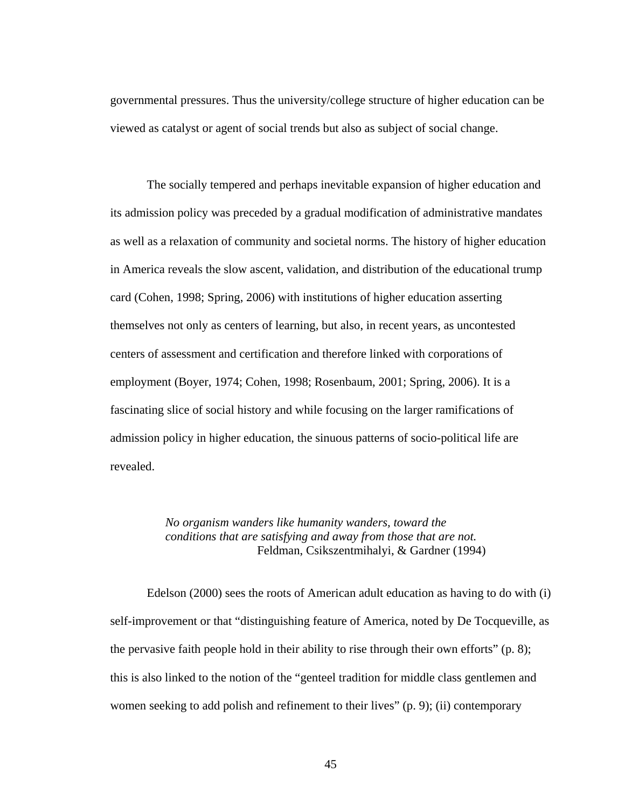governmental pressures. Thus the university/college structure of higher education can be viewed as catalyst or agent of social trends but also as subject of social change.

The socially tempered and perhaps inevitable expansion of higher education and its admission policy was preceded by a gradual modification of administrative mandates as well as a relaxation of community and societal norms. The history of higher education in America reveals the slow ascent, validation, and distribution of the educational trump card (Cohen, 1998; Spring, 2006) with institutions of higher education asserting themselves not only as centers of learning, but also, in recent years, as uncontested centers of assessment and certification and therefore linked with corporations of employment (Boyer, 1974; Cohen, 1998; Rosenbaum, 2001; Spring, 2006). It is a fascinating slice of social history and while focusing on the larger ramifications of admission policy in higher education, the sinuous patterns of socio-political life are revealed.

> *No organism wanders like humanity wanders, toward the conditions that are satisfying and away from those that are not.* Feldman, Csikszentmihalyi, & Gardner (1994)

 Edelson (2000) sees the roots of American adult education as having to do with (i) self-improvement or that "distinguishing feature of America, noted by De Tocqueville, as the pervasive faith people hold in their ability to rise through their own efforts" (p. 8); this is also linked to the notion of the "genteel tradition for middle class gentlemen and women seeking to add polish and refinement to their lives" (p. 9); (ii) contemporary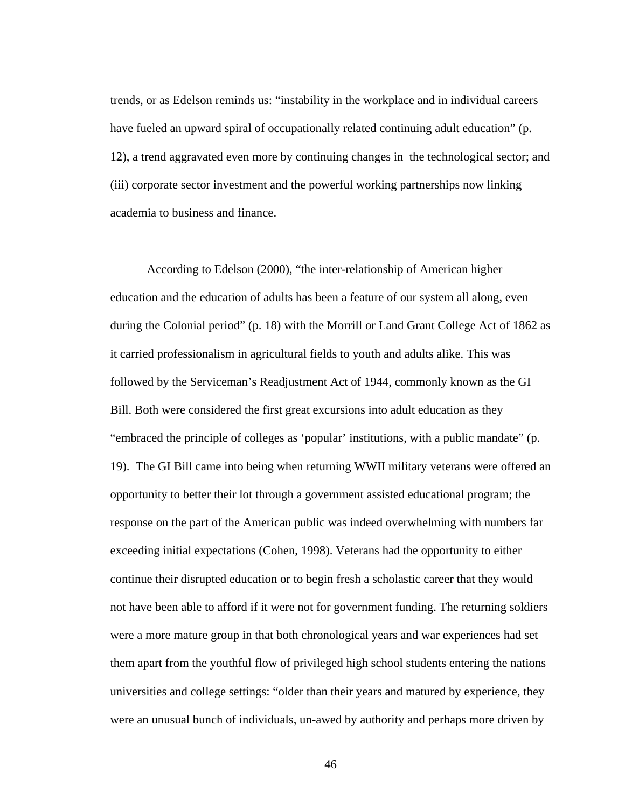trends, or as Edelson reminds us: "instability in the workplace and in individual careers have fueled an upward spiral of occupationally related continuing adult education" (p. 12), a trend aggravated even more by continuing changes in the technological sector; and (iii) corporate sector investment and the powerful working partnerships now linking academia to business and finance.

According to Edelson (2000), "the inter-relationship of American higher education and the education of adults has been a feature of our system all along, even during the Colonial period" (p. 18) with the Morrill or Land Grant College Act of 1862 as it carried professionalism in agricultural fields to youth and adults alike. This was followed by the Serviceman's Readjustment Act of 1944, commonly known as the GI Bill. Both were considered the first great excursions into adult education as they "embraced the principle of colleges as 'popular' institutions, with a public mandate" (p. 19). The GI Bill came into being when returning WWII military veterans were offered an opportunity to better their lot through a government assisted educational program; the response on the part of the American public was indeed overwhelming with numbers far exceeding initial expectations (Cohen, 1998). Veterans had the opportunity to either continue their disrupted education or to begin fresh a scholastic career that they would not have been able to afford if it were not for government funding. The returning soldiers were a more mature group in that both chronological years and war experiences had set them apart from the youthful flow of privileged high school students entering the nations universities and college settings: "older than their years and matured by experience, they were an unusual bunch of individuals, un-awed by authority and perhaps more driven by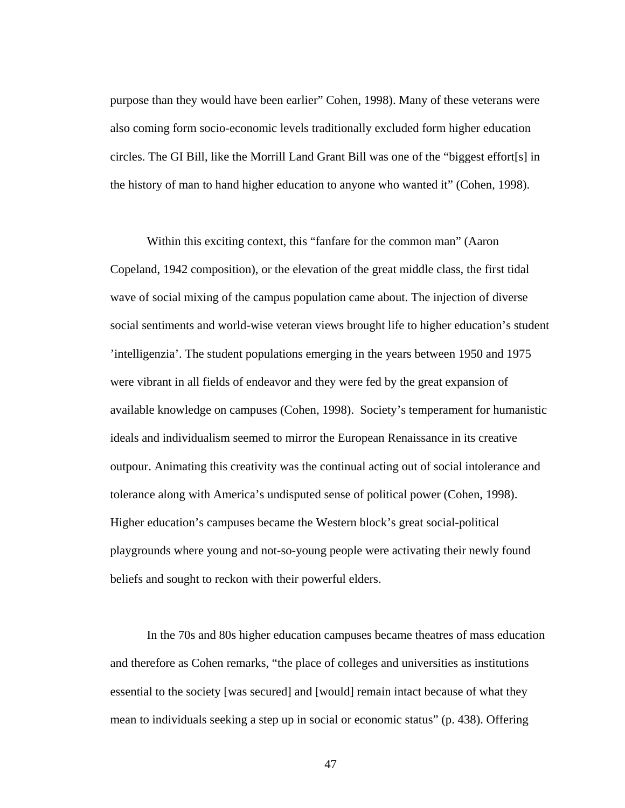purpose than they would have been earlier" Cohen, 1998). Many of these veterans were also coming form socio-economic levels traditionally excluded form higher education circles. The GI Bill, like the Morrill Land Grant Bill was one of the "biggest effort[s] in the history of man to hand higher education to anyone who wanted it" (Cohen, 1998).

Within this exciting context, this "fanfare for the common man" (Aaron Copeland, 1942 composition), or the elevation of the great middle class, the first tidal wave of social mixing of the campus population came about. The injection of diverse social sentiments and world-wise veteran views brought life to higher education's student 'intelligenzia'. The student populations emerging in the years between 1950 and 1975 were vibrant in all fields of endeavor and they were fed by the great expansion of available knowledge on campuses (Cohen, 1998). Society's temperament for humanistic ideals and individualism seemed to mirror the European Renaissance in its creative outpour. Animating this creativity was the continual acting out of social intolerance and tolerance along with America's undisputed sense of political power (Cohen, 1998). Higher education's campuses became the Western block's great social-political playgrounds where young and not-so-young people were activating their newly found beliefs and sought to reckon with their powerful elders.

In the 70s and 80s higher education campuses became theatres of mass education and therefore as Cohen remarks, "the place of colleges and universities as institutions essential to the society [was secured] and [would] remain intact because of what they mean to individuals seeking a step up in social or economic status" (p. 438). Offering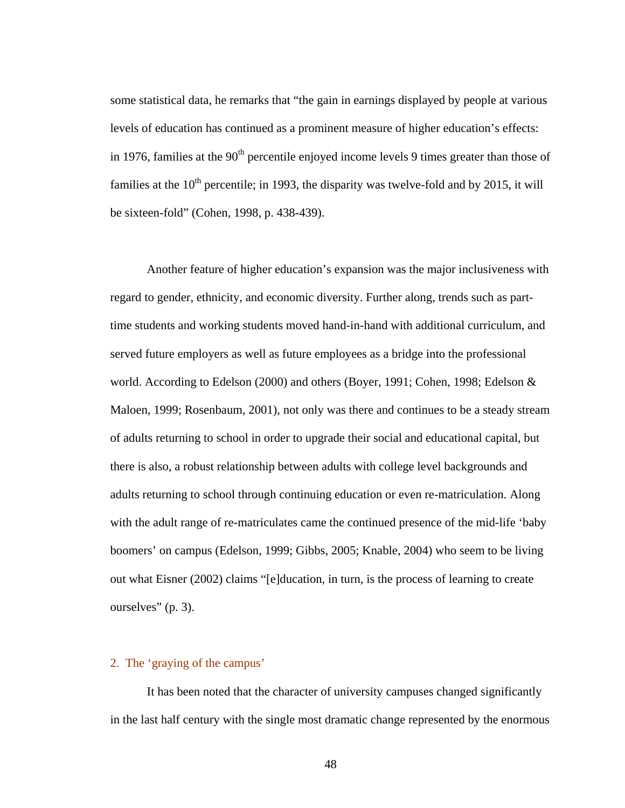some statistical data, he remarks that "the gain in earnings displayed by people at various levels of education has continued as a prominent measure of higher education's effects: in 1976, families at the  $90<sup>th</sup>$  percentile enjoyed income levels 9 times greater than those of families at the  $10<sup>th</sup>$  percentile; in 1993, the disparity was twelve-fold and by 2015, it will be sixteen-fold" (Cohen, 1998, p. 438-439).

Another feature of higher education's expansion was the major inclusiveness with regard to gender, ethnicity, and economic diversity. Further along, trends such as parttime students and working students moved hand-in-hand with additional curriculum, and served future employers as well as future employees as a bridge into the professional world. According to Edelson (2000) and others (Boyer, 1991; Cohen, 1998; Edelson & Maloen, 1999; Rosenbaum, 2001), not only was there and continues to be a steady stream of adults returning to school in order to upgrade their social and educational capital, but there is also, a robust relationship between adults with college level backgrounds and adults returning to school through continuing education or even re-matriculation. Along with the adult range of re-matriculates came the continued presence of the mid-life 'baby boomers' on campus (Edelson, 1999; Gibbs, 2005; Knable, 2004) who seem to be living out what Eisner (2002) claims "[e]ducation, in turn, is the process of learning to create ourselves" (p. 3).

### 2. The 'graying of the campus'

It has been noted that the character of university campuses changed significantly in the last half century with the single most dramatic change represented by the enormous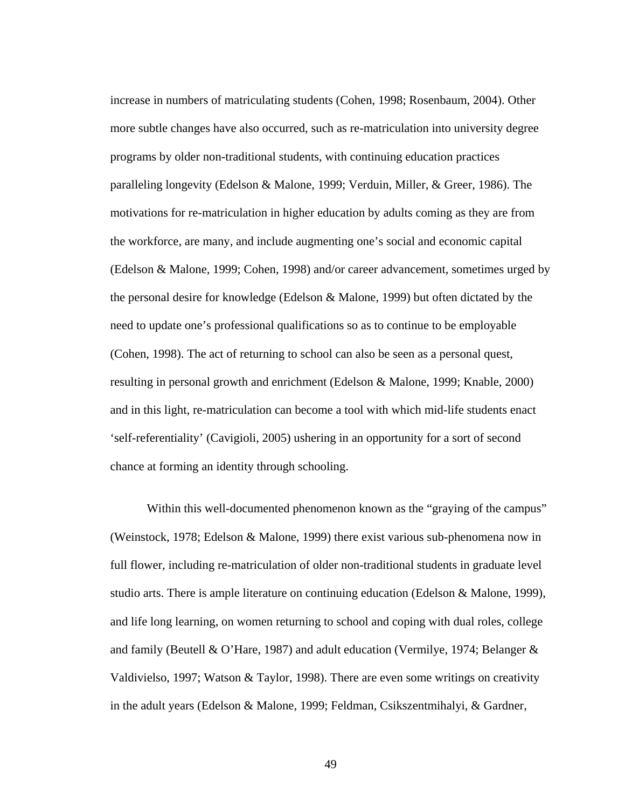increase in numbers of matriculating students (Cohen, 1998; Rosenbaum, 2004). Other more subtle changes have also occurred, such as re-matriculation into university degree programs by older non-traditional students, with continuing education practices paralleling longevity (Edelson & Malone, 1999; Verduin, Miller, & Greer, 1986). The motivations for re-matriculation in higher education by adults coming as they are from the workforce, are many, and include augmenting one's social and economic capital (Edelson & Malone, 1999; Cohen, 1998) and/or career advancement, sometimes urged by the personal desire for knowledge (Edelson & Malone, 1999) but often dictated by the need to update one's professional qualifications so as to continue to be employable (Cohen, 1998). The act of returning to school can also be seen as a personal quest, resulting in personal growth and enrichment (Edelson & Malone, 1999; Knable, 2000) and in this light, re-matriculation can become a tool with which mid-life students enact 'self-referentiality' (Cavigioli, 2005) ushering in an opportunity for a sort of second chance at forming an identity through schooling.

Within this well-documented phenomenon known as the "graying of the campus" (Weinstock, 1978; Edelson & Malone, 1999) there exist various sub-phenomena now in full flower, including re-matriculation of older non-traditional students in graduate level studio arts. There is ample literature on continuing education (Edelson & Malone, 1999), and life long learning, on women returning to school and coping with dual roles, college and family (Beutell & O'Hare, 1987) and adult education (Vermilye, 1974; Belanger & Valdivielso, 1997; Watson & Taylor, 1998). There are even some writings on creativity in the adult years (Edelson & Malone, 1999; Feldman, Csikszentmihalyi, & Gardner,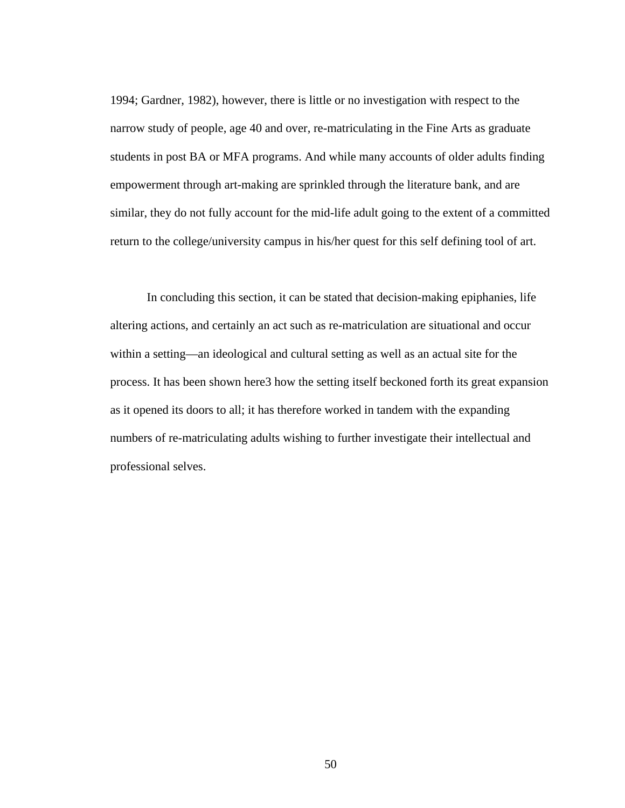1994; Gardner, 1982), however, there is little or no investigation with respect to the narrow study of people, age 40 and over, re-matriculating in the Fine Arts as graduate students in post BA or MFA programs. And while many accounts of older adults finding empowerment through art-making are sprinkled through the literature bank, and are similar, they do not fully account for the mid-life adult going to the extent of a committed return to the college/university campus in his/her quest for this self defining tool of art.

In concluding this section, it can be stated that decision-making epiphanies, life altering actions, and certainly an act such as re-matriculation are situational and occur within a setting—an ideological and cultural setting as well as an actual site for the process. It has been shown here3 how the setting itself beckoned forth its great expansion as it opened its doors to all; it has therefore worked in tandem with the expanding numbers of re-matriculating adults wishing to further investigate their intellectual and professional selves.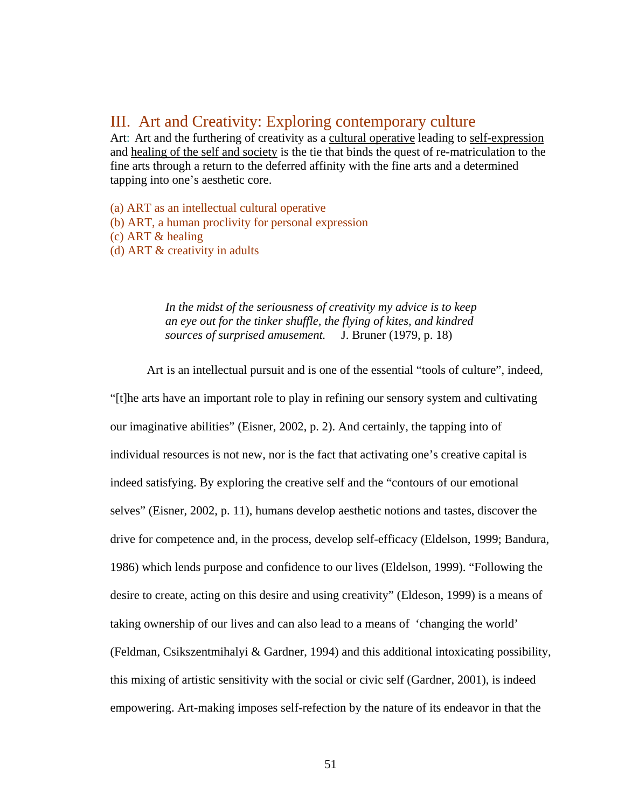# III. Art and Creativity: Exploring contemporary culture

Art: Art and the furthering of creativity as a cultural operative leading to self-expression and healing of the self and society is the tie that binds the quest of re-matriculation to the fine arts through a return to the deferred affinity with the fine arts and a determined tapping into one's aesthetic core.

(a) ART as an intellectual cultural operative (b) ART, a human proclivity for personal expression (c) ART & healing (d) ART & creativity in adults

> *In the midst of the seriousness of creativity my advice is to keep an eye out for the tinker shuffle, the flying of kites, and kindred sources of surprised amusement.* J. Bruner (1979, p. 18)

 Art is an intellectual pursuit and is one of the essential "tools of culture", indeed, "[t]he arts have an important role to play in refining our sensory system and cultivating our imaginative abilities" (Eisner, 2002, p. 2). And certainly, the tapping into of individual resources is not new, nor is the fact that activating one's creative capital is indeed satisfying. By exploring the creative self and the "contours of our emotional selves" (Eisner, 2002, p. 11), humans develop aesthetic notions and tastes, discover the drive for competence and, in the process, develop self-efficacy (Eldelson, 1999; Bandura, 1986) which lends purpose and confidence to our lives (Eldelson, 1999). "Following the desire to create, acting on this desire and using creativity" (Eldeson, 1999) is a means of taking ownership of our lives and can also lead to a means of 'changing the world' (Feldman, Csikszentmihalyi & Gardner, 1994) and this additional intoxicating possibility, this mixing of artistic sensitivity with the social or civic self (Gardner, 2001), is indeed empowering. Art-making imposes self-refection by the nature of its endeavor in that the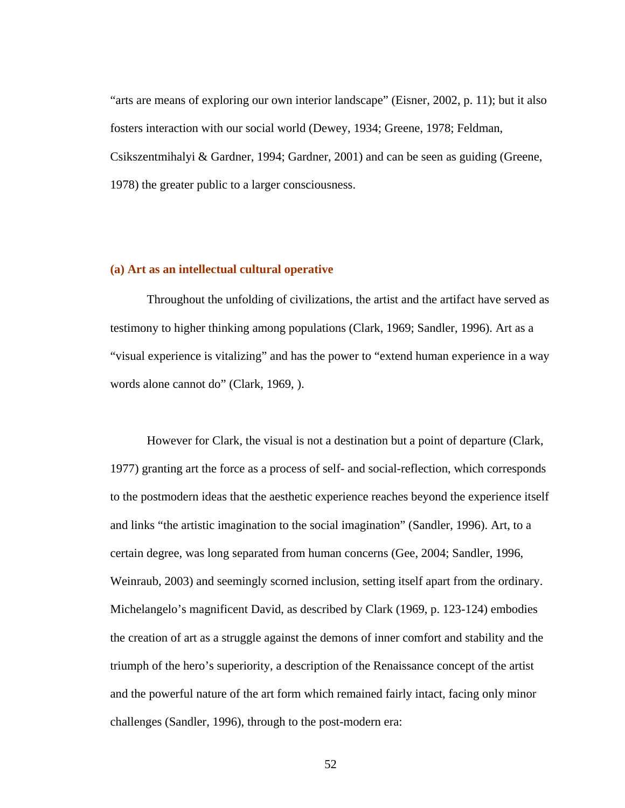"arts are means of exploring our own interior landscape" (Eisner, 2002, p. 11); but it also fosters interaction with our social world (Dewey, 1934; Greene, 1978; Feldman, Csikszentmihalyi & Gardner, 1994; Gardner, 2001) and can be seen as guiding (Greene, 1978) the greater public to a larger consciousness.

### **(a) Art as an intellectual cultural operative**

Throughout the unfolding of civilizations, the artist and the artifact have served as testimony to higher thinking among populations (Clark, 1969; Sandler, 1996). Art as a "visual experience is vitalizing" and has the power to "extend human experience in a way words alone cannot do" (Clark, 1969, ).

 However for Clark, the visual is not a destination but a point of departure (Clark, 1977) granting art the force as a process of self- and social-reflection, which corresponds to the postmodern ideas that the aesthetic experience reaches beyond the experience itself and links "the artistic imagination to the social imagination" (Sandler, 1996). Art, to a certain degree, was long separated from human concerns (Gee, 2004; Sandler, 1996, Weinraub, 2003) and seemingly scorned inclusion, setting itself apart from the ordinary. Michelangelo's magnificent David, as described by Clark (1969, p. 123-124) embodies the creation of art as a struggle against the demons of inner comfort and stability and the triumph of the hero's superiority, a description of the Renaissance concept of the artist and the powerful nature of the art form which remained fairly intact, facing only minor challenges (Sandler, 1996), through to the post-modern era: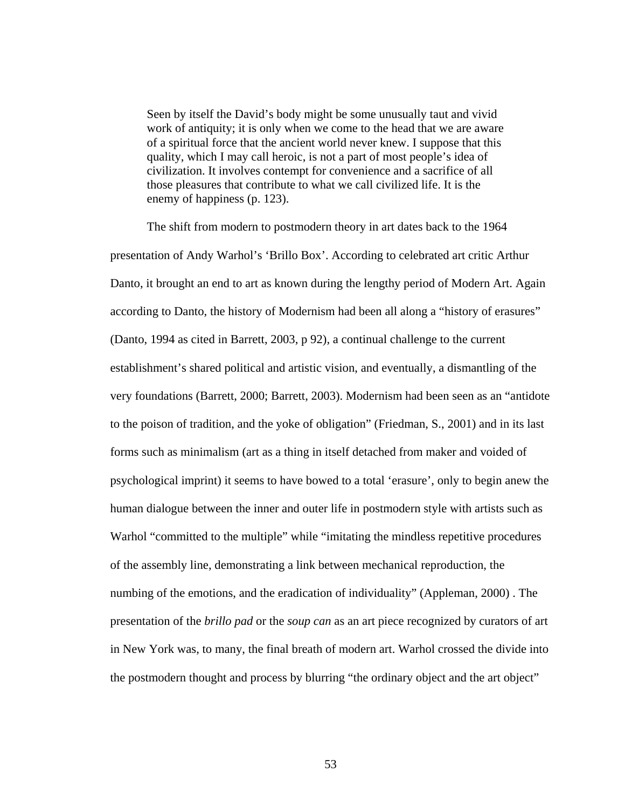Seen by itself the David's body might be some unusually taut and vivid work of antiquity; it is only when we come to the head that we are aware of a spiritual force that the ancient world never knew. I suppose that this quality, which I may call heroic, is not a part of most people's idea of civilization. It involves contempt for convenience and a sacrifice of all those pleasures that contribute to what we call civilized life. It is the enemy of happiness (p. 123).

 The shift from modern to postmodern theory in art dates back to the 1964 presentation of Andy Warhol's 'Brillo Box'. According to celebrated art critic Arthur Danto, it brought an end to art as known during the lengthy period of Modern Art. Again according to Danto, the history of Modernism had been all along a "history of erasures" (Danto, 1994 as cited in Barrett, 2003, p 92), a continual challenge to the current establishment's shared political and artistic vision, and eventually, a dismantling of the very foundations (Barrett, 2000; Barrett, 2003). Modernism had been seen as an "antidote to the poison of tradition, and the yoke of obligation" (Friedman, S., 2001) and in its last forms such as minimalism (art as a thing in itself detached from maker and voided of psychological imprint) it seems to have bowed to a total 'erasure', only to begin anew the human dialogue between the inner and outer life in postmodern style with artists such as Warhol "committed to the multiple" while "imitating the mindless repetitive procedures of the assembly line, demonstrating a link between mechanical reproduction, the numbing of the emotions, and the eradication of individuality" (Appleman, 2000) . The presentation of the *brillo pad* or the *soup can* as an art piece recognized by curators of art in New York was, to many, the final breath of modern art. Warhol crossed the divide into the postmodern thought and process by blurring "the ordinary object and the art object"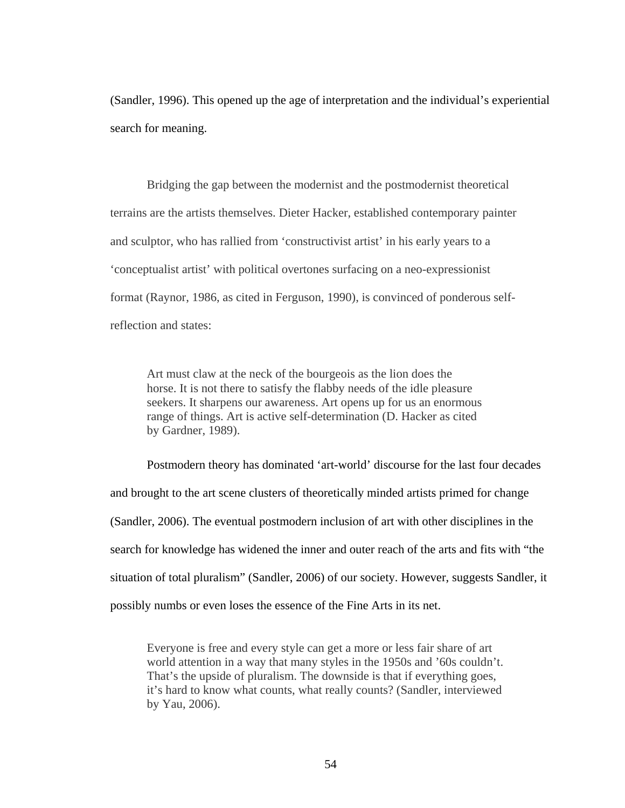(Sandler, 1996). This opened up the age of interpretation and the individual's experiential search for meaning.

 Bridging the gap between the modernist and the postmodernist theoretical terrains are the artists themselves. Dieter Hacker, established contemporary painter and sculptor, who has rallied from 'constructivist artist' in his early years to a 'conceptualist artist' with political overtones surfacing on a neo-expressionist format (Raynor, 1986, as cited in Ferguson, 1990), is convinced of ponderous selfreflection and states:

Art must claw at the neck of the bourgeois as the lion does the horse. It is not there to satisfy the flabby needs of the idle pleasure seekers. It sharpens our awareness. Art opens up for us an enormous range of things. Art is active self-determination (D. Hacker as cited by Gardner, 1989).

 Postmodern theory has dominated 'art-world' discourse for the last four decades and brought to the art scene clusters of theoretically minded artists primed for change (Sandler, 2006). The eventual postmodern inclusion of art with other disciplines in the search for knowledge has widened the inner and outer reach of the arts and fits with "the situation of total pluralism" (Sandler, 2006) of our society. However, suggests Sandler, it possibly numbs or even loses the essence of the Fine Arts in its net.

Everyone is free and every style can get a more or less fair share of art world attention in a way that many styles in the 1950s and '60s couldn't. That's the upside of pluralism. The downside is that if everything goes, it's hard to know what counts, what really counts? (Sandler, interviewed by Yau, 2006).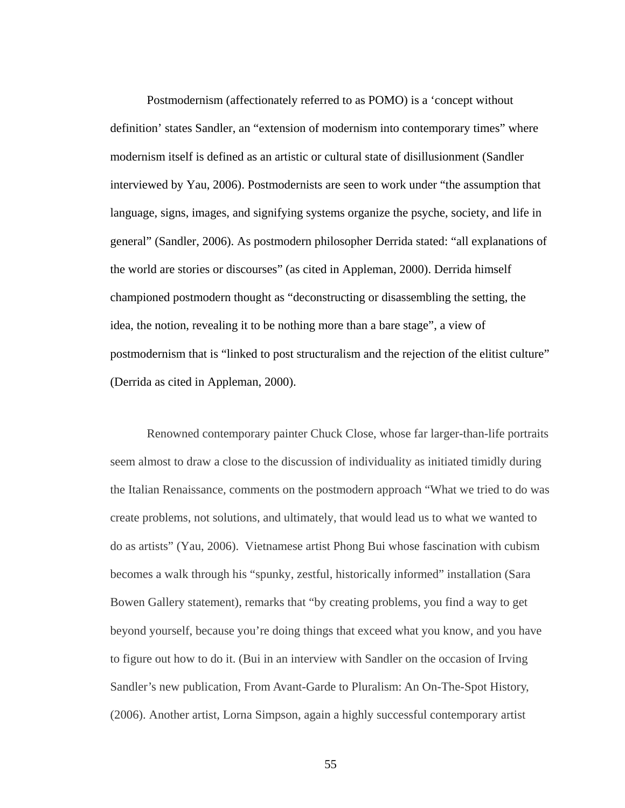Postmodernism (affectionately referred to as POMO) is a 'concept without definition' states Sandler, an "extension of modernism into contemporary times" where modernism itself is defined as an artistic or cultural state of disillusionment (Sandler interviewed by Yau, 2006). Postmodernists are seen to work under "the assumption that language, signs, images, and signifying systems organize the psyche, society, and life in general" (Sandler, 2006). As postmodern philosopher Derrida stated: "all explanations of the world are stories or discourses" (as cited in Appleman, 2000). Derrida himself championed postmodern thought as "deconstructing or disassembling the setting, the idea, the notion, revealing it to be nothing more than a bare stage", a view of postmodernism that is "linked to post structuralism and the rejection of the elitist culture" (Derrida as cited in Appleman, 2000).

 Renowned contemporary painter Chuck Close, whose far larger-than-life portraits seem almost to draw a close to the discussion of individuality as initiated timidly during the Italian Renaissance, comments on the postmodern approach "What we tried to do was create problems, not solutions, and ultimately, that would lead us to what we wanted to do as artists" (Yau, 2006). Vietnamese artist Phong Bui whose fascination with cubism becomes a walk through his "spunky, zestful, historically informed" installation (Sara Bowen Gallery statement), remarks that "by creating problems, you find a way to get beyond yourself, because you're doing things that exceed what you know, and you have to figure out how to do it. (Bui in an interview with Sandler on the occasion of Irving Sandler's new publication, From Avant-Garde to Pluralism: An On-The-Spot History, (2006). Another artist, Lorna Simpson, again a highly successful contemporary artist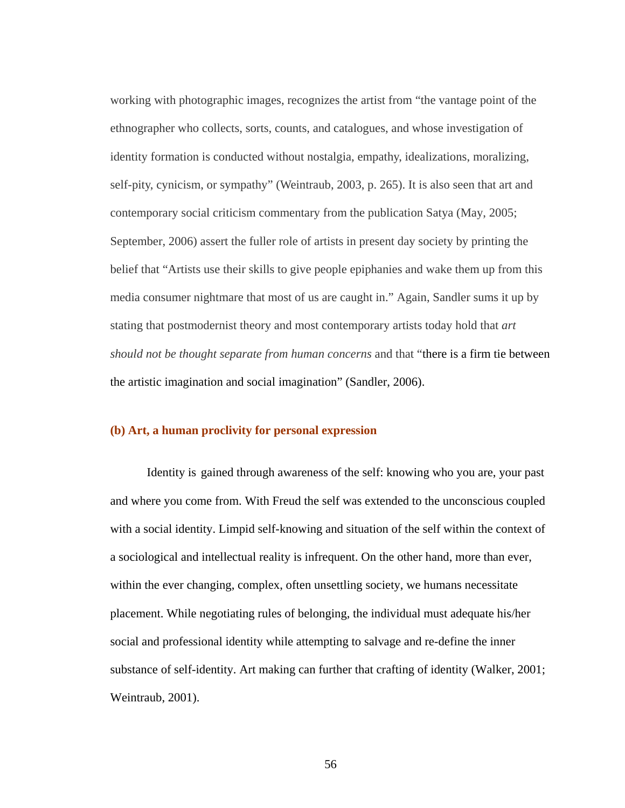working with photographic images, recognizes the artist from "the vantage point of the ethnographer who collects, sorts, counts, and catalogues, and whose investigation of identity formation is conducted without nostalgia, empathy, idealizations, moralizing, self-pity, cynicism, or sympathy" (Weintraub, 2003, p. 265). It is also seen that art and contemporary social criticism commentary from the publication Satya (May, 2005; September, 2006) assert the fuller role of artists in present day society by printing the belief that "Artists use their skills to give people epiphanies and wake them up from this media consumer nightmare that most of us are caught in." Again, Sandler sums it up by stating that postmodernist theory and most contemporary artists today hold that *art should not be thought separate from human concerns* and that "there is a firm tie between the artistic imagination and social imagination" (Sandler, 2006).

#### **(b) Art, a human proclivity for personal expression**

 Identity is gained through awareness of the self: knowing who you are, your past and where you come from. With Freud the self was extended to the unconscious coupled with a social identity. Limpid self-knowing and situation of the self within the context of a sociological and intellectual reality is infrequent. On the other hand, more than ever, within the ever changing, complex, often unsettling society, we humans necessitate placement. While negotiating rules of belonging, the individual must adequate his/her social and professional identity while attempting to salvage and re-define the inner substance of self-identity. Art making can further that crafting of identity (Walker, 2001; Weintraub, 2001).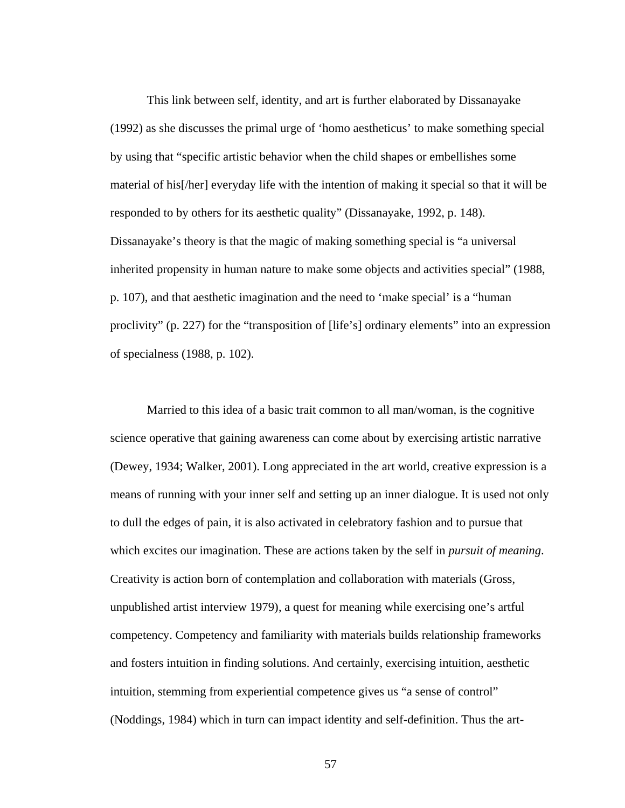This link between self, identity, and art is further elaborated by Dissanayake (1992) as she discusses the primal urge of 'homo aestheticus' to make something special by using that "specific artistic behavior when the child shapes or embellishes some material of his[/her] everyday life with the intention of making it special so that it will be responded to by others for its aesthetic quality" (Dissanayake, 1992, p. 148). Dissanayake's theory is that the magic of making something special is "a universal inherited propensity in human nature to make some objects and activities special" (1988, p. 107), and that aesthetic imagination and the need to 'make special' is a "human proclivity" (p. 227) for the "transposition of [life's] ordinary elements" into an expression of specialness (1988, p. 102).

 Married to this idea of a basic trait common to all man/woman, is the cognitive science operative that gaining awareness can come about by exercising artistic narrative (Dewey, 1934; Walker, 2001). Long appreciated in the art world, creative expression is a means of running with your inner self and setting up an inner dialogue. It is used not only to dull the edges of pain, it is also activated in celebratory fashion and to pursue that which excites our imagination. These are actions taken by the self in *pursuit of meaning*. Creativity is action born of contemplation and collaboration with materials (Gross, unpublished artist interview 1979), a quest for meaning while exercising one's artful competency. Competency and familiarity with materials builds relationship frameworks and fosters intuition in finding solutions. And certainly, exercising intuition, aesthetic intuition, stemming from experiential competence gives us "a sense of control" (Noddings, 1984) which in turn can impact identity and self-definition. Thus the art-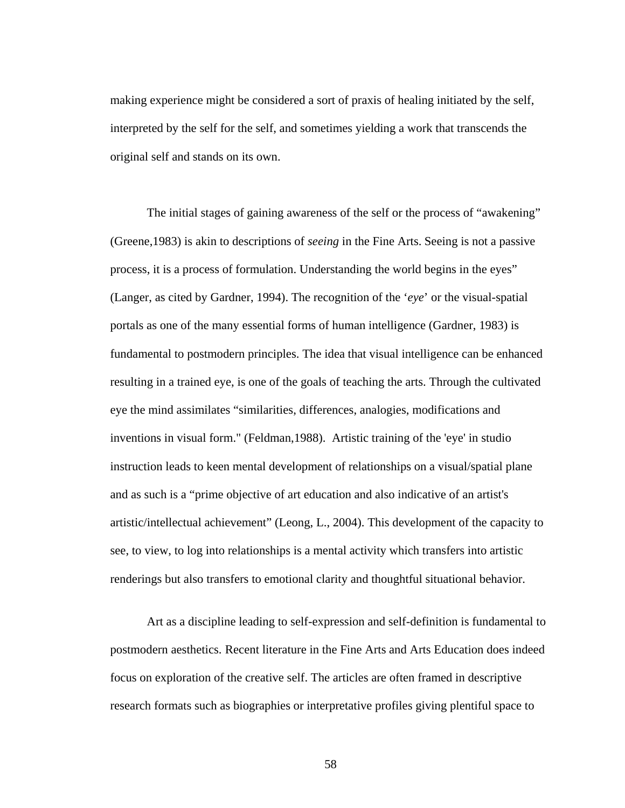making experience might be considered a sort of praxis of healing initiated by the self, interpreted by the self for the self, and sometimes yielding a work that transcends the original self and stands on its own.

 The initial stages of gaining awareness of the self or the process of "awakening" (Greene,1983) is akin to descriptions of *seeing* in the Fine Arts. Seeing is not a passive process, it is a process of formulation. Understanding the world begins in the eyes" (Langer, as cited by Gardner, 1994). The recognition of the '*eye*' or the visual-spatial portals as one of the many essential forms of human intelligence (Gardner, 1983) is fundamental to postmodern principles. The idea that visual intelligence can be enhanced resulting in a trained eye, is one of the goals of teaching the arts. Through the cultivated eye the mind assimilates "similarities, differences, analogies, modifications and inventions in visual form." (Feldman,1988). Artistic training of the 'eye' in studio instruction leads to keen mental development of relationships on a visual/spatial plane and as such is a "prime objective of art education and also indicative of an artist's artistic/intellectual achievement" (Leong, L., 2004). This development of the capacity to see, to view, to log into relationships is a mental activity which transfers into artistic renderings but also transfers to emotional clarity and thoughtful situational behavior.

Art as a discipline leading to self-expression and self-definition is fundamental to postmodern aesthetics. Recent literature in the Fine Arts and Arts Education does indeed focus on exploration of the creative self. The articles are often framed in descriptive research formats such as biographies or interpretative profiles giving plentiful space to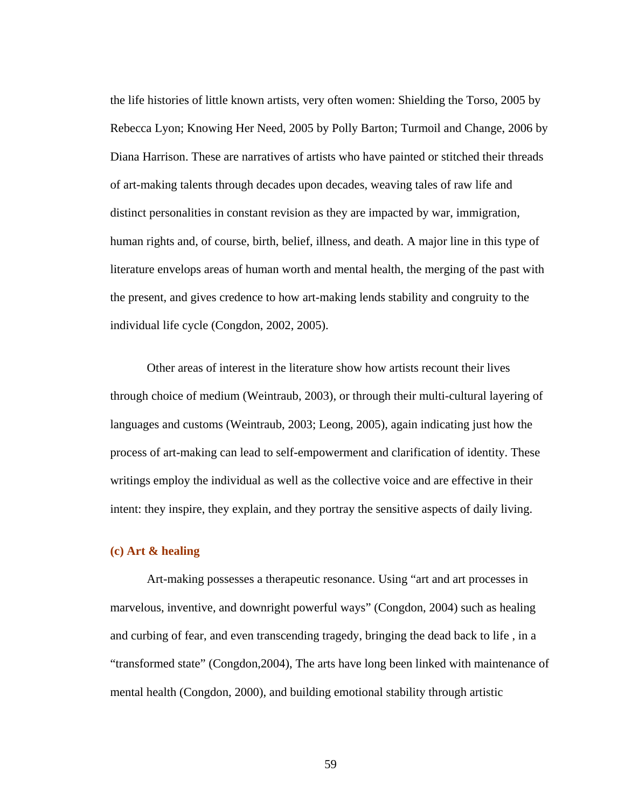the life histories of little known artists, very often women: Shielding the Torso, 2005 by Rebecca Lyon; Knowing Her Need, 2005 by Polly Barton; Turmoil and Change, 2006 by Diana Harrison. These are narratives of artists who have painted or stitched their threads of art-making talents through decades upon decades, weaving tales of raw life and distinct personalities in constant revision as they are impacted by war, immigration, human rights and, of course, birth, belief, illness, and death. A major line in this type of literature envelops areas of human worth and mental health, the merging of the past with the present, and gives credence to how art-making lends stability and congruity to the individual life cycle (Congdon, 2002, 2005).

Other areas of interest in the literature show how artists recount their lives through choice of medium (Weintraub, 2003), or through their multi-cultural layering of languages and customs (Weintraub, 2003; Leong, 2005), again indicating just how the process of art-making can lead to self-empowerment and clarification of identity. These writings employ the individual as well as the collective voice and are effective in their intent: they inspire, they explain, and they portray the sensitive aspects of daily living.

### **(c) Art & healing**

 Art-making possesses a therapeutic resonance. Using "art and art processes in marvelous, inventive, and downright powerful ways" (Congdon, 2004) such as healing and curbing of fear, and even transcending tragedy, bringing the dead back to life , in a "transformed state" (Congdon,2004), The arts have long been linked with maintenance of mental health (Congdon, 2000), and building emotional stability through artistic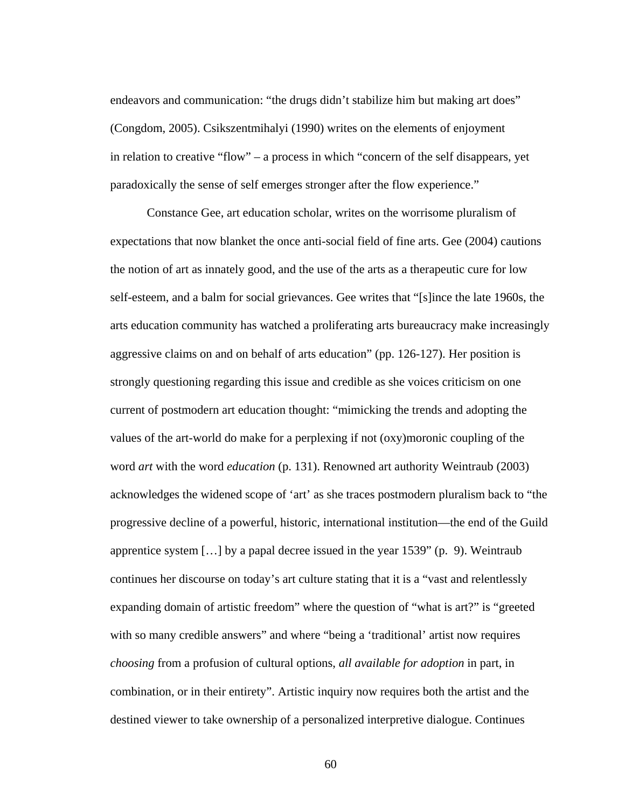endeavors and communication: "the drugs didn't stabilize him but making art does" (Congdom, 2005). Csikszentmihalyi (1990) writes on the elements of enjoyment in relation to creative "flow" – a process in which "concern of the self disappears, yet paradoxically the sense of self emerges stronger after the flow experience."

 Constance Gee, art education scholar, writes on the worrisome pluralism of expectations that now blanket the once anti-social field of fine arts. Gee (2004) cautions the notion of art as innately good, and the use of the arts as a therapeutic cure for low self-esteem, and a balm for social grievances. Gee writes that "[s]ince the late 1960s, the arts education community has watched a proliferating arts bureaucracy make increasingly aggressive claims on and on behalf of arts education" (pp. 126-127). Her position is strongly questioning regarding this issue and credible as she voices criticism on one current of postmodern art education thought: "mimicking the trends and adopting the values of the art-world do make for a perplexing if not (oxy)moronic coupling of the word *art* with the word *education* (p. 131). Renowned art authority Weintraub (2003) acknowledges the widened scope of 'art' as she traces postmodern pluralism back to "the progressive decline of a powerful, historic, international institution—the end of the Guild apprentice system […] by a papal decree issued in the year 1539" (p. 9). Weintraub continues her discourse on today's art culture stating that it is a "vast and relentlessly expanding domain of artistic freedom" where the question of "what is art?" is "greeted with so many credible answers" and where "being a 'traditional' artist now requires *choosing* from a profusion of cultural options, *all available for adoption* in part, in combination, or in their entirety". Artistic inquiry now requires both the artist and the destined viewer to take ownership of a personalized interpretive dialogue. Continues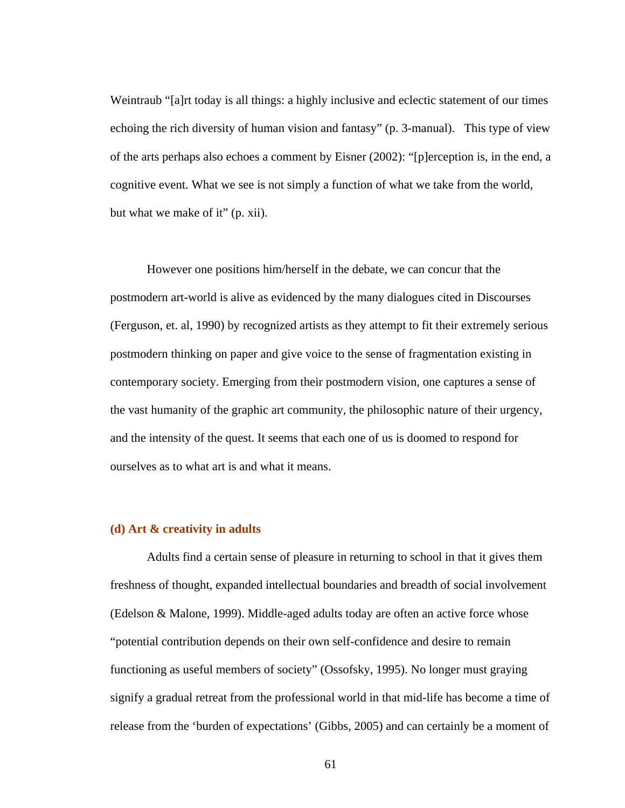Weintraub "[a]rt today is all things: a highly inclusive and eclectic statement of our times echoing the rich diversity of human vision and fantasy" (p. 3-manual). This type of view of the arts perhaps also echoes a comment by Eisner (2002): "[p]erception is, in the end, a cognitive event. What we see is not simply a function of what we take from the world, but what we make of it" (p. xii).

 However one positions him/herself in the debate, we can concur that the postmodern art-world is alive as evidenced by the many dialogues cited in Discourses (Ferguson, et. al, 1990) by recognized artists as they attempt to fit their extremely serious postmodern thinking on paper and give voice to the sense of fragmentation existing in contemporary society. Emerging from their postmodern vision, one captures a sense of the vast humanity of the graphic art community, the philosophic nature of their urgency, and the intensity of the quest. It seems that each one of us is doomed to respond for ourselves as to what art is and what it means.

### **(d) Art & creativity in adults**

Adults find a certain sense of pleasure in returning to school in that it gives them freshness of thought, expanded intellectual boundaries and breadth of social involvement (Edelson & Malone, 1999). Middle-aged adults today are often an active force whose "potential contribution depends on their own self-confidence and desire to remain functioning as useful members of society" (Ossofsky, 1995). No longer must graying signify a gradual retreat from the professional world in that mid-life has become a time of release from the 'burden of expectations' (Gibbs, 2005) and can certainly be a moment of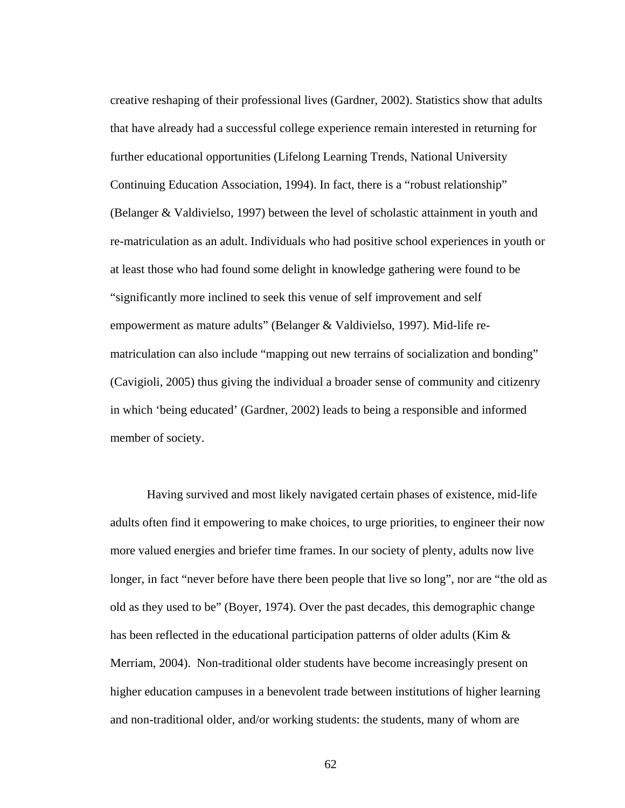creative reshaping of their professional lives (Gardner, 2002). Statistics show that adults that have already had a successful college experience remain interested in returning for further educational opportunities (Lifelong Learning Trends, National University Continuing Education Association, 1994). In fact, there is a "robust relationship" (Belanger & Valdivielso, 1997) between the level of scholastic attainment in youth and re-matriculation as an adult. Individuals who had positive school experiences in youth or at least those who had found some delight in knowledge gathering were found to be "significantly more inclined to seek this venue of self improvement and self empowerment as mature adults" (Belanger & Valdivielso, 1997). Mid-life rematriculation can also include "mapping out new terrains of socialization and bonding" (Cavigioli, 2005) thus giving the individual a broader sense of community and citizenry in which 'being educated' (Gardner, 2002) leads to being a responsible and informed member of society.

 Having survived and most likely navigated certain phases of existence, mid-life adults often find it empowering to make choices, to urge priorities, to engineer their now more valued energies and briefer time frames. In our society of plenty, adults now live longer, in fact "never before have there been people that live so long", nor are "the old as old as they used to be" (Boyer, 1974). Over the past decades, this demographic change has been reflected in the educational participation patterns of older adults (Kim & Merriam, 2004). Non-traditional older students have become increasingly present on higher education campuses in a benevolent trade between institutions of higher learning and non-traditional older, and/or working students: the students, many of whom are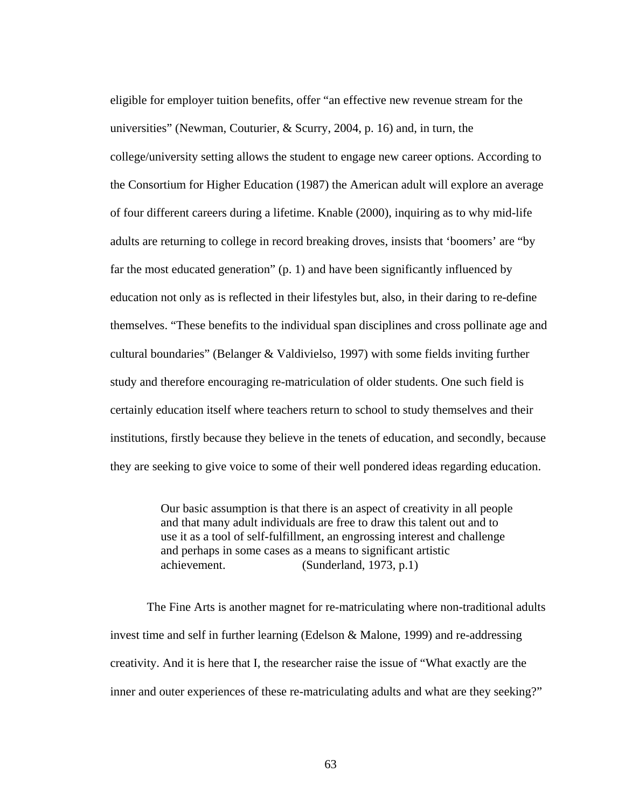eligible for employer tuition benefits, offer "an effective new revenue stream for the universities" (Newman, Couturier, & Scurry, 2004, p. 16) and, in turn, the college/university setting allows the student to engage new career options. According to the Consortium for Higher Education (1987) the American adult will explore an average of four different careers during a lifetime. Knable (2000), inquiring as to why mid-life adults are returning to college in record breaking droves, insists that 'boomers' are "by far the most educated generation" (p. 1) and have been significantly influenced by education not only as is reflected in their lifestyles but, also, in their daring to re-define themselves. "These benefits to the individual span disciplines and cross pollinate age and cultural boundaries" (Belanger & Valdivielso, 1997) with some fields inviting further study and therefore encouraging re-matriculation of older students. One such field is certainly education itself where teachers return to school to study themselves and their institutions, firstly because they believe in the tenets of education, and secondly, because they are seeking to give voice to some of their well pondered ideas regarding education.

> Our basic assumption is that there is an aspect of creativity in all people and that many adult individuals are free to draw this talent out and to use it as a tool of self-fulfillment, an engrossing interest and challenge and perhaps in some cases as a means to significant artistic achievement. (Sunderland, 1973, p.1)

The Fine Arts is another magnet for re-matriculating where non-traditional adults invest time and self in further learning (Edelson & Malone, 1999) and re-addressing creativity. And it is here that I, the researcher raise the issue of "What exactly are the inner and outer experiences of these re-matriculating adults and what are they seeking?"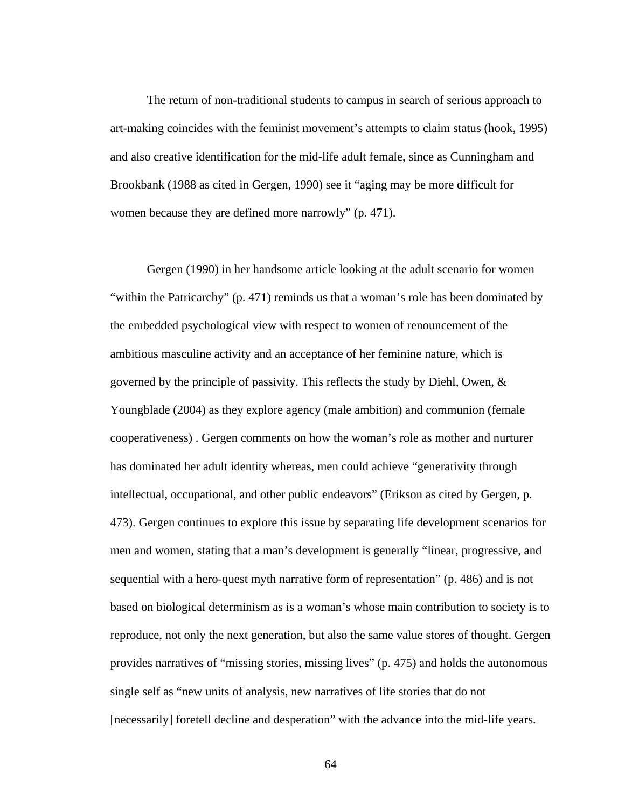The return of non-traditional students to campus in search of serious approach to art-making coincides with the feminist movement's attempts to claim status (hook, 1995) and also creative identification for the mid-life adult female, since as Cunningham and Brookbank (1988 as cited in Gergen, 1990) see it "aging may be more difficult for women because they are defined more narrowly" (p. 471).

 Gergen (1990) in her handsome article looking at the adult scenario for women "within the Patricarchy" (p. 471) reminds us that a woman's role has been dominated by the embedded psychological view with respect to women of renouncement of the ambitious masculine activity and an acceptance of her feminine nature, which is governed by the principle of passivity. This reflects the study by Diehl, Owen, & Youngblade (2004) as they explore agency (male ambition) and communion (female cooperativeness) . Gergen comments on how the woman's role as mother and nurturer has dominated her adult identity whereas, men could achieve "generativity through intellectual, occupational, and other public endeavors" (Erikson as cited by Gergen, p. 473). Gergen continues to explore this issue by separating life development scenarios for men and women, stating that a man's development is generally "linear, progressive, and sequential with a hero-quest myth narrative form of representation" (p. 486) and is not based on biological determinism as is a woman's whose main contribution to society is to reproduce, not only the next generation, but also the same value stores of thought. Gergen provides narratives of "missing stories, missing lives" (p. 475) and holds the autonomous single self as "new units of analysis, new narratives of life stories that do not [necessarily] foretell decline and desperation" with the advance into the mid-life years.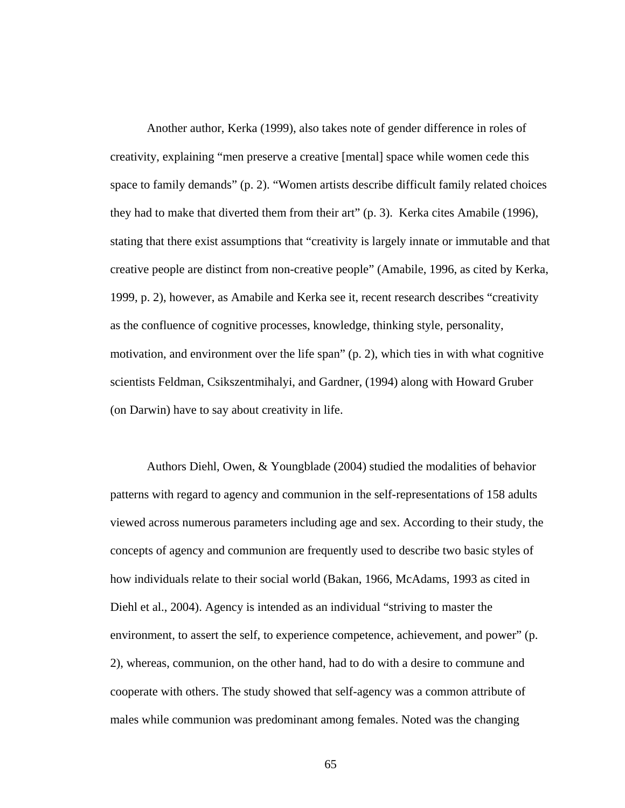Another author, Kerka (1999), also takes note of gender difference in roles of creativity, explaining "men preserve a creative [mental] space while women cede this space to family demands" (p. 2). "Women artists describe difficult family related choices they had to make that diverted them from their art" (p. 3). Kerka cites Amabile (1996), stating that there exist assumptions that "creativity is largely innate or immutable and that creative people are distinct from non-creative people" (Amabile, 1996, as cited by Kerka, 1999, p. 2), however, as Amabile and Kerka see it, recent research describes "creativity as the confluence of cognitive processes, knowledge, thinking style, personality, motivation, and environment over the life span" (p. 2), which ties in with what cognitive scientists Feldman, Csikszentmihalyi, and Gardner, (1994) along with Howard Gruber (on Darwin) have to say about creativity in life.

 Authors Diehl, Owen, & Youngblade (2004) studied the modalities of behavior patterns with regard to agency and communion in the self-representations of 158 adults viewed across numerous parameters including age and sex. According to their study, the concepts of agency and communion are frequently used to describe two basic styles of how individuals relate to their social world (Bakan, 1966, McAdams, 1993 as cited in Diehl et al., 2004). Agency is intended as an individual "striving to master the environment, to assert the self, to experience competence, achievement, and power" (p. 2), whereas, communion, on the other hand, had to do with a desire to commune and cooperate with others. The study showed that self-agency was a common attribute of males while communion was predominant among females. Noted was the changing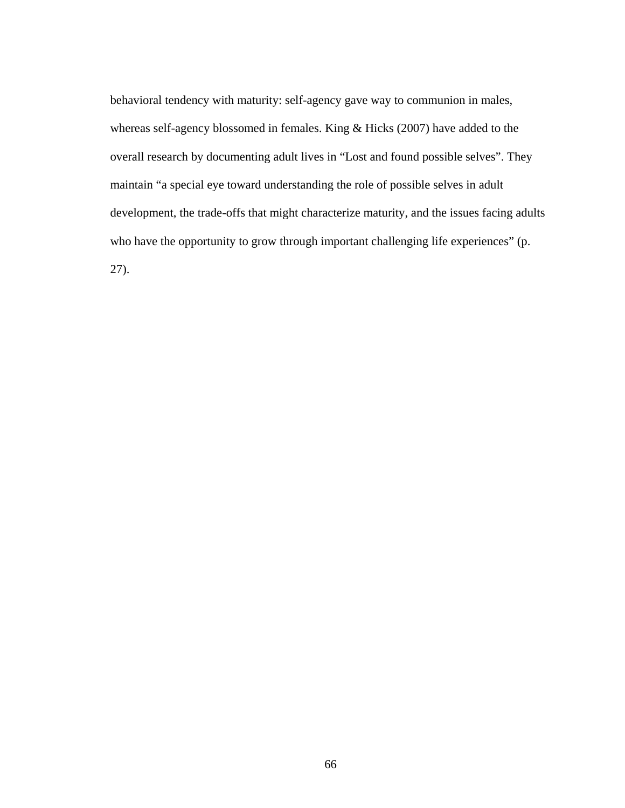behavioral tendency with maturity: self-agency gave way to communion in males, whereas self-agency blossomed in females. King & Hicks (2007) have added to the overall research by documenting adult lives in "Lost and found possible selves". They maintain "a special eye toward understanding the role of possible selves in adult development, the trade-offs that might characterize maturity, and the issues facing adults who have the opportunity to grow through important challenging life experiences" (p. 27).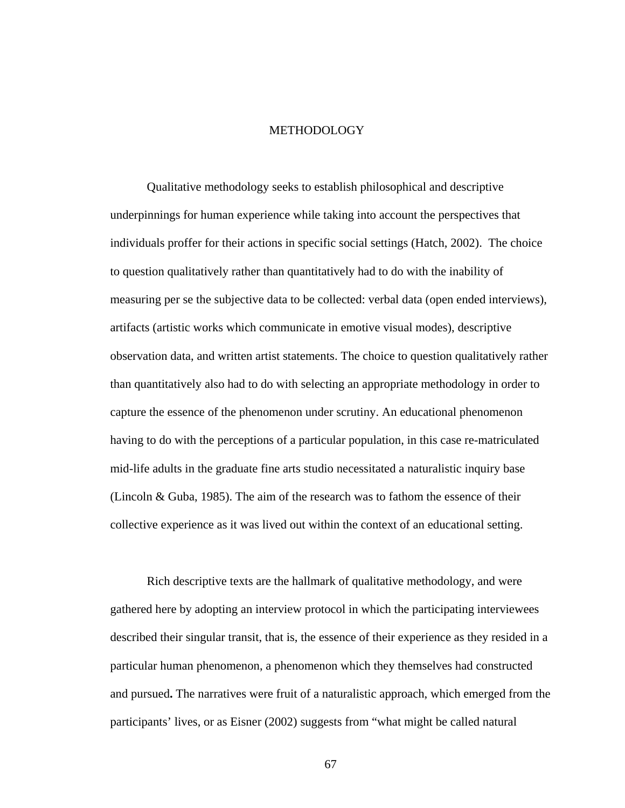# METHODOLOGY

 Qualitative methodology seeks to establish philosophical and descriptive underpinnings for human experience while taking into account the perspectives that individuals proffer for their actions in specific social settings (Hatch, 2002). The choice to question qualitatively rather than quantitatively had to do with the inability of measuring per se the subjective data to be collected: verbal data (open ended interviews), artifacts (artistic works which communicate in emotive visual modes), descriptive observation data, and written artist statements. The choice to question qualitatively rather than quantitatively also had to do with selecting an appropriate methodology in order to capture the essence of the phenomenon under scrutiny. An educational phenomenon having to do with the perceptions of a particular population, in this case re-matriculated mid-life adults in the graduate fine arts studio necessitated a naturalistic inquiry base (Lincoln & Guba, 1985). The aim of the research was to fathom the essence of their collective experience as it was lived out within the context of an educational setting.

 Rich descriptive texts are the hallmark of qualitative methodology, and were gathered here by adopting an interview protocol in which the participating interviewees described their singular transit, that is, the essence of their experience as they resided in a particular human phenomenon, a phenomenon which they themselves had constructed and pursued**.** The narratives were fruit of a naturalistic approach, which emerged from the participants' lives, or as Eisner (2002) suggests from "what might be called natural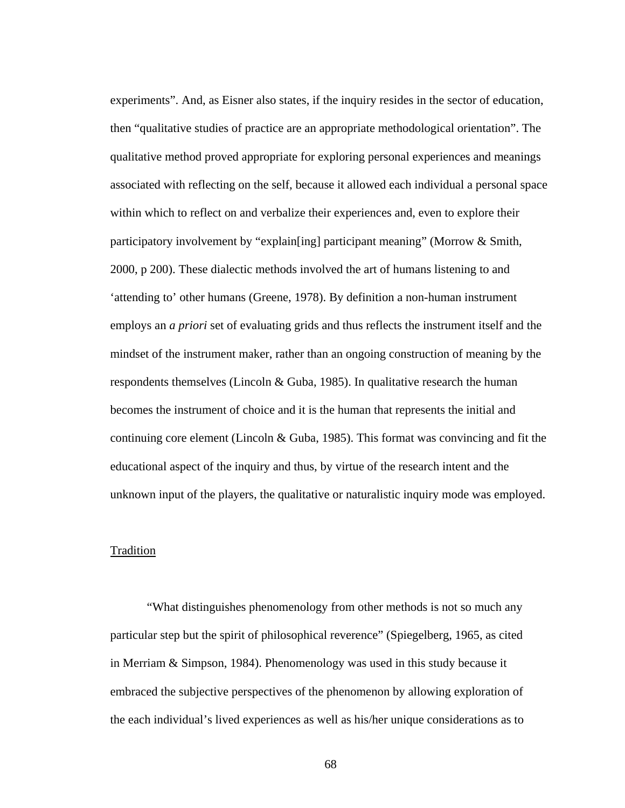experiments". And, as Eisner also states, if the inquiry resides in the sector of education, then "qualitative studies of practice are an appropriate methodological orientation". The qualitative method proved appropriate for exploring personal experiences and meanings associated with reflecting on the self, because it allowed each individual a personal space within which to reflect on and verbalize their experiences and, even to explore their participatory involvement by "explain[ing] participant meaning" (Morrow & Smith, 2000, p 200). These dialectic methods involved the art of humans listening to and 'attending to' other humans (Greene, 1978). By definition a non-human instrument employs an *a priori* set of evaluating grids and thus reflects the instrument itself and the mindset of the instrument maker, rather than an ongoing construction of meaning by the respondents themselves (Lincoln  $&$  Guba, 1985). In qualitative research the human becomes the instrument of choice and it is the human that represents the initial and continuing core element (Lincoln & Guba, 1985). This format was convincing and fit the educational aspect of the inquiry and thus, by virtue of the research intent and the unknown input of the players, the qualitative or naturalistic inquiry mode was employed.

## Tradition

 "What distinguishes phenomenology from other methods is not so much any particular step but the spirit of philosophical reverence" (Spiegelberg, 1965, as cited in Merriam & Simpson, 1984). Phenomenology was used in this study because it embraced the subjective perspectives of the phenomenon by allowing exploration of the each individual's lived experiences as well as his/her unique considerations as to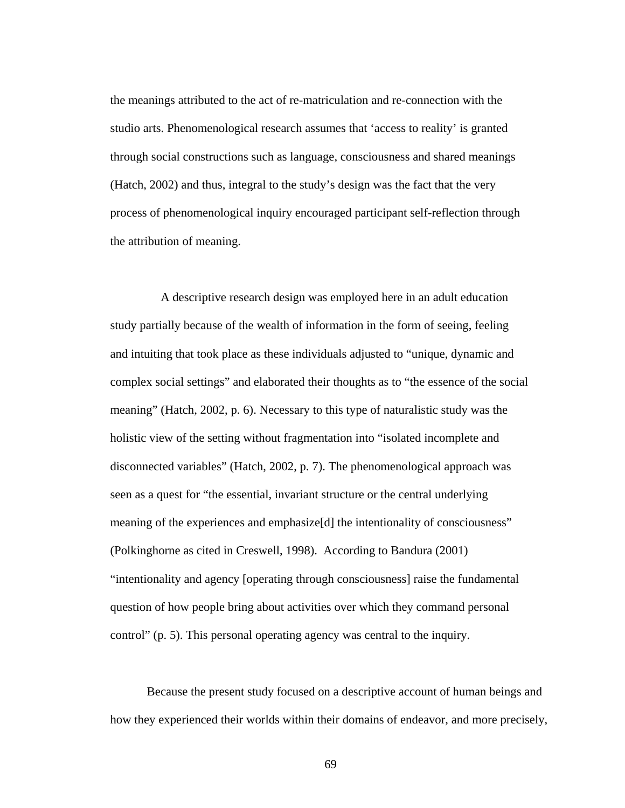the meanings attributed to the act of re-matriculation and re-connection with the studio arts. Phenomenological research assumes that 'access to reality' is granted through social constructions such as language, consciousness and shared meanings (Hatch, 2002) and thus, integral to the study's design was the fact that the very process of phenomenological inquiry encouraged participant self-reflection through the attribution of meaning.

 A descriptive research design was employed here in an adult education study partially because of the wealth of information in the form of seeing, feeling and intuiting that took place as these individuals adjusted to "unique, dynamic and complex social settings" and elaborated their thoughts as to "the essence of the social meaning" (Hatch, 2002, p. 6). Necessary to this type of naturalistic study was the holistic view of the setting without fragmentation into "isolated incomplete and disconnected variables" (Hatch, 2002, p. 7). The phenomenological approach was seen as a quest for "the essential, invariant structure or the central underlying meaning of the experiences and emphasize[d] the intentionality of consciousness" (Polkinghorne as cited in Creswell, 1998). According to Bandura (2001) "intentionality and agency [operating through consciousness] raise the fundamental question of how people bring about activities over which they command personal control" (p. 5). This personal operating agency was central to the inquiry.

Because the present study focused on a descriptive account of human beings and how they experienced their worlds within their domains of endeavor, and more precisely,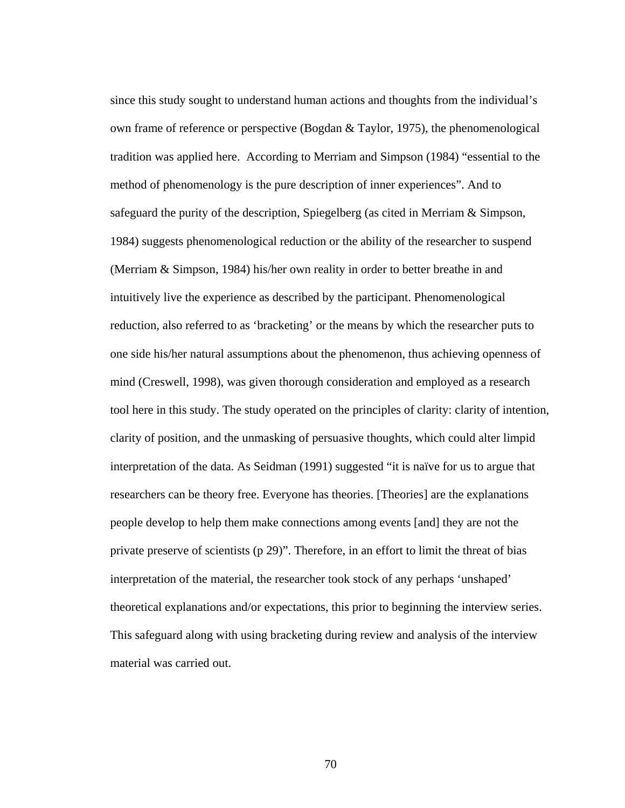since this study sought to understand human actions and thoughts from the individual's own frame of reference or perspective (Bogdan & Taylor, 1975), the phenomenological tradition was applied here. According to Merriam and Simpson (1984) "essential to the method of phenomenology is the pure description of inner experiences". And to safeguard the purity of the description, Spiegelberg (as cited in Merriam & Simpson, 1984) suggests phenomenological reduction or the ability of the researcher to suspend (Merriam & Simpson, 1984) his/her own reality in order to better breathe in and intuitively live the experience as described by the participant. Phenomenological reduction, also referred to as 'bracketing' or the means by which the researcher puts to one side his/her natural assumptions about the phenomenon, thus achieving openness of mind (Creswell, 1998), was given thorough consideration and employed as a research tool here in this study. The study operated on the principles of clarity: clarity of intention, clarity of position, and the unmasking of persuasive thoughts, which could alter limpid interpretation of the data. As Seidman (1991) suggested "it is naïve for us to argue that researchers can be theory free. Everyone has theories. [Theories] are the explanations people develop to help them make connections among events [and] they are not the private preserve of scientists (p 29)". Therefore, in an effort to limit the threat of bias interpretation of the material, the researcher took stock of any perhaps 'unshaped' theoretical explanations and/or expectations, this prior to beginning the interview series. This safeguard along with using bracketing during review and analysis of the interview material was carried out.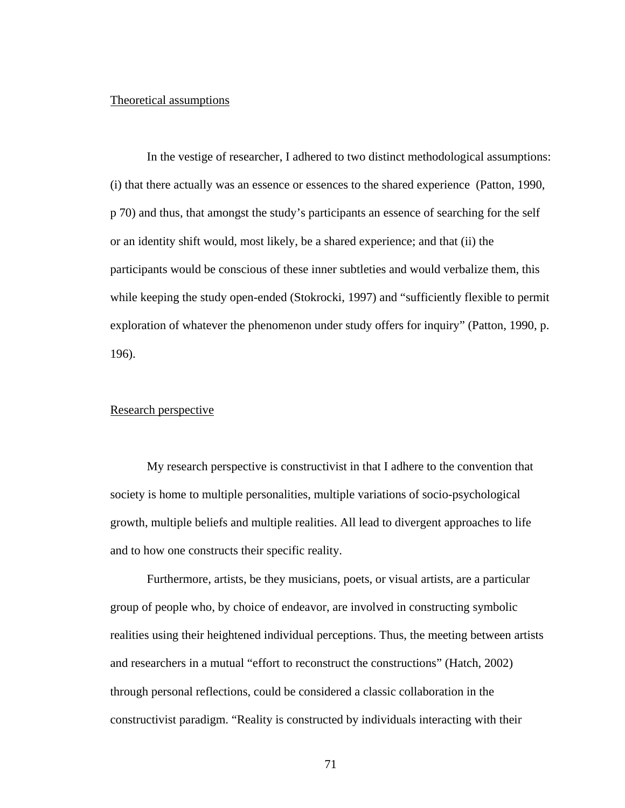#### Theoretical assumptions

In the vestige of researcher, I adhered to two distinct methodological assumptions: (i) that there actually was an essence or essences to the shared experience (Patton, 1990, p 70) and thus, that amongst the study's participants an essence of searching for the self or an identity shift would, most likely, be a shared experience; and that (ii) the participants would be conscious of these inner subtleties and would verbalize them, this while keeping the study open-ended (Stokrocki, 1997) and "sufficiently flexible to permit exploration of whatever the phenomenon under study offers for inquiry" (Patton, 1990, p. 196).

## Research perspective

My research perspective is constructivist in that I adhere to the convention that society is home to multiple personalities, multiple variations of socio-psychological growth, multiple beliefs and multiple realities. All lead to divergent approaches to life and to how one constructs their specific reality.

Furthermore, artists, be they musicians, poets, or visual artists, are a particular group of people who, by choice of endeavor, are involved in constructing symbolic realities using their heightened individual perceptions. Thus, the meeting between artists and researchers in a mutual "effort to reconstruct the constructions" (Hatch, 2002) through personal reflections, could be considered a classic collaboration in the constructivist paradigm. "Reality is constructed by individuals interacting with their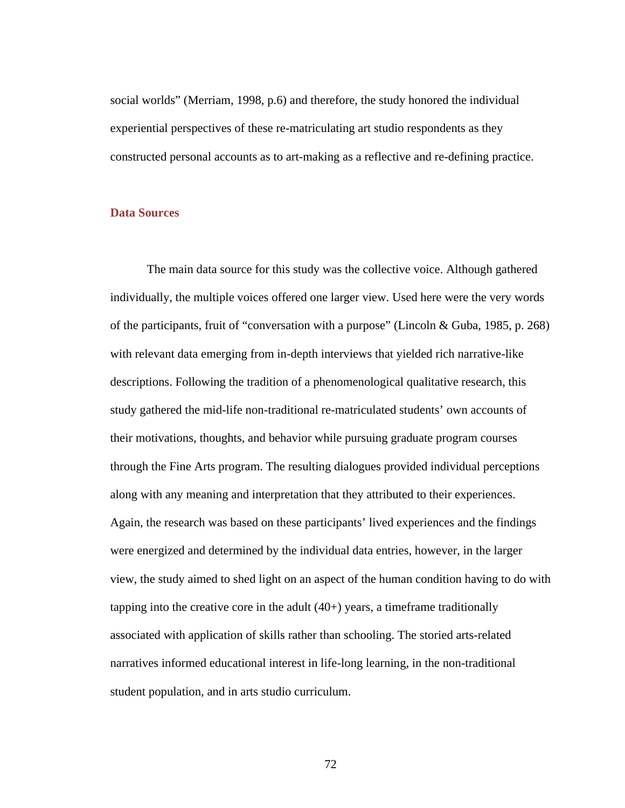social worlds" (Merriam, 1998, p.6) and therefore, the study honored the individual experiential perspectives of these re-matriculating art studio respondents as they constructed personal accounts as to art-making as a reflective and re-defining practice.

### **Data Sources**

The main data source for this study was the collective voice. Although gathered individually, the multiple voices offered one larger view. Used here were the very words of the participants, fruit of "conversation with a purpose" (Lincoln & Guba, 1985, p. 268) with relevant data emerging from in-depth interviews that yielded rich narrative-like descriptions. Following the tradition of a phenomenological qualitative research, this study gathered the mid-life non-traditional re-matriculated students' own accounts of their motivations, thoughts, and behavior while pursuing graduate program courses through the Fine Arts program. The resulting dialogues provided individual perceptions along with any meaning and interpretation that they attributed to their experiences. Again, the research was based on these participants' lived experiences and the findings were energized and determined by the individual data entries, however, in the larger view, the study aimed to shed light on an aspect of the human condition having to do with tapping into the creative core in the adult  $(40+)$  years, a timeframe traditionally associated with application of skills rather than schooling. The storied arts-related narratives informed educational interest in life-long learning, in the non-traditional student population, and in arts studio curriculum.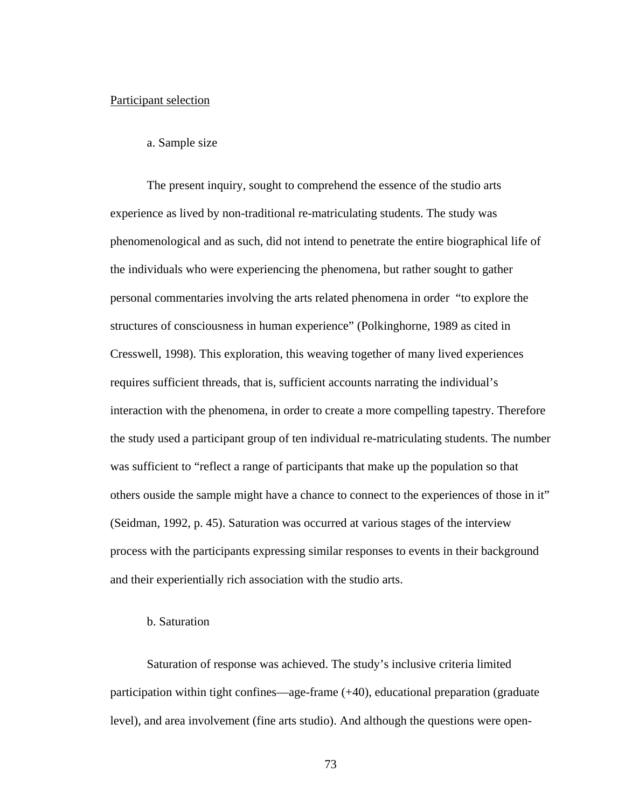#### Participant selection

#### a. Sample size

 The present inquiry, sought to comprehend the essence of the studio arts experience as lived by non-traditional re-matriculating students. The study was phenomenological and as such, did not intend to penetrate the entire biographical life of the individuals who were experiencing the phenomena, but rather sought to gather personal commentaries involving the arts related phenomena in order "to explore the structures of consciousness in human experience" (Polkinghorne, 1989 as cited in Cresswell, 1998). This exploration, this weaving together of many lived experiences requires sufficient threads, that is, sufficient accounts narrating the individual's interaction with the phenomena, in order to create a more compelling tapestry. Therefore the study used a participant group of ten individual re-matriculating students. The number was sufficient to "reflect a range of participants that make up the population so that others ouside the sample might have a chance to connect to the experiences of those in it" (Seidman, 1992, p. 45). Saturation was occurred at various stages of the interview process with the participants expressing similar responses to events in their background and their experientially rich association with the studio arts.

#### b. Saturation

 Saturation of response was achieved. The study's inclusive criteria limited participation within tight confines—age-frame (+40), educational preparation (graduate level), and area involvement (fine arts studio). And although the questions were open-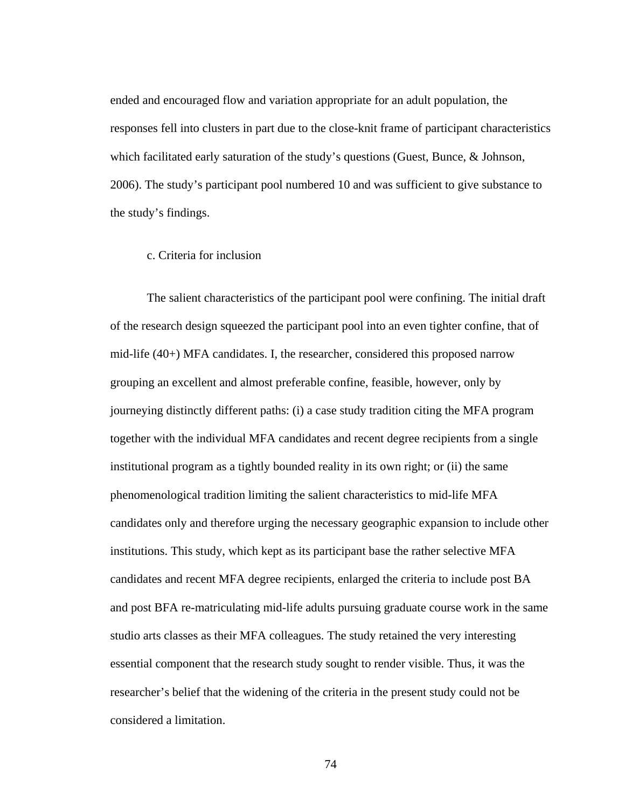ended and encouraged flow and variation appropriate for an adult population, the responses fell into clusters in part due to the close-knit frame of participant characteristics which facilitated early saturation of the study's questions (Guest, Bunce, & Johnson, 2006). The study's participant pool numbered 10 and was sufficient to give substance to the study's findings.

## c. Criteria for inclusion

 The salient characteristics of the participant pool were confining. The initial draft of the research design squeezed the participant pool into an even tighter confine, that of mid-life (40+) MFA candidates. I, the researcher, considered this proposed narrow grouping an excellent and almost preferable confine, feasible, however, only by journeying distinctly different paths: (i) a case study tradition citing the MFA program together with the individual MFA candidates and recent degree recipients from a single institutional program as a tightly bounded reality in its own right; or (ii) the same phenomenological tradition limiting the salient characteristics to mid-life MFA candidates only and therefore urging the necessary geographic expansion to include other institutions. This study, which kept as its participant base the rather selective MFA candidates and recent MFA degree recipients, enlarged the criteria to include post BA and post BFA re-matriculating mid-life adults pursuing graduate course work in the same studio arts classes as their MFA colleagues. The study retained the very interesting essential component that the research study sought to render visible. Thus, it was the researcher's belief that the widening of the criteria in the present study could not be considered a limitation.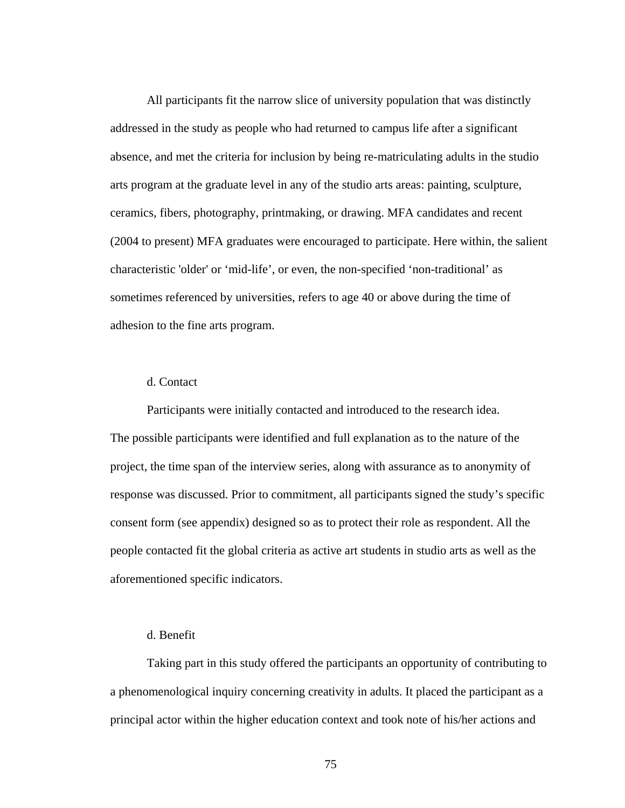All participants fit the narrow slice of university population that was distinctly addressed in the study as people who had returned to campus life after a significant absence, and met the criteria for inclusion by being re-matriculating adults in the studio arts program at the graduate level in any of the studio arts areas: painting, sculpture, ceramics, fibers, photography, printmaking, or drawing. MFA candidates and recent (2004 to present) MFA graduates were encouraged to participate. Here within, the salient characteristic 'older' or 'mid-life', or even, the non-specified 'non-traditional' as sometimes referenced by universities, refers to age 40 or above during the time of adhesion to the fine arts program.

# d. Contact

 Participants were initially contacted and introduced to the research idea. The possible participants were identified and full explanation as to the nature of the project, the time span of the interview series, along with assurance as to anonymity of response was discussed. Prior to commitment, all participants signed the study's specific consent form (see appendix) designed so as to protect their role as respondent. All the people contacted fit the global criteria as active art students in studio arts as well as the aforementioned specific indicators.

## d. Benefit

Taking part in this study offered the participants an opportunity of contributing to a phenomenological inquiry concerning creativity in adults. It placed the participant as a principal actor within the higher education context and took note of his/her actions and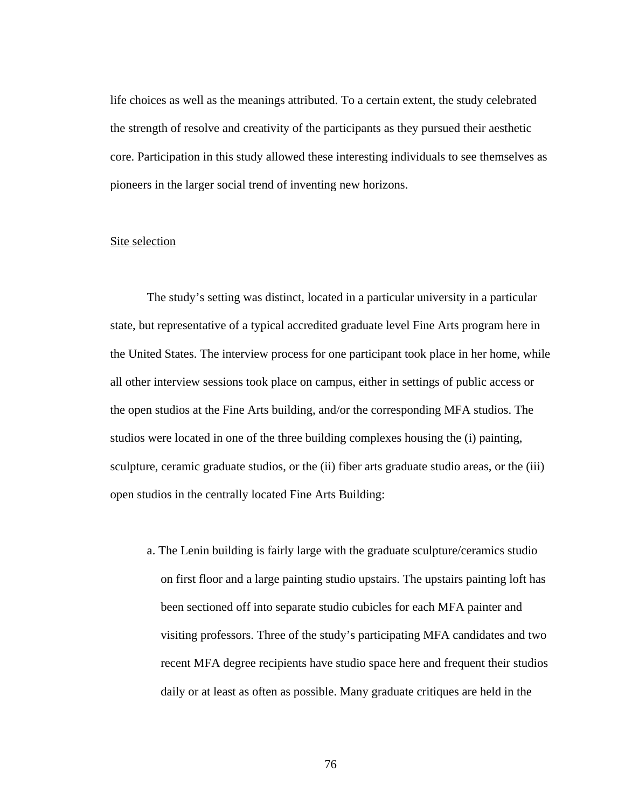life choices as well as the meanings attributed. To a certain extent, the study celebrated the strength of resolve and creativity of the participants as they pursued their aesthetic core. Participation in this study allowed these interesting individuals to see themselves as pioneers in the larger social trend of inventing new horizons.

# Site selection

The study's setting was distinct, located in a particular university in a particular state, but representative of a typical accredited graduate level Fine Arts program here in the United States. The interview process for one participant took place in her home, while all other interview sessions took place on campus, either in settings of public access or the open studios at the Fine Arts building, and/or the corresponding MFA studios. The studios were located in one of the three building complexes housing the (i) painting, sculpture, ceramic graduate studios, or the (ii) fiber arts graduate studio areas, or the (iii) open studios in the centrally located Fine Arts Building:

a. The Lenin building is fairly large with the graduate sculpture/ceramics studio on first floor and a large painting studio upstairs. The upstairs painting loft has been sectioned off into separate studio cubicles for each MFA painter and visiting professors. Three of the study's participating MFA candidates and two recent MFA degree recipients have studio space here and frequent their studios daily or at least as often as possible. Many graduate critiques are held in the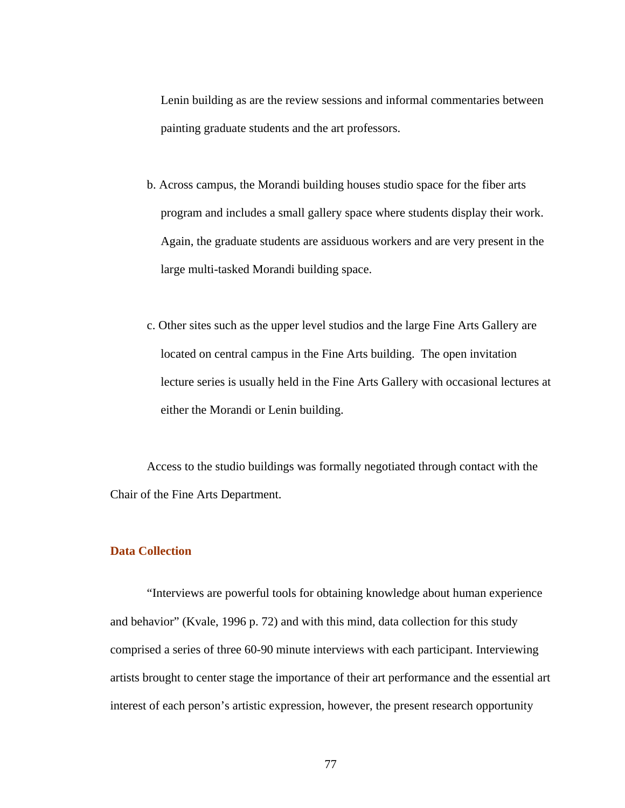Lenin building as are the review sessions and informal commentaries between painting graduate students and the art professors.

- b. Across campus, the Morandi building houses studio space for the fiber arts program and includes a small gallery space where students display their work. Again, the graduate students are assiduous workers and are very present in the large multi-tasked Morandi building space.
- c. Other sites such as the upper level studios and the large Fine Arts Gallery are located on central campus in the Fine Arts building. The open invitation lecture series is usually held in the Fine Arts Gallery with occasional lectures at either the Morandi or Lenin building.

Access to the studio buildings was formally negotiated through contact with the Chair of the Fine Arts Department.

# **Data Collection**

 "Interviews are powerful tools for obtaining knowledge about human experience and behavior" (Kvale, 1996 p. 72) and with this mind, data collection for this study comprised a series of three 60-90 minute interviews with each participant. Interviewing artists brought to center stage the importance of their art performance and the essential art interest of each person's artistic expression, however, the present research opportunity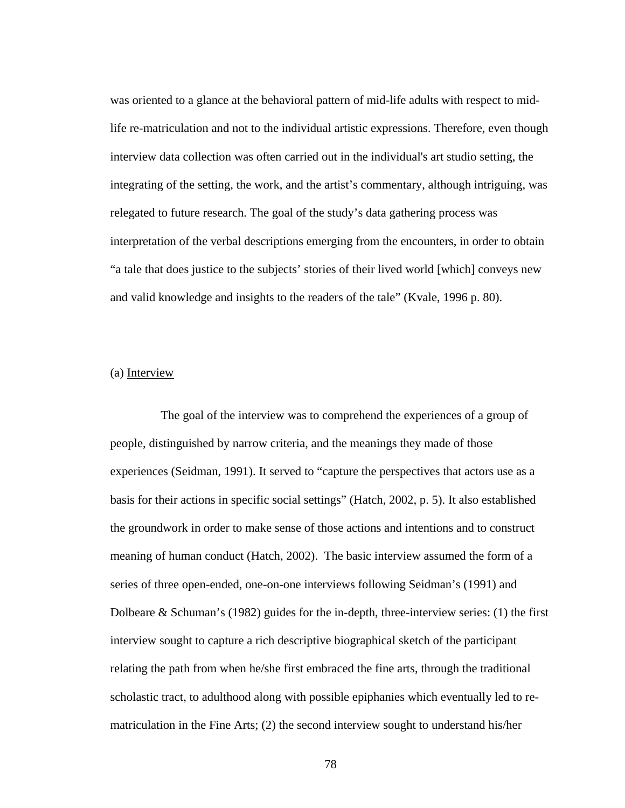was oriented to a glance at the behavioral pattern of mid-life adults with respect to midlife re-matriculation and not to the individual artistic expressions. Therefore, even though interview data collection was often carried out in the individual's art studio setting, the integrating of the setting, the work, and the artist's commentary, although intriguing, was relegated to future research. The goal of the study's data gathering process was interpretation of the verbal descriptions emerging from the encounters, in order to obtain "a tale that does justice to the subjects' stories of their lived world [which] conveys new and valid knowledge and insights to the readers of the tale" (Kvale, 1996 p. 80).

## (a) Interview

 The goal of the interview was to comprehend the experiences of a group of people, distinguished by narrow criteria, and the meanings they made of those experiences (Seidman, 1991). It served to "capture the perspectives that actors use as a basis for their actions in specific social settings" (Hatch, 2002, p. 5). It also established the groundwork in order to make sense of those actions and intentions and to construct meaning of human conduct (Hatch, 2002). The basic interview assumed the form of a series of three open-ended, one-on-one interviews following Seidman's (1991) and Dolbeare & Schuman's (1982) guides for the in-depth, three-interview series: (1) the first interview sought to capture a rich descriptive biographical sketch of the participant relating the path from when he/she first embraced the fine arts, through the traditional scholastic tract, to adulthood along with possible epiphanies which eventually led to rematriculation in the Fine Arts; (2) the second interview sought to understand his/her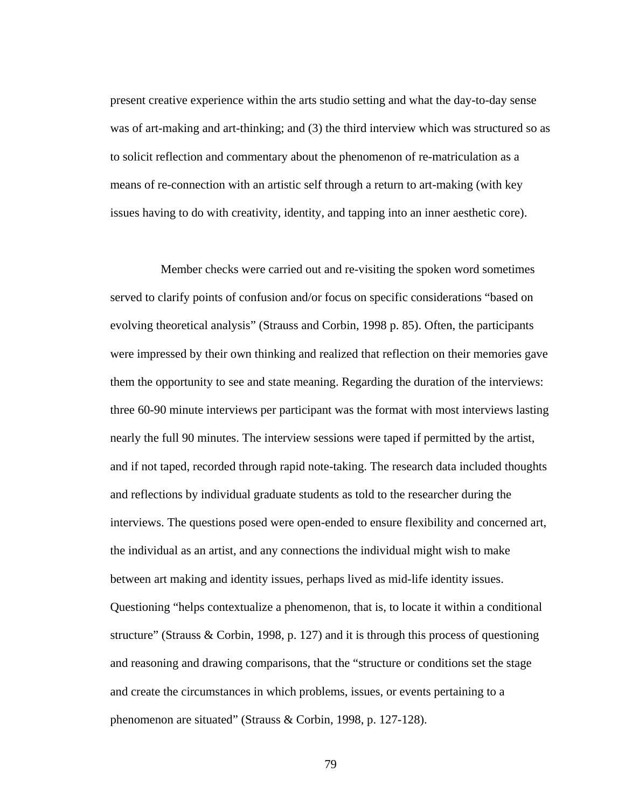present creative experience within the arts studio setting and what the day-to-day sense was of art-making and art-thinking; and (3) the third interview which was structured so as to solicit reflection and commentary about the phenomenon of re-matriculation as a means of re-connection with an artistic self through a return to art-making (with key issues having to do with creativity, identity, and tapping into an inner aesthetic core).

 Member checks were carried out and re-visiting the spoken word sometimes served to clarify points of confusion and/or focus on specific considerations "based on evolving theoretical analysis" (Strauss and Corbin, 1998 p. 85). Often, the participants were impressed by their own thinking and realized that reflection on their memories gave them the opportunity to see and state meaning. Regarding the duration of the interviews: three 60-90 minute interviews per participant was the format with most interviews lasting nearly the full 90 minutes. The interview sessions were taped if permitted by the artist, and if not taped, recorded through rapid note-taking. The research data included thoughts and reflections by individual graduate students as told to the researcher during the interviews. The questions posed were open-ended to ensure flexibility and concerned art, the individual as an artist, and any connections the individual might wish to make between art making and identity issues, perhaps lived as mid-life identity issues. Questioning "helps contextualize a phenomenon, that is, to locate it within a conditional structure" (Strauss & Corbin, 1998, p. 127) and it is through this process of questioning and reasoning and drawing comparisons, that the "structure or conditions set the stage and create the circumstances in which problems, issues, or events pertaining to a phenomenon are situated" (Strauss & Corbin, 1998, p. 127-128).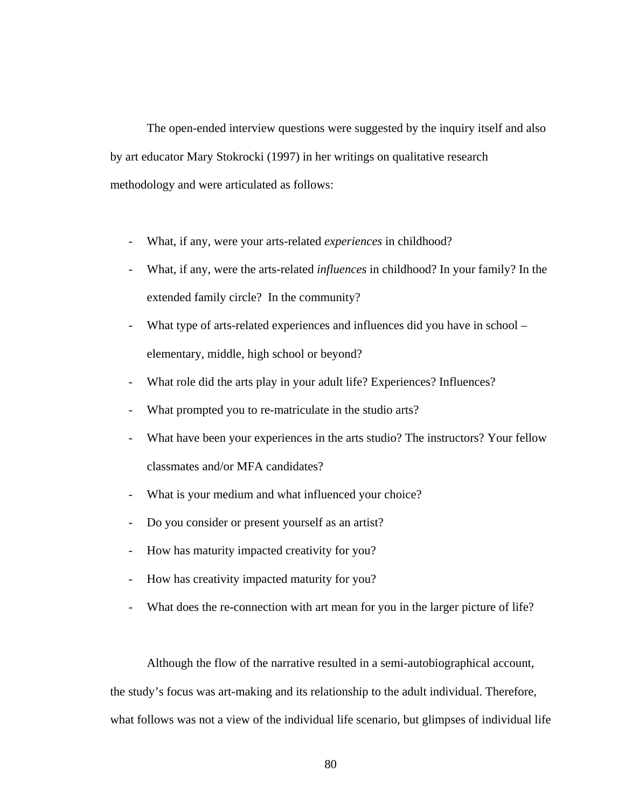The open-ended interview questions were suggested by the inquiry itself and also by art educator Mary Stokrocki (1997) in her writings on qualitative research methodology and were articulated as follows:

- What, if any, were your arts-related *experiences* in childhood?
- What, if any, were the arts-related *influences* in childhood? In your family? In the extended family circle? In the community?
- What type of arts-related experiences and influences did you have in school elementary, middle, high school or beyond?
- What role did the arts play in your adult life? Experiences? Influences?
- What prompted you to re-matriculate in the studio arts?
- What have been your experiences in the arts studio? The instructors? Your fellow classmates and/or MFA candidates?
- What is your medium and what influenced your choice?
- Do you consider or present yourself as an artist?
- How has maturity impacted creativity for you?
- How has creativity impacted maturity for you?
- What does the re-connection with art mean for you in the larger picture of life?

 Although the flow of the narrative resulted in a semi-autobiographical account, the study's focus was art-making and its relationship to the adult individual. Therefore, what follows was not a view of the individual life scenario, but glimpses of individual life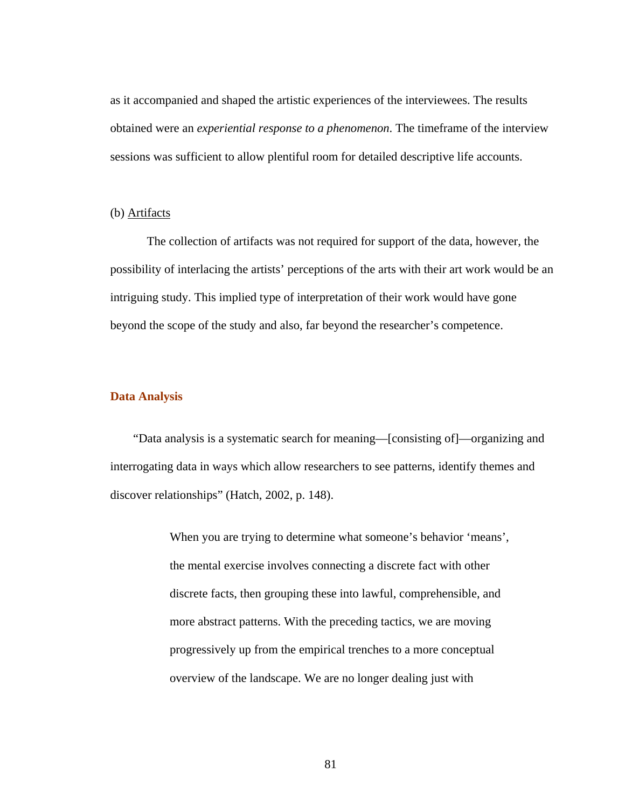as it accompanied and shaped the artistic experiences of the interviewees. The results obtained were an *experiential response to a phenomenon*. The timeframe of the interview sessions was sufficient to allow plentiful room for detailed descriptive life accounts.

### (b) Artifacts

 The collection of artifacts was not required for support of the data, however, the possibility of interlacing the artists' perceptions of the arts with their art work would be an intriguing study. This implied type of interpretation of their work would have gone beyond the scope of the study and also, far beyond the researcher's competence.

#### **Data Analysis**

 "Data analysis is a systematic search for meaning—[consisting of]—organizing and interrogating data in ways which allow researchers to see patterns, identify themes and discover relationships" (Hatch, 2002, p. 148).

> When you are trying to determine what someone's behavior 'means', the mental exercise involves connecting a discrete fact with other discrete facts, then grouping these into lawful, comprehensible, and more abstract patterns. With the preceding tactics, we are moving progressively up from the empirical trenches to a more conceptual overview of the landscape. We are no longer dealing just with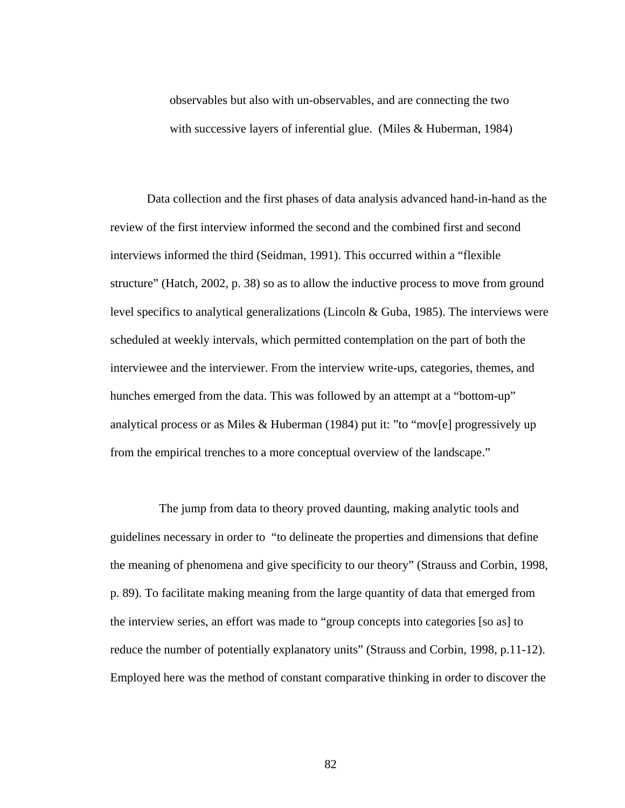observables but also with un-observables, and are connecting the two with successive layers of inferential glue. (Miles & Huberman, 1984)

Data collection and the first phases of data analysis advanced hand-in-hand as the review of the first interview informed the second and the combined first and second interviews informed the third (Seidman, 1991). This occurred within a "flexible structure" (Hatch, 2002, p. 38) so as to allow the inductive process to move from ground level specifics to analytical generalizations (Lincoln & Guba, 1985). The interviews were scheduled at weekly intervals, which permitted contemplation on the part of both the interviewee and the interviewer. From the interview write-ups, categories, themes, and hunches emerged from the data. This was followed by an attempt at a "bottom-up" analytical process or as Miles & Huberman (1984) put it: "to "mov[e] progressively up from the empirical trenches to a more conceptual overview of the landscape."

 The jump from data to theory proved daunting, making analytic tools and guidelines necessary in order to "to delineate the properties and dimensions that define the meaning of phenomena and give specificity to our theory" (Strauss and Corbin, 1998, p. 89). To facilitate making meaning from the large quantity of data that emerged from the interview series, an effort was made to "group concepts into categories [so as] to reduce the number of potentially explanatory units" (Strauss and Corbin, 1998, p.11-12). Employed here was the method of constant comparative thinking in order to discover the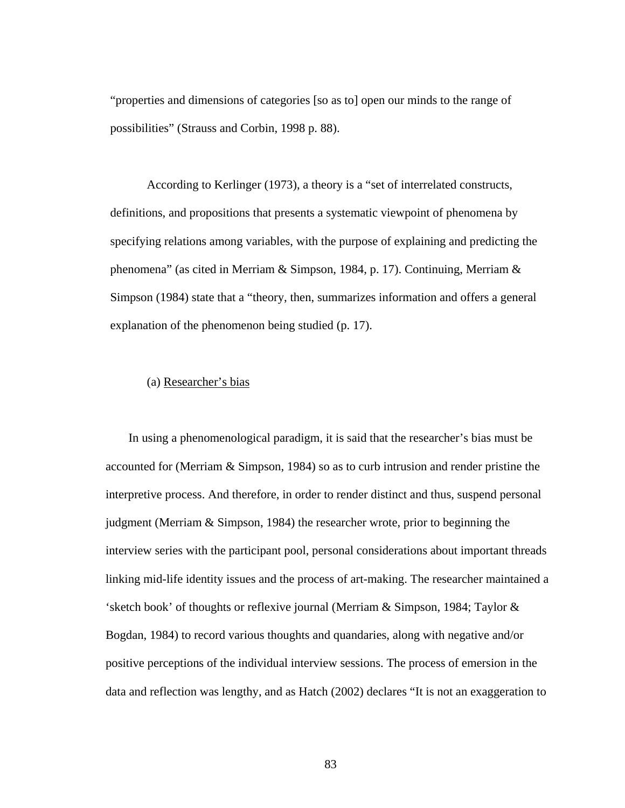"properties and dimensions of categories [so as to] open our minds to the range of possibilities" (Strauss and Corbin, 1998 p. 88).

 According to Kerlinger (1973), a theory is a "set of interrelated constructs, definitions, and propositions that presents a systematic viewpoint of phenomena by specifying relations among variables, with the purpose of explaining and predicting the phenomena" (as cited in Merriam & Simpson, 1984, p. 17). Continuing, Merriam & Simpson (1984) state that a "theory, then, summarizes information and offers a general explanation of the phenomenon being studied (p. 17).

## (a) Researcher's bias

 In using a phenomenological paradigm, it is said that the researcher's bias must be accounted for (Merriam  $\&$  Simpson, 1984) so as to curb intrusion and render pristine the interpretive process. And therefore, in order to render distinct and thus, suspend personal judgment (Merriam & Simpson, 1984) the researcher wrote, prior to beginning the interview series with the participant pool, personal considerations about important threads linking mid-life identity issues and the process of art-making. The researcher maintained a 'sketch book' of thoughts or reflexive journal (Merriam & Simpson, 1984; Taylor & Bogdan, 1984) to record various thoughts and quandaries, along with negative and/or positive perceptions of the individual interview sessions. The process of emersion in the data and reflection was lengthy, and as Hatch (2002) declares "It is not an exaggeration to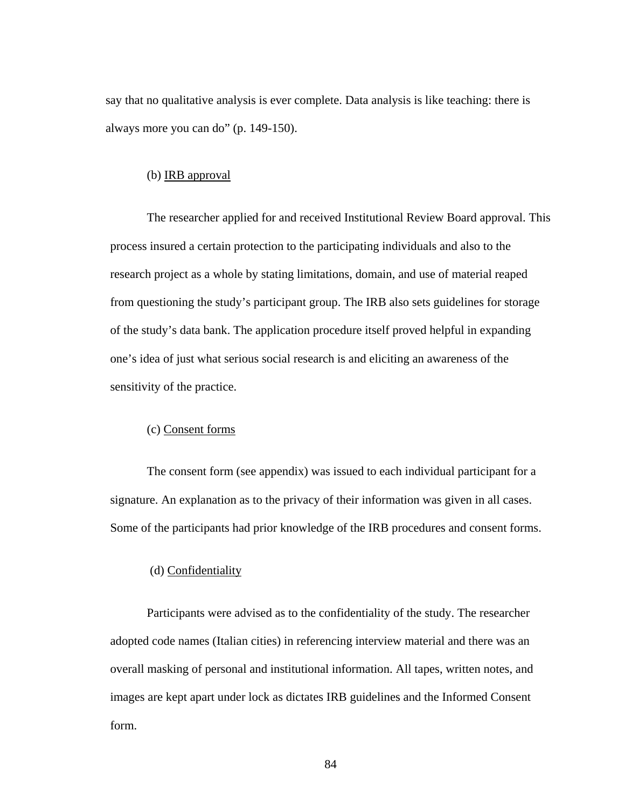say that no qualitative analysis is ever complete. Data analysis is like teaching: there is always more you can do" (p. 149-150).

### (b) IRB approval

 The researcher applied for and received Institutional Review Board approval. This process insured a certain protection to the participating individuals and also to the research project as a whole by stating limitations, domain, and use of material reaped from questioning the study's participant group. The IRB also sets guidelines for storage of the study's data bank. The application procedure itself proved helpful in expanding one's idea of just what serious social research is and eliciting an awareness of the sensitivity of the practice.

# (c) Consent forms

 The consent form (see appendix) was issued to each individual participant for a signature. An explanation as to the privacy of their information was given in all cases. Some of the participants had prior knowledge of the IRB procedures and consent forms.

#### (d) Confidentiality

 Participants were advised as to the confidentiality of the study. The researcher adopted code names (Italian cities) in referencing interview material and there was an overall masking of personal and institutional information. All tapes, written notes, and images are kept apart under lock as dictates IRB guidelines and the Informed Consent form.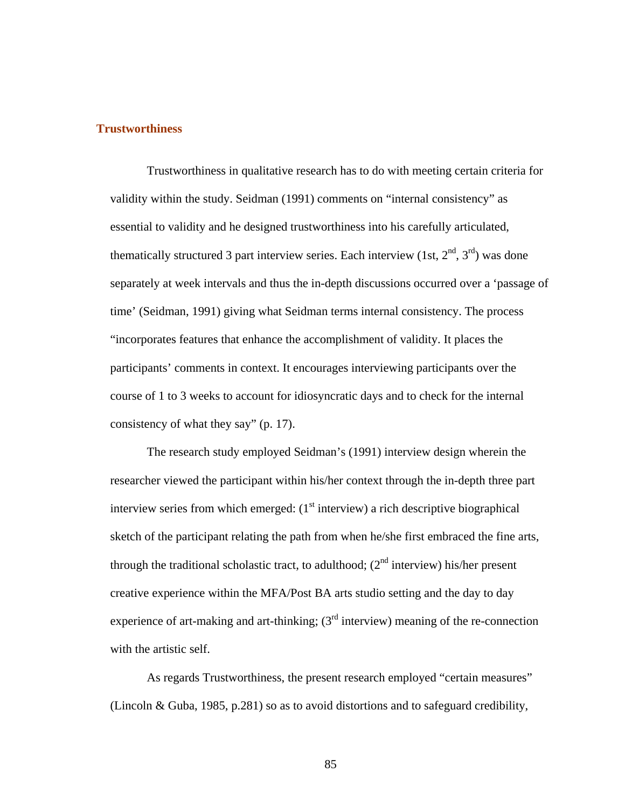## **Trustworthiness**

Trustworthiness in qualitative research has to do with meeting certain criteria for validity within the study. Seidman (1991) comments on "internal consistency" as essential to validity and he designed trustworthiness into his carefully articulated, thematically structured 3 part interview series. Each interview (1st,  $2<sup>nd</sup>$ ,  $3<sup>rd</sup>$ ) was done separately at week intervals and thus the in-depth discussions occurred over a 'passage of time' (Seidman, 1991) giving what Seidman terms internal consistency. The process "incorporates features that enhance the accomplishment of validity. It places the participants' comments in context. It encourages interviewing participants over the course of 1 to 3 weeks to account for idiosyncratic days and to check for the internal consistency of what they say" (p. 17).

The research study employed Seidman's (1991) interview design wherein the researcher viewed the participant within his/her context through the in-depth three part interview series from which emerged:  $(1<sup>st</sup>$  interview) a rich descriptive biographical sketch of the participant relating the path from when he/she first embraced the fine arts, through the traditional scholastic tract, to adulthood;  $(2<sup>nd</sup>$  interview) his/her present creative experience within the MFA/Post BA arts studio setting and the day to day experience of art-making and art-thinking;  $3<sup>rd</sup>$  interview) meaning of the re-connection with the artistic self.

As regards Trustworthiness, the present research employed "certain measures" (Lincoln & Guba, 1985, p.281) so as to avoid distortions and to safeguard credibility,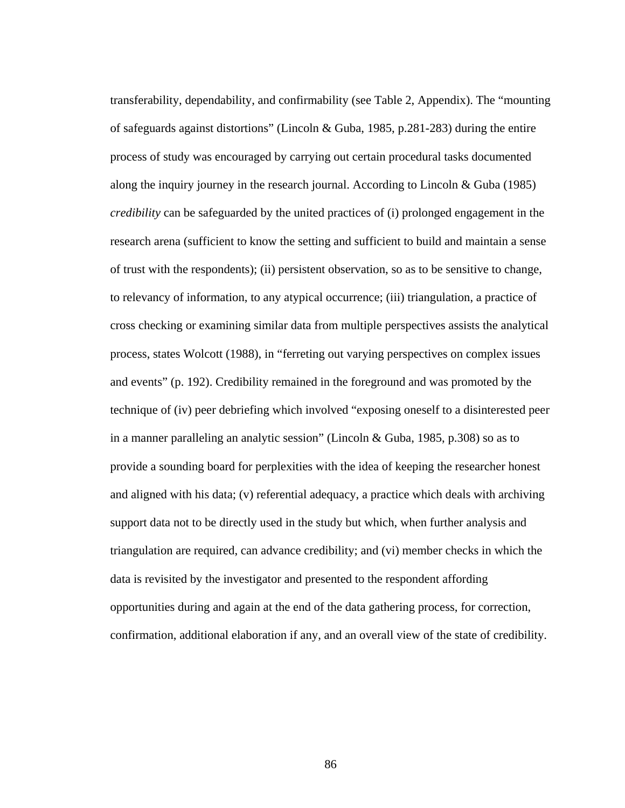transferability, dependability, and confirmability (see Table 2, Appendix). The "mounting of safeguards against distortions" (Lincoln & Guba, 1985, p.281-283) during the entire process of study was encouraged by carrying out certain procedural tasks documented along the inquiry journey in the research journal. According to Lincoln & Guba (1985) *credibility* can be safeguarded by the united practices of (i) prolonged engagement in the research arena (sufficient to know the setting and sufficient to build and maintain a sense of trust with the respondents); (ii) persistent observation, so as to be sensitive to change, to relevancy of information, to any atypical occurrence; (iii) triangulation, a practice of cross checking or examining similar data from multiple perspectives assists the analytical process, states Wolcott (1988), in "ferreting out varying perspectives on complex issues and events" (p. 192). Credibility remained in the foreground and was promoted by the technique of (iv) peer debriefing which involved "exposing oneself to a disinterested peer in a manner paralleling an analytic session" (Lincoln & Guba, 1985, p.308) so as to provide a sounding board for perplexities with the idea of keeping the researcher honest and aligned with his data; (v) referential adequacy, a practice which deals with archiving support data not to be directly used in the study but which, when further analysis and triangulation are required, can advance credibility; and (vi) member checks in which the data is revisited by the investigator and presented to the respondent affording opportunities during and again at the end of the data gathering process, for correction, confirmation, additional elaboration if any, and an overall view of the state of credibility.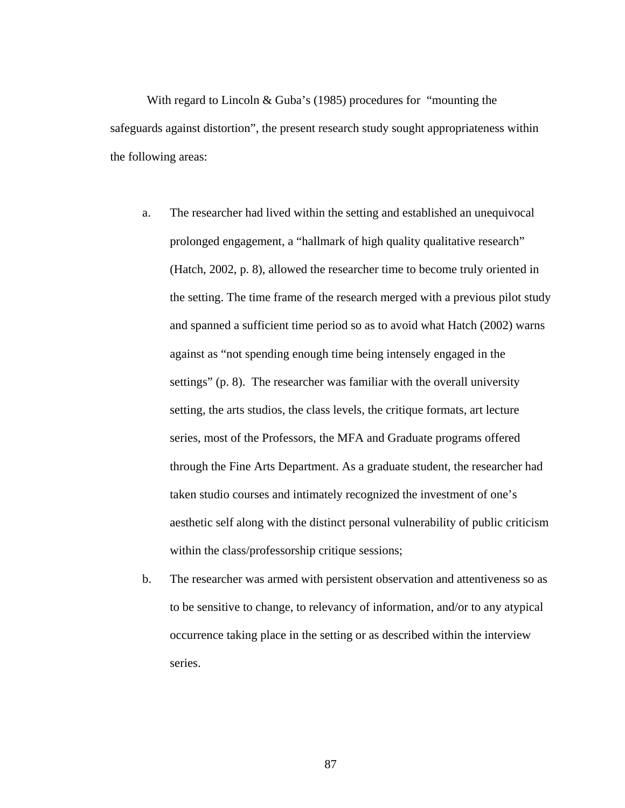With regard to Lincoln & Guba's (1985) procedures for "mounting the safeguards against distortion", the present research study sought appropriateness within the following areas:

- a. The researcher had lived within the setting and established an unequivocal prolonged engagement, a "hallmark of high quality qualitative research" (Hatch, 2002, p. 8), allowed the researcher time to become truly oriented in the setting. The time frame of the research merged with a previous pilot study and spanned a sufficient time period so as to avoid what Hatch (2002) warns against as "not spending enough time being intensely engaged in the settings" (p. 8). The researcher was familiar with the overall university setting, the arts studios, the class levels, the critique formats, art lecture series, most of the Professors, the MFA and Graduate programs offered through the Fine Arts Department. As a graduate student, the researcher had taken studio courses and intimately recognized the investment of one's aesthetic self along with the distinct personal vulnerability of public criticism within the class/professorship critique sessions;
- b. The researcher was armed with persistent observation and attentiveness so as to be sensitive to change, to relevancy of information, and/or to any atypical occurrence taking place in the setting or as described within the interview series.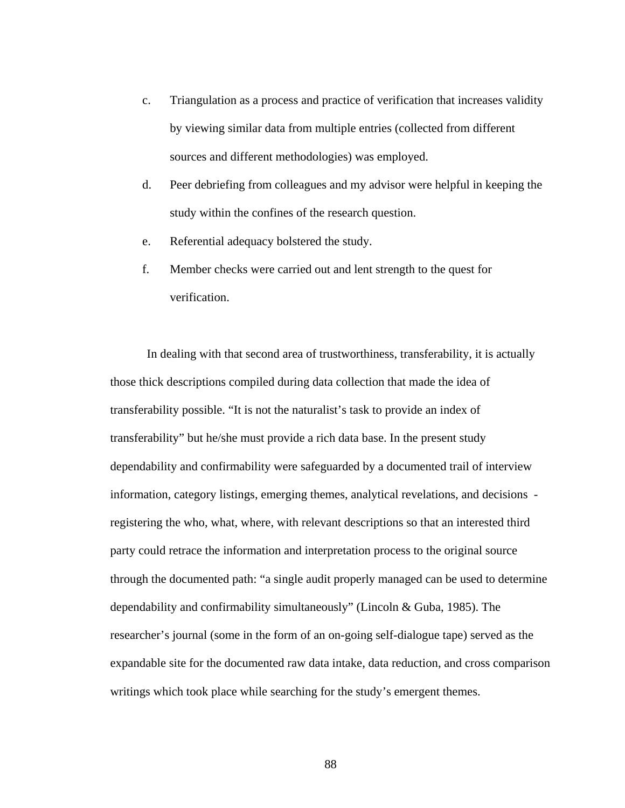- c. Triangulation as a process and practice of verification that increases validity by viewing similar data from multiple entries (collected from different sources and different methodologies) was employed.
- d. Peer debriefing from colleagues and my advisor were helpful in keeping the study within the confines of the research question.
- e. Referential adequacy bolstered the study.
- f. Member checks were carried out and lent strength to the quest for verification.

In dealing with that second area of trustworthiness, transferability, it is actually those thick descriptions compiled during data collection that made the idea of transferability possible. "It is not the naturalist's task to provide an index of transferability" but he/she must provide a rich data base. In the present study dependability and confirmability were safeguarded by a documented trail of interview information, category listings, emerging themes, analytical revelations, and decisions registering the who, what, where, with relevant descriptions so that an interested third party could retrace the information and interpretation process to the original source through the documented path: "a single audit properly managed can be used to determine dependability and confirmability simultaneously" (Lincoln & Guba, 1985). The researcher's journal (some in the form of an on-going self-dialogue tape) served as the expandable site for the documented raw data intake, data reduction, and cross comparison writings which took place while searching for the study's emergent themes.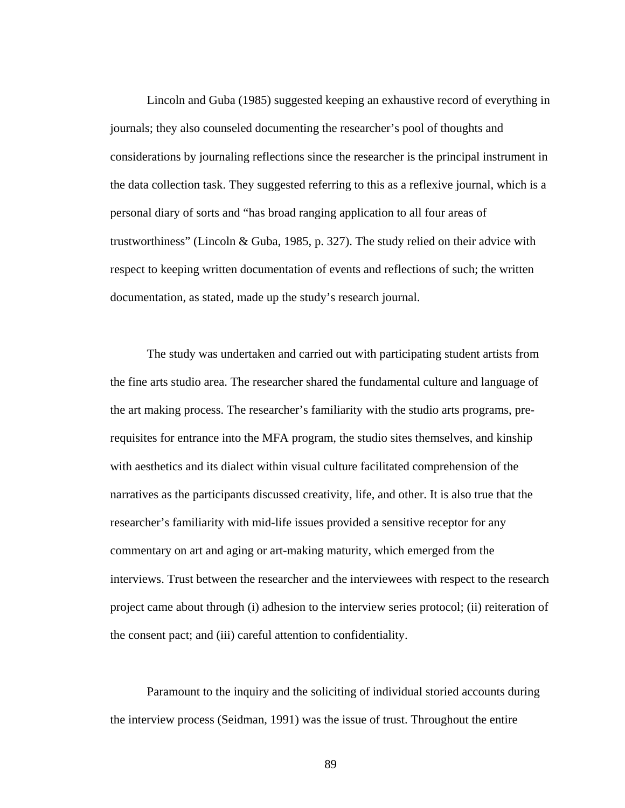Lincoln and Guba (1985) suggested keeping an exhaustive record of everything in journals; they also counseled documenting the researcher's pool of thoughts and considerations by journaling reflections since the researcher is the principal instrument in the data collection task. They suggested referring to this as a reflexive journal, which is a personal diary of sorts and "has broad ranging application to all four areas of trustworthiness" (Lincoln & Guba, 1985, p. 327). The study relied on their advice with respect to keeping written documentation of events and reflections of such; the written documentation, as stated, made up the study's research journal.

The study was undertaken and carried out with participating student artists from the fine arts studio area. The researcher shared the fundamental culture and language of the art making process. The researcher's familiarity with the studio arts programs, prerequisites for entrance into the MFA program, the studio sites themselves, and kinship with aesthetics and its dialect within visual culture facilitated comprehension of the narratives as the participants discussed creativity, life, and other. It is also true that the researcher's familiarity with mid-life issues provided a sensitive receptor for any commentary on art and aging or art-making maturity, which emerged from the interviews. Trust between the researcher and the interviewees with respect to the research project came about through (i) adhesion to the interview series protocol; (ii) reiteration of the consent pact; and (iii) careful attention to confidentiality.

Paramount to the inquiry and the soliciting of individual storied accounts during the interview process (Seidman, 1991) was the issue of trust. Throughout the entire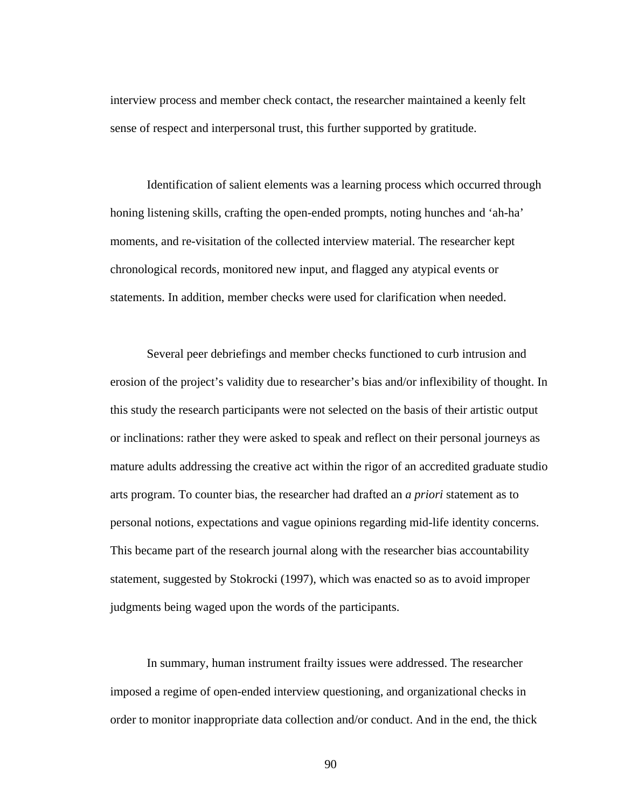interview process and member check contact, the researcher maintained a keenly felt sense of respect and interpersonal trust, this further supported by gratitude.

Identification of salient elements was a learning process which occurred through honing listening skills, crafting the open-ended prompts, noting hunches and 'ah-ha' moments, and re-visitation of the collected interview material. The researcher kept chronological records, monitored new input, and flagged any atypical events or statements. In addition, member checks were used for clarification when needed.

Several peer debriefings and member checks functioned to curb intrusion and erosion of the project's validity due to researcher's bias and/or inflexibility of thought. In this study the research participants were not selected on the basis of their artistic output or inclinations: rather they were asked to speak and reflect on their personal journeys as mature adults addressing the creative act within the rigor of an accredited graduate studio arts program. To counter bias, the researcher had drafted an *a priori* statement as to personal notions, expectations and vague opinions regarding mid-life identity concerns. This became part of the research journal along with the researcher bias accountability statement, suggested by Stokrocki (1997), which was enacted so as to avoid improper judgments being waged upon the words of the participants.

In summary, human instrument frailty issues were addressed. The researcher imposed a regime of open-ended interview questioning, and organizational checks in order to monitor inappropriate data collection and/or conduct. And in the end, the thick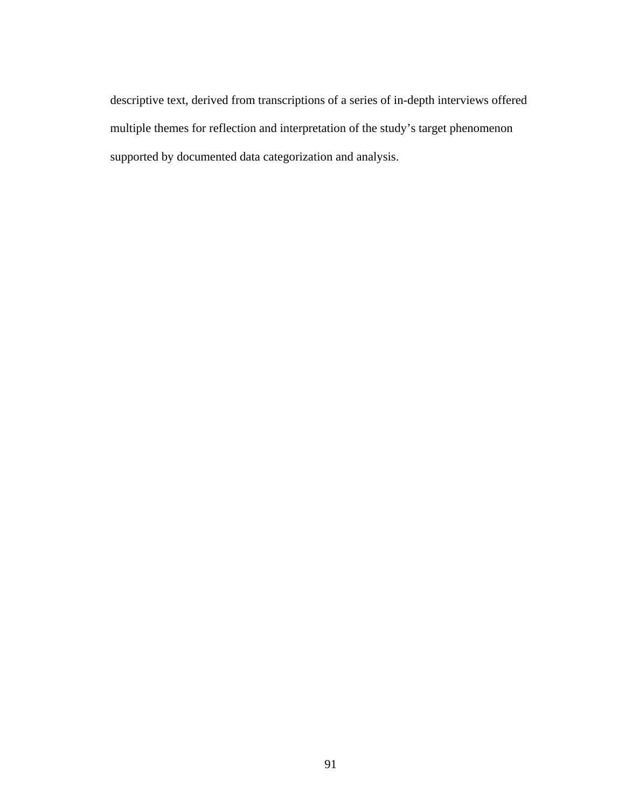descriptive text, derived from transcriptions of a series of in-depth interviews offered multiple themes for reflection and interpretation of the study's target phenomenon supported by documented data categorization and analysis.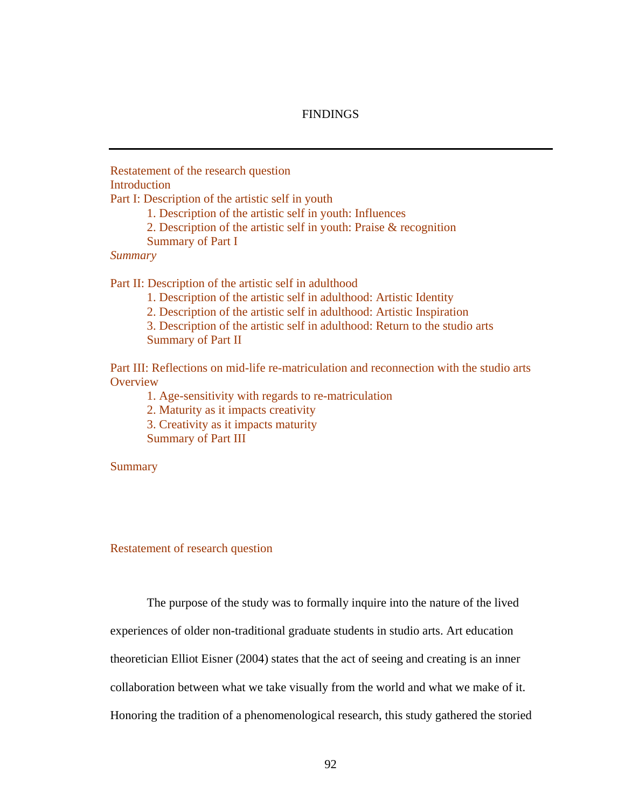# **FINDINGS**

Restatement of the research question Introduction

Part I: Description of the artistic self in youth

1. Description of the artistic self in youth: Influences

2. Description of the artistic self in youth: Praise & recognition

Summary of Part I

### *Summary*

Part II: Description of the artistic self in adulthood

1. Description of the artistic self in adulthood: Artistic Identity

2. Description of the artistic self in adulthood: Artistic Inspiration

3. Description of the artistic self in adulthood: Return to the studio arts

Summary of Part II

Part III: Reflections on mid-life re-matriculation and reconnection with the studio arts **Overview** 

1. Age-sensitivity with regards to re-matriculation

2. Maturity as it impacts creativity

3. Creativity as it impacts maturity

Summary of Part III

**Summary** 

Restatement of research question

The purpose of the study was to formally inquire into the nature of the lived

experiences of older non-traditional graduate students in studio arts. Art education

theoretician Elliot Eisner (2004) states that the act of seeing and creating is an inner

collaboration between what we take visually from the world and what we make of it.

Honoring the tradition of a phenomenological research, this study gathered the storied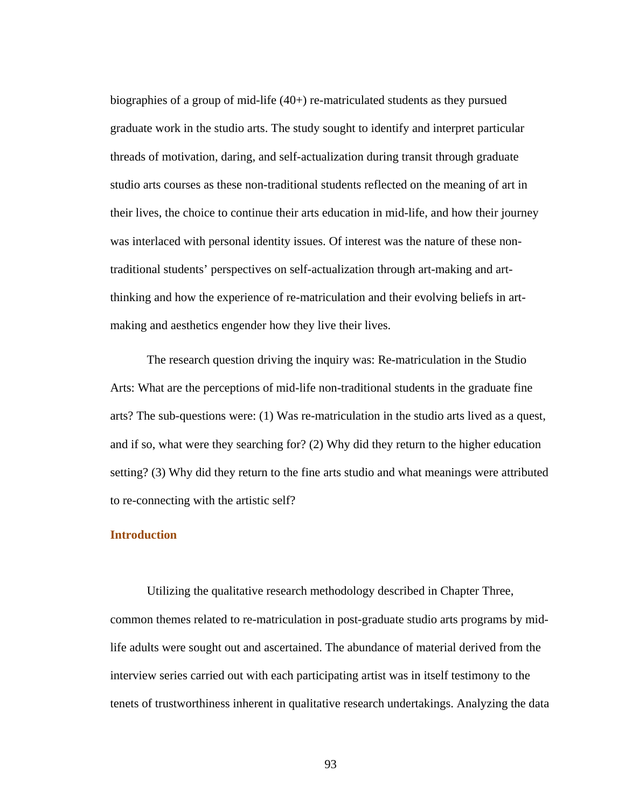biographies of a group of mid-life (40+) re-matriculated students as they pursued graduate work in the studio arts. The study sought to identify and interpret particular threads of motivation, daring, and self-actualization during transit through graduate studio arts courses as these non-traditional students reflected on the meaning of art in their lives, the choice to continue their arts education in mid-life, and how their journey was interlaced with personal identity issues. Of interest was the nature of these nontraditional students' perspectives on self-actualization through art-making and artthinking and how the experience of re-matriculation and their evolving beliefs in artmaking and aesthetics engender how they live their lives.

 The research question driving the inquiry was: Re-matriculation in the Studio Arts: What are the perceptions of mid-life non-traditional students in the graduate fine arts? The sub-questions were: (1) Was re-matriculation in the studio arts lived as a quest, and if so, what were they searching for? (2) Why did they return to the higher education setting? (3) Why did they return to the fine arts studio and what meanings were attributed to re-connecting with the artistic self?

# **Introduction**

 Utilizing the qualitative research methodology described in Chapter Three, common themes related to re-matriculation in post-graduate studio arts programs by midlife adults were sought out and ascertained. The abundance of material derived from the interview series carried out with each participating artist was in itself testimony to the tenets of trustworthiness inherent in qualitative research undertakings. Analyzing the data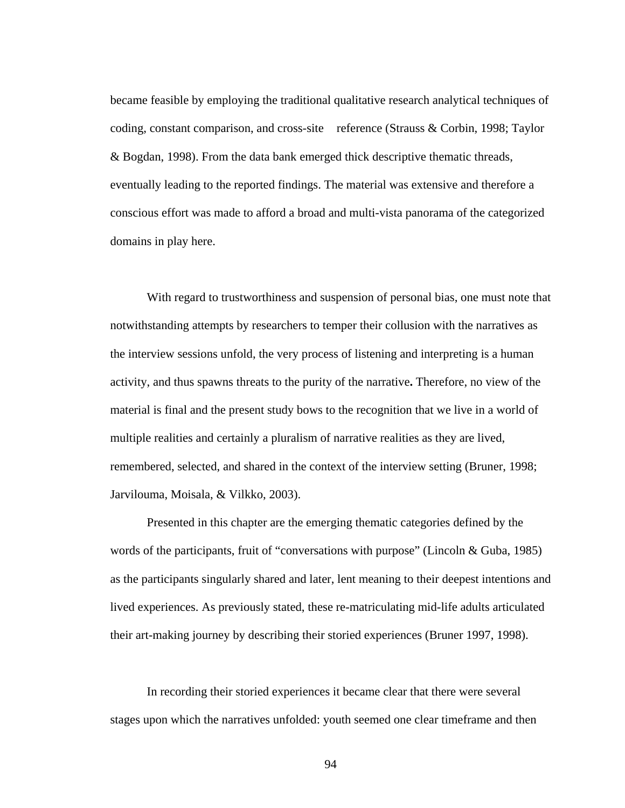became feasible by employing the traditional qualitative research analytical techniques of coding, constant comparison, and cross-site reference (Strauss & Corbin, 1998; Taylor & Bogdan, 1998). From the data bank emerged thick descriptive thematic threads, eventually leading to the reported findings. The material was extensive and therefore a conscious effort was made to afford a broad and multi-vista panorama of the categorized domains in play here.

 With regard to trustworthiness and suspension of personal bias, one must note that notwithstanding attempts by researchers to temper their collusion with the narratives as the interview sessions unfold, the very process of listening and interpreting is a human activity, and thus spawns threats to the purity of the narrative**.** Therefore, no view of the material is final and the present study bows to the recognition that we live in a world of multiple realities and certainly a pluralism of narrative realities as they are lived, remembered, selected, and shared in the context of the interview setting (Bruner, 1998; Jarvilouma, Moisala, & Vilkko, 2003).

 Presented in this chapter are the emerging thematic categories defined by the words of the participants, fruit of "conversations with purpose" (Lincoln & Guba, 1985) as the participants singularly shared and later, lent meaning to their deepest intentions and lived experiences. As previously stated, these re-matriculating mid-life adults articulated their art-making journey by describing their storied experiences (Bruner 1997, 1998).

In recording their storied experiences it became clear that there were several stages upon which the narratives unfolded: youth seemed one clear timeframe and then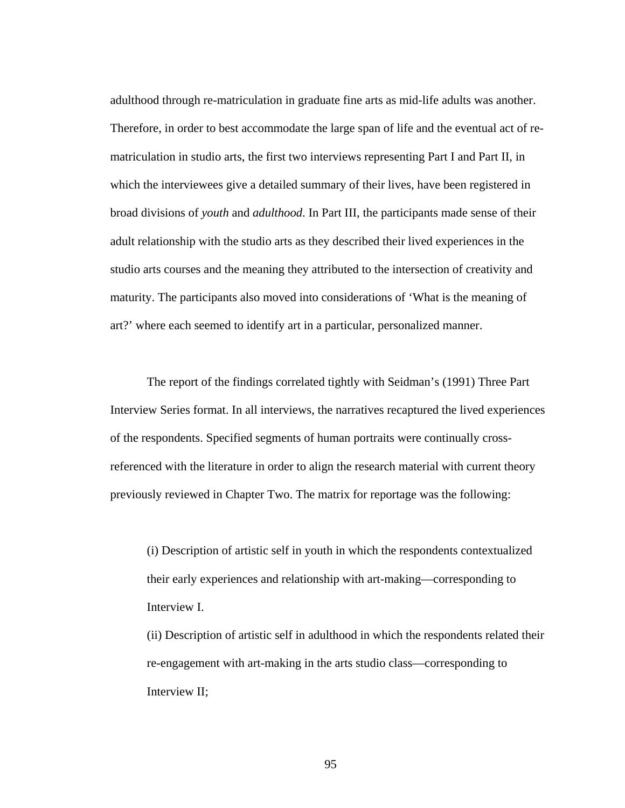adulthood through re-matriculation in graduate fine arts as mid-life adults was another. Therefore, in order to best accommodate the large span of life and the eventual act of rematriculation in studio arts, the first two interviews representing Part I and Part II, in which the interviewees give a detailed summary of their lives, have been registered in broad divisions of *youth* and *adulthood*. In Part III, the participants made sense of their adult relationship with the studio arts as they described their lived experiences in the studio arts courses and the meaning they attributed to the intersection of creativity and maturity. The participants also moved into considerations of 'What is the meaning of art?' where each seemed to identify art in a particular, personalized manner.

The report of the findings correlated tightly with Seidman's (1991) Three Part Interview Series format. In all interviews, the narratives recaptured the lived experiences of the respondents. Specified segments of human portraits were continually crossreferenced with the literature in order to align the research material with current theory previously reviewed in Chapter Two. The matrix for reportage was the following:

(i) Description of artistic self in youth in which the respondents contextualized their early experiences and relationship with art-making—corresponding to Interview I.

(ii) Description of artistic self in adulthood in which the respondents related their re-engagement with art-making in the arts studio class—corresponding to Interview II;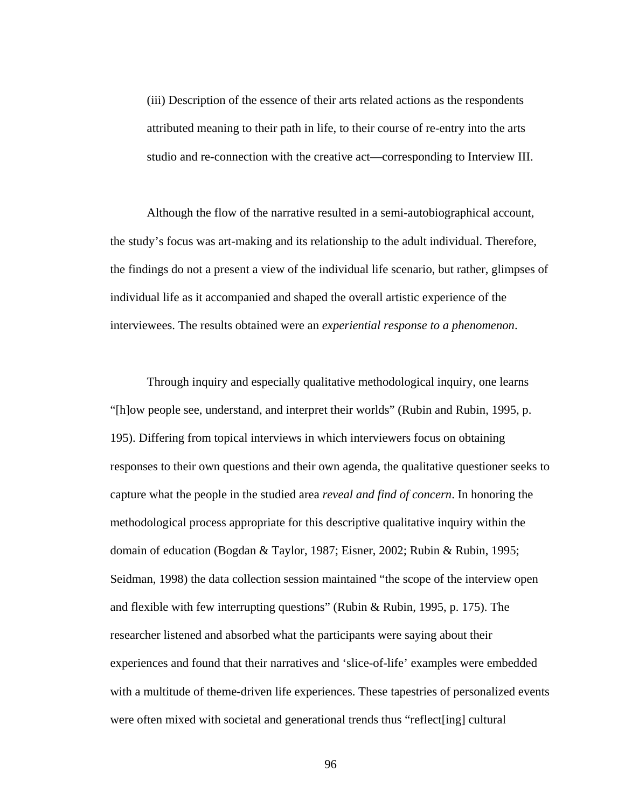(iii) Description of the essence of their arts related actions as the respondents attributed meaning to their path in life, to their course of re-entry into the arts studio and re-connection with the creative act—corresponding to Interview III.

 Although the flow of the narrative resulted in a semi-autobiographical account, the study's focus was art-making and its relationship to the adult individual. Therefore, the findings do not a present a view of the individual life scenario, but rather, glimpses of individual life as it accompanied and shaped the overall artistic experience of the interviewees. The results obtained were an *experiential response to a phenomenon*.

 Through inquiry and especially qualitative methodological inquiry, one learns "[h]ow people see, understand, and interpret their worlds" (Rubin and Rubin, 1995, p. 195). Differing from topical interviews in which interviewers focus on obtaining responses to their own questions and their own agenda, the qualitative questioner seeks to capture what the people in the studied area *reveal and find of concern*. In honoring the methodological process appropriate for this descriptive qualitative inquiry within the domain of education (Bogdan & Taylor, 1987; Eisner, 2002; Rubin & Rubin, 1995; Seidman, 1998) the data collection session maintained "the scope of the interview open and flexible with few interrupting questions" (Rubin & Rubin, 1995, p. 175). The researcher listened and absorbed what the participants were saying about their experiences and found that their narratives and 'slice-of-life' examples were embedded with a multitude of theme-driven life experiences. These tapestries of personalized events were often mixed with societal and generational trends thus "reflect[ing] cultural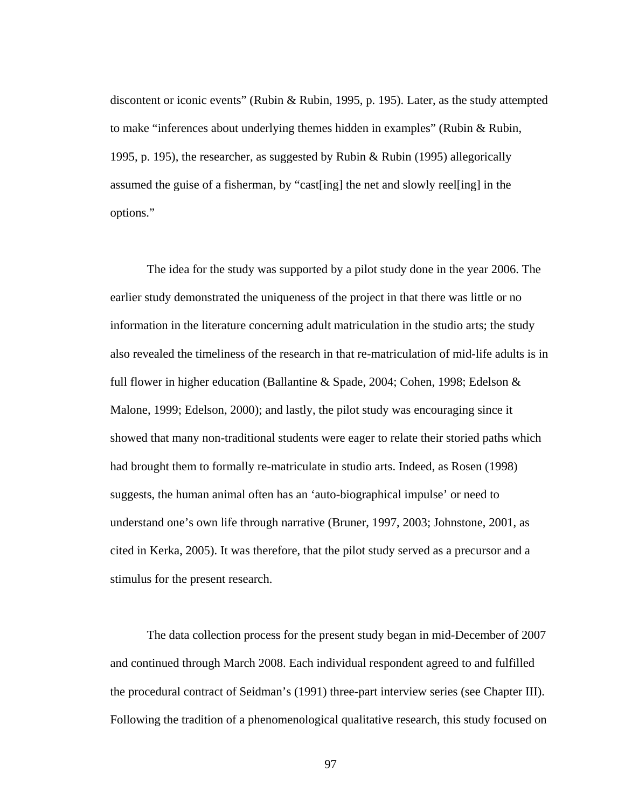discontent or iconic events" (Rubin & Rubin, 1995, p. 195). Later, as the study attempted to make "inferences about underlying themes hidden in examples" (Rubin & Rubin, 1995, p. 195), the researcher, as suggested by Rubin & Rubin (1995) allegorically assumed the guise of a fisherman, by "cast[ing] the net and slowly reel[ing] in the options."

 The idea for the study was supported by a pilot study done in the year 2006. The earlier study demonstrated the uniqueness of the project in that there was little or no information in the literature concerning adult matriculation in the studio arts; the study also revealed the timeliness of the research in that re-matriculation of mid-life adults is in full flower in higher education (Ballantine & Spade, 2004; Cohen, 1998; Edelson & Malone, 1999; Edelson, 2000); and lastly, the pilot study was encouraging since it showed that many non-traditional students were eager to relate their storied paths which had brought them to formally re-matriculate in studio arts. Indeed, as Rosen (1998) suggests, the human animal often has an 'auto-biographical impulse' or need to understand one's own life through narrative (Bruner, 1997, 2003; Johnstone, 2001, as cited in Kerka, 2005). It was therefore, that the pilot study served as a precursor and a stimulus for the present research.

 The data collection process for the present study began in mid-December of 2007 and continued through March 2008. Each individual respondent agreed to and fulfilled the procedural contract of Seidman's (1991) three-part interview series (see Chapter III). Following the tradition of a phenomenological qualitative research, this study focused on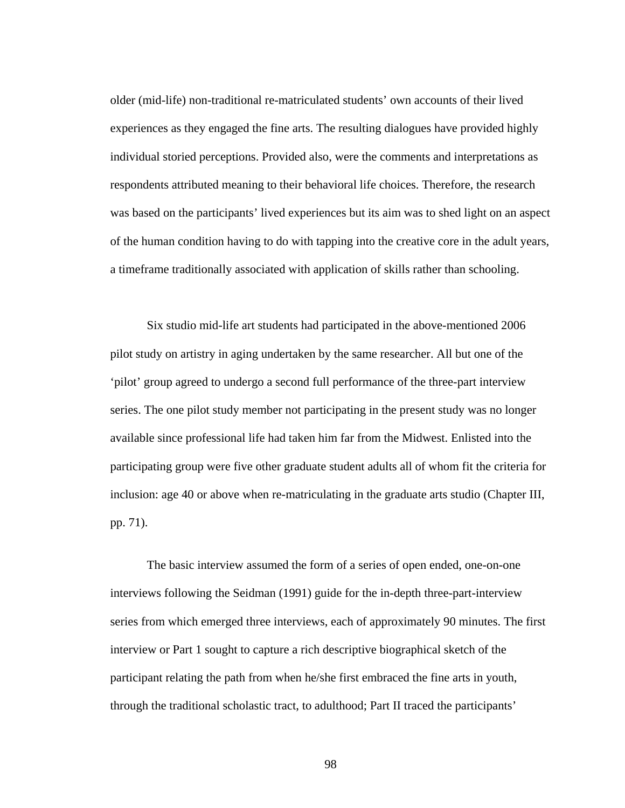older (mid-life) non-traditional re-matriculated students' own accounts of their lived experiences as they engaged the fine arts. The resulting dialogues have provided highly individual storied perceptions. Provided also, were the comments and interpretations as respondents attributed meaning to their behavioral life choices. Therefore, the research was based on the participants' lived experiences but its aim was to shed light on an aspect of the human condition having to do with tapping into the creative core in the adult years, a timeframe traditionally associated with application of skills rather than schooling.

 Six studio mid-life art students had participated in the above-mentioned 2006 pilot study on artistry in aging undertaken by the same researcher. All but one of the 'pilot' group agreed to undergo a second full performance of the three-part interview series. The one pilot study member not participating in the present study was no longer available since professional life had taken him far from the Midwest. Enlisted into the participating group were five other graduate student adults all of whom fit the criteria for inclusion: age 40 or above when re-matriculating in the graduate arts studio (Chapter III, pp. 71).

 The basic interview assumed the form of a series of open ended, one-on-one interviews following the Seidman (1991) guide for the in-depth three-part-interview series from which emerged three interviews, each of approximately 90 minutes. The first interview or Part 1 sought to capture a rich descriptive biographical sketch of the participant relating the path from when he/she first embraced the fine arts in youth, through the traditional scholastic tract, to adulthood; Part II traced the participants'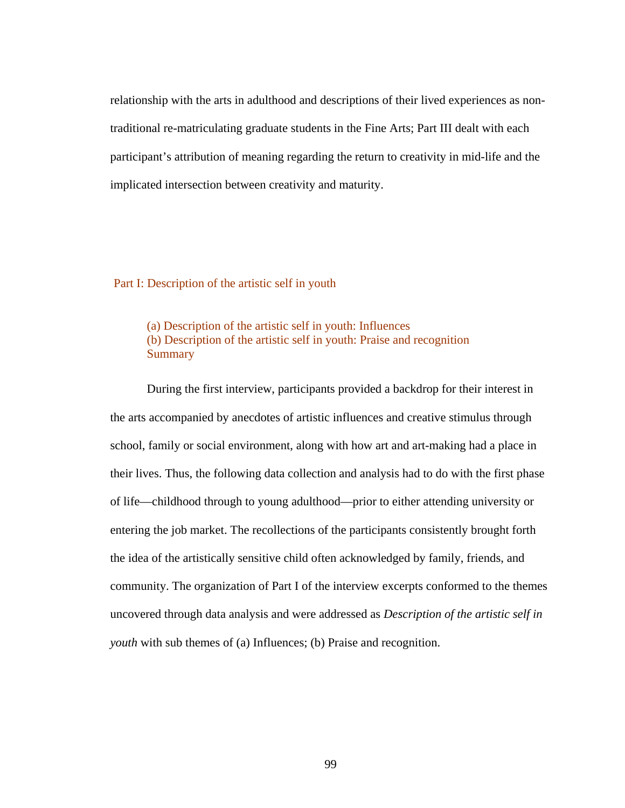relationship with the arts in adulthood and descriptions of their lived experiences as nontraditional re-matriculating graduate students in the Fine Arts; Part III dealt with each participant's attribution of meaning regarding the return to creativity in mid-life and the implicated intersection between creativity and maturity.

Part I: Description of the artistic self in youth

(a) Description of the artistic self in youth: Influences (b) Description of the artistic self in youth: Praise and recognition **Summary** 

During the first interview, participants provided a backdrop for their interest in the arts accompanied by anecdotes of artistic influences and creative stimulus through school, family or social environment, along with how art and art-making had a place in their lives. Thus, the following data collection and analysis had to do with the first phase of life—childhood through to young adulthood—prior to either attending university or entering the job market. The recollections of the participants consistently brought forth the idea of the artistically sensitive child often acknowledged by family, friends, and community. The organization of Part I of the interview excerpts conformed to the themes uncovered through data analysis and were addressed as *Description of the artistic self in youth* with sub themes of (a) Influences; (b) Praise and recognition.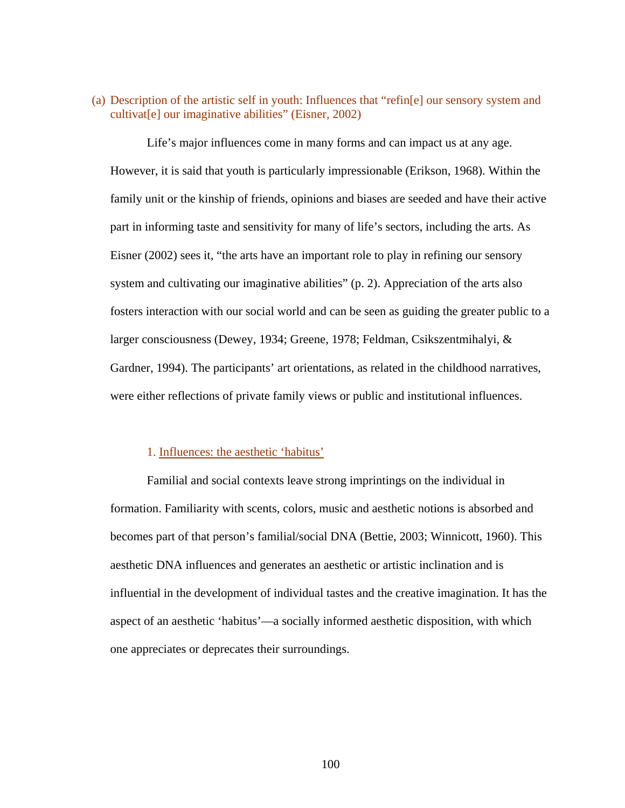(a) Description of the artistic self in youth: Influences that "refin[e] our sensory system and cultivat[e] our imaginative abilities" (Eisner, 2002)

 Life's major influences come in many forms and can impact us at any age. However, it is said that youth is particularly impressionable (Erikson, 1968). Within the family unit or the kinship of friends, opinions and biases are seeded and have their active part in informing taste and sensitivity for many of life's sectors, including the arts. As Eisner (2002) sees it, "the arts have an important role to play in refining our sensory system and cultivating our imaginative abilities" (p. 2). Appreciation of the arts also fosters interaction with our social world and can be seen as guiding the greater public to a larger consciousness (Dewey, 1934; Greene, 1978; Feldman, Csikszentmihalyi, & Gardner, 1994). The participants' art orientations, as related in the childhood narratives, were either reflections of private family views or public and institutional influences.

#### 1. Influences: the aesthetic 'habitus'

 Familial and social contexts leave strong imprintings on the individual in formation. Familiarity with scents, colors, music and aesthetic notions is absorbed and becomes part of that person's familial/social DNA (Bettie, 2003; Winnicott, 1960). This aesthetic DNA influences and generates an aesthetic or artistic inclination and is influential in the development of individual tastes and the creative imagination. It has the aspect of an aesthetic 'habitus'—a socially informed aesthetic disposition, with which one appreciates or deprecates their surroundings.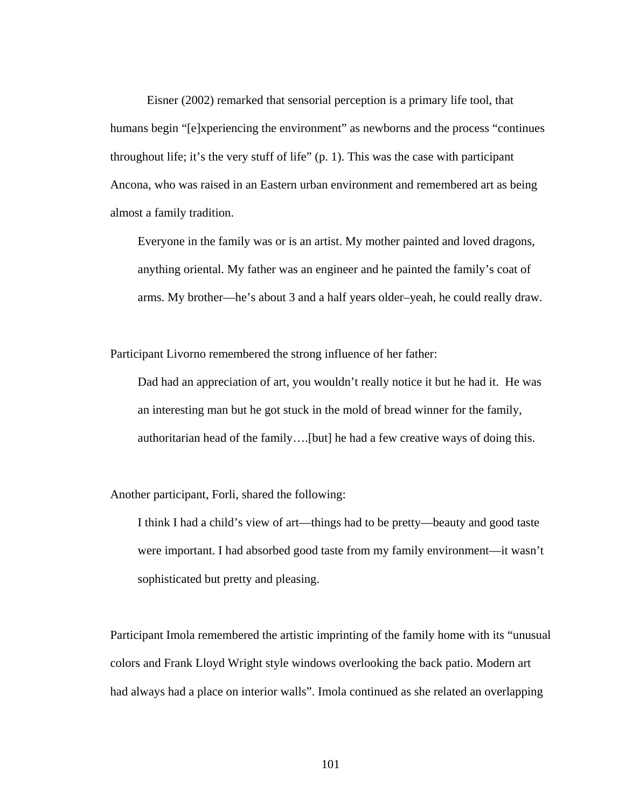Eisner (2002) remarked that sensorial perception is a primary life tool, that humans begin "[e]xperiencing the environment" as newborns and the process "continues" throughout life; it's the very stuff of life" (p. 1). This was the case with participant Ancona, who was raised in an Eastern urban environment and remembered art as being almost a family tradition.

Everyone in the family was or is an artist. My mother painted and loved dragons, anything oriental. My father was an engineer and he painted the family's coat of arms. My brother—he's about 3 and a half years older–yeah, he could really draw.

Participant Livorno remembered the strong influence of her father:

Dad had an appreciation of art, you wouldn't really notice it but he had it. He was an interesting man but he got stuck in the mold of bread winner for the family, authoritarian head of the family….[but] he had a few creative ways of doing this.

Another participant, Forli, shared the following:

I think I had a child's view of art—things had to be pretty—beauty and good taste were important. I had absorbed good taste from my family environment—it wasn't sophisticated but pretty and pleasing.

Participant Imola remembered the artistic imprinting of the family home with its "unusual colors and Frank Lloyd Wright style windows overlooking the back patio. Modern art had always had a place on interior walls". Imola continued as she related an overlapping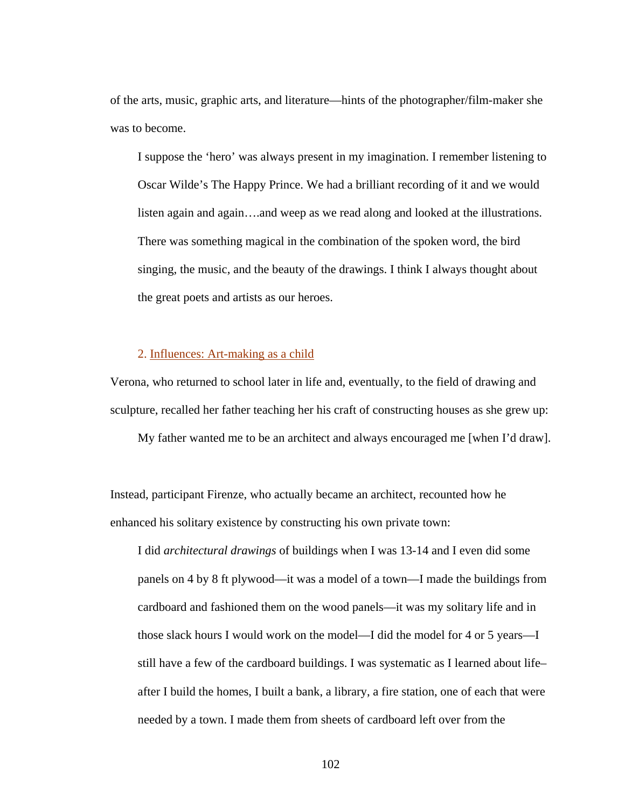of the arts, music, graphic arts, and literature—hints of the photographer/film-maker she was to become.

I suppose the 'hero' was always present in my imagination. I remember listening to Oscar Wilde's The Happy Prince. We had a brilliant recording of it and we would listen again and again….and weep as we read along and looked at the illustrations. There was something magical in the combination of the spoken word, the bird singing, the music, and the beauty of the drawings. I think I always thought about the great poets and artists as our heroes.

# 2. Influences: Art-making as a child

Verona, who returned to school later in life and, eventually, to the field of drawing and sculpture, recalled her father teaching her his craft of constructing houses as she grew up:

My father wanted me to be an architect and always encouraged me [when I'd draw].

Instead, participant Firenze, who actually became an architect, recounted how he enhanced his solitary existence by constructing his own private town:

I did *architectural drawings* of buildings when I was 13-14 and I even did some panels on 4 by 8 ft plywood—it was a model of a town—I made the buildings from cardboard and fashioned them on the wood panels—it was my solitary life and in those slack hours I would work on the model—I did the model for 4 or 5 years—I still have a few of the cardboard buildings. I was systematic as I learned about life– after I build the homes, I built a bank, a library, a fire station, one of each that were needed by a town. I made them from sheets of cardboard left over from the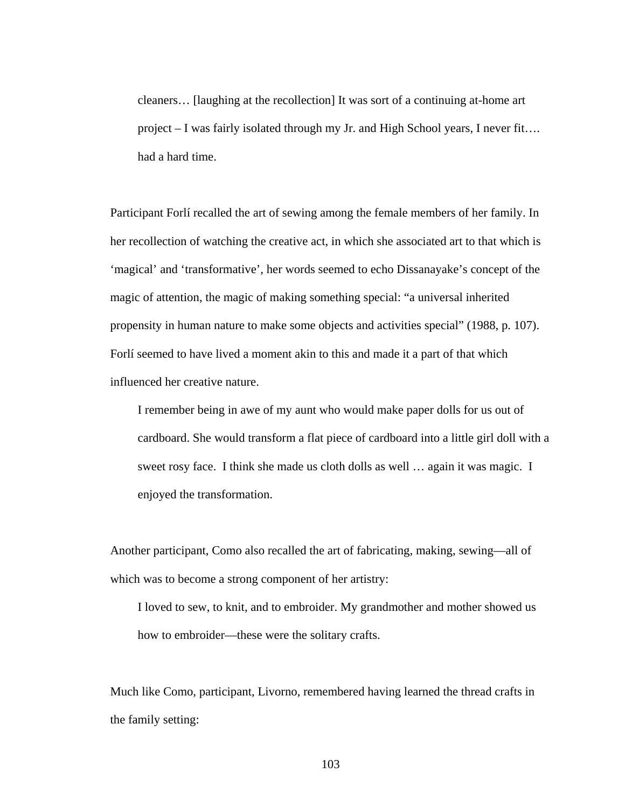cleaners… [laughing at the recollection] It was sort of a continuing at-home art project – I was fairly isolated through my Jr. and High School years, I never fit…. had a hard time.

Participant Forlí recalled the art of sewing among the female members of her family. In her recollection of watching the creative act, in which she associated art to that which is 'magical' and 'transformative', her words seemed to echo Dissanayake's concept of the magic of attention, the magic of making something special: "a universal inherited propensity in human nature to make some objects and activities special" (1988, p. 107). Forlí seemed to have lived a moment akin to this and made it a part of that which influenced her creative nature.

I remember being in awe of my aunt who would make paper dolls for us out of cardboard. She would transform a flat piece of cardboard into a little girl doll with a sweet rosy face. I think she made us cloth dolls as well … again it was magic. I enjoyed the transformation.

Another participant, Como also recalled the art of fabricating, making, sewing—all of which was to become a strong component of her artistry:

I loved to sew, to knit, and to embroider. My grandmother and mother showed us how to embroider—these were the solitary crafts.

Much like Como, participant, Livorno, remembered having learned the thread crafts in the family setting: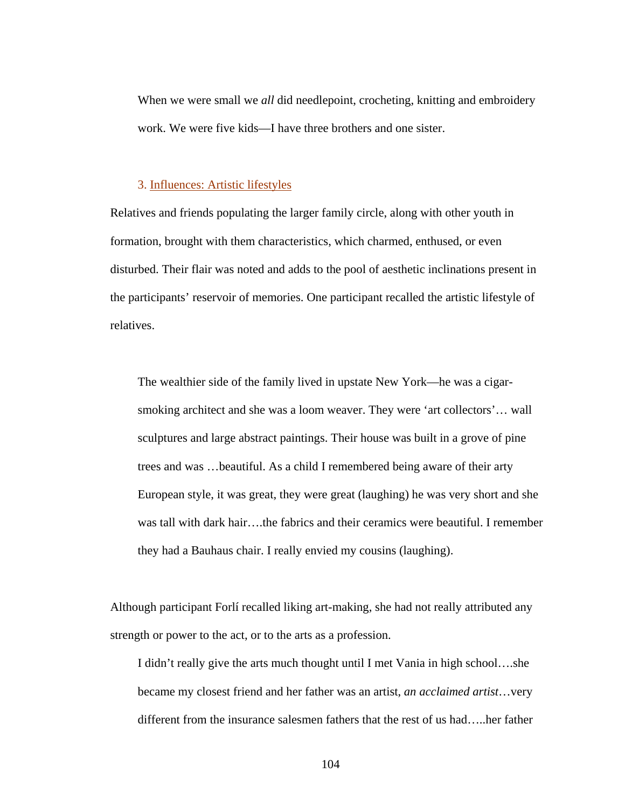When we were small we *all* did needlepoint, crocheting, knitting and embroidery work. We were five kids—I have three brothers and one sister.

### 3. Influences: Artistic lifestyles

Relatives and friends populating the larger family circle, along with other youth in formation, brought with them characteristics, which charmed, enthused, or even disturbed. Their flair was noted and adds to the pool of aesthetic inclinations present in the participants' reservoir of memories. One participant recalled the artistic lifestyle of relatives.

The wealthier side of the family lived in upstate New York—he was a cigarsmoking architect and she was a loom weaver. They were 'art collectors'… wall sculptures and large abstract paintings. Their house was built in a grove of pine trees and was …beautiful. As a child I remembered being aware of their arty European style, it was great, they were great (laughing) he was very short and she was tall with dark hair….the fabrics and their ceramics were beautiful. I remember they had a Bauhaus chair. I really envied my cousins (laughing).

Although participant Forlí recalled liking art-making, she had not really attributed any strength or power to the act, or to the arts as a profession.

I didn't really give the arts much thought until I met Vania in high school….she became my closest friend and her father was an artist, *an acclaimed artist*…very different from the insurance salesmen fathers that the rest of us had…..her father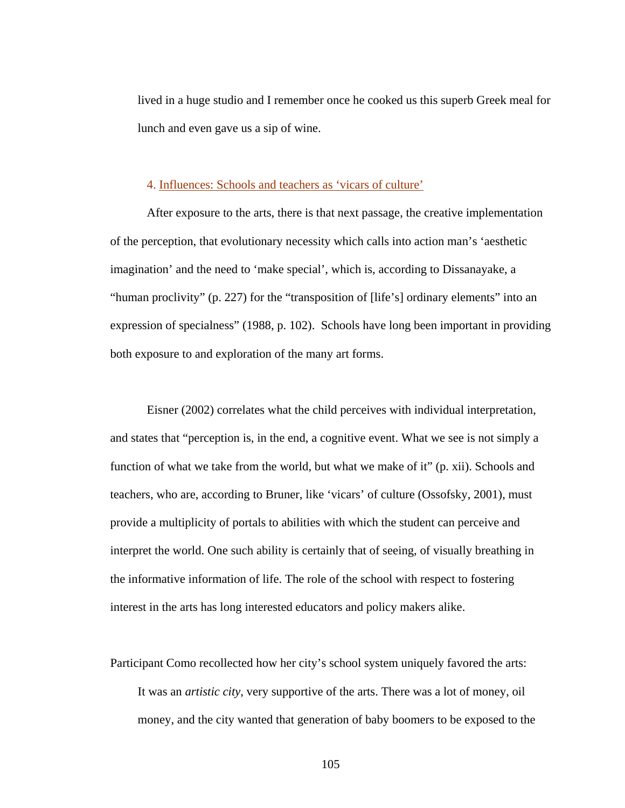lived in a huge studio and I remember once he cooked us this superb Greek meal for lunch and even gave us a sip of wine.

# 4. Influences: Schools and teachers as 'vicars of culture'

 After exposure to the arts, there is that next passage, the creative implementation of the perception, that evolutionary necessity which calls into action man's 'aesthetic imagination' and the need to 'make special', which is, according to Dissanayake, a "human proclivity" (p. 227) for the "transposition of [life's] ordinary elements" into an expression of specialness" (1988, p. 102). Schools have long been important in providing both exposure to and exploration of the many art forms.

 Eisner (2002) correlates what the child perceives with individual interpretation, and states that "perception is, in the end, a cognitive event. What we see is not simply a function of what we take from the world, but what we make of it" (p. xii). Schools and teachers, who are, according to Bruner, like 'vicars' of culture (Ossofsky, 2001), must provide a multiplicity of portals to abilities with which the student can perceive and interpret the world. One such ability is certainly that of seeing, of visually breathing in the informative information of life. The role of the school with respect to fostering interest in the arts has long interested educators and policy makers alike.

Participant Como recollected how her city's school system uniquely favored the arts: It was an *artistic city*, very supportive of the arts. There was a lot of money, oil money, and the city wanted that generation of baby boomers to be exposed to the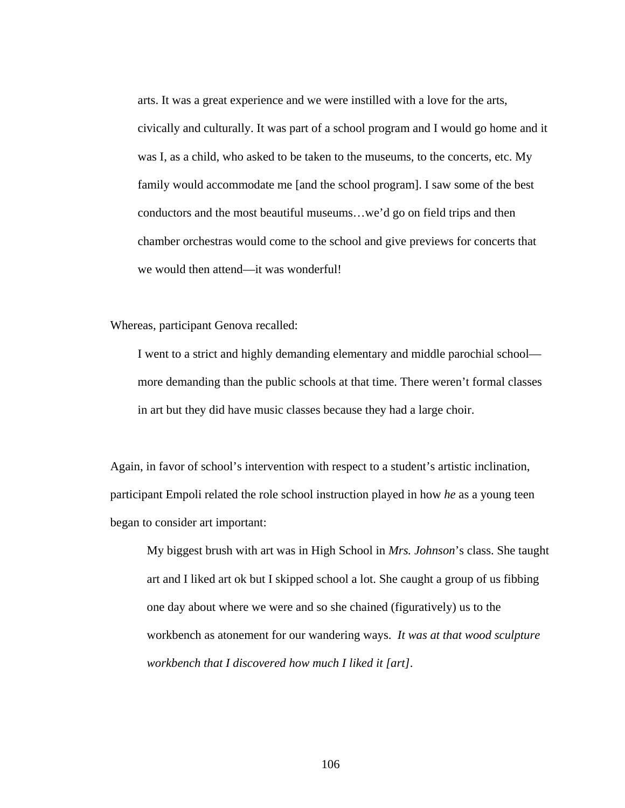arts. It was a great experience and we were instilled with a love for the arts, civically and culturally. It was part of a school program and I would go home and it was I, as a child, who asked to be taken to the museums, to the concerts, etc. My family would accommodate me [and the school program]. I saw some of the best conductors and the most beautiful museums…we'd go on field trips and then chamber orchestras would come to the school and give previews for concerts that we would then attend—it was wonderful!

Whereas, participant Genova recalled:

I went to a strict and highly demanding elementary and middle parochial school more demanding than the public schools at that time. There weren't formal classes in art but they did have music classes because they had a large choir.

Again, in favor of school's intervention with respect to a student's artistic inclination, participant Empoli related the role school instruction played in how *he* as a young teen began to consider art important:

My biggest brush with art was in High School in *Mrs. Johnson*'s class. She taught art and I liked art ok but I skipped school a lot. She caught a group of us fibbing one day about where we were and so she chained (figuratively) us to the workbench as atonement for our wandering ways. *It was at that wood sculpture workbench that I discovered how much I liked it [art]*.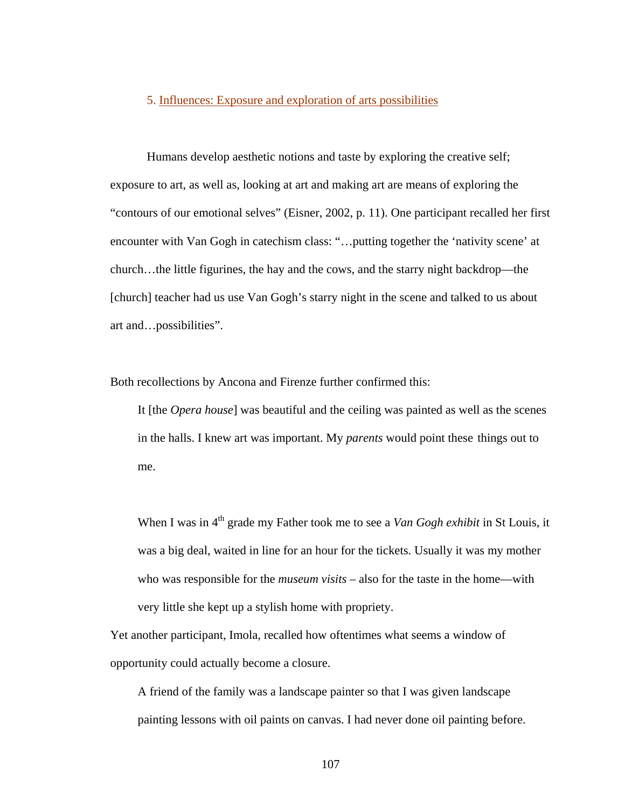#### 5. Influences: Exposure and exploration of arts possibilities

Humans develop aesthetic notions and taste by exploring the creative self; exposure to art, as well as, looking at art and making art are means of exploring the "contours of our emotional selves" (Eisner, 2002, p. 11). One participant recalled her first encounter with Van Gogh in catechism class: "…putting together the 'nativity scene' at church…the little figurines, the hay and the cows, and the starry night backdrop—the [church] teacher had us use Van Gogh's starry night in the scene and talked to us about art and…possibilities".

Both recollections by Ancona and Firenze further confirmed this:

It [the *Opera house*] was beautiful and the ceiling was painted as well as the scenes in the halls. I knew art was important. My *parents* would point these things out to me.

When I was in 4<sup>th</sup> grade my Father took me to see a *Van Gogh exhibit* in St Louis, it was a big deal, waited in line for an hour for the tickets. Usually it was my mother who was responsible for the *museum visits* – also for the taste in the home—with very little she kept up a stylish home with propriety.

Yet another participant, Imola, recalled how oftentimes what seems a window of opportunity could actually become a closure.

 A friend of the family was a landscape painter so that I was given landscape painting lessons with oil paints on canvas. I had never done oil painting before.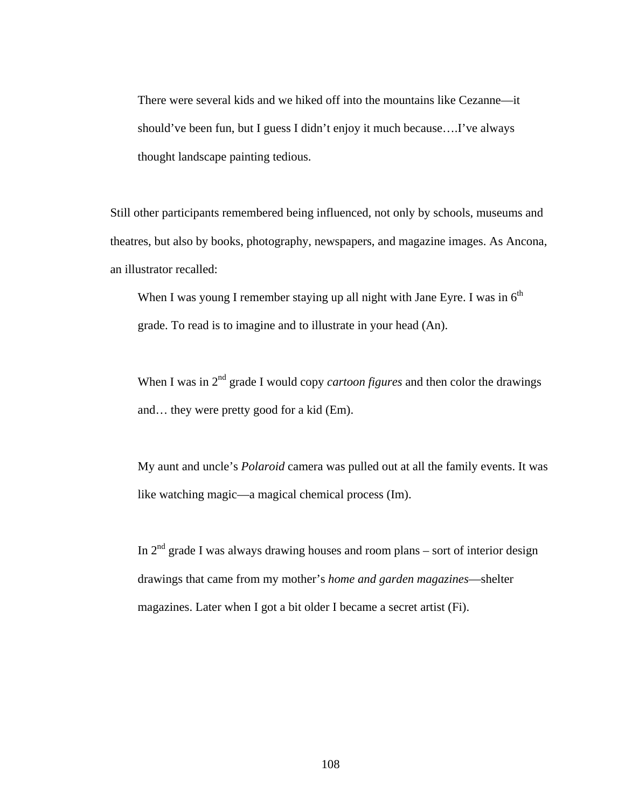There were several kids and we hiked off into the mountains like Cezanne—it should've been fun, but I guess I didn't enjoy it much because….I've always thought landscape painting tedious.

Still other participants remembered being influenced, not only by schools, museums and theatres, but also by books, photography, newspapers, and magazine images. As Ancona, an illustrator recalled:

When I was young I remember staying up all night with Jane Eyre. I was in  $6<sup>th</sup>$ grade. To read is to imagine and to illustrate in your head (An).

When I was in  $2<sup>nd</sup>$  grade I would copy *cartoon figures* and then color the drawings and… they were pretty good for a kid (Em).

My aunt and uncle's *Polaroid* camera was pulled out at all the family events. It was like watching magic—a magical chemical process (Im).

In  $2<sup>nd</sup>$  grade I was always drawing houses and room plans – sort of interior design drawings that came from my mother's *home and garden magazines*—shelter magazines. Later when I got a bit older I became a secret artist (Fi).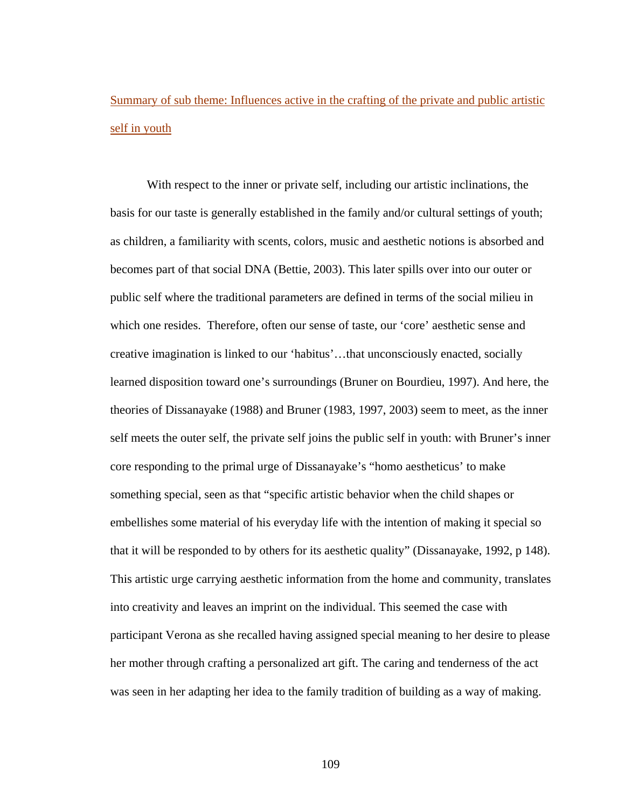# Summary of sub theme: Influences active in the crafting of the private and public artistic self in youth

 With respect to the inner or private self, including our artistic inclinations, the basis for our taste is generally established in the family and/or cultural settings of youth; as children, a familiarity with scents, colors, music and aesthetic notions is absorbed and becomes part of that social DNA (Bettie, 2003). This later spills over into our outer or public self where the traditional parameters are defined in terms of the social milieu in which one resides. Therefore, often our sense of taste, our 'core' aesthetic sense and creative imagination is linked to our 'habitus'…that unconsciously enacted, socially learned disposition toward one's surroundings (Bruner on Bourdieu, 1997). And here, the theories of Dissanayake (1988) and Bruner (1983, 1997, 2003) seem to meet, as the inner self meets the outer self, the private self joins the public self in youth: with Bruner's inner core responding to the primal urge of Dissanayake's "homo aestheticus' to make something special, seen as that "specific artistic behavior when the child shapes or embellishes some material of his everyday life with the intention of making it special so that it will be responded to by others for its aesthetic quality" (Dissanayake, 1992, p 148). This artistic urge carrying aesthetic information from the home and community, translates into creativity and leaves an imprint on the individual. This seemed the case with participant Verona as she recalled having assigned special meaning to her desire to please her mother through crafting a personalized art gift. The caring and tenderness of the act was seen in her adapting her idea to the family tradition of building as a way of making.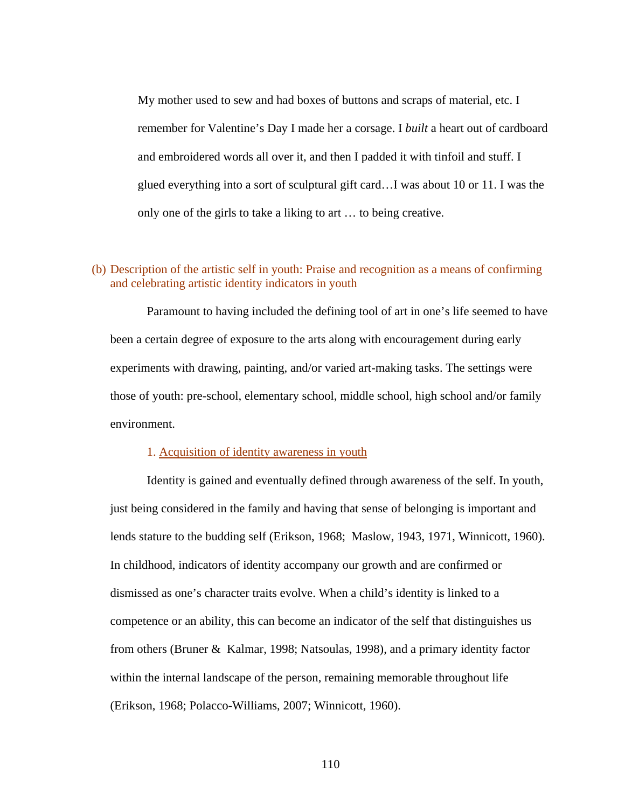My mother used to sew and had boxes of buttons and scraps of material, etc. I remember for Valentine's Day I made her a corsage. I *built* a heart out of cardboard and embroidered words all over it, and then I padded it with tinfoil and stuff. I glued everything into a sort of sculptural gift card…I was about 10 or 11. I was the only one of the girls to take a liking to art … to being creative.

# (b) Description of the artistic self in youth: Praise and recognition as a means of confirming and celebrating artistic identity indicators in youth

 Paramount to having included the defining tool of art in one's life seemed to have been a certain degree of exposure to the arts along with encouragement during early experiments with drawing, painting, and/or varied art-making tasks. The settings were those of youth: pre-school, elementary school, middle school, high school and/or family environment.

#### 1. Acquisition of identity awareness in youth

Identity is gained and eventually defined through awareness of the self. In youth, just being considered in the family and having that sense of belonging is important and lends stature to the budding self (Erikson, 1968; Maslow, 1943, 1971, Winnicott, 1960). In childhood, indicators of identity accompany our growth and are confirmed or dismissed as one's character traits evolve. When a child's identity is linked to a competence or an ability, this can become an indicator of the self that distinguishes us from others (Bruner & Kalmar, 1998; Natsoulas, 1998), and a primary identity factor within the internal landscape of the person, remaining memorable throughout life (Erikson, 1968; Polacco-Williams, 2007; Winnicott, 1960).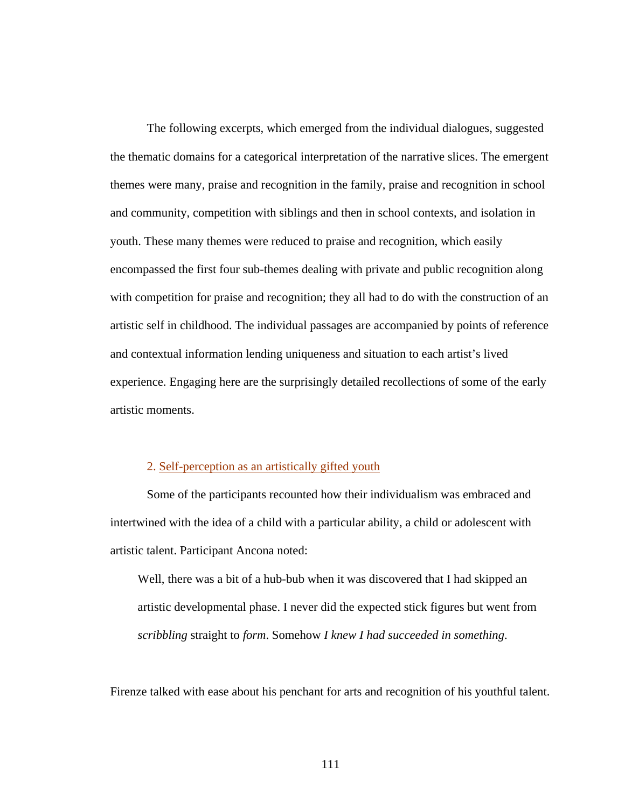The following excerpts, which emerged from the individual dialogues, suggested the thematic domains for a categorical interpretation of the narrative slices. The emergent themes were many, praise and recognition in the family, praise and recognition in school and community, competition with siblings and then in school contexts, and isolation in youth. These many themes were reduced to praise and recognition, which easily encompassed the first four sub-themes dealing with private and public recognition along with competition for praise and recognition; they all had to do with the construction of an artistic self in childhood. The individual passages are accompanied by points of reference and contextual information lending uniqueness and situation to each artist's lived experience. Engaging here are the surprisingly detailed recollections of some of the early artistic moments.

#### 2. Self-perception as an artistically gifted youth

Some of the participants recounted how their individualism was embraced and intertwined with the idea of a child with a particular ability, a child or adolescent with artistic talent. Participant Ancona noted:

Well, there was a bit of a hub-bub when it was discovered that I had skipped an artistic developmental phase. I never did the expected stick figures but went from *scribbling* straight to *form*. Somehow *I knew I had succeeded in something*.

Firenze talked with ease about his penchant for arts and recognition of his youthful talent.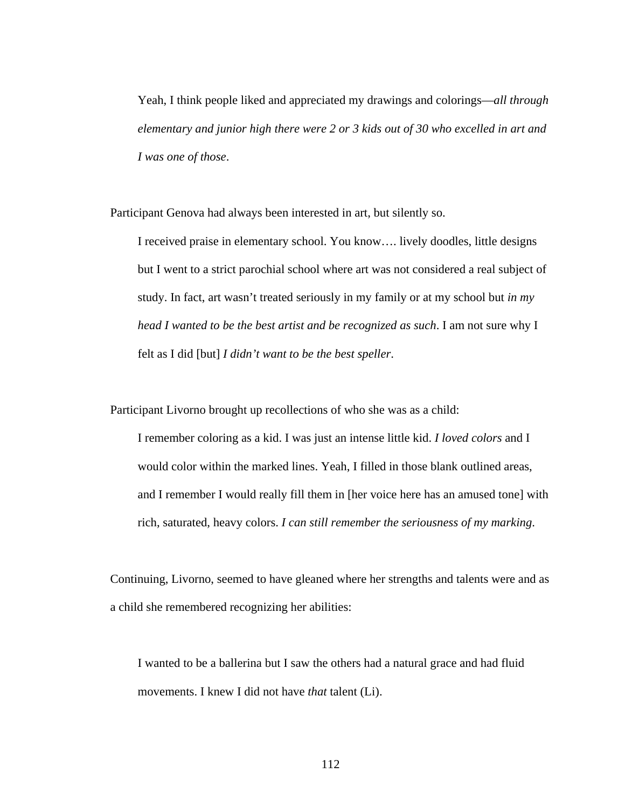Yeah, I think people liked and appreciated my drawings and colorings—*all through elementary and junior high there were 2 or 3 kids out of 30 who excelled in art and I was one of those*.

Participant Genova had always been interested in art, but silently so.

I received praise in elementary school. You know…. lively doodles, little designs but I went to a strict parochial school where art was not considered a real subject of study. In fact, art wasn't treated seriously in my family or at my school but *in my head I wanted to be the best artist and be recognized as such*. I am not sure why I felt as I did [but] *I didn't want to be the best speller*.

Participant Livorno brought up recollections of who she was as a child:

I remember coloring as a kid. I was just an intense little kid. *I loved colors* and I would color within the marked lines. Yeah, I filled in those blank outlined areas, and I remember I would really fill them in [her voice here has an amused tone] with rich, saturated, heavy colors. *I can still remember the seriousness of my marking*.

Continuing, Livorno, seemed to have gleaned where her strengths and talents were and as a child she remembered recognizing her abilities:

I wanted to be a ballerina but I saw the others had a natural grace and had fluid movements. I knew I did not have *that* talent (Li).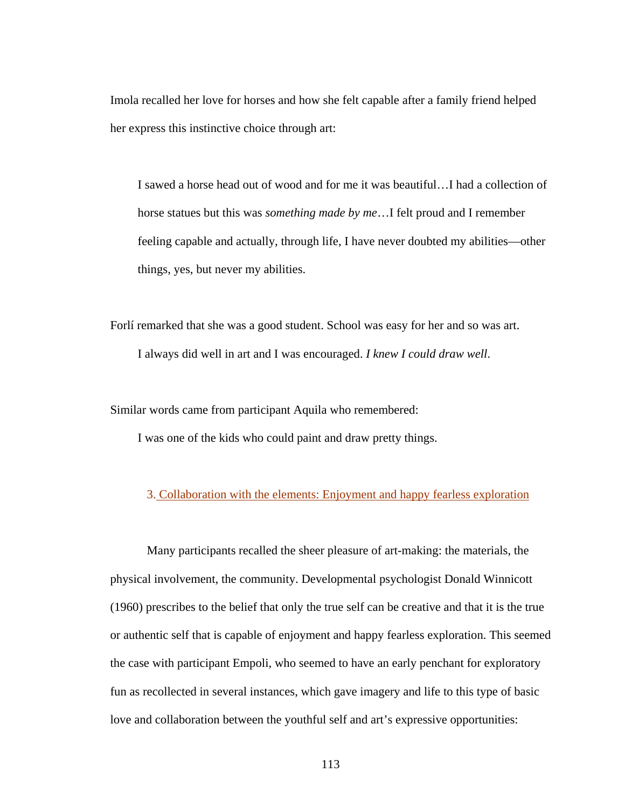Imola recalled her love for horses and how she felt capable after a family friend helped her express this instinctive choice through art:

I sawed a horse head out of wood and for me it was beautiful…I had a collection of horse statues but this was *something made by me*…I felt proud and I remember feeling capable and actually, through life, I have never doubted my abilities—other things, yes, but never my abilities.

Forlí remarked that she was a good student. School was easy for her and so was art. I always did well in art and I was encouraged. *I knew I could draw well*.

Similar words came from participant Aquila who remembered:

I was one of the kids who could paint and draw pretty things.

# 3. Collaboration with the elements: Enjoyment and happy fearless exploration

 Many participants recalled the sheer pleasure of art-making: the materials, the physical involvement, the community. Developmental psychologist Donald Winnicott (1960) prescribes to the belief that only the true self can be creative and that it is the true or authentic self that is capable of enjoyment and happy fearless exploration. This seemed the case with participant Empoli, who seemed to have an early penchant for exploratory fun as recollected in several instances, which gave imagery and life to this type of basic love and collaboration between the youthful self and art's expressive opportunities: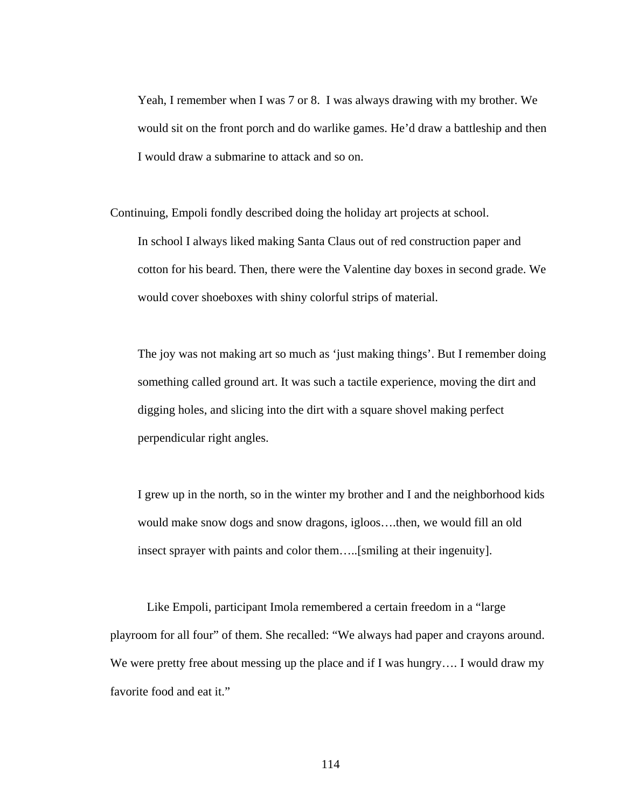Yeah, I remember when I was 7 or 8. I was always drawing with my brother. We would sit on the front porch and do warlike games. He'd draw a battleship and then I would draw a submarine to attack and so on.

Continuing, Empoli fondly described doing the holiday art projects at school. In school I always liked making Santa Claus out of red construction paper and cotton for his beard. Then, there were the Valentine day boxes in second grade. We would cover shoeboxes with shiny colorful strips of material.

The joy was not making art so much as 'just making things'. But I remember doing something called ground art. It was such a tactile experience, moving the dirt and digging holes, and slicing into the dirt with a square shovel making perfect perpendicular right angles.

I grew up in the north, so in the winter my brother and I and the neighborhood kids would make snow dogs and snow dragons, igloos….then, we would fill an old insect sprayer with paints and color them…..[smiling at their ingenuity].

 Like Empoli, participant Imola remembered a certain freedom in a "large playroom for all four" of them. She recalled: "We always had paper and crayons around. We were pretty free about messing up the place and if I was hungry.... I would draw my favorite food and eat it."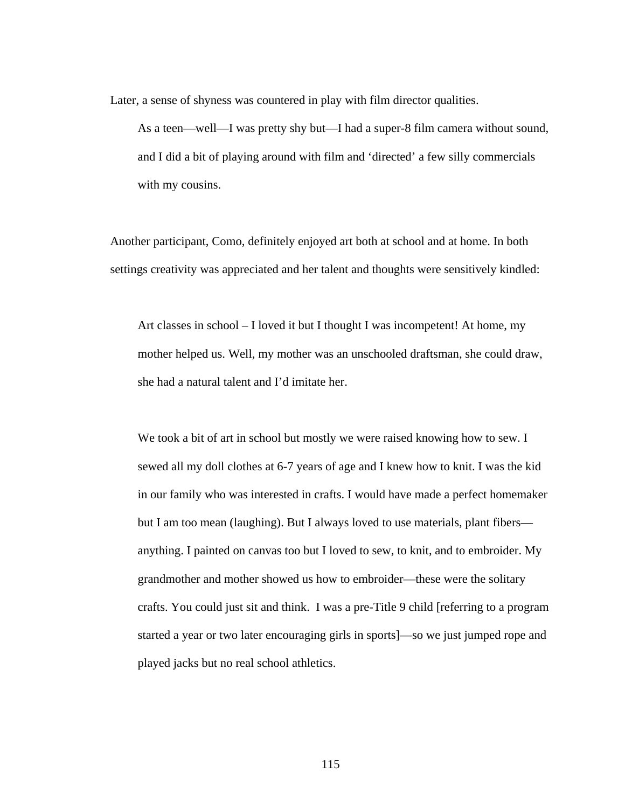Later, a sense of shyness was countered in play with film director qualities.

As a teen—well—I was pretty shy but—I had a super-8 film camera without sound, and I did a bit of playing around with film and 'directed' a few silly commercials with my cousins.

Another participant, Como, definitely enjoyed art both at school and at home. In both settings creativity was appreciated and her talent and thoughts were sensitively kindled:

Art classes in school – I loved it but I thought I was incompetent! At home, my mother helped us. Well, my mother was an unschooled draftsman, she could draw, she had a natural talent and I'd imitate her.

We took a bit of art in school but mostly we were raised knowing how to sew. I sewed all my doll clothes at 6-7 years of age and I knew how to knit. I was the kid in our family who was interested in crafts. I would have made a perfect homemaker but I am too mean (laughing). But I always loved to use materials, plant fibers anything. I painted on canvas too but I loved to sew, to knit, and to embroider. My grandmother and mother showed us how to embroider—these were the solitary crafts. You could just sit and think. I was a pre-Title 9 child [referring to a program started a year or two later encouraging girls in sports]—so we just jumped rope and played jacks but no real school athletics.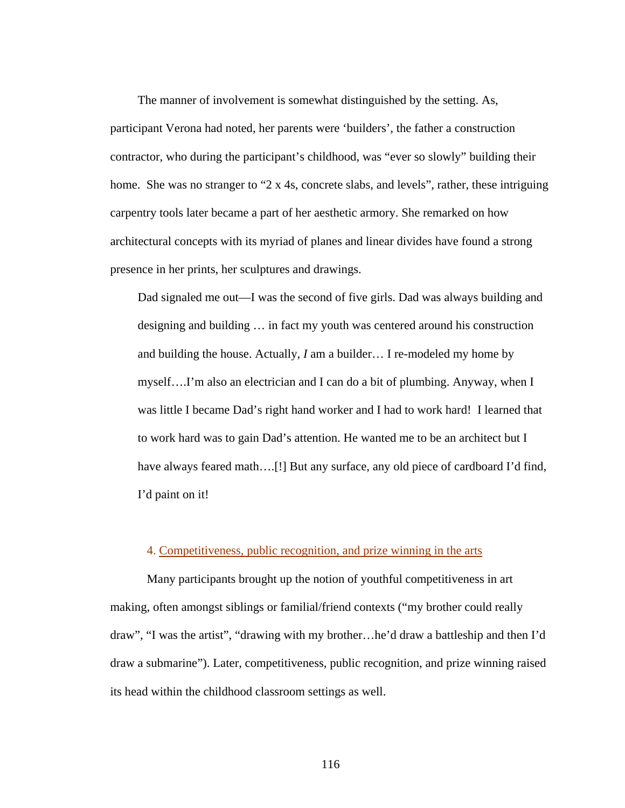The manner of involvement is somewhat distinguished by the setting. As, participant Verona had noted, her parents were 'builders', the father a construction contractor, who during the participant's childhood, was "ever so slowly" building their home. She was no stranger to "2 x 4s, concrete slabs, and levels", rather, these intriguing carpentry tools later became a part of her aesthetic armory. She remarked on how architectural concepts with its myriad of planes and linear divides have found a strong presence in her prints, her sculptures and drawings.

Dad signaled me out—I was the second of five girls. Dad was always building and designing and building … in fact my youth was centered around his construction and building the house. Actually, *I* am a builder… I re-modeled my home by myself….I'm also an electrician and I can do a bit of plumbing. Anyway, when I was little I became Dad's right hand worker and I had to work hard! I learned that to work hard was to gain Dad's attention. He wanted me to be an architect but I have always feared math….[!] But any surface, any old piece of cardboard I'd find, I'd paint on it!

# 4. Competitiveness, public recognition, and prize winning in the arts

 Many participants brought up the notion of youthful competitiveness in art making, often amongst siblings or familial/friend contexts ("my brother could really draw", "I was the artist", "drawing with my brother…he'd draw a battleship and then I'd draw a submarine"). Later, competitiveness, public recognition, and prize winning raised its head within the childhood classroom settings as well.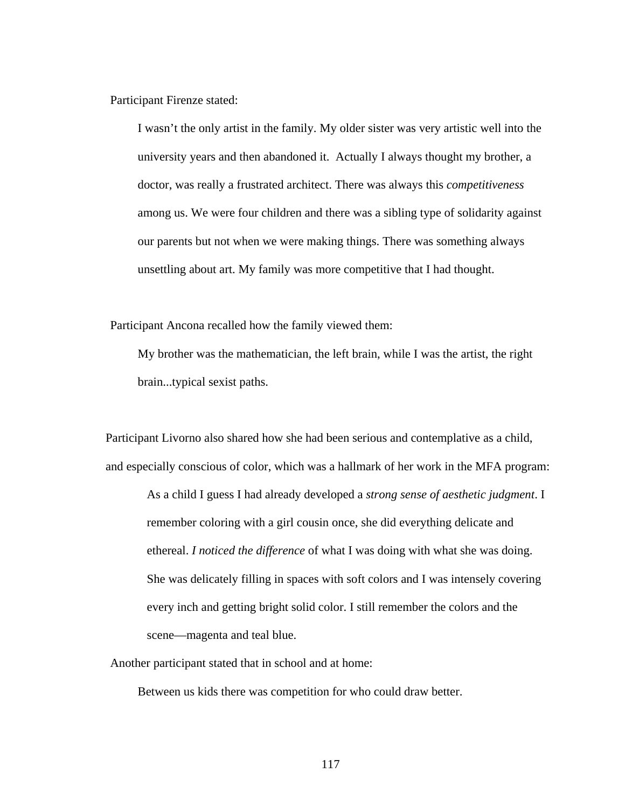Participant Firenze stated:

I wasn't the only artist in the family. My older sister was very artistic well into the university years and then abandoned it. Actually I always thought my brother, a doctor, was really a frustrated architect. There was always this *competitiveness* among us. We were four children and there was a sibling type of solidarity against our parents but not when we were making things. There was something always unsettling about art. My family was more competitive that I had thought.

Participant Ancona recalled how the family viewed them:

 My brother was the mathematician, the left brain, while I was the artist, the right brain...typical sexist paths.

Participant Livorno also shared how she had been serious and contemplative as a child, and especially conscious of color, which was a hallmark of her work in the MFA program:

As a child I guess I had already developed a *strong sense of aesthetic judgment*. I remember coloring with a girl cousin once, she did everything delicate and ethereal. *I noticed the difference* of what I was doing with what she was doing. She was delicately filling in spaces with soft colors and I was intensely covering every inch and getting bright solid color. I still remember the colors and the scene—magenta and teal blue.

Another participant stated that in school and at home:

Between us kids there was competition for who could draw better.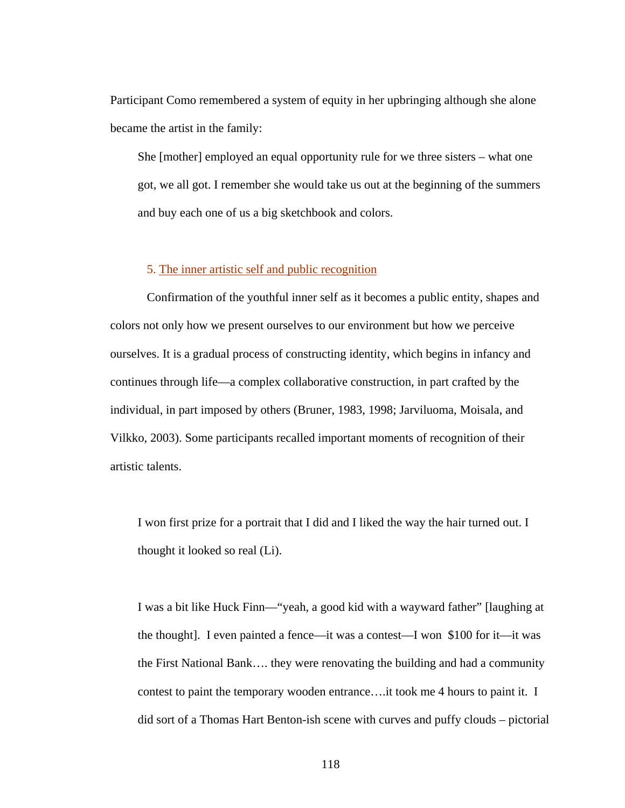Participant Como remembered a system of equity in her upbringing although she alone became the artist in the family:

She [mother] employed an equal opportunity rule for we three sisters – what one got, we all got. I remember she would take us out at the beginning of the summers and buy each one of us a big sketchbook and colors.

# 5. The inner artistic self and public recognition

 Confirmation of the youthful inner self as it becomes a public entity, shapes and colors not only how we present ourselves to our environment but how we perceive ourselves. It is a gradual process of constructing identity, which begins in infancy and continues through life—a complex collaborative construction, in part crafted by the individual, in part imposed by others (Bruner, 1983, 1998; Jarviluoma, Moisala, and Vilkko, 2003). Some participants recalled important moments of recognition of their artistic talents.

I won first prize for a portrait that I did and I liked the way the hair turned out. I thought it looked so real (Li).

I was a bit like Huck Finn—"yeah, a good kid with a wayward father" [laughing at the thought]. I even painted a fence—it was a contest—I won \$100 for it—it was the First National Bank…. they were renovating the building and had a community contest to paint the temporary wooden entrance….it took me 4 hours to paint it. I did sort of a Thomas Hart Benton-ish scene with curves and puffy clouds – pictorial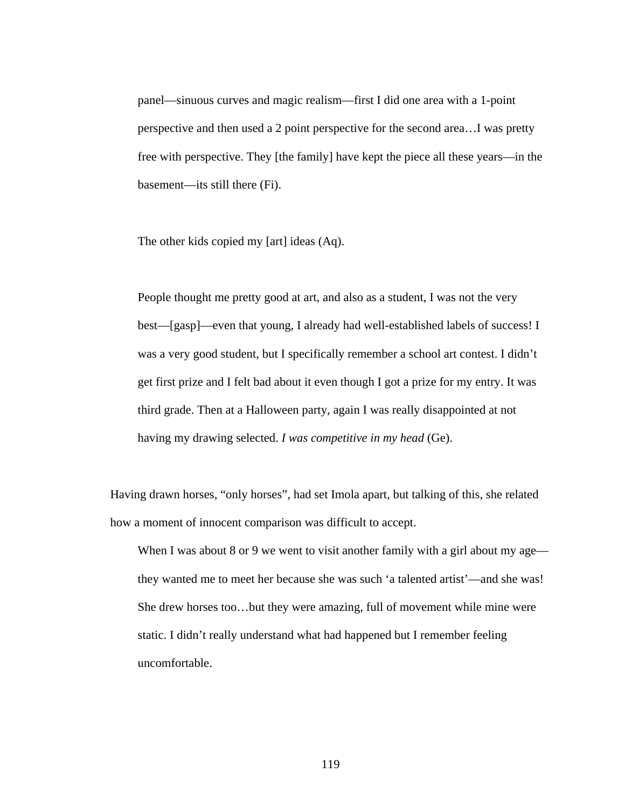panel—sinuous curves and magic realism—first I did one area with a 1-point perspective and then used a 2 point perspective for the second area…I was pretty free with perspective. They [the family] have kept the piece all these years—in the basement—its still there (Fi).

The other kids copied my [art] ideas (Aq).

People thought me pretty good at art, and also as a student, I was not the very best—[gasp]—even that young, I already had well-established labels of success! I was a very good student, but I specifically remember a school art contest. I didn't get first prize and I felt bad about it even though I got a prize for my entry. It was third grade. Then at a Halloween party, again I was really disappointed at not having my drawing selected. *I was competitive in my head* (Ge).

Having drawn horses, "only horses", had set Imola apart, but talking of this, she related how a moment of innocent comparison was difficult to accept.

When I was about 8 or 9 we went to visit another family with a girl about my age they wanted me to meet her because she was such 'a talented artist'—and she was! She drew horses too…but they were amazing, full of movement while mine were static. I didn't really understand what had happened but I remember feeling uncomfortable.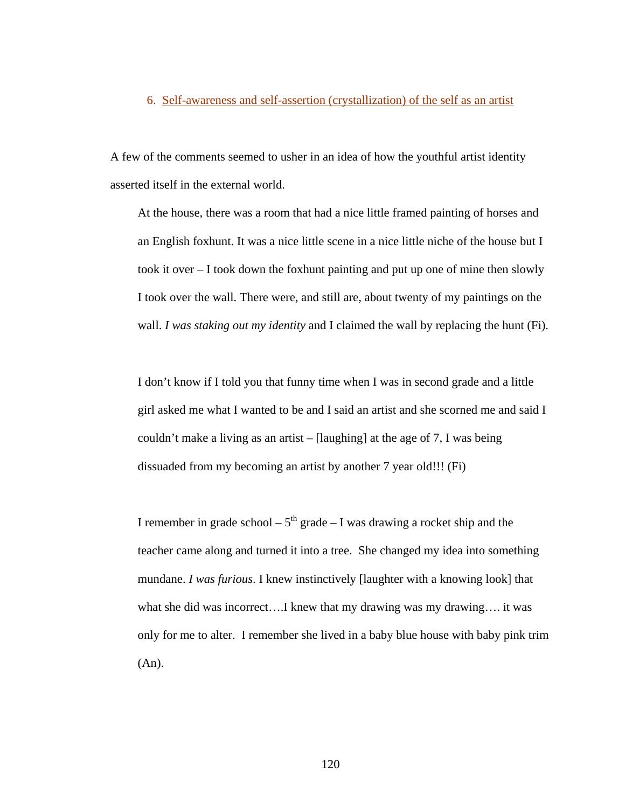#### 6. Self-awareness and self-assertion (crystallization) of the self as an artist

A few of the comments seemed to usher in an idea of how the youthful artist identity asserted itself in the external world.

At the house, there was a room that had a nice little framed painting of horses and an English foxhunt. It was a nice little scene in a nice little niche of the house but I took it over – I took down the foxhunt painting and put up one of mine then slowly I took over the wall. There were, and still are, about twenty of my paintings on the wall. *I was staking out my identity* and I claimed the wall by replacing the hunt (Fi).

I don't know if I told you that funny time when I was in second grade and a little girl asked me what I wanted to be and I said an artist and she scorned me and said I couldn't make a living as an artist – [laughing] at the age of 7, I was being dissuaded from my becoming an artist by another 7 year old!!! (Fi)

I remember in grade school –  $5<sup>th</sup>$  grade – I was drawing a rocket ship and the teacher came along and turned it into a tree. She changed my idea into something mundane. *I was furious*. I knew instinctively [laughter with a knowing look] that what she did was incorrect....I knew that my drawing was my drawing.... it was only for me to alter. I remember she lived in a baby blue house with baby pink trim (An).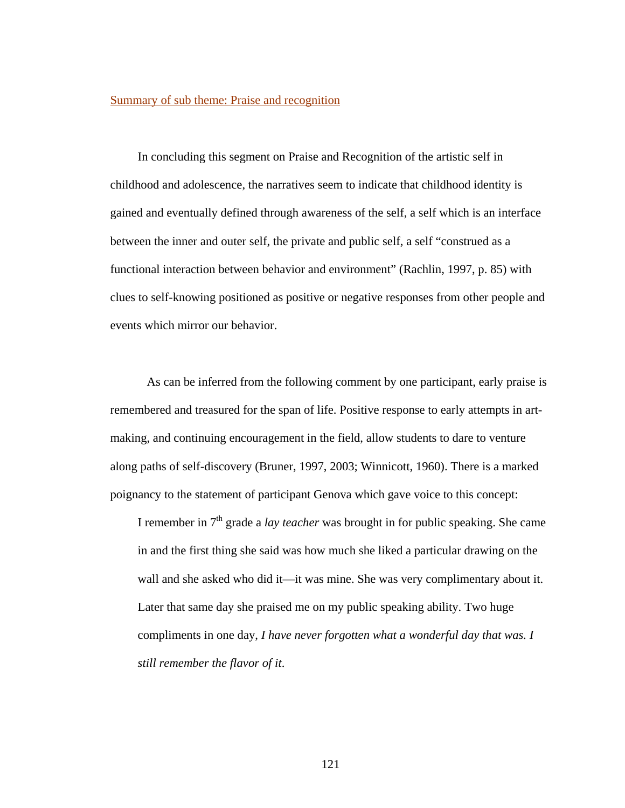#### Summary of sub theme: Praise and recognition

In concluding this segment on Praise and Recognition of the artistic self in childhood and adolescence, the narratives seem to indicate that childhood identity is gained and eventually defined through awareness of the self, a self which is an interface between the inner and outer self, the private and public self, a self "construed as a functional interaction between behavior and environment" (Rachlin, 1997, p. 85) with clues to self-knowing positioned as positive or negative responses from other people and events which mirror our behavior.

As can be inferred from the following comment by one participant, early praise is remembered and treasured for the span of life. Positive response to early attempts in artmaking, and continuing encouragement in the field, allow students to dare to venture along paths of self-discovery (Bruner, 1997, 2003; Winnicott, 1960). There is a marked poignancy to the statement of participant Genova which gave voice to this concept:

I remember in 7th grade a *lay teacher* was brought in for public speaking. She came in and the first thing she said was how much she liked a particular drawing on the wall and she asked who did it—it was mine. She was very complimentary about it. Later that same day she praised me on my public speaking ability. Two huge compliments in one day, *I have never forgotten what a wonderful day that was. I still remember the flavor of it*.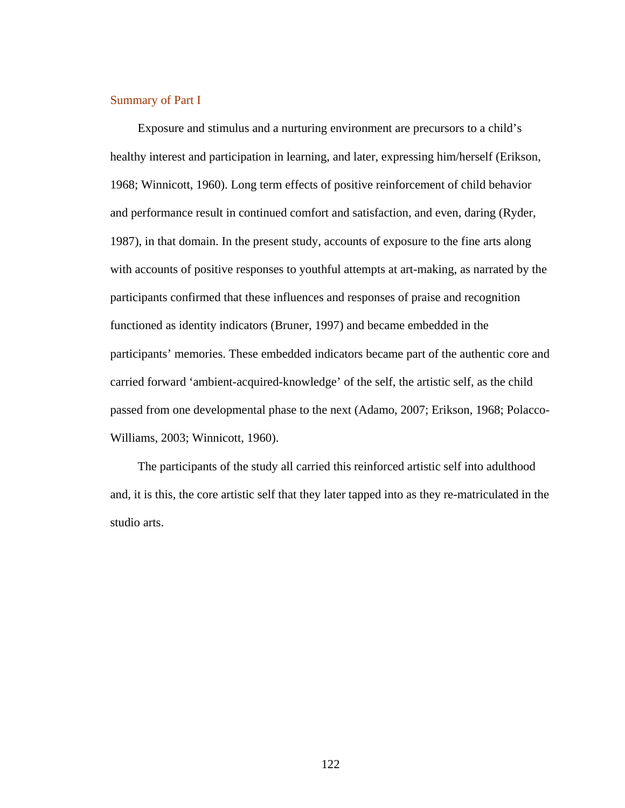#### Summary of Part I

Exposure and stimulus and a nurturing environment are precursors to a child's healthy interest and participation in learning, and later, expressing him/herself (Erikson, 1968; Winnicott, 1960). Long term effects of positive reinforcement of child behavior and performance result in continued comfort and satisfaction, and even, daring (Ryder, 1987), in that domain. In the present study, accounts of exposure to the fine arts along with accounts of positive responses to youthful attempts at art-making, as narrated by the participants confirmed that these influences and responses of praise and recognition functioned as identity indicators (Bruner, 1997) and became embedded in the participants' memories. These embedded indicators became part of the authentic core and carried forward 'ambient-acquired-knowledge' of the self, the artistic self, as the child passed from one developmental phase to the next (Adamo, 2007; Erikson, 1968; Polacco-Williams, 2003; Winnicott, 1960).

The participants of the study all carried this reinforced artistic self into adulthood and, it is this, the core artistic self that they later tapped into as they re-matriculated in the studio arts.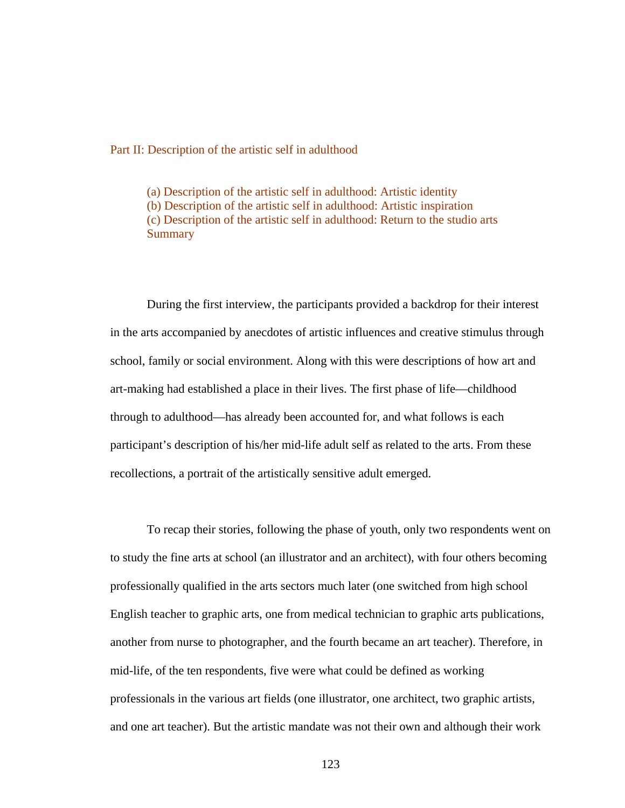#### Part II: Description of the artistic self in adulthood

(a) Description of the artistic self in adulthood: Artistic identity (b) Description of the artistic self in adulthood: Artistic inspiration (c) Description of the artistic self in adulthood: Return to the studio arts **Summary** 

During the first interview, the participants provided a backdrop for their interest in the arts accompanied by anecdotes of artistic influences and creative stimulus through school, family or social environment. Along with this were descriptions of how art and art-making had established a place in their lives. The first phase of life—childhood through to adulthood—has already been accounted for, and what follows is each participant's description of his/her mid-life adult self as related to the arts. From these recollections, a portrait of the artistically sensitive adult emerged.

To recap their stories, following the phase of youth, only two respondents went on to study the fine arts at school (an illustrator and an architect), with four others becoming professionally qualified in the arts sectors much later (one switched from high school English teacher to graphic arts, one from medical technician to graphic arts publications, another from nurse to photographer, and the fourth became an art teacher). Therefore, in mid-life, of the ten respondents, five were what could be defined as working professionals in the various art fields (one illustrator, one architect, two graphic artists, and one art teacher). But the artistic mandate was not their own and although their work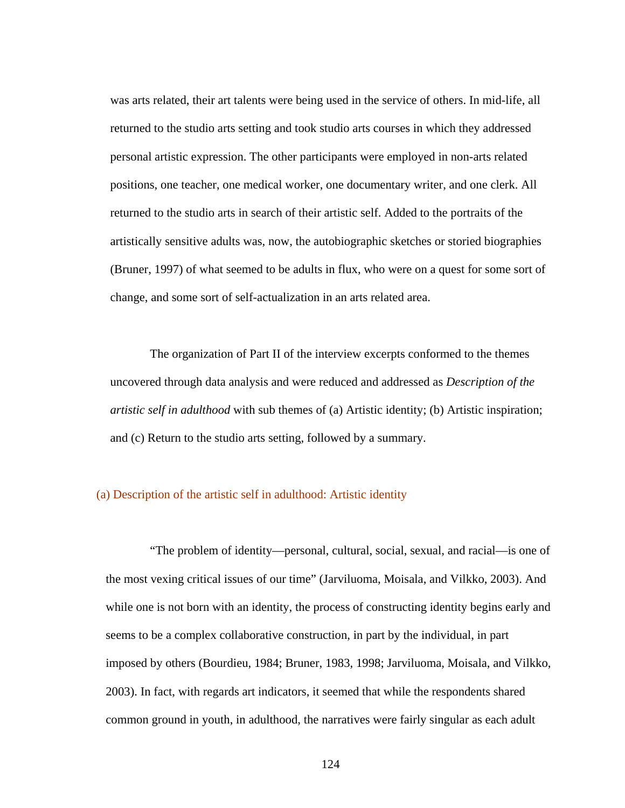was arts related, their art talents were being used in the service of others. In mid-life, all returned to the studio arts setting and took studio arts courses in which they addressed personal artistic expression. The other participants were employed in non-arts related positions, one teacher, one medical worker, one documentary writer, and one clerk. All returned to the studio arts in search of their artistic self. Added to the portraits of the artistically sensitive adults was, now, the autobiographic sketches or storied biographies (Bruner, 1997) of what seemed to be adults in flux, who were on a quest for some sort of change, and some sort of self-actualization in an arts related area.

 The organization of Part II of the interview excerpts conformed to the themes uncovered through data analysis and were reduced and addressed as *Description of the artistic self in adulthood* with sub themes of (a) Artistic identity; (b) Artistic inspiration; and (c) Return to the studio arts setting, followed by a summary.

### (a) Description of the artistic self in adulthood: Artistic identity

 "The problem of identity—personal, cultural, social, sexual, and racial—is one of the most vexing critical issues of our time" (Jarviluoma, Moisala, and Vilkko, 2003). And while one is not born with an identity, the process of constructing identity begins early and seems to be a complex collaborative construction, in part by the individual, in part imposed by others (Bourdieu, 1984; Bruner, 1983, 1998; Jarviluoma, Moisala, and Vilkko, 2003). In fact, with regards art indicators, it seemed that while the respondents shared common ground in youth, in adulthood, the narratives were fairly singular as each adult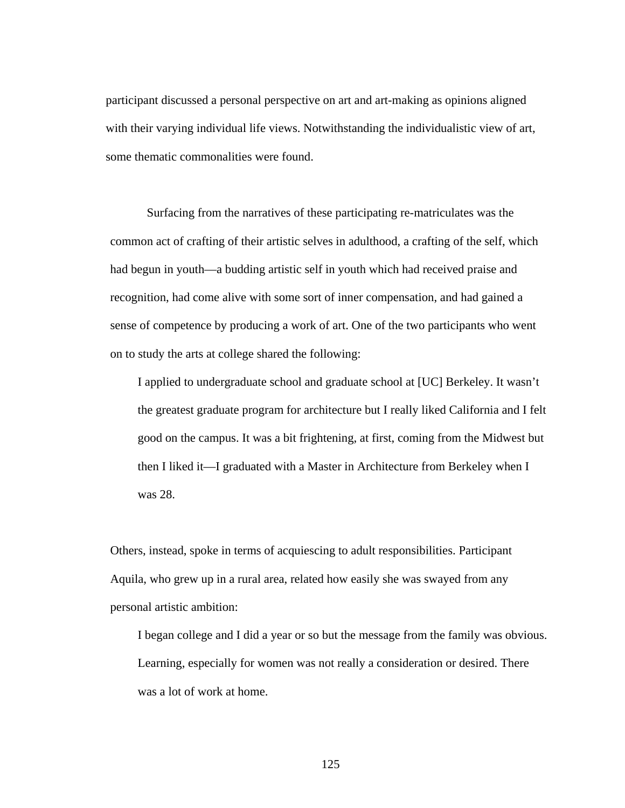participant discussed a personal perspective on art and art-making as opinions aligned with their varying individual life views. Notwithstanding the individualistic view of art, some thematic commonalities were found.

 Surfacing from the narratives of these participating re-matriculates was the common act of crafting of their artistic selves in adulthood, a crafting of the self, which had begun in youth—a budding artistic self in youth which had received praise and recognition, had come alive with some sort of inner compensation, and had gained a sense of competence by producing a work of art. One of the two participants who went on to study the arts at college shared the following:

I applied to undergraduate school and graduate school at [UC] Berkeley. It wasn't the greatest graduate program for architecture but I really liked California and I felt good on the campus. It was a bit frightening, at first, coming from the Midwest but then I liked it—I graduated with a Master in Architecture from Berkeley when I was 28.

Others, instead, spoke in terms of acquiescing to adult responsibilities. Participant Aquila, who grew up in a rural area, related how easily she was swayed from any personal artistic ambition:

I began college and I did a year or so but the message from the family was obvious. Learning, especially for women was not really a consideration or desired. There was a lot of work at home.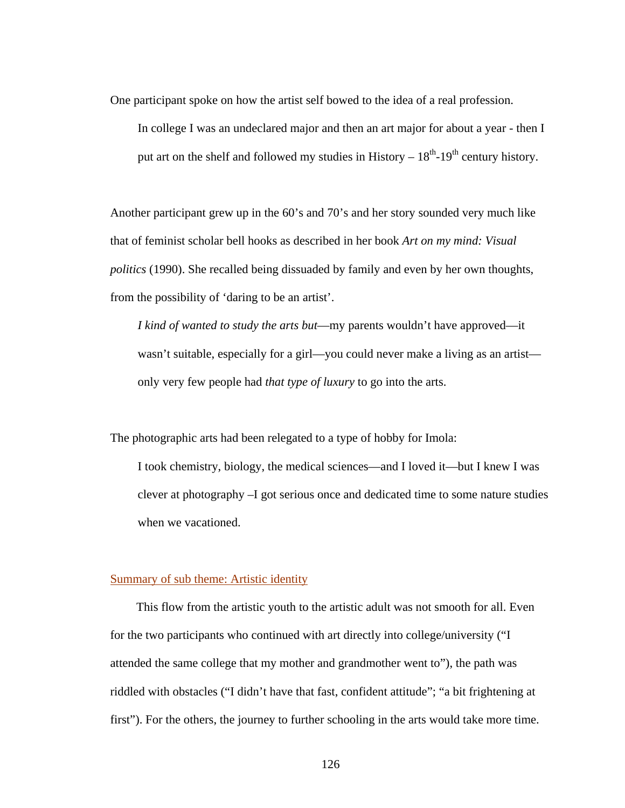One participant spoke on how the artist self bowed to the idea of a real profession.

In college I was an undeclared major and then an art major for about a year - then I put art on the shelf and followed my studies in History –  $18<sup>th</sup>$ -19<sup>th</sup> century history.

Another participant grew up in the 60's and 70's and her story sounded very much like that of feminist scholar bell hooks as described in her book *Art on my mind: Visual politics* (1990). She recalled being dissuaded by family and even by her own thoughts, from the possibility of 'daring to be an artist'.

*I kind of wanted to study the arts but*—my parents wouldn't have approved—it wasn't suitable, especially for a girl—you could never make a living as an artist only very few people had *that type of luxury* to go into the arts.

The photographic arts had been relegated to a type of hobby for Imola:

I took chemistry, biology, the medical sciences—and I loved it—but I knew I was clever at photography –I got serious once and dedicated time to some nature studies when we vacationed.

#### Summary of sub theme: Artistic identity

 This flow from the artistic youth to the artistic adult was not smooth for all. Even for the two participants who continued with art directly into college/university ("I attended the same college that my mother and grandmother went to"), the path was riddled with obstacles ("I didn't have that fast, confident attitude"; "a bit frightening at first"). For the others, the journey to further schooling in the arts would take more time.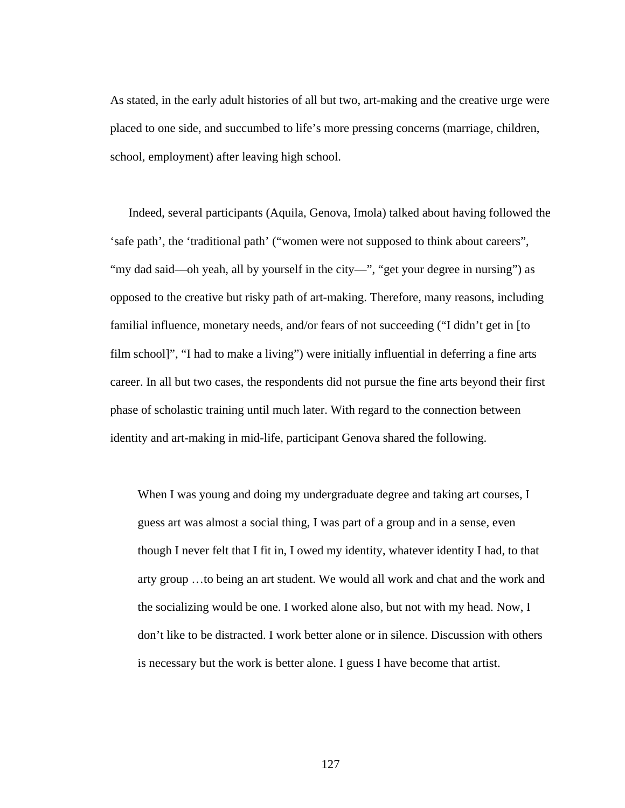As stated, in the early adult histories of all but two, art-making and the creative urge were placed to one side, and succumbed to life's more pressing concerns (marriage, children, school, employment) after leaving high school.

 Indeed, several participants (Aquila, Genova, Imola) talked about having followed the 'safe path', the 'traditional path' ("women were not supposed to think about careers", "my dad said—oh yeah, all by yourself in the city—", "get your degree in nursing") as opposed to the creative but risky path of art-making. Therefore, many reasons, including familial influence, monetary needs, and/or fears of not succeeding ("I didn't get in [to film school]", "I had to make a living") were initially influential in deferring a fine arts career. In all but two cases, the respondents did not pursue the fine arts beyond their first phase of scholastic training until much later. With regard to the connection between identity and art-making in mid-life, participant Genova shared the following.

When I was young and doing my undergraduate degree and taking art courses, I guess art was almost a social thing, I was part of a group and in a sense, even though I never felt that I fit in, I owed my identity, whatever identity I had, to that arty group …to being an art student. We would all work and chat and the work and the socializing would be one. I worked alone also, but not with my head. Now, I don't like to be distracted. I work better alone or in silence. Discussion with others is necessary but the work is better alone. I guess I have become that artist.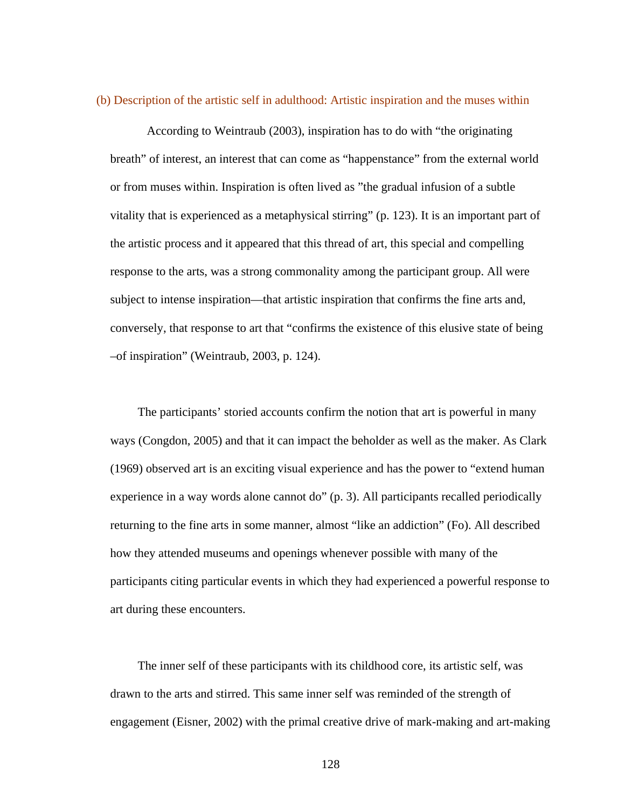(b) Description of the artistic self in adulthood: Artistic inspiration and the muses within

 According to Weintraub (2003), inspiration has to do with "the originating breath" of interest, an interest that can come as "happenstance" from the external world or from muses within. Inspiration is often lived as "the gradual infusion of a subtle vitality that is experienced as a metaphysical stirring" (p. 123). It is an important part of the artistic process and it appeared that this thread of art, this special and compelling response to the arts, was a strong commonality among the participant group. All were subject to intense inspiration—that artistic inspiration that confirms the fine arts and, conversely, that response to art that "confirms the existence of this elusive state of being –of inspiration" (Weintraub, 2003, p. 124).

The participants' storied accounts confirm the notion that art is powerful in many ways (Congdon, 2005) and that it can impact the beholder as well as the maker. As Clark (1969) observed art is an exciting visual experience and has the power to "extend human experience in a way words alone cannot do" (p. 3). All participants recalled periodically returning to the fine arts in some manner, almost "like an addiction" (Fo). All described how they attended museums and openings whenever possible with many of the participants citing particular events in which they had experienced a powerful response to art during these encounters.

The inner self of these participants with its childhood core, its artistic self, was drawn to the arts and stirred. This same inner self was reminded of the strength of engagement (Eisner, 2002) with the primal creative drive of mark-making and art-making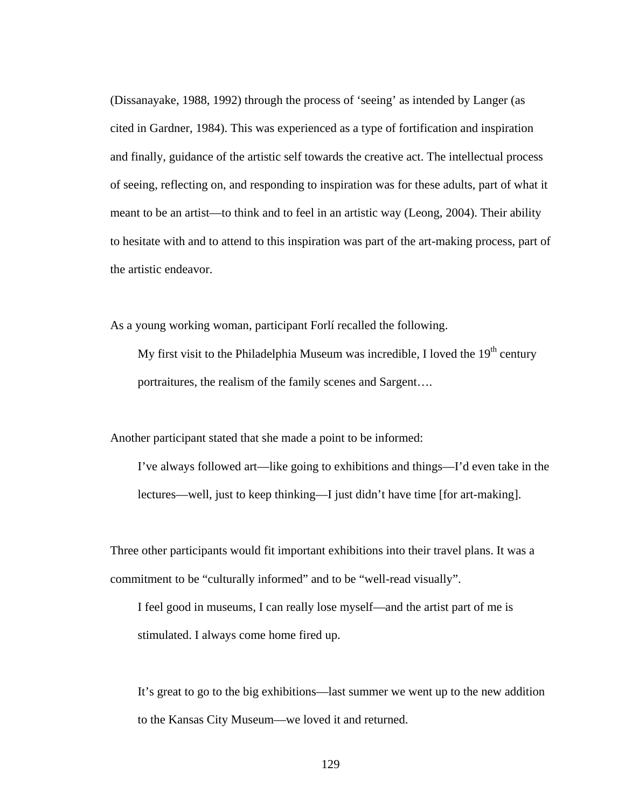(Dissanayake, 1988, 1992) through the process of 'seeing' as intended by Langer (as cited in Gardner, 1984). This was experienced as a type of fortification and inspiration and finally, guidance of the artistic self towards the creative act. The intellectual process of seeing, reflecting on, and responding to inspiration was for these adults, part of what it meant to be an artist—to think and to feel in an artistic way (Leong, 2004). Their ability to hesitate with and to attend to this inspiration was part of the art-making process, part of the artistic endeavor.

As a young working woman, participant Forlí recalled the following.

My first visit to the Philadelphia Museum was incredible, I loved the  $19<sup>th</sup>$  century portraitures, the realism of the family scenes and Sargent….

Another participant stated that she made a point to be informed:

I've always followed art—like going to exhibitions and things—I'd even take in the lectures—well, just to keep thinking—I just didn't have time [for art-making].

Three other participants would fit important exhibitions into their travel plans. It was a commitment to be "culturally informed" and to be "well-read visually".

I feel good in museums, I can really lose myself—and the artist part of me is stimulated. I always come home fired up.

It's great to go to the big exhibitions—last summer we went up to the new addition to the Kansas City Museum—we loved it and returned.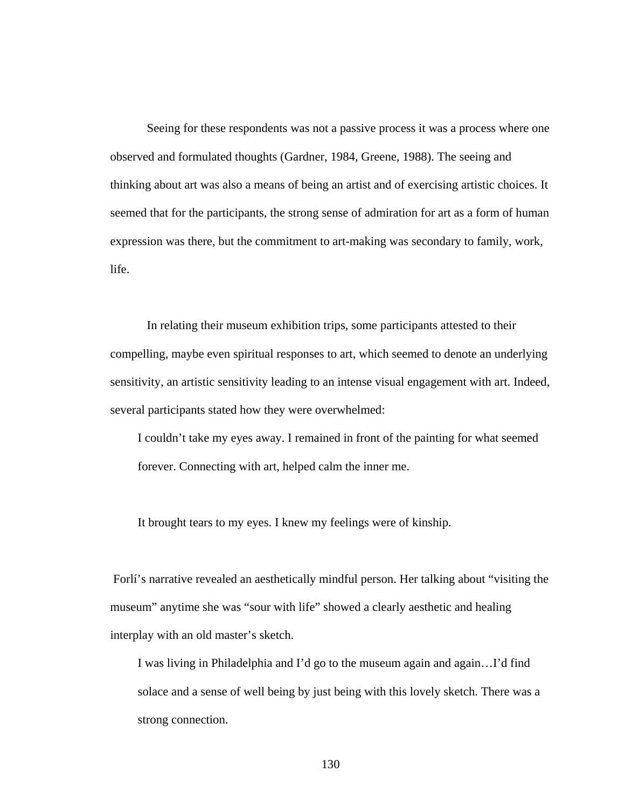Seeing for these respondents was not a passive process it was a process where one observed and formulated thoughts (Gardner, 1984, Greene, 1988). The seeing and thinking about art was also a means of being an artist and of exercising artistic choices. It seemed that for the participants, the strong sense of admiration for art as a form of human expression was there, but the commitment to art-making was secondary to family, work, life.

 In relating their museum exhibition trips, some participants attested to their compelling, maybe even spiritual responses to art, which seemed to denote an underlying sensitivity, an artistic sensitivity leading to an intense visual engagement with art. Indeed, several participants stated how they were overwhelmed:

I couldn't take my eyes away. I remained in front of the painting for what seemed forever. Connecting with art, helped calm the inner me.

It brought tears to my eyes. I knew my feelings were of kinship.

 Forlí's narrative revealed an aesthetically mindful person. Her talking about "visiting the museum" anytime she was "sour with life" showed a clearly aesthetic and healing interplay with an old master's sketch.

I was living in Philadelphia and I'd go to the museum again and again…I'd find solace and a sense of well being by just being with this lovely sketch. There was a strong connection.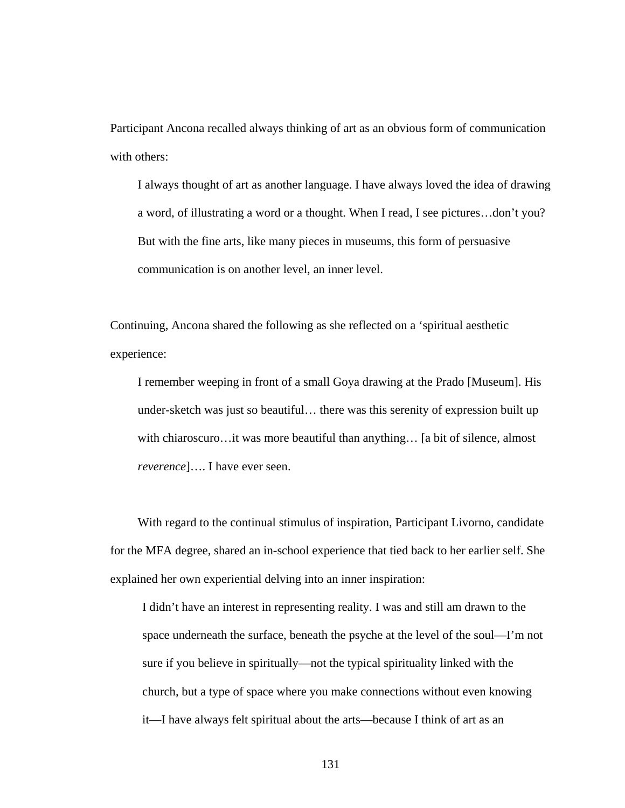Participant Ancona recalled always thinking of art as an obvious form of communication with others:

I always thought of art as another language. I have always loved the idea of drawing a word, of illustrating a word or a thought. When I read, I see pictures…don't you? But with the fine arts, like many pieces in museums, this form of persuasive communication is on another level, an inner level.

Continuing, Ancona shared the following as she reflected on a 'spiritual aesthetic experience:

I remember weeping in front of a small Goya drawing at the Prado [Museum]. His under-sketch was just so beautiful… there was this serenity of expression built up with chiaroscuro…it was more beautiful than anything… [a bit of silence, almost *reverence*]…. I have ever seen.

With regard to the continual stimulus of inspiration, Participant Livorno, candidate for the MFA degree, shared an in-school experience that tied back to her earlier self. She explained her own experiential delving into an inner inspiration:

I didn't have an interest in representing reality. I was and still am drawn to the space underneath the surface, beneath the psyche at the level of the soul—I'm not sure if you believe in spiritually—not the typical spirituality linked with the church, but a type of space where you make connections without even knowing it—I have always felt spiritual about the arts—because I think of art as an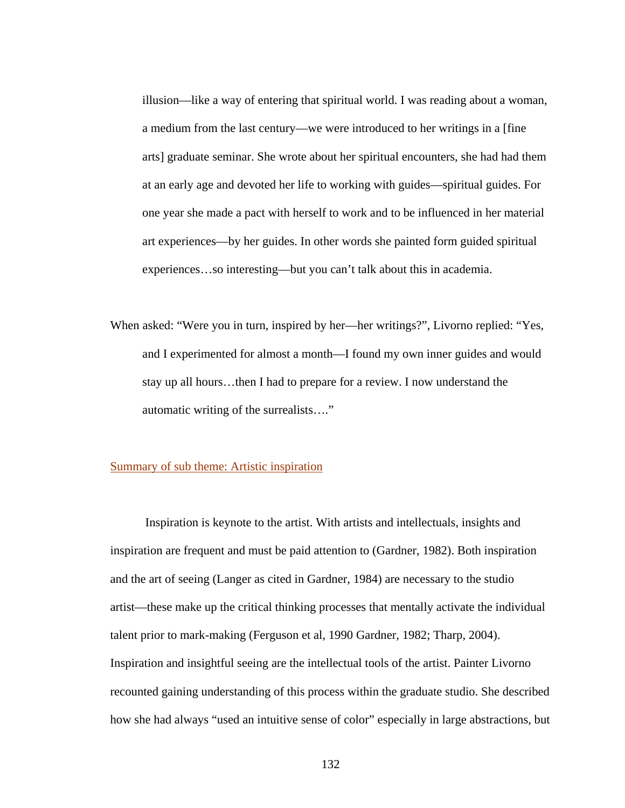illusion—like a way of entering that spiritual world. I was reading about a woman, a medium from the last century—we were introduced to her writings in a [fine arts] graduate seminar. She wrote about her spiritual encounters, she had had them at an early age and devoted her life to working with guides—spiritual guides. For one year she made a pact with herself to work and to be influenced in her material art experiences—by her guides. In other words she painted form guided spiritual experiences…so interesting—but you can't talk about this in academia.

When asked: "Were you in turn, inspired by her—her writings?", Livorno replied: "Yes, and I experimented for almost a month—I found my own inner guides and would stay up all hours…then I had to prepare for a review. I now understand the automatic writing of the surrealists…."

#### Summary of sub theme: Artistic inspiration

 Inspiration is keynote to the artist. With artists and intellectuals, insights and inspiration are frequent and must be paid attention to (Gardner, 1982). Both inspiration and the art of seeing (Langer as cited in Gardner, 1984) are necessary to the studio artist—these make up the critical thinking processes that mentally activate the individual talent prior to mark-making (Ferguson et al, 1990 Gardner, 1982; Tharp, 2004). Inspiration and insightful seeing are the intellectual tools of the artist. Painter Livorno recounted gaining understanding of this process within the graduate studio. She described how she had always "used an intuitive sense of color" especially in large abstractions, but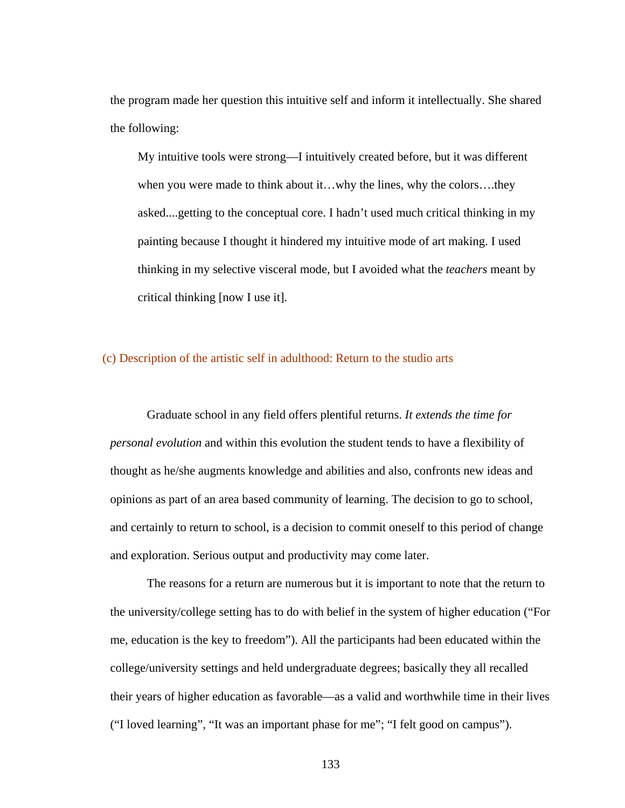the program made her question this intuitive self and inform it intellectually. She shared the following:

My intuitive tools were strong—I intuitively created before, but it was different when you were made to think about it…why the lines, why the colors….they asked....getting to the conceptual core. I hadn't used much critical thinking in my painting because I thought it hindered my intuitive mode of art making. I used thinking in my selective visceral mode, but I avoided what the *teachers* meant by critical thinking [now I use it].

# (c) Description of the artistic self in adulthood: Return to the studio arts

 Graduate school in any field offers plentiful returns. *It extends the time for personal evolution* and within this evolution the student tends to have a flexibility of thought as he/she augments knowledge and abilities and also, confronts new ideas and opinions as part of an area based community of learning. The decision to go to school, and certainly to return to school, is a decision to commit oneself to this period of change and exploration. Serious output and productivity may come later.

 The reasons for a return are numerous but it is important to note that the return to the university/college setting has to do with belief in the system of higher education ("For me, education is the key to freedom"). All the participants had been educated within the college/university settings and held undergraduate degrees; basically they all recalled their years of higher education as favorable—as a valid and worthwhile time in their lives ("I loved learning", "It was an important phase for me"; "I felt good on campus").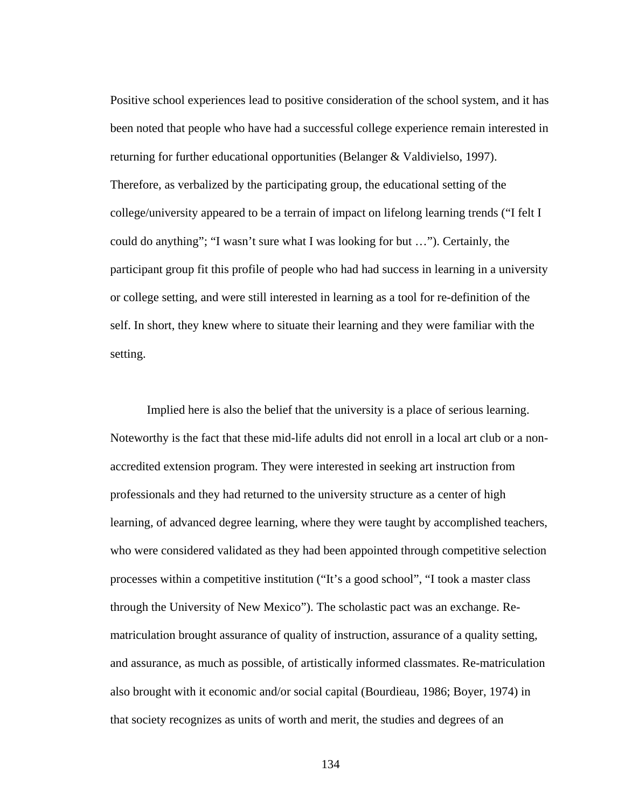Positive school experiences lead to positive consideration of the school system, and it has been noted that people who have had a successful college experience remain interested in returning for further educational opportunities (Belanger & Valdivielso, 1997). Therefore, as verbalized by the participating group, the educational setting of the college/university appeared to be a terrain of impact on lifelong learning trends ("I felt I could do anything"; "I wasn't sure what I was looking for but …"). Certainly, the participant group fit this profile of people who had had success in learning in a university or college setting, and were still interested in learning as a tool for re-definition of the self. In short, they knew where to situate their learning and they were familiar with the setting.

 Implied here is also the belief that the university is a place of serious learning. Noteworthy is the fact that these mid-life adults did not enroll in a local art club or a nonaccredited extension program. They were interested in seeking art instruction from professionals and they had returned to the university structure as a center of high learning, of advanced degree learning, where they were taught by accomplished teachers, who were considered validated as they had been appointed through competitive selection processes within a competitive institution ("It's a good school", "I took a master class through the University of New Mexico"). The scholastic pact was an exchange. Rematriculation brought assurance of quality of instruction, assurance of a quality setting, and assurance, as much as possible, of artistically informed classmates. Re-matriculation also brought with it economic and/or social capital (Bourdieau, 1986; Boyer, 1974) in that society recognizes as units of worth and merit, the studies and degrees of an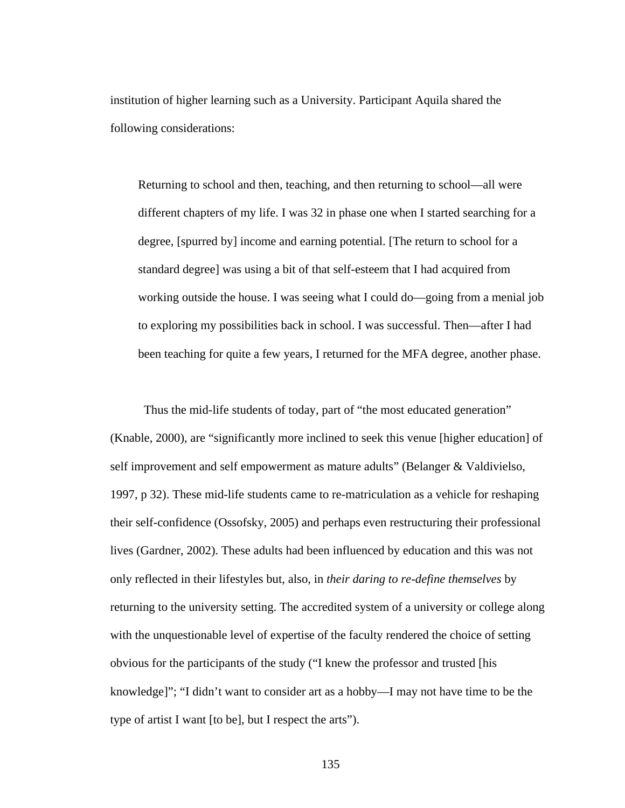institution of higher learning such as a University. Participant Aquila shared the following considerations:

Returning to school and then, teaching, and then returning to school—all were different chapters of my life. I was 32 in phase one when I started searching for a degree, [spurred by] income and earning potential. [The return to school for a standard degree] was using a bit of that self-esteem that I had acquired from working outside the house. I was seeing what I could do—going from a menial job to exploring my possibilities back in school. I was successful. Then—after I had been teaching for quite a few years, I returned for the MFA degree, another phase.

 Thus the mid-life students of today, part of "the most educated generation" (Knable, 2000), are "significantly more inclined to seek this venue [higher education] of self improvement and self empowerment as mature adults" (Belanger & Valdivielso, 1997, p 32). These mid-life students came to re-matriculation as a vehicle for reshaping their self-confidence (Ossofsky, 2005) and perhaps even restructuring their professional lives (Gardner, 2002). These adults had been influenced by education and this was not only reflected in their lifestyles but, also, in *their daring to re-define themselves* by returning to the university setting. The accredited system of a university or college along with the unquestionable level of expertise of the faculty rendered the choice of setting obvious for the participants of the study ("I knew the professor and trusted [his knowledge]"; "I didn't want to consider art as a hobby—I may not have time to be the type of artist I want [to be], but I respect the arts").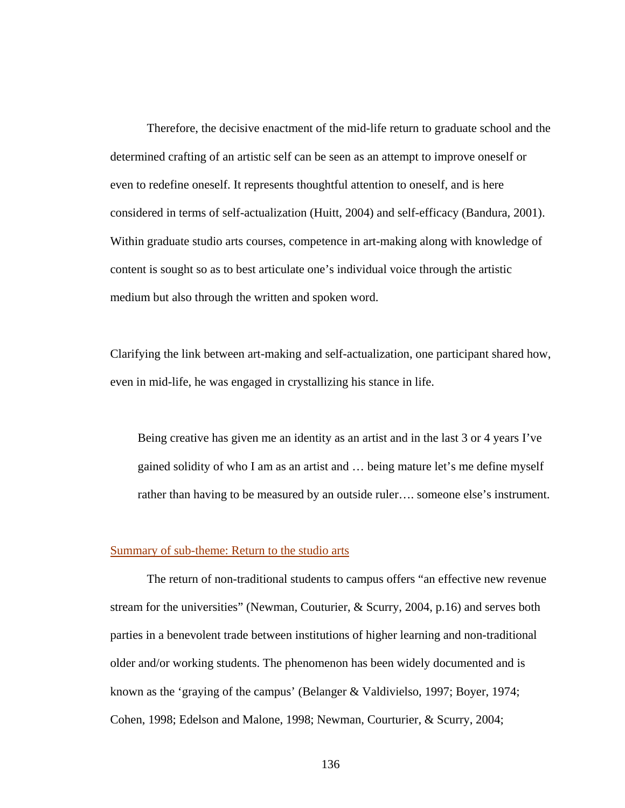Therefore, the decisive enactment of the mid-life return to graduate school and the determined crafting of an artistic self can be seen as an attempt to improve oneself or even to redefine oneself. It represents thoughtful attention to oneself, and is here considered in terms of self-actualization (Huitt, 2004) and self-efficacy (Bandura, 2001). Within graduate studio arts courses, competence in art-making along with knowledge of content is sought so as to best articulate one's individual voice through the artistic medium but also through the written and spoken word.

Clarifying the link between art-making and self-actualization, one participant shared how, even in mid-life, he was engaged in crystallizing his stance in life.

Being creative has given me an identity as an artist and in the last 3 or 4 years I've gained solidity of who I am as an artist and … being mature let's me define myself rather than having to be measured by an outside ruler…. someone else's instrument.

# Summary of sub-theme: Return to the studio arts

 The return of non-traditional students to campus offers "an effective new revenue stream for the universities" (Newman, Couturier, & Scurry, 2004, p.16) and serves both parties in a benevolent trade between institutions of higher learning and non-traditional older and/or working students. The phenomenon has been widely documented and is known as the 'graying of the campus' (Belanger & Valdivielso, 1997; Boyer, 1974; Cohen, 1998; Edelson and Malone, 1998; Newman, Courturier, & Scurry, 2004;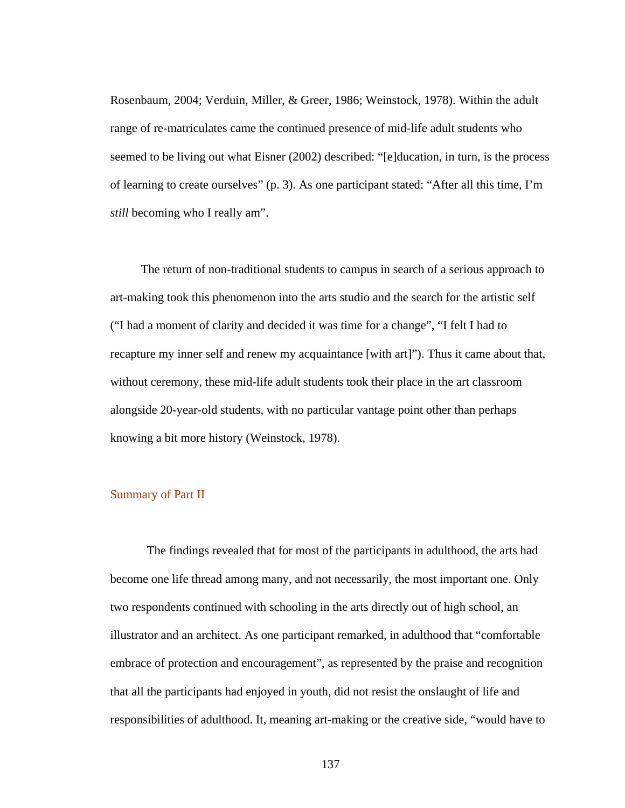Rosenbaum, 2004; Verduin, Miller, & Greer, 1986; Weinstock, 1978). Within the adult range of re-matriculates came the continued presence of mid-life adult students who seemed to be living out what Eisner (2002) described: "[e]ducation, in turn, is the process of learning to create ourselves" (p. 3). As one participant stated: "After all this time, I'm *still* becoming who I really am".

 The return of non-traditional students to campus in search of a serious approach to art-making took this phenomenon into the arts studio and the search for the artistic self ("I had a moment of clarity and decided it was time for a change", "I felt I had to recapture my inner self and renew my acquaintance [with art]"). Thus it came about that, without ceremony, these mid-life adult students took their place in the art classroom alongside 20-year-old students, with no particular vantage point other than perhaps knowing a bit more history (Weinstock, 1978).

# Summary of Part II

 The findings revealed that for most of the participants in adulthood, the arts had become one life thread among many, and not necessarily, the most important one. Only two respondents continued with schooling in the arts directly out of high school, an illustrator and an architect. As one participant remarked, in adulthood that "comfortable embrace of protection and encouragement", as represented by the praise and recognition that all the participants had enjoyed in youth, did not resist the onslaught of life and responsibilities of adulthood. It, meaning art-making or the creative side, "would have to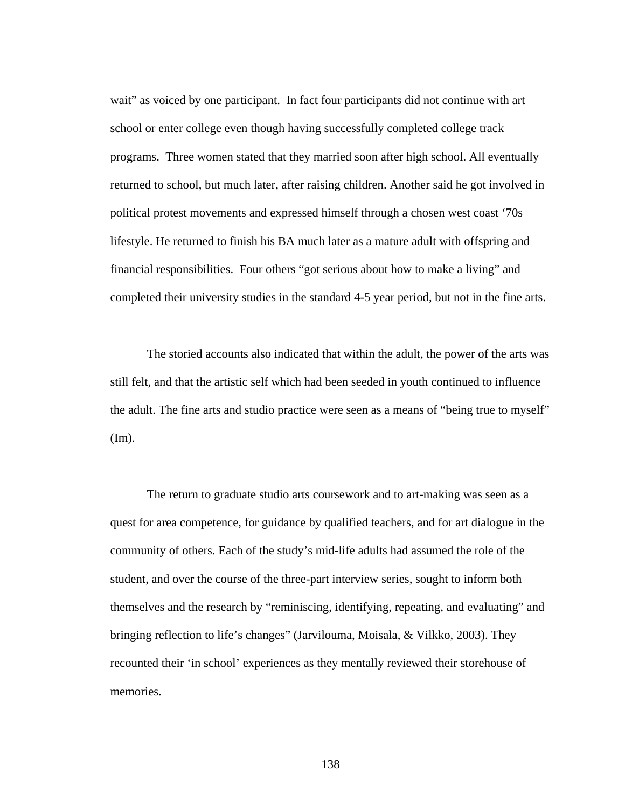wait" as voiced by one participant. In fact four participants did not continue with art school or enter college even though having successfully completed college track programs. Three women stated that they married soon after high school. All eventually returned to school, but much later, after raising children. Another said he got involved in political protest movements and expressed himself through a chosen west coast '70s lifestyle. He returned to finish his BA much later as a mature adult with offspring and financial responsibilities. Four others "got serious about how to make a living" and completed their university studies in the standard 4-5 year period, but not in the fine arts.

The storied accounts also indicated that within the adult, the power of the arts was still felt, and that the artistic self which had been seeded in youth continued to influence the adult. The fine arts and studio practice were seen as a means of "being true to myself" (Im).

 The return to graduate studio arts coursework and to art-making was seen as a quest for area competence, for guidance by qualified teachers, and for art dialogue in the community of others. Each of the study's mid-life adults had assumed the role of the student, and over the course of the three-part interview series, sought to inform both themselves and the research by "reminiscing, identifying, repeating, and evaluating" and bringing reflection to life's changes" (Jarvilouma, Moisala, & Vilkko, 2003). They recounted their 'in school' experiences as they mentally reviewed their storehouse of memories.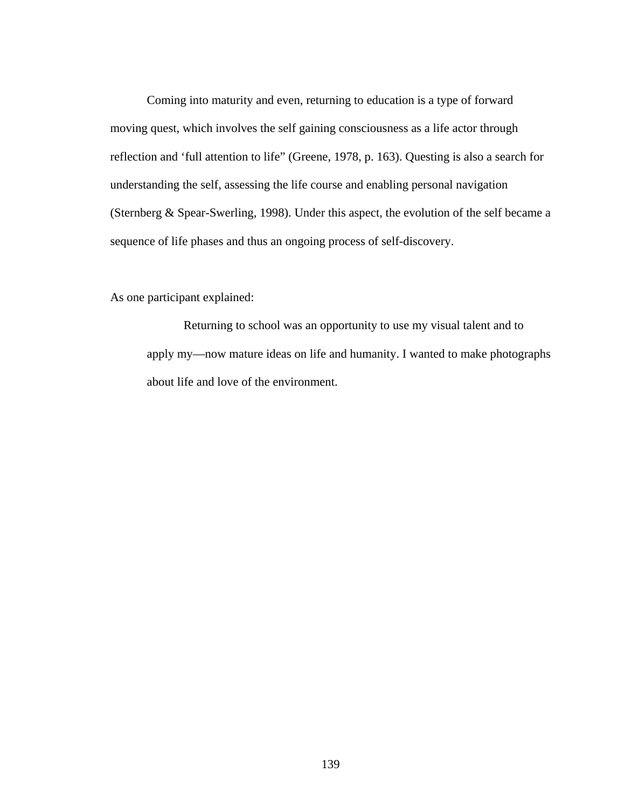Coming into maturity and even, returning to education is a type of forward moving quest, which involves the self gaining consciousness as a life actor through reflection and 'full attention to life" (Greene, 1978, p. 163). Questing is also a search for understanding the self, assessing the life course and enabling personal navigation (Sternberg & Spear-Swerling, 1998). Under this aspect, the evolution of the self became a sequence of life phases and thus an ongoing process of self-discovery.

As one participant explained:

 Returning to school was an opportunity to use my visual talent and to apply my—now mature ideas on life and humanity. I wanted to make photographs about life and love of the environment.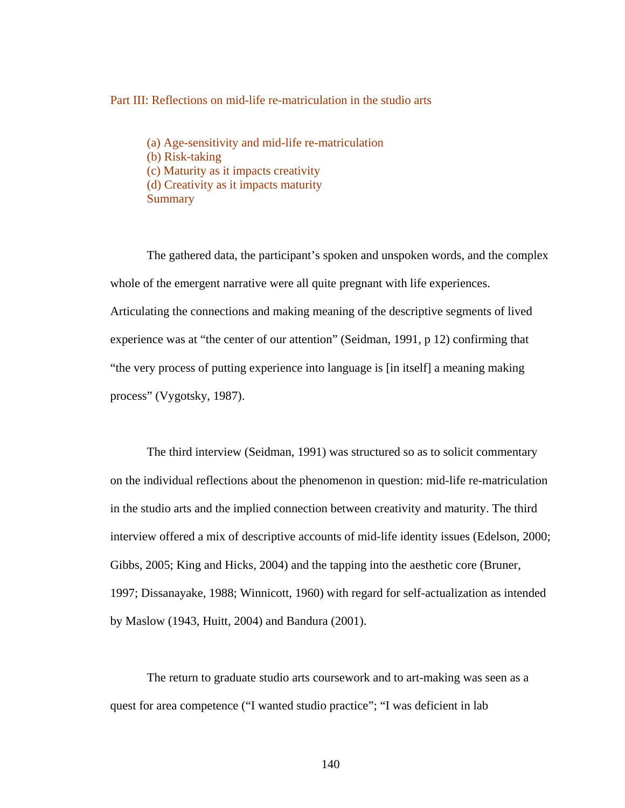### Part III: Reflections on mid-life re-matriculation in the studio arts

(a) Age-sensitivity and mid-life re-matriculation (b) Risk-taking (c) Maturity as it impacts creativity (d) Creativity as it impacts maturity **Summary** 

The gathered data, the participant's spoken and unspoken words, and the complex whole of the emergent narrative were all quite pregnant with life experiences. Articulating the connections and making meaning of the descriptive segments of lived experience was at "the center of our attention" (Seidman, 1991, p 12) confirming that "the very process of putting experience into language is [in itself] a meaning making process" (Vygotsky, 1987).

 The third interview (Seidman, 1991) was structured so as to solicit commentary on the individual reflections about the phenomenon in question: mid-life re-matriculation in the studio arts and the implied connection between creativity and maturity. The third interview offered a mix of descriptive accounts of mid-life identity issues (Edelson, 2000; Gibbs, 2005; King and Hicks, 2004) and the tapping into the aesthetic core (Bruner, 1997; Dissanayake, 1988; Winnicott, 1960) with regard for self-actualization as intended by Maslow (1943, Huitt, 2004) and Bandura (2001).

The return to graduate studio arts coursework and to art-making was seen as a quest for area competence ("I wanted studio practice"; "I was deficient in lab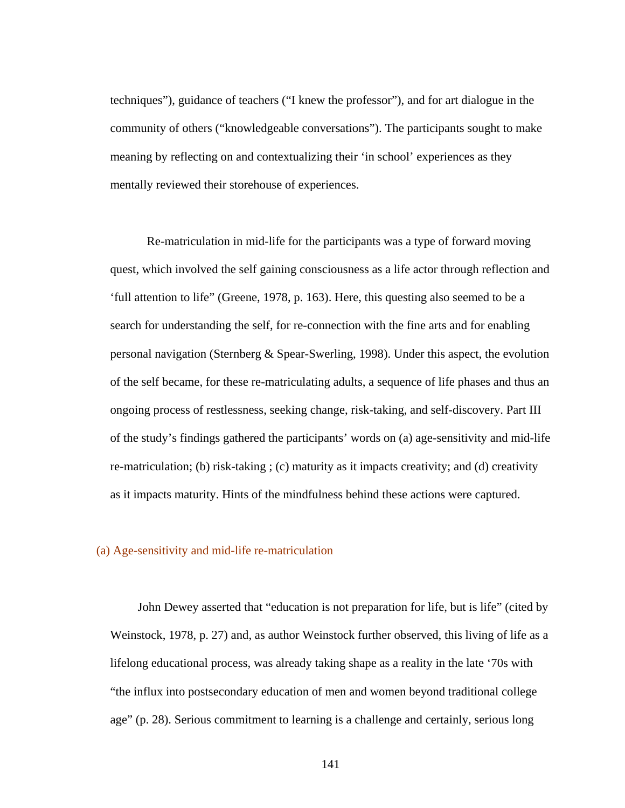techniques"), guidance of teachers ("I knew the professor"), and for art dialogue in the community of others ("knowledgeable conversations"). The participants sought to make meaning by reflecting on and contextualizing their 'in school' experiences as they mentally reviewed their storehouse of experiences.

 Re-matriculation in mid-life for the participants was a type of forward moving quest, which involved the self gaining consciousness as a life actor through reflection and 'full attention to life" (Greene, 1978, p. 163). Here, this questing also seemed to be a search for understanding the self, for re-connection with the fine arts and for enabling personal navigation (Sternberg & Spear-Swerling, 1998). Under this aspect, the evolution of the self became, for these re-matriculating adults, a sequence of life phases and thus an ongoing process of restlessness, seeking change, risk-taking, and self-discovery. Part III of the study's findings gathered the participants' words on (a) age-sensitivity and mid-life re-matriculation; (b) risk-taking ; (c) maturity as it impacts creativity; and (d) creativity as it impacts maturity. Hints of the mindfulness behind these actions were captured.

# (a) Age-sensitivity and mid-life re-matriculation

John Dewey asserted that "education is not preparation for life, but is life" (cited by Weinstock, 1978, p. 27) and, as author Weinstock further observed, this living of life as a lifelong educational process, was already taking shape as a reality in the late '70s with "the influx into postsecondary education of men and women beyond traditional college age" (p. 28). Serious commitment to learning is a challenge and certainly, serious long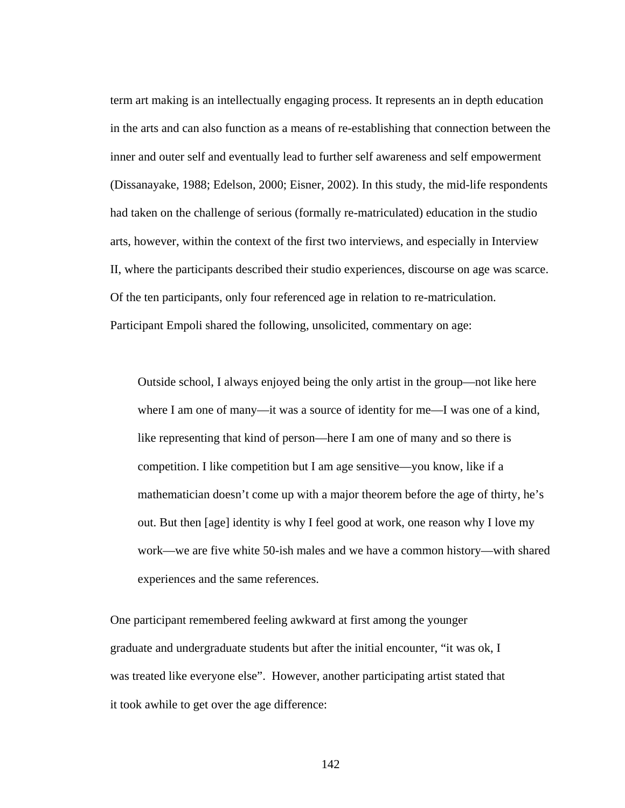term art making is an intellectually engaging process. It represents an in depth education in the arts and can also function as a means of re-establishing that connection between the inner and outer self and eventually lead to further self awareness and self empowerment (Dissanayake, 1988; Edelson, 2000; Eisner, 2002). In this study, the mid-life respondents had taken on the challenge of serious (formally re-matriculated) education in the studio arts, however, within the context of the first two interviews, and especially in Interview II, where the participants described their studio experiences, discourse on age was scarce. Of the ten participants, only four referenced age in relation to re-matriculation. Participant Empoli shared the following, unsolicited, commentary on age:

Outside school, I always enjoyed being the only artist in the group—not like here where I am one of many—it was a source of identity for me—I was one of a kind, like representing that kind of person—here I am one of many and so there is competition. I like competition but I am age sensitive—you know, like if a mathematician doesn't come up with a major theorem before the age of thirty, he's out. But then [age] identity is why I feel good at work, one reason why I love my work—we are five white 50-ish males and we have a common history—with shared experiences and the same references.

One participant remembered feeling awkward at first among the younger graduate and undergraduate students but after the initial encounter, "it was ok, I was treated like everyone else". However, another participating artist stated that it took awhile to get over the age difference: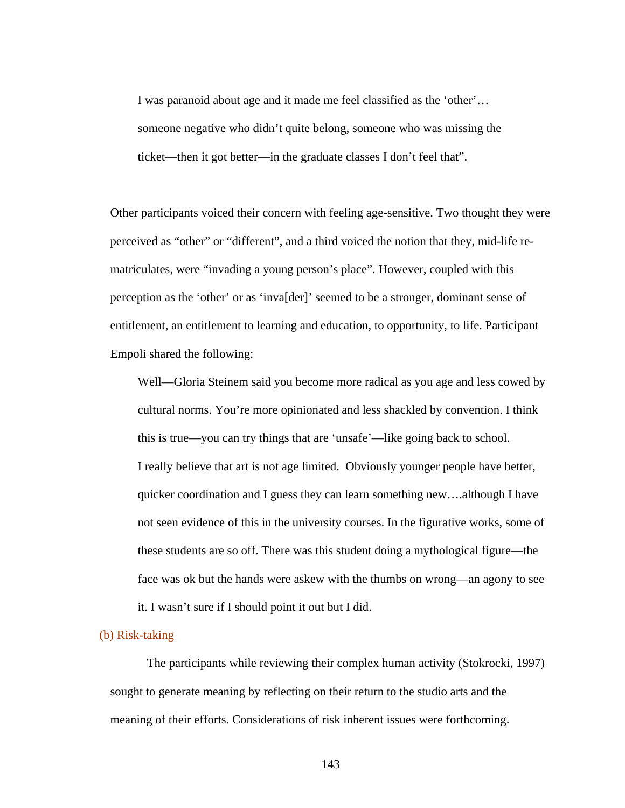I was paranoid about age and it made me feel classified as the 'other'… someone negative who didn't quite belong, someone who was missing the ticket—then it got better—in the graduate classes I don't feel that".

Other participants voiced their concern with feeling age-sensitive. Two thought they were perceived as "other" or "different", and a third voiced the notion that they, mid-life rematriculates, were "invading a young person's place". However, coupled with this perception as the 'other' or as 'inva[der]' seemed to be a stronger, dominant sense of entitlement, an entitlement to learning and education, to opportunity, to life. Participant Empoli shared the following:

 Well—Gloria Steinem said you become more radical as you age and less cowed by cultural norms. You're more opinionated and less shackled by convention. I think this is true—you can try things that are 'unsafe'—like going back to school. I really believe that art is not age limited. Obviously younger people have better, quicker coordination and I guess they can learn something new….although I have not seen evidence of this in the university courses. In the figurative works, some of these students are so off. There was this student doing a mythological figure—the face was ok but the hands were askew with the thumbs on wrong—an agony to see it. I wasn't sure if I should point it out but I did.

#### (b) Risk-taking

 The participants while reviewing their complex human activity (Stokrocki, 1997) sought to generate meaning by reflecting on their return to the studio arts and the meaning of their efforts. Considerations of risk inherent issues were forthcoming.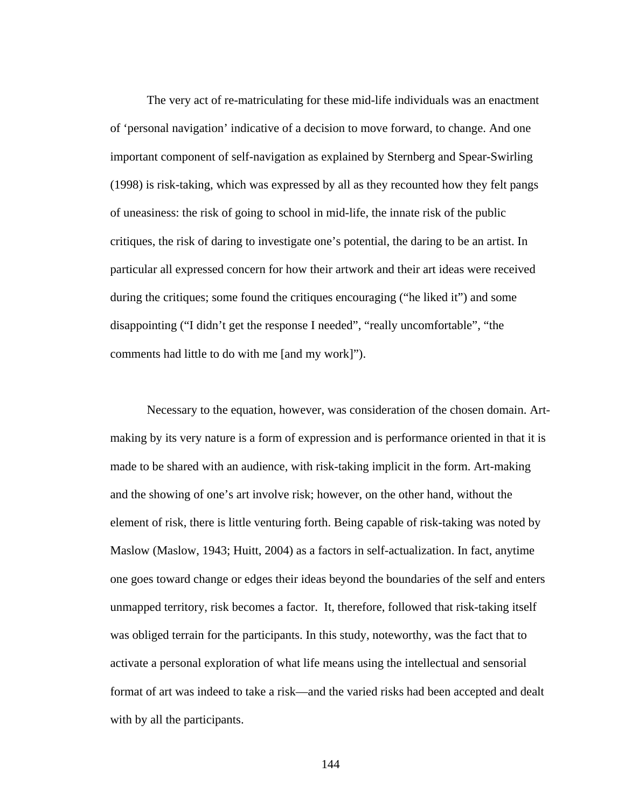The very act of re-matriculating for these mid-life individuals was an enactment of 'personal navigation' indicative of a decision to move forward, to change. And one important component of self-navigation as explained by Sternberg and Spear-Swirling (1998) is risk-taking, which was expressed by all as they recounted how they felt pangs of uneasiness: the risk of going to school in mid-life, the innate risk of the public critiques, the risk of daring to investigate one's potential, the daring to be an artist. In particular all expressed concern for how their artwork and their art ideas were received during the critiques; some found the critiques encouraging ("he liked it") and some disappointing ("I didn't get the response I needed", "really uncomfortable", "the comments had little to do with me [and my work]").

 Necessary to the equation, however, was consideration of the chosen domain. Artmaking by its very nature is a form of expression and is performance oriented in that it is made to be shared with an audience, with risk-taking implicit in the form. Art-making and the showing of one's art involve risk; however, on the other hand, without the element of risk, there is little venturing forth. Being capable of risk-taking was noted by Maslow (Maslow, 1943; Huitt, 2004) as a factors in self-actualization. In fact, anytime one goes toward change or edges their ideas beyond the boundaries of the self and enters unmapped territory, risk becomes a factor. It, therefore, followed that risk-taking itself was obliged terrain for the participants. In this study, noteworthy, was the fact that to activate a personal exploration of what life means using the intellectual and sensorial format of art was indeed to take a risk—and the varied risks had been accepted and dealt with by all the participants.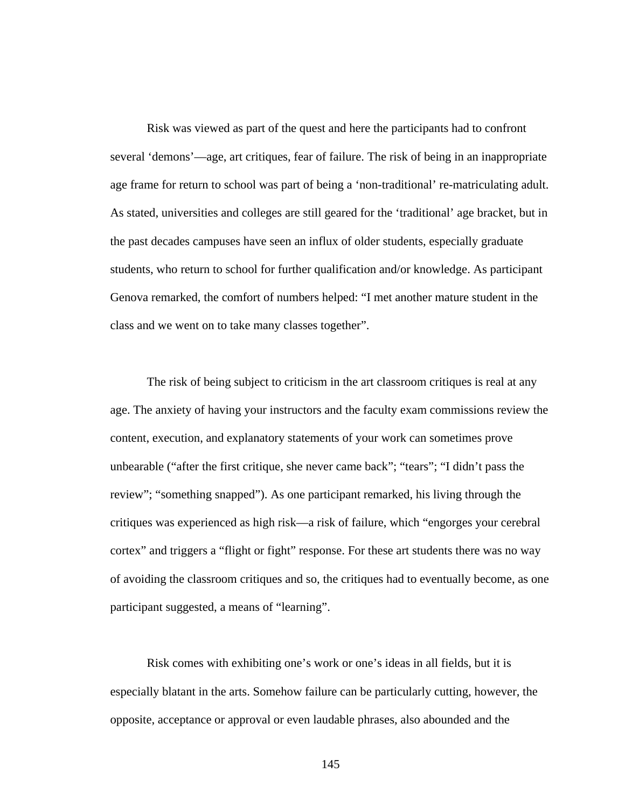Risk was viewed as part of the quest and here the participants had to confront several 'demons'—age, art critiques, fear of failure. The risk of being in an inappropriate age frame for return to school was part of being a 'non-traditional' re-matriculating adult. As stated, universities and colleges are still geared for the 'traditional' age bracket, but in the past decades campuses have seen an influx of older students, especially graduate students, who return to school for further qualification and/or knowledge. As participant Genova remarked, the comfort of numbers helped: "I met another mature student in the class and we went on to take many classes together".

 The risk of being subject to criticism in the art classroom critiques is real at any age. The anxiety of having your instructors and the faculty exam commissions review the content, execution, and explanatory statements of your work can sometimes prove unbearable ("after the first critique, she never came back"; "tears"; "I didn't pass the review"; "something snapped"). As one participant remarked, his living through the critiques was experienced as high risk—a risk of failure, which "engorges your cerebral cortex" and triggers a "flight or fight" response. For these art students there was no way of avoiding the classroom critiques and so, the critiques had to eventually become, as one participant suggested, a means of "learning".

 Risk comes with exhibiting one's work or one's ideas in all fields, but it is especially blatant in the arts. Somehow failure can be particularly cutting, however, the opposite, acceptance or approval or even laudable phrases, also abounded and the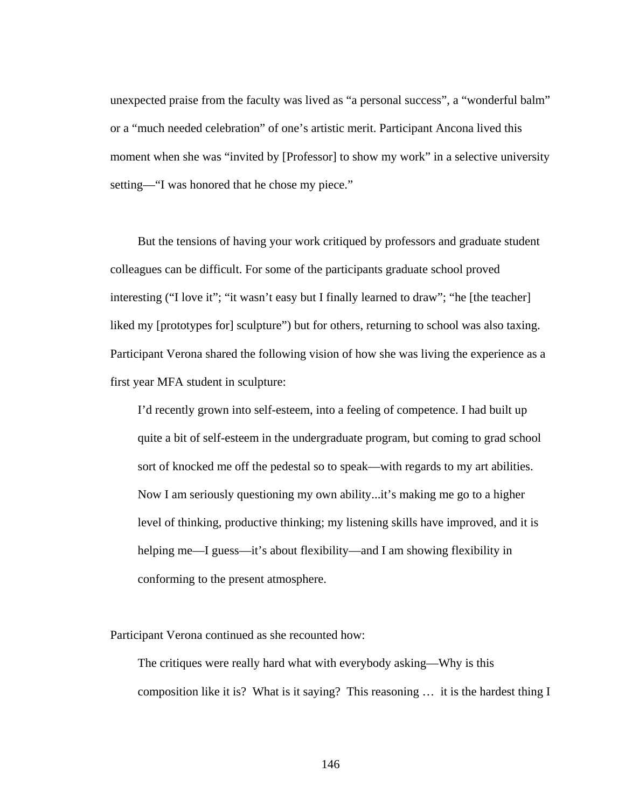unexpected praise from the faculty was lived as "a personal success", a "wonderful balm" or a "much needed celebration" of one's artistic merit. Participant Ancona lived this moment when she was "invited by [Professor] to show my work" in a selective university setting—"I was honored that he chose my piece."

 But the tensions of having your work critiqued by professors and graduate student colleagues can be difficult. For some of the participants graduate school proved interesting ("I love it"; "it wasn't easy but I finally learned to draw"; "he [the teacher] liked my [prototypes for] sculpture") but for others, returning to school was also taxing. Participant Verona shared the following vision of how she was living the experience as a first year MFA student in sculpture:

I'd recently grown into self-esteem, into a feeling of competence. I had built up quite a bit of self-esteem in the undergraduate program, but coming to grad school sort of knocked me off the pedestal so to speak—with regards to my art abilities. Now I am seriously questioning my own ability...it's making me go to a higher level of thinking, productive thinking; my listening skills have improved, and it is helping me—I guess—it's about flexibility—and I am showing flexibility in conforming to the present atmosphere.

Participant Verona continued as she recounted how:

The critiques were really hard what with everybody asking—Why is this composition like it is? What is it saying? This reasoning … it is the hardest thing I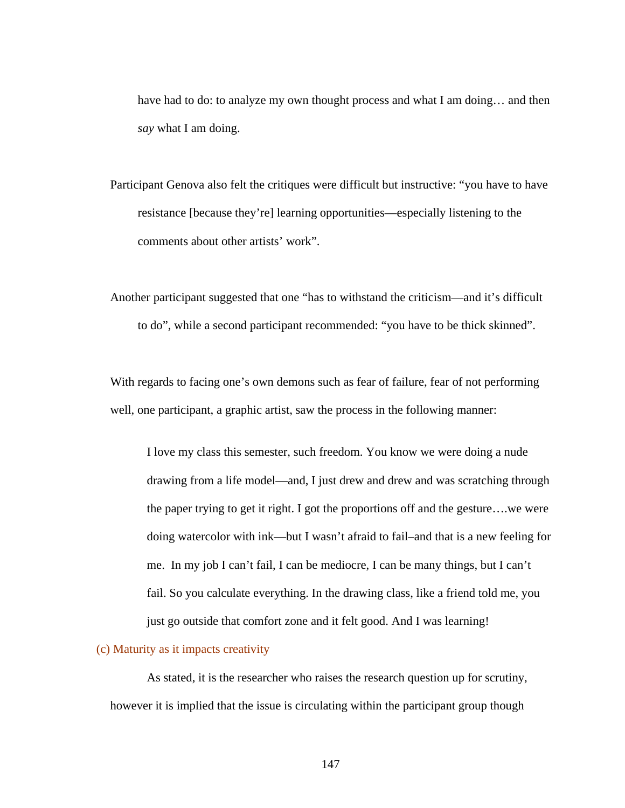have had to do: to analyze my own thought process and what I am doing... and then *say* what I am doing.

Participant Genova also felt the critiques were difficult but instructive: "you have to have resistance [because they're] learning opportunities—especially listening to the comments about other artists' work".

Another participant suggested that one "has to withstand the criticism—and it's difficult to do", while a second participant recommended: "you have to be thick skinned".

With regards to facing one's own demons such as fear of failure, fear of not performing well, one participant, a graphic artist, saw the process in the following manner:

I love my class this semester, such freedom. You know we were doing a nude drawing from a life model—and, I just drew and drew and was scratching through the paper trying to get it right. I got the proportions off and the gesture….we were doing watercolor with ink—but I wasn't afraid to fail–and that is a new feeling for me. In my job I can't fail, I can be mediocre, I can be many things, but I can't fail. So you calculate everything. In the drawing class, like a friend told me, you just go outside that comfort zone and it felt good. And I was learning!

#### (c) Maturity as it impacts creativity

 As stated, it is the researcher who raises the research question up for scrutiny, however it is implied that the issue is circulating within the participant group though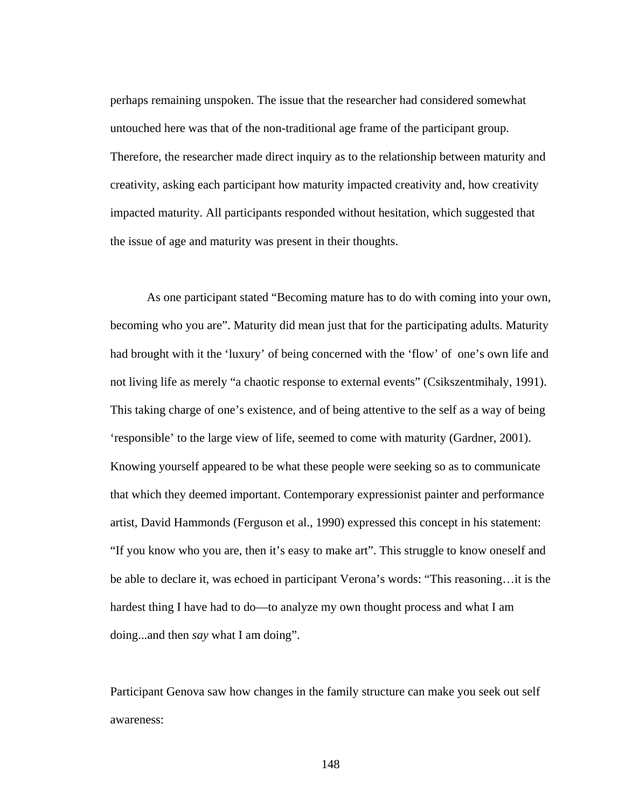perhaps remaining unspoken. The issue that the researcher had considered somewhat untouched here was that of the non-traditional age frame of the participant group. Therefore, the researcher made direct inquiry as to the relationship between maturity and creativity, asking each participant how maturity impacted creativity and, how creativity impacted maturity. All participants responded without hesitation, which suggested that the issue of age and maturity was present in their thoughts.

As one participant stated "Becoming mature has to do with coming into your own, becoming who you are". Maturity did mean just that for the participating adults. Maturity had brought with it the 'luxury' of being concerned with the 'flow' of one's own life and not living life as merely "a chaotic response to external events" (Csikszentmihaly, 1991). This taking charge of one's existence, and of being attentive to the self as a way of being 'responsible' to the large view of life, seemed to come with maturity (Gardner, 2001). Knowing yourself appeared to be what these people were seeking so as to communicate that which they deemed important. Contemporary expressionist painter and performance artist, David Hammonds (Ferguson et al., 1990) expressed this concept in his statement: "If you know who you are, then it's easy to make art". This struggle to know oneself and be able to declare it, was echoed in participant Verona's words: "This reasoning…it is the hardest thing I have had to do—to analyze my own thought process and what I am doing...and then *say* what I am doing".

Participant Genova saw how changes in the family structure can make you seek out self awareness: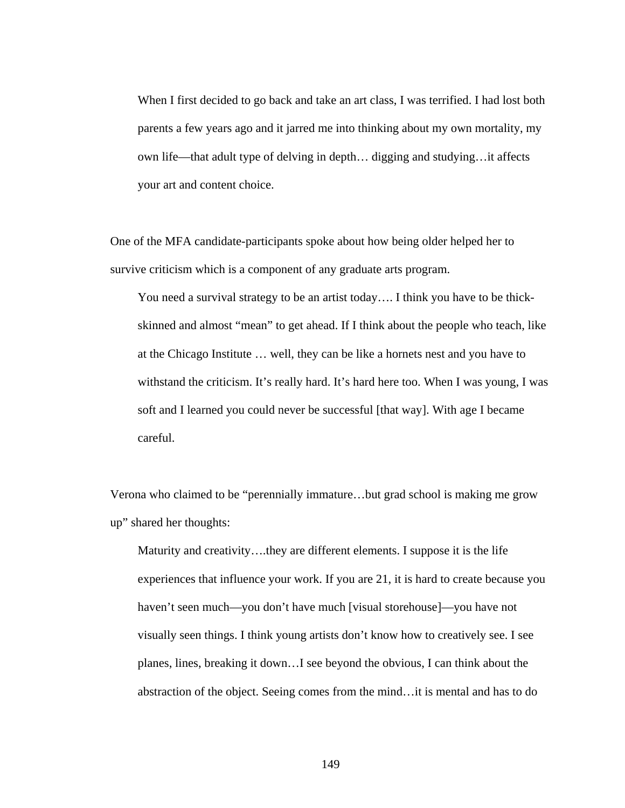When I first decided to go back and take an art class, I was terrified. I had lost both parents a few years ago and it jarred me into thinking about my own mortality, my own life—that adult type of delving in depth… digging and studying…it affects your art and content choice.

One of the MFA candidate-participants spoke about how being older helped her to survive criticism which is a component of any graduate arts program.

You need a survival strategy to be an artist today…. I think you have to be thickskinned and almost "mean" to get ahead. If I think about the people who teach, like at the Chicago Institute … well, they can be like a hornets nest and you have to withstand the criticism. It's really hard. It's hard here too. When I was young, I was soft and I learned you could never be successful [that way]. With age I became careful.

Verona who claimed to be "perennially immature…but grad school is making me grow up" shared her thoughts:

Maturity and creativity….they are different elements. I suppose it is the life experiences that influence your work. If you are 21, it is hard to create because you haven't seen much—you don't have much [visual storehouse]—you have not visually seen things. I think young artists don't know how to creatively see. I see planes, lines, breaking it down…I see beyond the obvious, I can think about the abstraction of the object. Seeing comes from the mind…it is mental and has to do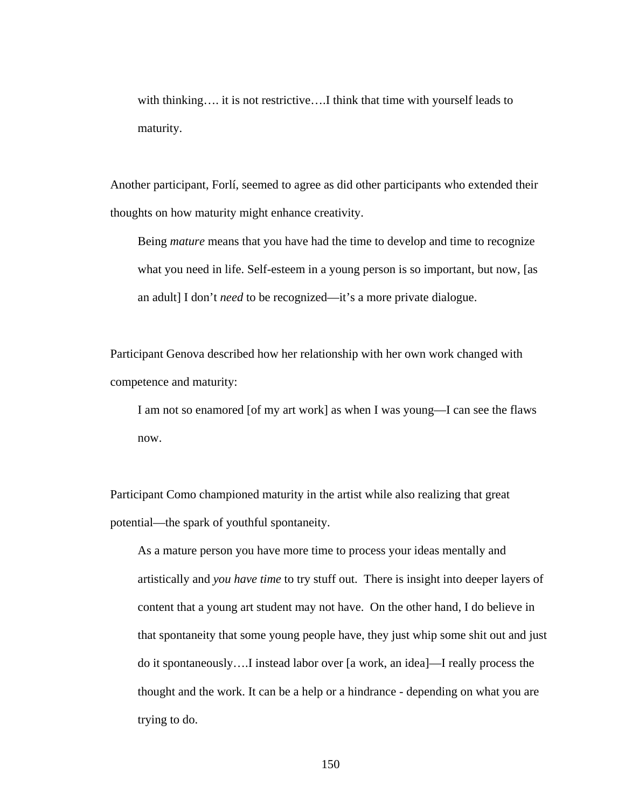with thinking.... it is not restrictive....I think that time with yourself leads to maturity.

Another participant, Forlí, seemed to agree as did other participants who extended their thoughts on how maturity might enhance creativity.

Being *mature* means that you have had the time to develop and time to recognize what you need in life. Self-esteem in a young person is so important, but now, [as an adult] I don't *need* to be recognized—it's a more private dialogue.

Participant Genova described how her relationship with her own work changed with competence and maturity:

I am not so enamored [of my art work] as when I was young—I can see the flaws now.

Participant Como championed maturity in the artist while also realizing that great potential—the spark of youthful spontaneity.

As a mature person you have more time to process your ideas mentally and artistically and *you have time* to try stuff out. There is insight into deeper layers of content that a young art student may not have. On the other hand, I do believe in that spontaneity that some young people have, they just whip some shit out and just do it spontaneously….I instead labor over [a work, an idea]—I really process the thought and the work. It can be a help or a hindrance - depending on what you are trying to do.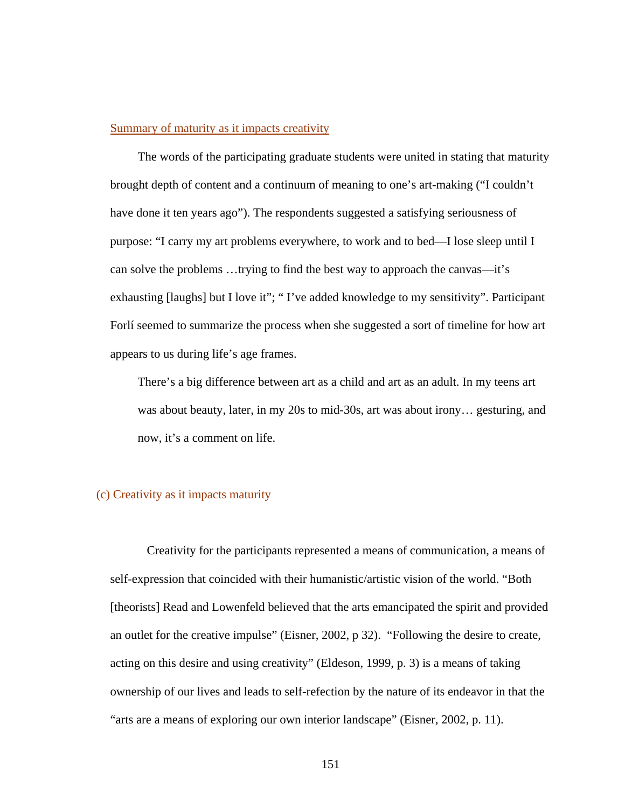### Summary of maturity as it impacts creativity

The words of the participating graduate students were united in stating that maturity brought depth of content and a continuum of meaning to one's art-making ("I couldn't have done it ten years ago"). The respondents suggested a satisfying seriousness of purpose: "I carry my art problems everywhere, to work and to bed—I lose sleep until I can solve the problems …trying to find the best way to approach the canvas—it's exhausting [laughs] but I love it"; " I've added knowledge to my sensitivity". Participant Forlí seemed to summarize the process when she suggested a sort of timeline for how art appears to us during life's age frames.

There's a big difference between art as a child and art as an adult. In my teens art was about beauty, later, in my 20s to mid-30s, art was about irony… gesturing, and now, it's a comment on life.

# (c) Creativity as it impacts maturity

 Creativity for the participants represented a means of communication, a means of self-expression that coincided with their humanistic/artistic vision of the world. "Both [theorists] Read and Lowenfeld believed that the arts emancipated the spirit and provided an outlet for the creative impulse" (Eisner, 2002, p 32). "Following the desire to create, acting on this desire and using creativity" (Eldeson, 1999, p. 3) is a means of taking ownership of our lives and leads to self-refection by the nature of its endeavor in that the "arts are a means of exploring our own interior landscape" (Eisner, 2002, p. 11).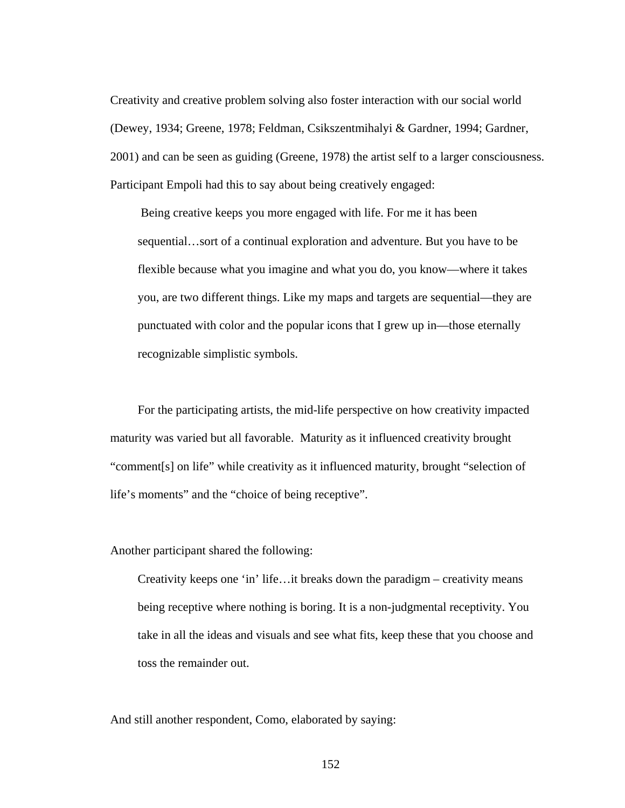Creativity and creative problem solving also foster interaction with our social world (Dewey, 1934; Greene, 1978; Feldman, Csikszentmihalyi & Gardner, 1994; Gardner, 2001) and can be seen as guiding (Greene, 1978) the artist self to a larger consciousness. Participant Empoli had this to say about being creatively engaged:

 Being creative keeps you more engaged with life. For me it has been sequential…sort of a continual exploration and adventure. But you have to be flexible because what you imagine and what you do, you know—where it takes you, are two different things. Like my maps and targets are sequential—they are punctuated with color and the popular icons that I grew up in—those eternally recognizable simplistic symbols.

 For the participating artists, the mid-life perspective on how creativity impacted maturity was varied but all favorable. Maturity as it influenced creativity brought "comment[s] on life" while creativity as it influenced maturity, brought "selection of life's moments" and the "choice of being receptive".

Another participant shared the following:

Creativity keeps one 'in' life…it breaks down the paradigm – creativity means being receptive where nothing is boring. It is a non-judgmental receptivity. You take in all the ideas and visuals and see what fits, keep these that you choose and toss the remainder out.

And still another respondent, Como, elaborated by saying: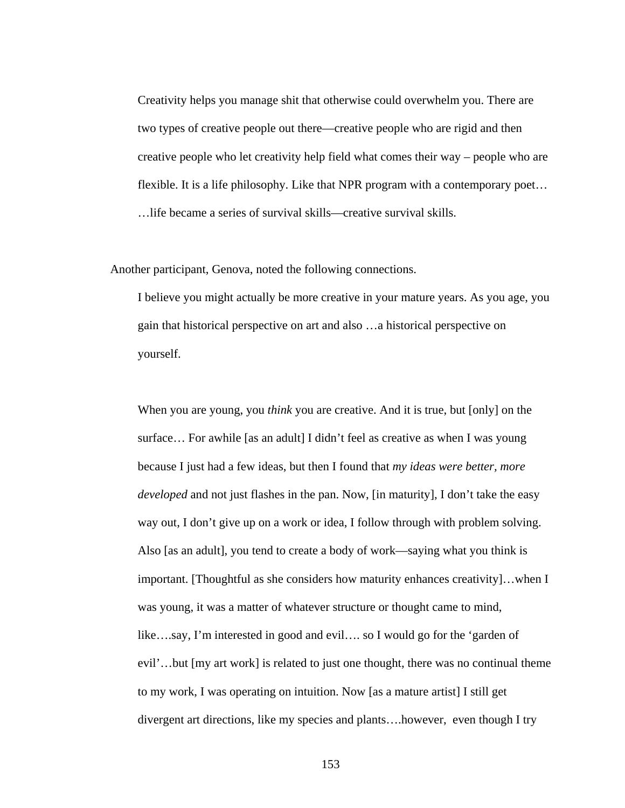Creativity helps you manage shit that otherwise could overwhelm you. There are two types of creative people out there—creative people who are rigid and then creative people who let creativity help field what comes their way – people who are flexible. It is a life philosophy. Like that NPR program with a contemporary poet… …life became a series of survival skills—creative survival skills.

Another participant, Genova, noted the following connections.

I believe you might actually be more creative in your mature years. As you age, you gain that historical perspective on art and also …a historical perspective on yourself.

When you are young, you *think* you are creative. And it is true, but [only] on the surface… For awhile [as an adult] I didn't feel as creative as when I was young because I just had a few ideas, but then I found that *my ideas were better, more developed* and not just flashes in the pan. Now, [in maturity], I don't take the easy way out, I don't give up on a work or idea, I follow through with problem solving. Also [as an adult], you tend to create a body of work—saying what you think is important. [Thoughtful as she considers how maturity enhances creativity]…when I was young, it was a matter of whatever structure or thought came to mind, like….say, I'm interested in good and evil…. so I would go for the 'garden of evil'…but [my art work] is related to just one thought, there was no continual theme to my work, I was operating on intuition. Now [as a mature artist] I still get divergent art directions, like my species and plants….however, even though I try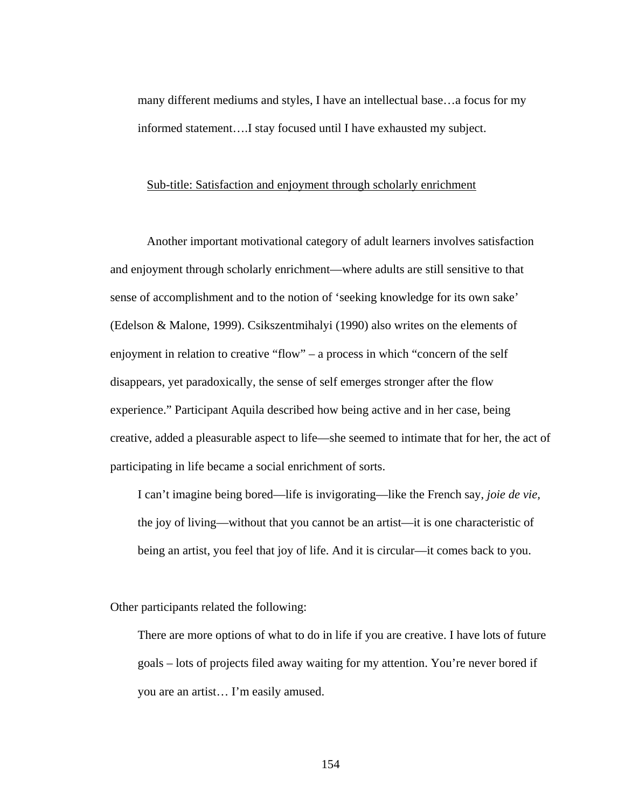many different mediums and styles, I have an intellectual base…a focus for my informed statement….I stay focused until I have exhausted my subject.

# Sub-title: Satisfaction and enjoyment through scholarly enrichment

 Another important motivational category of adult learners involves satisfaction and enjoyment through scholarly enrichment—where adults are still sensitive to that sense of accomplishment and to the notion of 'seeking knowledge for its own sake' (Edelson & Malone, 1999). Csikszentmihalyi (1990) also writes on the elements of enjoyment in relation to creative "flow" – a process in which "concern of the self disappears, yet paradoxically, the sense of self emerges stronger after the flow experience." Participant Aquila described how being active and in her case, being creative, added a pleasurable aspect to life—she seemed to intimate that for her, the act of participating in life became a social enrichment of sorts.

I can't imagine being bored—life is invigorating—like the French say, *joie de vie,*  the joy of living—without that you cannot be an artist—it is one characteristic of being an artist, you feel that joy of life. And it is circular—it comes back to you.

Other participants related the following:

There are more options of what to do in life if you are creative. I have lots of future goals – lots of projects filed away waiting for my attention. You're never bored if you are an artist… I'm easily amused.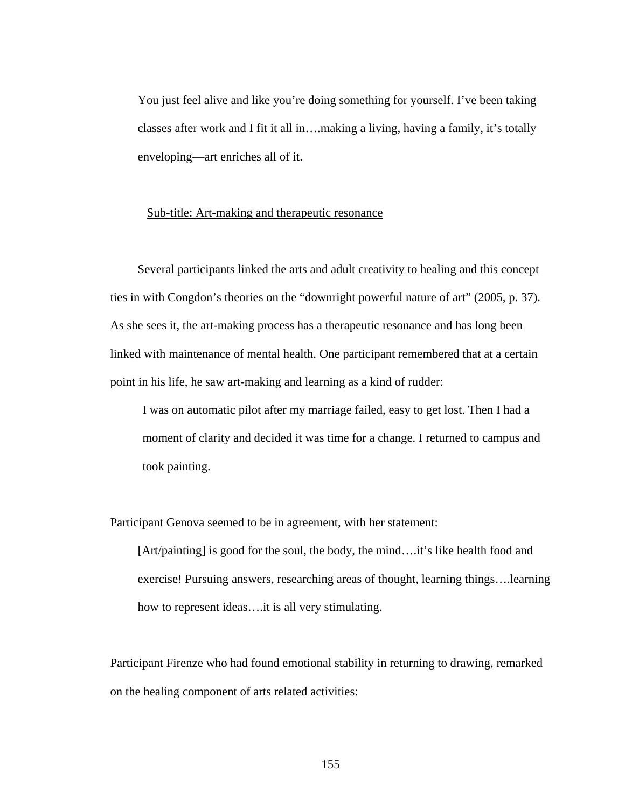You just feel alive and like you're doing something for yourself. I've been taking classes after work and I fit it all in….making a living, having a family, it's totally enveloping—art enriches all of it.

#### Sub-title: Art-making and therapeutic resonance

 Several participants linked the arts and adult creativity to healing and this concept ties in with Congdon's theories on the "downright powerful nature of art" (2005, p. 37). As she sees it, the art-making process has a therapeutic resonance and has long been linked with maintenance of mental health. One participant remembered that at a certain point in his life, he saw art-making and learning as a kind of rudder:

I was on automatic pilot after my marriage failed, easy to get lost. Then I had a moment of clarity and decided it was time for a change. I returned to campus and took painting.

Participant Genova seemed to be in agreement, with her statement:

[Art/painting] is good for the soul, the body, the mind….it's like health food and exercise! Pursuing answers, researching areas of thought, learning things….learning how to represent ideas….it is all very stimulating.

Participant Firenze who had found emotional stability in returning to drawing, remarked on the healing component of arts related activities: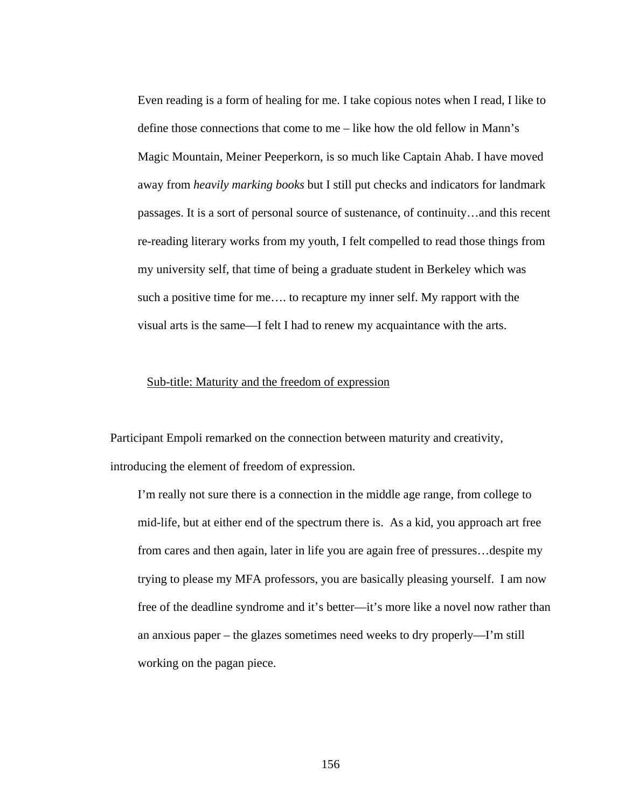Even reading is a form of healing for me. I take copious notes when I read, I like to define those connections that come to me – like how the old fellow in Mann's Magic Mountain, Meiner Peeperkorn, is so much like Captain Ahab. I have moved away from *heavily marking books* but I still put checks and indicators for landmark passages. It is a sort of personal source of sustenance, of continuity…and this recent re-reading literary works from my youth, I felt compelled to read those things from my university self, that time of being a graduate student in Berkeley which was such a positive time for me…. to recapture my inner self. My rapport with the visual arts is the same—I felt I had to renew my acquaintance with the arts.

### Sub-title: Maturity and the freedom of expression

Participant Empoli remarked on the connection between maturity and creativity, introducing the element of freedom of expression.

I'm really not sure there is a connection in the middle age range, from college to mid-life, but at either end of the spectrum there is. As a kid, you approach art free from cares and then again, later in life you are again free of pressures…despite my trying to please my MFA professors, you are basically pleasing yourself. I am now free of the deadline syndrome and it's better—it's more like a novel now rather than an anxious paper – the glazes sometimes need weeks to dry properly—I'm still working on the pagan piece.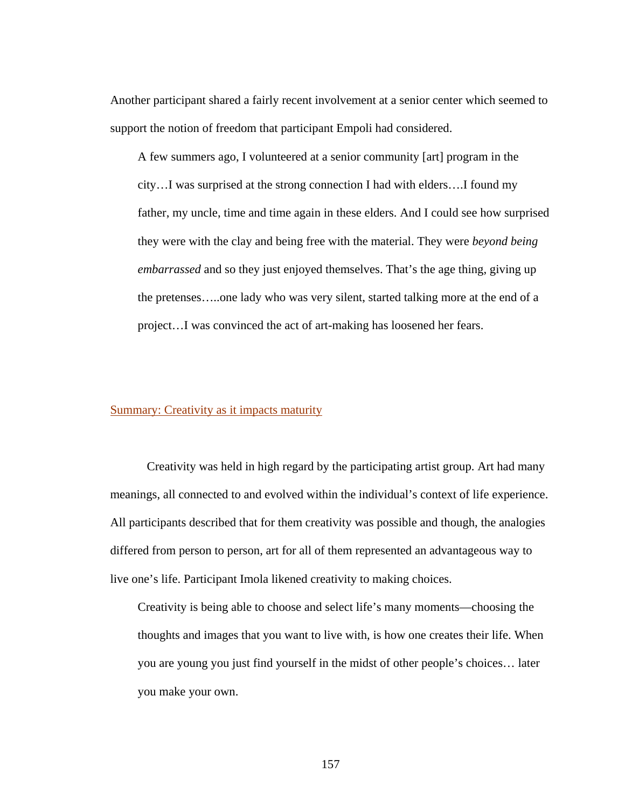Another participant shared a fairly recent involvement at a senior center which seemed to support the notion of freedom that participant Empoli had considered.

A few summers ago, I volunteered at a senior community [art] program in the city…I was surprised at the strong connection I had with elders….I found my father, my uncle, time and time again in these elders. And I could see how surprised they were with the clay and being free with the material. They were *beyond being embarrassed* and so they just enjoyed themselves. That's the age thing, giving up the pretenses…..one lady who was very silent, started talking more at the end of a project…I was convinced the act of art-making has loosened her fears.

# Summary: Creativity as it impacts maturity

 Creativity was held in high regard by the participating artist group. Art had many meanings, all connected to and evolved within the individual's context of life experience. All participants described that for them creativity was possible and though, the analogies differed from person to person, art for all of them represented an advantageous way to live one's life. Participant Imola likened creativity to making choices.

Creativity is being able to choose and select life's many moments—choosing the thoughts and images that you want to live with, is how one creates their life. When you are young you just find yourself in the midst of other people's choices… later you make your own.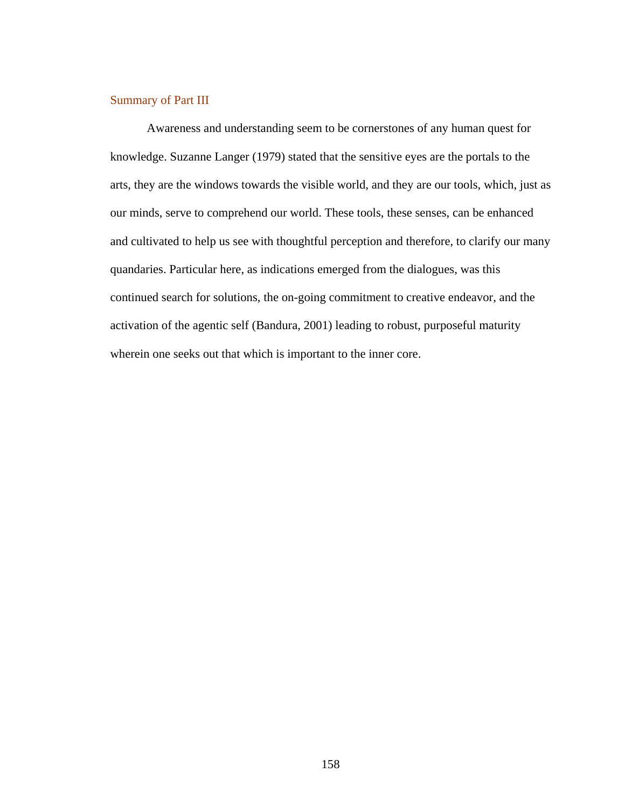### Summary of Part III

 Awareness and understanding seem to be cornerstones of any human quest for knowledge. Suzanne Langer (1979) stated that the sensitive eyes are the portals to the arts, they are the windows towards the visible world, and they are our tools, which, just as our minds, serve to comprehend our world. These tools, these senses, can be enhanced and cultivated to help us see with thoughtful perception and therefore, to clarify our many quandaries. Particular here, as indications emerged from the dialogues, was this continued search for solutions, the on-going commitment to creative endeavor, and the activation of the agentic self (Bandura, 2001) leading to robust, purposeful maturity wherein one seeks out that which is important to the inner core.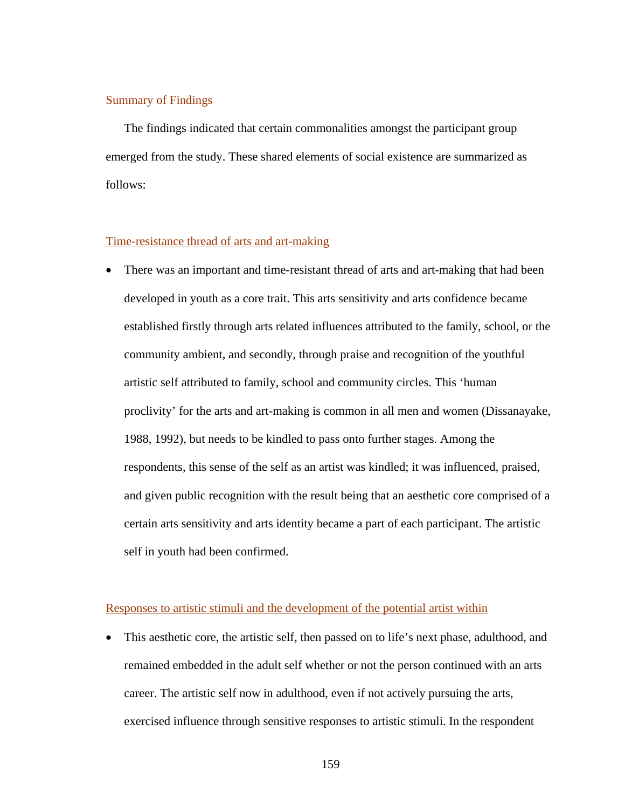# Summary of Findings

The findings indicated that certain commonalities amongst the participant group emerged from the study. These shared elements of social existence are summarized as follows:

# Time-resistance thread of arts and art-making

• There was an important and time-resistant thread of arts and art-making that had been developed in youth as a core trait. This arts sensitivity and arts confidence became established firstly through arts related influences attributed to the family, school, or the community ambient, and secondly, through praise and recognition of the youthful artistic self attributed to family, school and community circles. This 'human proclivity' for the arts and art-making is common in all men and women (Dissanayake, 1988, 1992), but needs to be kindled to pass onto further stages. Among the respondents, this sense of the self as an artist was kindled; it was influenced, praised, and given public recognition with the result being that an aesthetic core comprised of a certain arts sensitivity and arts identity became a part of each participant. The artistic self in youth had been confirmed.

#### Responses to artistic stimuli and the development of the potential artist within

• This aesthetic core, the artistic self, then passed on to life's next phase, adulthood, and remained embedded in the adult self whether or not the person continued with an arts career. The artistic self now in adulthood, even if not actively pursuing the arts, exercised influence through sensitive responses to artistic stimuli. In the respondent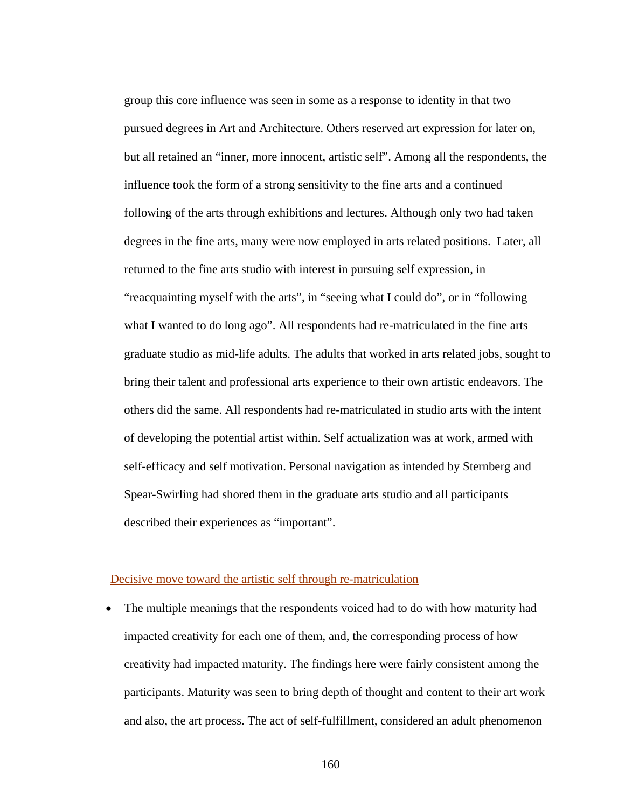group this core influence was seen in some as a response to identity in that two pursued degrees in Art and Architecture. Others reserved art expression for later on, but all retained an "inner, more innocent, artistic self". Among all the respondents, the influence took the form of a strong sensitivity to the fine arts and a continued following of the arts through exhibitions and lectures. Although only two had taken degrees in the fine arts, many were now employed in arts related positions. Later, all returned to the fine arts studio with interest in pursuing self expression, in "reacquainting myself with the arts", in "seeing what I could do", or in "following what I wanted to do long ago". All respondents had re-matriculated in the fine arts graduate studio as mid-life adults. The adults that worked in arts related jobs, sought to bring their talent and professional arts experience to their own artistic endeavors. The others did the same. All respondents had re-matriculated in studio arts with the intent of developing the potential artist within. Self actualization was at work, armed with self-efficacy and self motivation. Personal navigation as intended by Sternberg and Spear-Swirling had shored them in the graduate arts studio and all participants described their experiences as "important".

#### Decisive move toward the artistic self through re-matriculation

• The multiple meanings that the respondents voiced had to do with how maturity had impacted creativity for each one of them, and, the corresponding process of how creativity had impacted maturity. The findings here were fairly consistent among the participants. Maturity was seen to bring depth of thought and content to their art work and also, the art process. The act of self-fulfillment, considered an adult phenomenon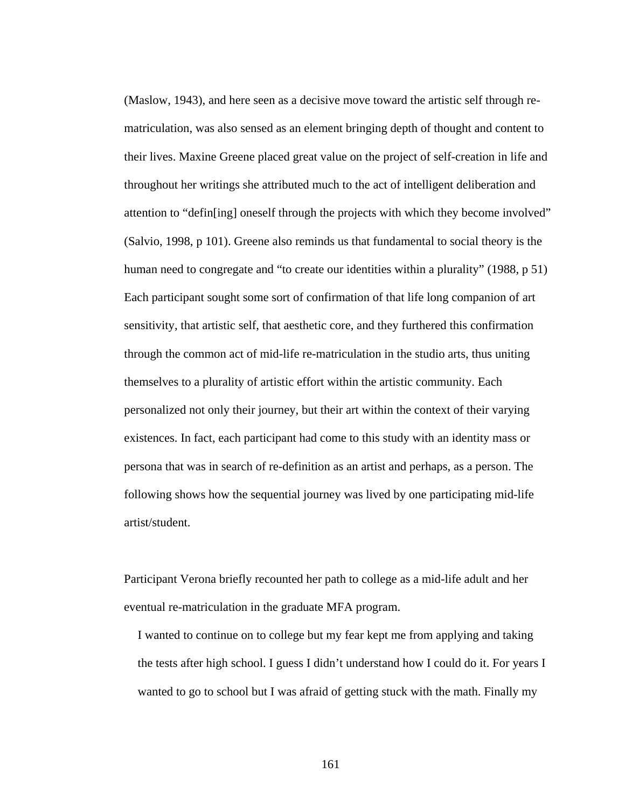(Maslow, 1943), and here seen as a decisive move toward the artistic self through rematriculation, was also sensed as an element bringing depth of thought and content to their lives. Maxine Greene placed great value on the project of self-creation in life and throughout her writings she attributed much to the act of intelligent deliberation and attention to "defin[ing] oneself through the projects with which they become involved" (Salvio, 1998, p 101). Greene also reminds us that fundamental to social theory is the human need to congregate and "to create our identities within a plurality" (1988, p 51) Each participant sought some sort of confirmation of that life long companion of art sensitivity, that artistic self, that aesthetic core, and they furthered this confirmation through the common act of mid-life re-matriculation in the studio arts, thus uniting themselves to a plurality of artistic effort within the artistic community. Each personalized not only their journey, but their art within the context of their varying existences. In fact, each participant had come to this study with an identity mass or persona that was in search of re-definition as an artist and perhaps, as a person. The following shows how the sequential journey was lived by one participating mid-life artist/student.

Participant Verona briefly recounted her path to college as a mid-life adult and her eventual re-matriculation in the graduate MFA program.

I wanted to continue on to college but my fear kept me from applying and taking the tests after high school. I guess I didn't understand how I could do it. For years I wanted to go to school but I was afraid of getting stuck with the math. Finally my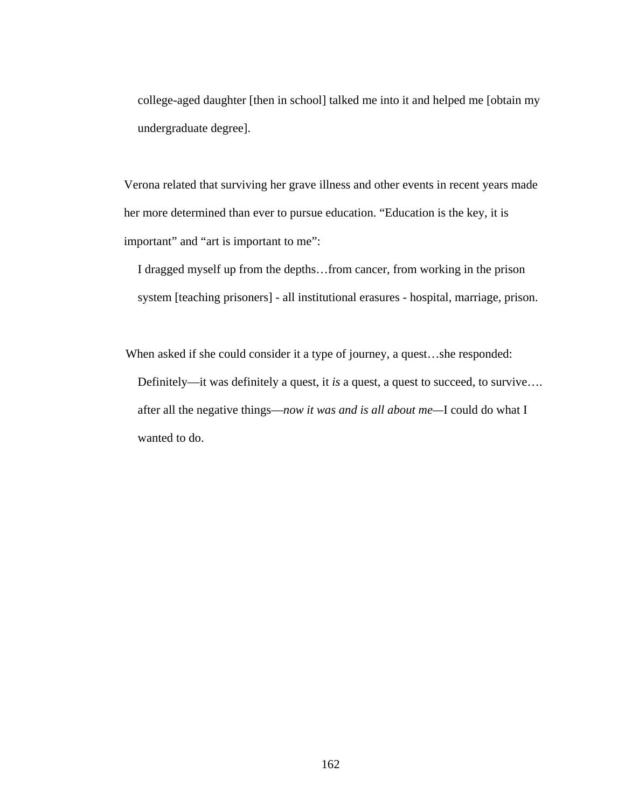college-aged daughter [then in school] talked me into it and helped me [obtain my undergraduate degree].

Verona related that surviving her grave illness and other events in recent years made her more determined than ever to pursue education. "Education is the key, it is important" and "art is important to me":

I dragged myself up from the depths…from cancer, from working in the prison system [teaching prisoners] - all institutional erasures - hospital, marriage, prison.

 When asked if she could consider it a type of journey, a quest…she responded: Definitely—it was definitely a quest, it *is* a quest, a quest to succeed, to survive…. after all the negative things—*now it was and is all about me—*I could do what I wanted to do.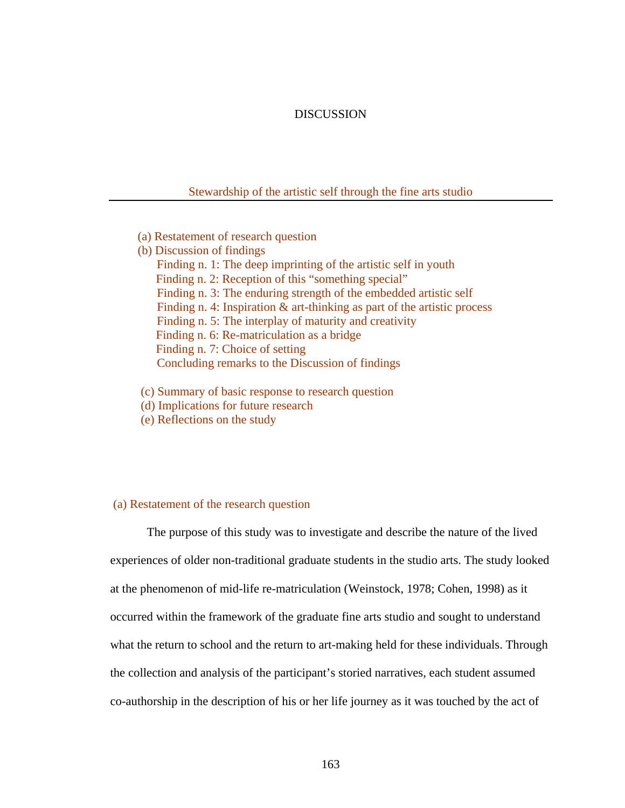### DISCUSSION

#### Stewardship of the artistic self through the fine arts studio

- (a) Restatement of research question
- (b) Discussion of findings Finding n. 1: The deep imprinting of the artistic self in youth Finding n. 2: Reception of this "something special" Finding n. 3: The enduring strength of the embedded artistic self Finding n. 4: Inspiration  $\&$  art-thinking as part of the artistic process Finding n. 5: The interplay of maturity and creativity Finding n. 6: Re-matriculation as a bridge Finding n. 7: Choice of setting Concluding remarks to the Discussion of findings
- (c) Summary of basic response to research question
- (d) Implications for future research
- (e) Reflections on the study

# (a) Restatement of the research question

 The purpose of this study was to investigate and describe the nature of the lived experiences of older non-traditional graduate students in the studio arts. The study looked at the phenomenon of mid-life re-matriculation (Weinstock, 1978; Cohen, 1998) as it occurred within the framework of the graduate fine arts studio and sought to understand what the return to school and the return to art-making held for these individuals. Through the collection and analysis of the participant's storied narratives, each student assumed co-authorship in the description of his or her life journey as it was touched by the act of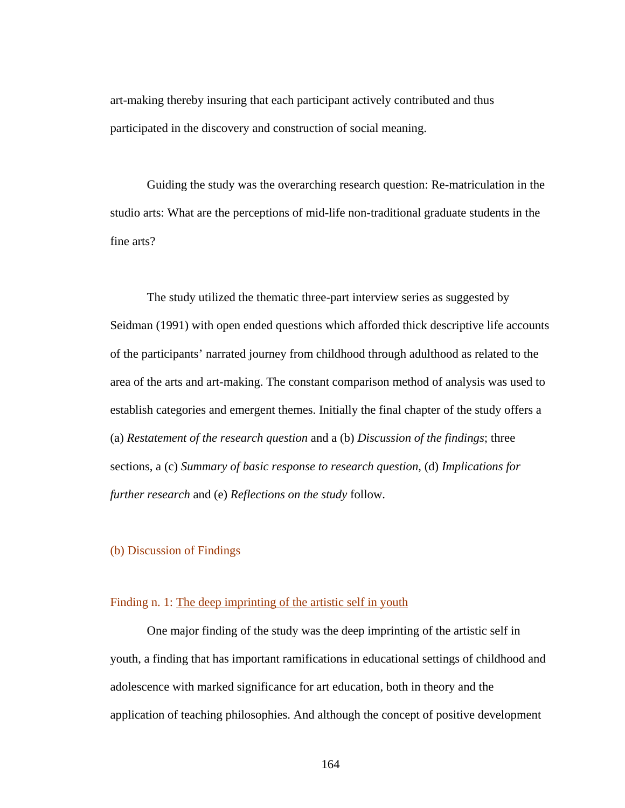art-making thereby insuring that each participant actively contributed and thus participated in the discovery and construction of social meaning.

Guiding the study was the overarching research question: Re-matriculation in the studio arts: What are the perceptions of mid-life non-traditional graduate students in the fine arts?

The study utilized the thematic three-part interview series as suggested by Seidman (1991) with open ended questions which afforded thick descriptive life accounts of the participants' narrated journey from childhood through adulthood as related to the area of the arts and art-making. The constant comparison method of analysis was used to establish categories and emergent themes. Initially the final chapter of the study offers a (a) *Restatement of the research question* and a (b) *Discussion of the findings*; three sections, a (c) *Summary of basic response to research question*, (d) *Implications for further research* and (e) *Reflections on the study* follow.

# (b) Discussion of Findings

# Finding n. 1: The deep imprinting of the artistic self in youth

 One major finding of the study was the deep imprinting of the artistic self in youth, a finding that has important ramifications in educational settings of childhood and adolescence with marked significance for art education, both in theory and the application of teaching philosophies. And although the concept of positive development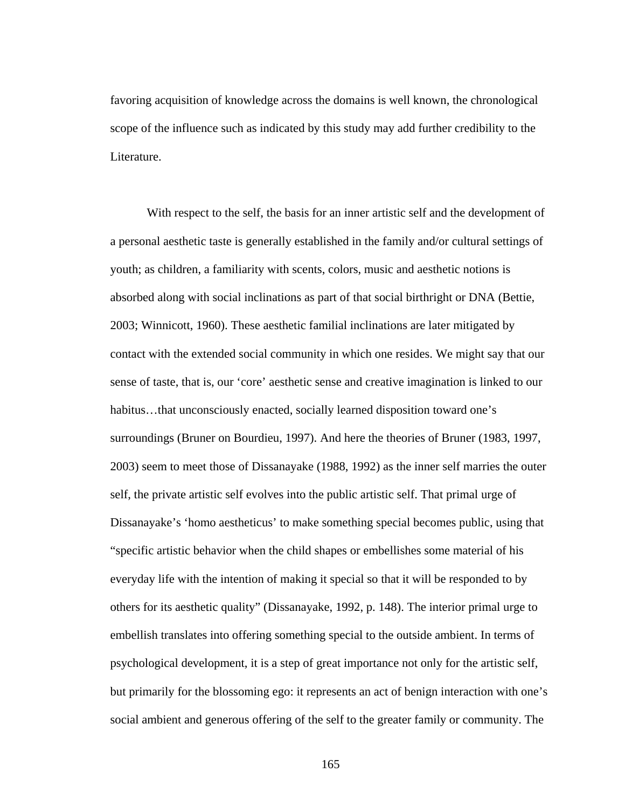favoring acquisition of knowledge across the domains is well known, the chronological scope of the influence such as indicated by this study may add further credibility to the Literature.

With respect to the self, the basis for an inner artistic self and the development of a personal aesthetic taste is generally established in the family and/or cultural settings of youth; as children, a familiarity with scents, colors, music and aesthetic notions is absorbed along with social inclinations as part of that social birthright or DNA (Bettie, 2003; Winnicott, 1960). These aesthetic familial inclinations are later mitigated by contact with the extended social community in which one resides. We might say that our sense of taste, that is, our 'core' aesthetic sense and creative imagination is linked to our habitus...that unconsciously enacted, socially learned disposition toward one's surroundings (Bruner on Bourdieu, 1997). And here the theories of Bruner (1983, 1997, 2003) seem to meet those of Dissanayake (1988, 1992) as the inner self marries the outer self, the private artistic self evolves into the public artistic self. That primal urge of Dissanayake's 'homo aestheticus' to make something special becomes public, using that "specific artistic behavior when the child shapes or embellishes some material of his everyday life with the intention of making it special so that it will be responded to by others for its aesthetic quality" (Dissanayake, 1992, p. 148). The interior primal urge to embellish translates into offering something special to the outside ambient. In terms of psychological development, it is a step of great importance not only for the artistic self, but primarily for the blossoming ego: it represents an act of benign interaction with one's social ambient and generous offering of the self to the greater family or community. The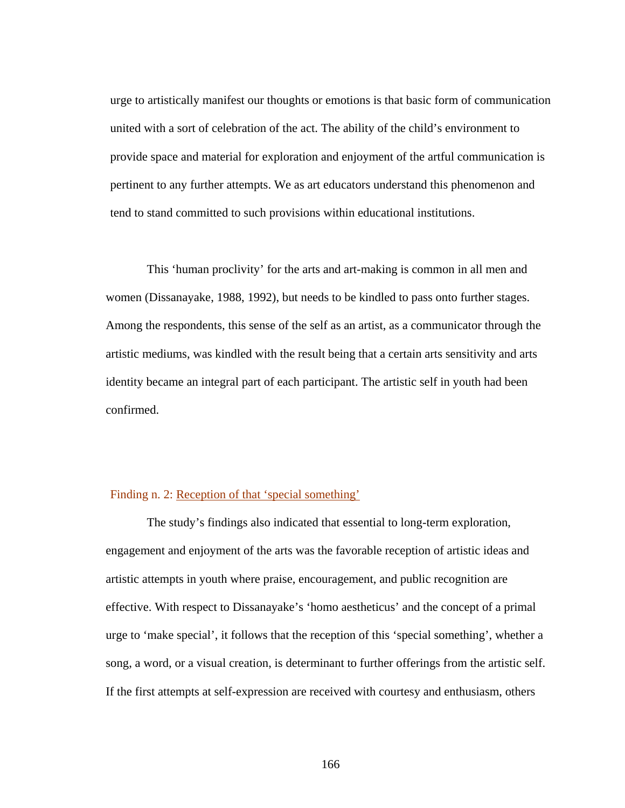urge to artistically manifest our thoughts or emotions is that basic form of communication united with a sort of celebration of the act. The ability of the child's environment to provide space and material for exploration and enjoyment of the artful communication is pertinent to any further attempts. We as art educators understand this phenomenon and tend to stand committed to such provisions within educational institutions.

 This 'human proclivity' for the arts and art-making is common in all men and women (Dissanayake, 1988, 1992), but needs to be kindled to pass onto further stages. Among the respondents, this sense of the self as an artist, as a communicator through the artistic mediums, was kindled with the result being that a certain arts sensitivity and arts identity became an integral part of each participant. The artistic self in youth had been confirmed.

# Finding n. 2: Reception of that 'special something'

 The study's findings also indicated that essential to long-term exploration, engagement and enjoyment of the arts was the favorable reception of artistic ideas and artistic attempts in youth where praise, encouragement, and public recognition are effective. With respect to Dissanayake's 'homo aestheticus' and the concept of a primal urge to 'make special', it follows that the reception of this 'special something', whether a song, a word, or a visual creation, is determinant to further offerings from the artistic self. If the first attempts at self-expression are received with courtesy and enthusiasm, others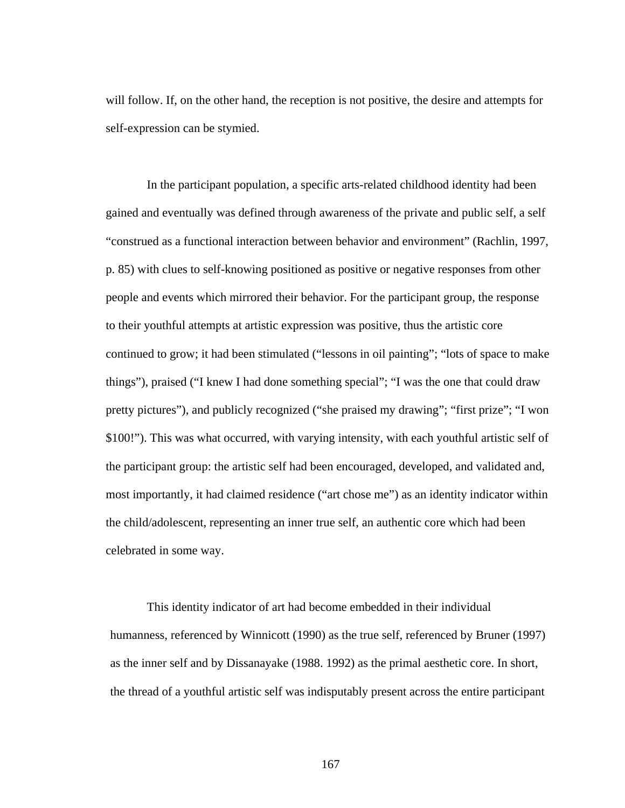will follow. If, on the other hand, the reception is not positive, the desire and attempts for self-expression can be stymied.

 In the participant population, a specific arts-related childhood identity had been gained and eventually was defined through awareness of the private and public self, a self "construed as a functional interaction between behavior and environment" (Rachlin, 1997, p. 85) with clues to self-knowing positioned as positive or negative responses from other people and events which mirrored their behavior. For the participant group, the response to their youthful attempts at artistic expression was positive, thus the artistic core continued to grow; it had been stimulated ("lessons in oil painting"; "lots of space to make things"), praised ("I knew I had done something special"; "I was the one that could draw pretty pictures"), and publicly recognized ("she praised my drawing"; "first prize"; "I won \$100!"). This was what occurred, with varying intensity, with each youthful artistic self of the participant group: the artistic self had been encouraged, developed, and validated and, most importantly, it had claimed residence ("art chose me") as an identity indicator within the child/adolescent, representing an inner true self, an authentic core which had been celebrated in some way.

 This identity indicator of art had become embedded in their individual humanness, referenced by Winnicott (1990) as the true self, referenced by Bruner (1997) as the inner self and by Dissanayake (1988. 1992) as the primal aesthetic core. In short, the thread of a youthful artistic self was indisputably present across the entire participant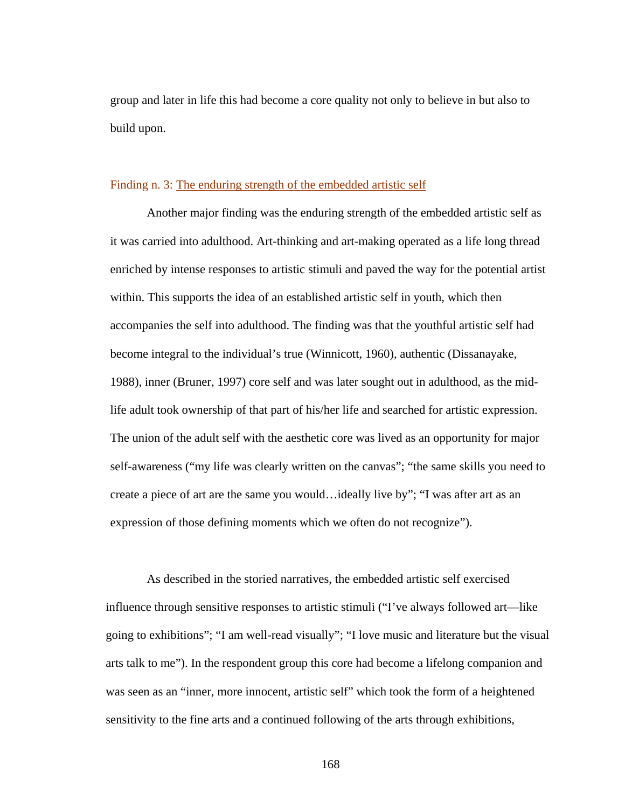group and later in life this had become a core quality not only to believe in but also to build upon.

### Finding n. 3: The enduring strength of the embedded artistic self

 Another major finding was the enduring strength of the embedded artistic self as it was carried into adulthood. Art-thinking and art-making operated as a life long thread enriched by intense responses to artistic stimuli and paved the way for the potential artist within. This supports the idea of an established artistic self in youth, which then accompanies the self into adulthood. The finding was that the youthful artistic self had become integral to the individual's true (Winnicott, 1960), authentic (Dissanayake, 1988), inner (Bruner, 1997) core self and was later sought out in adulthood, as the midlife adult took ownership of that part of his/her life and searched for artistic expression. The union of the adult self with the aesthetic core was lived as an opportunity for major self-awareness ("my life was clearly written on the canvas"; "the same skills you need to create a piece of art are the same you would…ideally live by"; "I was after art as an expression of those defining moments which we often do not recognize").

 As described in the storied narratives, the embedded artistic self exercised influence through sensitive responses to artistic stimuli ("I've always followed art—like going to exhibitions"; "I am well-read visually"; "I love music and literature but the visual arts talk to me"). In the respondent group this core had become a lifelong companion and was seen as an "inner, more innocent, artistic self" which took the form of a heightened sensitivity to the fine arts and a continued following of the arts through exhibitions,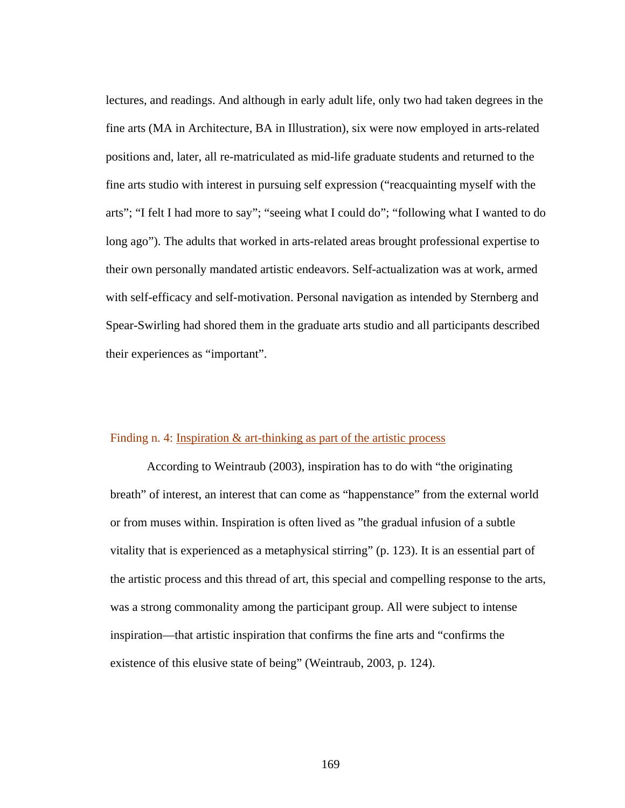lectures, and readings. And although in early adult life, only two had taken degrees in the fine arts (MA in Architecture, BA in Illustration), six were now employed in arts-related positions and, later, all re-matriculated as mid-life graduate students and returned to the fine arts studio with interest in pursuing self expression ("reacquainting myself with the arts"; "I felt I had more to say"; "seeing what I could do"; "following what I wanted to do long ago"). The adults that worked in arts-related areas brought professional expertise to their own personally mandated artistic endeavors. Self-actualization was at work, armed with self-efficacy and self-motivation. Personal navigation as intended by Sternberg and Spear-Swirling had shored them in the graduate arts studio and all participants described their experiences as "important".

### Finding n. 4: Inspiration & art-thinking as part of the artistic process

 According to Weintraub (2003), inspiration has to do with "the originating breath" of interest, an interest that can come as "happenstance" from the external world or from muses within. Inspiration is often lived as "the gradual infusion of a subtle vitality that is experienced as a metaphysical stirring" (p. 123). It is an essential part of the artistic process and this thread of art, this special and compelling response to the arts, was a strong commonality among the participant group. All were subject to intense inspiration—that artistic inspiration that confirms the fine arts and "confirms the existence of this elusive state of being" (Weintraub, 2003, p. 124).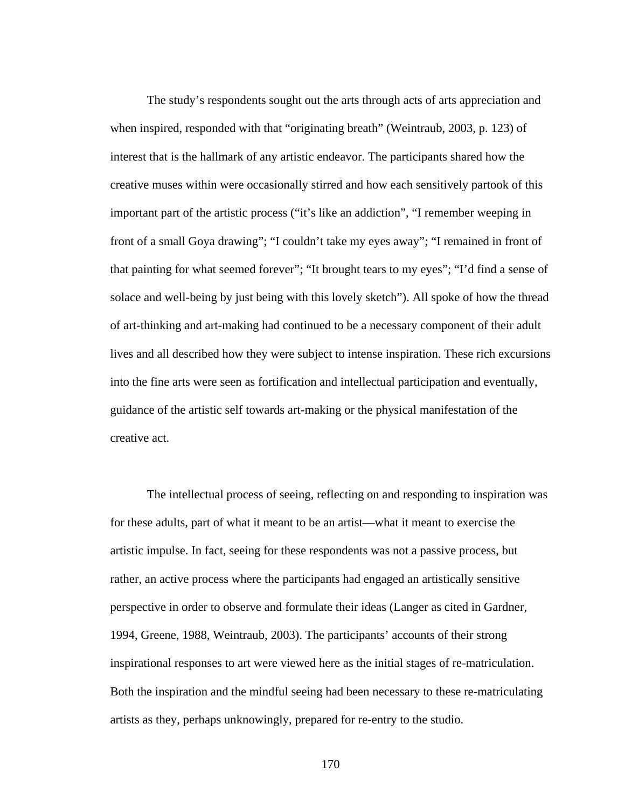The study's respondents sought out the arts through acts of arts appreciation and when inspired, responded with that "originating breath" (Weintraub, 2003, p. 123) of interest that is the hallmark of any artistic endeavor. The participants shared how the creative muses within were occasionally stirred and how each sensitively partook of this important part of the artistic process ("it's like an addiction", "I remember weeping in front of a small Goya drawing"; "I couldn't take my eyes away"; "I remained in front of that painting for what seemed forever"; "It brought tears to my eyes"; "I'd find a sense of solace and well-being by just being with this lovely sketch"). All spoke of how the thread of art-thinking and art-making had continued to be a necessary component of their adult lives and all described how they were subject to intense inspiration. These rich excursions into the fine arts were seen as fortification and intellectual participation and eventually, guidance of the artistic self towards art-making or the physical manifestation of the creative act.

 The intellectual process of seeing, reflecting on and responding to inspiration was for these adults, part of what it meant to be an artist—what it meant to exercise the artistic impulse. In fact, seeing for these respondents was not a passive process, but rather, an active process where the participants had engaged an artistically sensitive perspective in order to observe and formulate their ideas (Langer as cited in Gardner, 1994, Greene, 1988, Weintraub, 2003). The participants' accounts of their strong inspirational responses to art were viewed here as the initial stages of re-matriculation. Both the inspiration and the mindful seeing had been necessary to these re-matriculating artists as they, perhaps unknowingly, prepared for re-entry to the studio.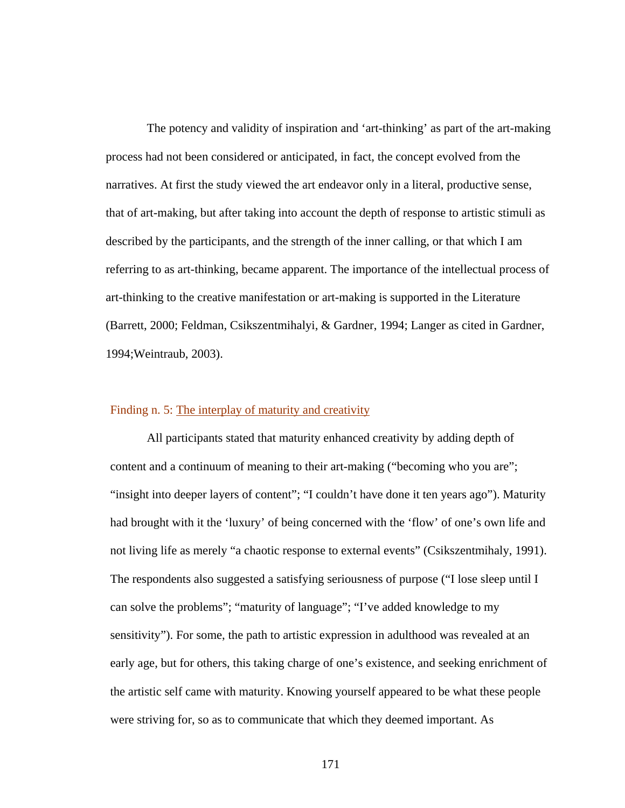The potency and validity of inspiration and 'art-thinking' as part of the art-making process had not been considered or anticipated, in fact, the concept evolved from the narratives. At first the study viewed the art endeavor only in a literal, productive sense, that of art-making, but after taking into account the depth of response to artistic stimuli as described by the participants, and the strength of the inner calling, or that which I am referring to as art-thinking, became apparent. The importance of the intellectual process of art-thinking to the creative manifestation or art-making is supported in the Literature (Barrett, 2000; Feldman, Csikszentmihalyi, & Gardner, 1994; Langer as cited in Gardner, 1994;Weintraub, 2003).

# Finding n. 5: The interplay of maturity and creativity

 All participants stated that maturity enhanced creativity by adding depth of content and a continuum of meaning to their art-making ("becoming who you are"; "insight into deeper layers of content"; "I couldn't have done it ten years ago"). Maturity had brought with it the 'luxury' of being concerned with the 'flow' of one's own life and not living life as merely "a chaotic response to external events" (Csikszentmihaly, 1991). The respondents also suggested a satisfying seriousness of purpose ("I lose sleep until I can solve the problems"; "maturity of language"; "I've added knowledge to my sensitivity"). For some, the path to artistic expression in adulthood was revealed at an early age, but for others, this taking charge of one's existence, and seeking enrichment of the artistic self came with maturity. Knowing yourself appeared to be what these people were striving for, so as to communicate that which they deemed important. As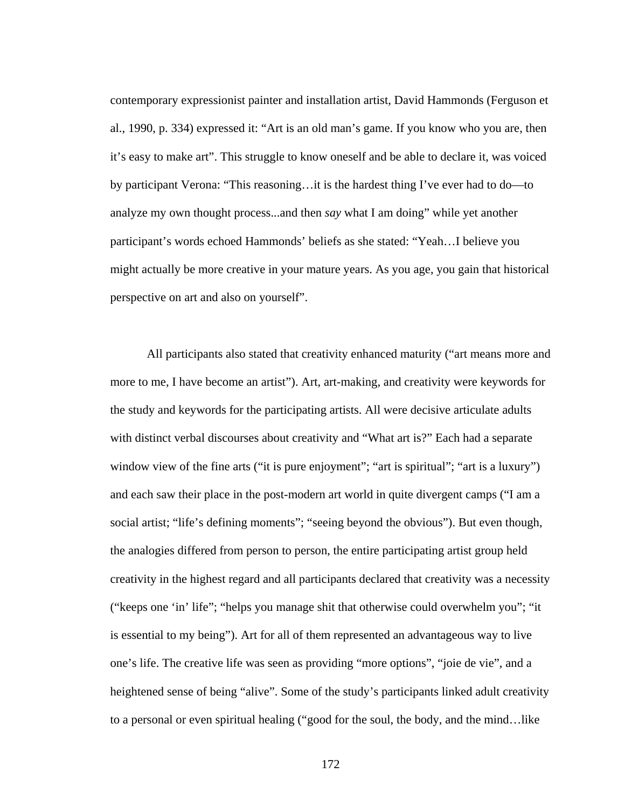contemporary expressionist painter and installation artist, David Hammonds (Ferguson et al., 1990, p. 334) expressed it: "Art is an old man's game. If you know who you are, then it's easy to make art". This struggle to know oneself and be able to declare it, was voiced by participant Verona: "This reasoning…it is the hardest thing I've ever had to do—to analyze my own thought process...and then *say* what I am doing" while yet another participant's words echoed Hammonds' beliefs as she stated: "Yeah…I believe you might actually be more creative in your mature years. As you age, you gain that historical perspective on art and also on yourself".

 All participants also stated that creativity enhanced maturity ("art means more and more to me, I have become an artist"). Art, art-making, and creativity were keywords for the study and keywords for the participating artists. All were decisive articulate adults with distinct verbal discourses about creativity and "What art is?" Each had a separate window view of the fine arts ("it is pure enjoyment"; "art is spiritual"; "art is a luxury") and each saw their place in the post-modern art world in quite divergent camps ("I am a social artist; "life's defining moments"; "seeing beyond the obvious"). But even though, the analogies differed from person to person, the entire participating artist group held creativity in the highest regard and all participants declared that creativity was a necessity ("keeps one 'in' life"; "helps you manage shit that otherwise could overwhelm you"; "it is essential to my being"). Art for all of them represented an advantageous way to live one's life. The creative life was seen as providing "more options", "joie de vie", and a heightened sense of being "alive". Some of the study's participants linked adult creativity to a personal or even spiritual healing ("good for the soul, the body, and the mind…like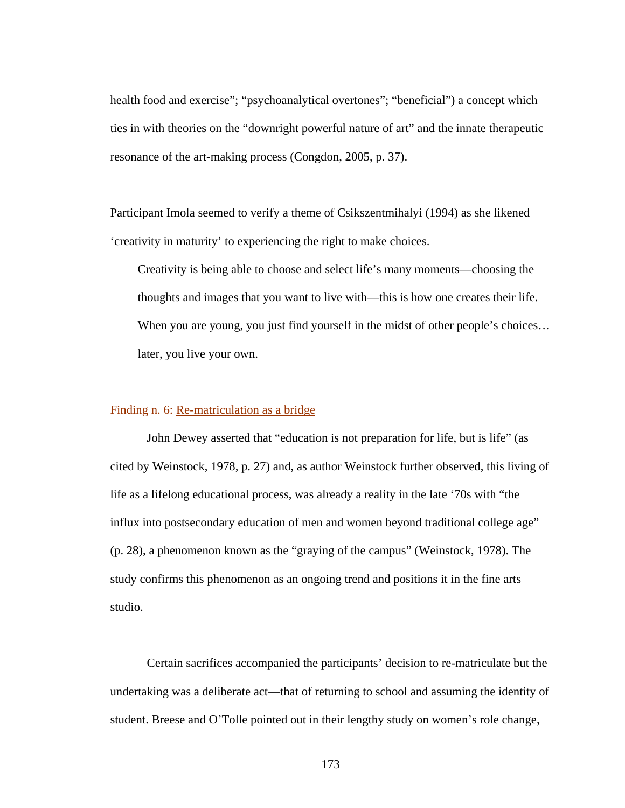health food and exercise"; "psychoanalytical overtones"; "beneficial") a concept which ties in with theories on the "downright powerful nature of art" and the innate therapeutic resonance of the art-making process (Congdon, 2005, p. 37).

Participant Imola seemed to verify a theme of Csikszentmihalyi (1994) as she likened 'creativity in maturity' to experiencing the right to make choices.

Creativity is being able to choose and select life's many moments—choosing the thoughts and images that you want to live with—this is how one creates their life. When you are young, you just find yourself in the midst of other people's choices... later, you live your own.

# Finding n. 6: Re-matriculation as a bridge

 John Dewey asserted that "education is not preparation for life, but is life" (as cited by Weinstock, 1978, p. 27) and, as author Weinstock further observed, this living of life as a lifelong educational process, was already a reality in the late '70s with "the influx into postsecondary education of men and women beyond traditional college age" (p. 28), a phenomenon known as the "graying of the campus" (Weinstock, 1978). The study confirms this phenomenon as an ongoing trend and positions it in the fine arts studio.

Certain sacrifices accompanied the participants' decision to re-matriculate but the undertaking was a deliberate act—that of returning to school and assuming the identity of student. Breese and O'Tolle pointed out in their lengthy study on women's role change,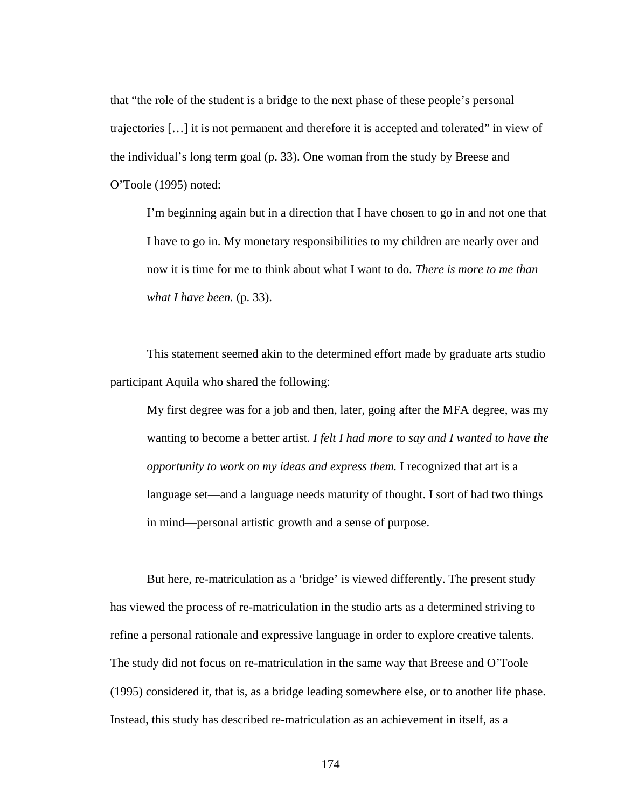that "the role of the student is a bridge to the next phase of these people's personal trajectories […] it is not permanent and therefore it is accepted and tolerated" in view of the individual's long term goal (p. 33). One woman from the study by Breese and O'Toole (1995) noted:

I'm beginning again but in a direction that I have chosen to go in and not one that I have to go in. My monetary responsibilities to my children are nearly over and now it is time for me to think about what I want to do. *There is more to me than what I have been.* (p. 33).

This statement seemed akin to the determined effort made by graduate arts studio participant Aquila who shared the following:

My first degree was for a job and then, later, going after the MFA degree, was my wanting to become a better artist*. I felt I had more to say and I wanted to have the opportunity to work on my ideas and express them.* I recognized that art is a language set—and a language needs maturity of thought. I sort of had two things in mind—personal artistic growth and a sense of purpose.

 But here, re-matriculation as a 'bridge' is viewed differently. The present study has viewed the process of re-matriculation in the studio arts as a determined striving to refine a personal rationale and expressive language in order to explore creative talents. The study did not focus on re-matriculation in the same way that Breese and O'Toole (1995) considered it, that is, as a bridge leading somewhere else, or to another life phase. Instead, this study has described re-matriculation as an achievement in itself, as a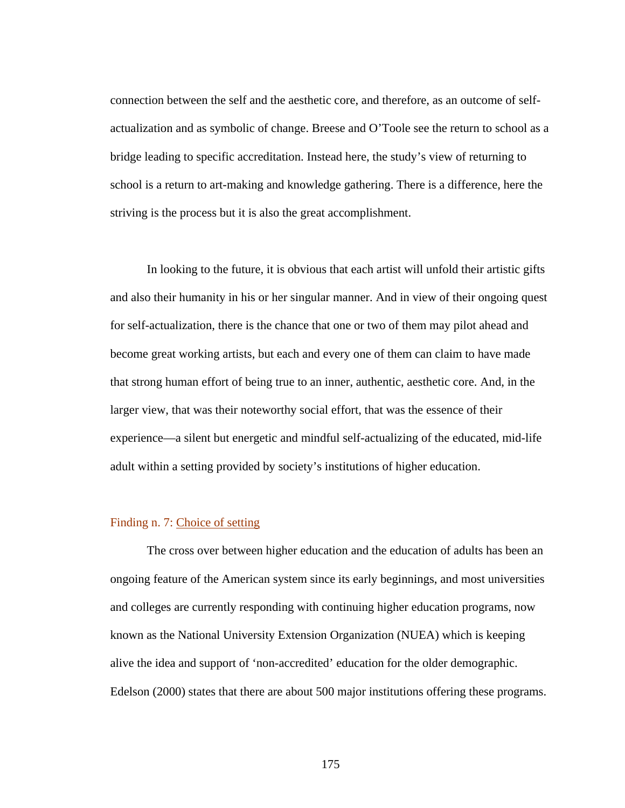connection between the self and the aesthetic core, and therefore, as an outcome of selfactualization and as symbolic of change. Breese and O'Toole see the return to school as a bridge leading to specific accreditation. Instead here, the study's view of returning to school is a return to art-making and knowledge gathering. There is a difference, here the striving is the process but it is also the great accomplishment.

 In looking to the future, it is obvious that each artist will unfold their artistic gifts and also their humanity in his or her singular manner. And in view of their ongoing quest for self-actualization, there is the chance that one or two of them may pilot ahead and become great working artists, but each and every one of them can claim to have made that strong human effort of being true to an inner, authentic, aesthetic core. And, in the larger view, that was their noteworthy social effort, that was the essence of their experience—a silent but energetic and mindful self-actualizing of the educated, mid-life adult within a setting provided by society's institutions of higher education.

#### Finding n. 7: Choice of setting

 The cross over between higher education and the education of adults has been an ongoing feature of the American system since its early beginnings, and most universities and colleges are currently responding with continuing higher education programs, now known as the National University Extension Organization (NUEA) which is keeping alive the idea and support of 'non-accredited' education for the older demographic. Edelson (2000) states that there are about 500 major institutions offering these programs.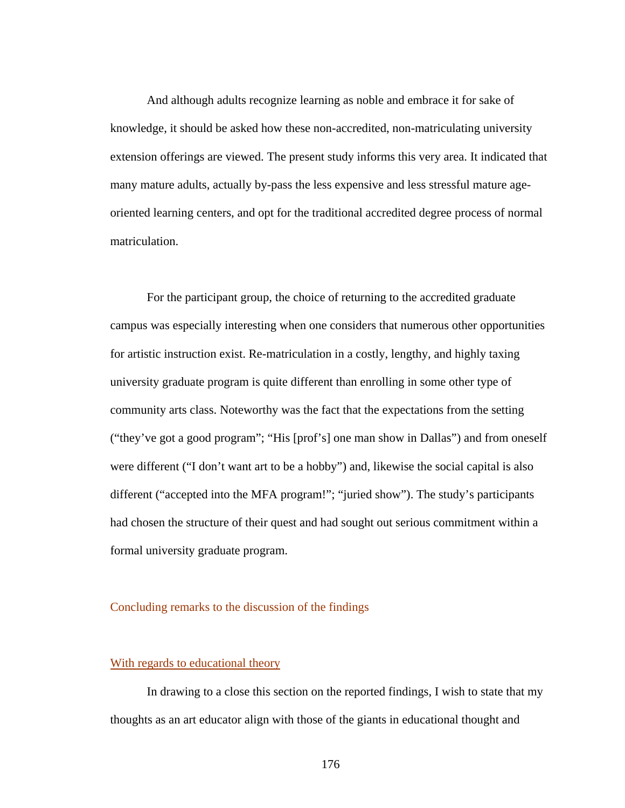And although adults recognize learning as noble and embrace it for sake of knowledge, it should be asked how these non-accredited, non-matriculating university extension offerings are viewed. The present study informs this very area. It indicated that many mature adults, actually by-pass the less expensive and less stressful mature ageoriented learning centers, and opt for the traditional accredited degree process of normal matriculation.

 For the participant group, the choice of returning to the accredited graduate campus was especially interesting when one considers that numerous other opportunities for artistic instruction exist. Re-matriculation in a costly, lengthy, and highly taxing university graduate program is quite different than enrolling in some other type of community arts class. Noteworthy was the fact that the expectations from the setting ("they've got a good program"; "His [prof's] one man show in Dallas") and from oneself were different ("I don't want art to be a hobby") and, likewise the social capital is also different ("accepted into the MFA program!"; "juried show"). The study's participants had chosen the structure of their quest and had sought out serious commitment within a formal university graduate program.

# Concluding remarks to the discussion of the findings

#### With regards to educational theory

 In drawing to a close this section on the reported findings, I wish to state that my thoughts as an art educator align with those of the giants in educational thought and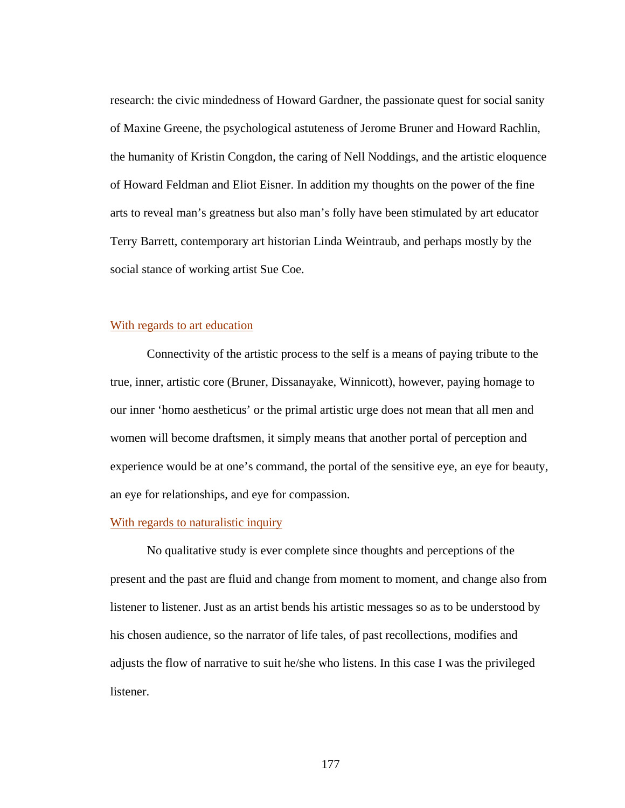research: the civic mindedness of Howard Gardner, the passionate quest for social sanity of Maxine Greene, the psychological astuteness of Jerome Bruner and Howard Rachlin, the humanity of Kristin Congdon, the caring of Nell Noddings, and the artistic eloquence of Howard Feldman and Eliot Eisner. In addition my thoughts on the power of the fine arts to reveal man's greatness but also man's folly have been stimulated by art educator Terry Barrett, contemporary art historian Linda Weintraub, and perhaps mostly by the social stance of working artist Sue Coe.

### With regards to art education

 Connectivity of the artistic process to the self is a means of paying tribute to the true, inner, artistic core (Bruner, Dissanayake, Winnicott), however, paying homage to our inner 'homo aestheticus' or the primal artistic urge does not mean that all men and women will become draftsmen, it simply means that another portal of perception and experience would be at one's command, the portal of the sensitive eye, an eye for beauty, an eye for relationships, and eye for compassion.

#### With regards to naturalistic inquiry

 No qualitative study is ever complete since thoughts and perceptions of the present and the past are fluid and change from moment to moment, and change also from listener to listener. Just as an artist bends his artistic messages so as to be understood by his chosen audience, so the narrator of life tales, of past recollections, modifies and adjusts the flow of narrative to suit he/she who listens. In this case I was the privileged listener.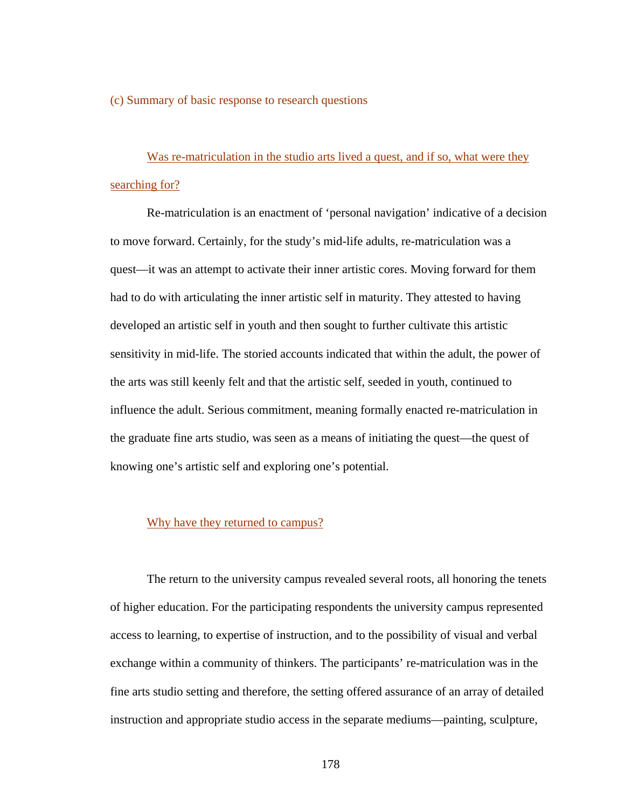(c) Summary of basic response to research questions

Was re-matriculation in the studio arts lived a quest, and if so, what were they searching for?

Re-matriculation is an enactment of 'personal navigation' indicative of a decision to move forward. Certainly, for the study's mid-life adults, re-matriculation was a quest—it was an attempt to activate their inner artistic cores. Moving forward for them had to do with articulating the inner artistic self in maturity. They attested to having developed an artistic self in youth and then sought to further cultivate this artistic sensitivity in mid-life. The storied accounts indicated that within the adult, the power of the arts was still keenly felt and that the artistic self, seeded in youth, continued to influence the adult. Serious commitment, meaning formally enacted re-matriculation in the graduate fine arts studio, was seen as a means of initiating the quest—the quest of knowing one's artistic self and exploring one's potential.

#### Why have they returned to campus?

 The return to the university campus revealed several roots, all honoring the tenets of higher education. For the participating respondents the university campus represented access to learning, to expertise of instruction, and to the possibility of visual and verbal exchange within a community of thinkers. The participants' re-matriculation was in the fine arts studio setting and therefore, the setting offered assurance of an array of detailed instruction and appropriate studio access in the separate mediums—painting, sculpture,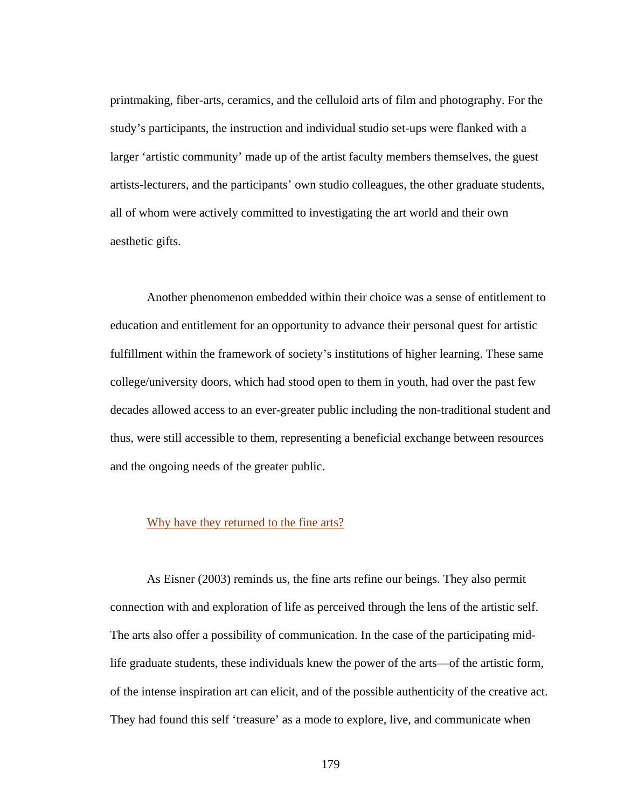printmaking, fiber-arts, ceramics, and the celluloid arts of film and photography. For the study's participants, the instruction and individual studio set-ups were flanked with a larger 'artistic community' made up of the artist faculty members themselves, the guest artists-lecturers, and the participants' own studio colleagues, the other graduate students, all of whom were actively committed to investigating the art world and their own aesthetic gifts.

 Another phenomenon embedded within their choice was a sense of entitlement to education and entitlement for an opportunity to advance their personal quest for artistic fulfillment within the framework of society's institutions of higher learning. These same college/university doors, which had stood open to them in youth, had over the past few decades allowed access to an ever-greater public including the non-traditional student and thus, were still accessible to them, representing a beneficial exchange between resources and the ongoing needs of the greater public.

#### Why have they returned to the fine arts?

 As Eisner (2003) reminds us, the fine arts refine our beings. They also permit connection with and exploration of life as perceived through the lens of the artistic self. The arts also offer a possibility of communication. In the case of the participating midlife graduate students, these individuals knew the power of the arts—of the artistic form, of the intense inspiration art can elicit, and of the possible authenticity of the creative act. They had found this self 'treasure' as a mode to explore, live, and communicate when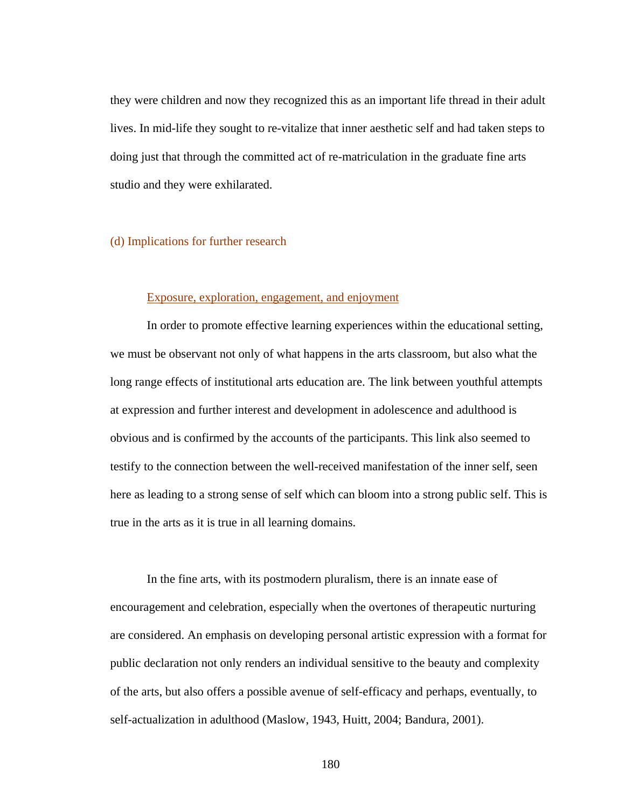they were children and now they recognized this as an important life thread in their adult lives. In mid-life they sought to re-vitalize that inner aesthetic self and had taken steps to doing just that through the committed act of re-matriculation in the graduate fine arts studio and they were exhilarated.

#### (d) Implications for further research

#### Exposure, exploration, engagement, and enjoyment

 In order to promote effective learning experiences within the educational setting, we must be observant not only of what happens in the arts classroom, but also what the long range effects of institutional arts education are. The link between youthful attempts at expression and further interest and development in adolescence and adulthood is obvious and is confirmed by the accounts of the participants. This link also seemed to testify to the connection between the well-received manifestation of the inner self, seen here as leading to a strong sense of self which can bloom into a strong public self. This is true in the arts as it is true in all learning domains.

 In the fine arts, with its postmodern pluralism, there is an innate ease of encouragement and celebration, especially when the overtones of therapeutic nurturing are considered. An emphasis on developing personal artistic expression with a format for public declaration not only renders an individual sensitive to the beauty and complexity of the arts, but also offers a possible avenue of self-efficacy and perhaps, eventually, to self-actualization in adulthood (Maslow, 1943, Huitt, 2004; Bandura, 2001).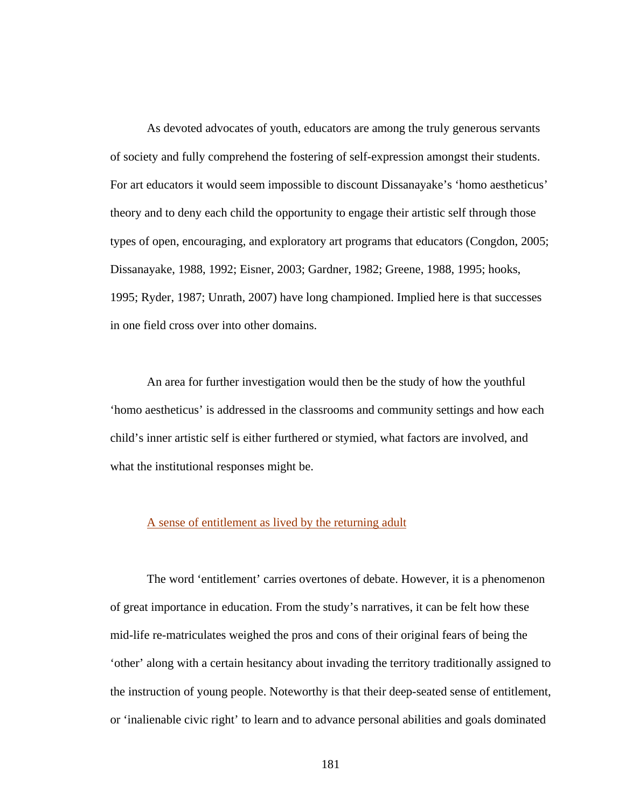As devoted advocates of youth, educators are among the truly generous servants of society and fully comprehend the fostering of self-expression amongst their students. For art educators it would seem impossible to discount Dissanayake's 'homo aestheticus' theory and to deny each child the opportunity to engage their artistic self through those types of open, encouraging, and exploratory art programs that educators (Congdon, 2005; Dissanayake, 1988, 1992; Eisner, 2003; Gardner, 1982; Greene, 1988, 1995; hooks, 1995; Ryder, 1987; Unrath, 2007) have long championed. Implied here is that successes in one field cross over into other domains.

 An area for further investigation would then be the study of how the youthful 'homo aestheticus' is addressed in the classrooms and community settings and how each child's inner artistic self is either furthered or stymied, what factors are involved, and what the institutional responses might be.

# A sense of entitlement as lived by the returning adult

 The word 'entitlement' carries overtones of debate. However, it is a phenomenon of great importance in education. From the study's narratives, it can be felt how these mid-life re-matriculates weighed the pros and cons of their original fears of being the 'other' along with a certain hesitancy about invading the territory traditionally assigned to the instruction of young people. Noteworthy is that their deep-seated sense of entitlement, or 'inalienable civic right' to learn and to advance personal abilities and goals dominated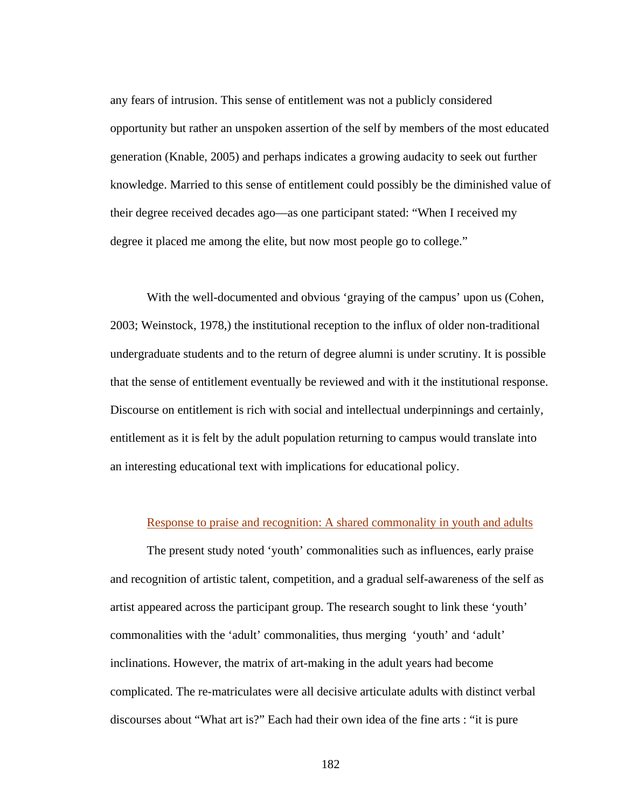any fears of intrusion. This sense of entitlement was not a publicly considered opportunity but rather an unspoken assertion of the self by members of the most educated generation (Knable, 2005) and perhaps indicates a growing audacity to seek out further knowledge. Married to this sense of entitlement could possibly be the diminished value of their degree received decades ago—as one participant stated: "When I received my degree it placed me among the elite, but now most people go to college."

 With the well-documented and obvious 'graying of the campus' upon us (Cohen, 2003; Weinstock, 1978,) the institutional reception to the influx of older non-traditional undergraduate students and to the return of degree alumni is under scrutiny. It is possible that the sense of entitlement eventually be reviewed and with it the institutional response. Discourse on entitlement is rich with social and intellectual underpinnings and certainly, entitlement as it is felt by the adult population returning to campus would translate into an interesting educational text with implications for educational policy.

# Response to praise and recognition: A shared commonality in youth and adults

 The present study noted 'youth' commonalities such as influences, early praise and recognition of artistic talent, competition, and a gradual self-awareness of the self as artist appeared across the participant group. The research sought to link these 'youth' commonalities with the 'adult' commonalities, thus merging 'youth' and 'adult' inclinations. However, the matrix of art-making in the adult years had become complicated. The re-matriculates were all decisive articulate adults with distinct verbal discourses about "What art is?" Each had their own idea of the fine arts : "it is pure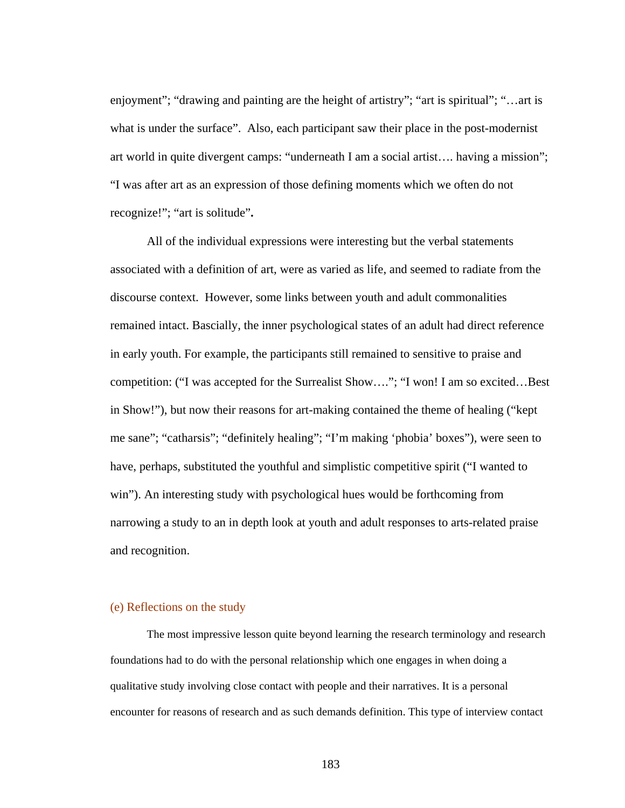enjoyment"; "drawing and painting are the height of artistry"; "art is spiritual"; "…art is what is under the surface". Also, each participant saw their place in the post-modernist art world in quite divergent camps: "underneath I am a social artist…. having a mission"; "I was after art as an expression of those defining moments which we often do not recognize!"; "art is solitude"**.** 

All of the individual expressions were interesting but the verbal statements associated with a definition of art, were as varied as life, and seemed to radiate from the discourse context. However, some links between youth and adult commonalities remained intact. Bascially, the inner psychological states of an adult had direct reference in early youth. For example, the participants still remained to sensitive to praise and competition: ("I was accepted for the Surrealist Show…."; "I won! I am so excited…Best in Show!"), but now their reasons for art-making contained the theme of healing ("kept me sane"; "catharsis"; "definitely healing"; "I'm making 'phobia' boxes"), were seen to have, perhaps, substituted the youthful and simplistic competitive spirit ("I wanted to win"). An interesting study with psychological hues would be forthcoming from narrowing a study to an in depth look at youth and adult responses to arts-related praise and recognition.

# (e) Reflections on the study

The most impressive lesson quite beyond learning the research terminology and research foundations had to do with the personal relationship which one engages in when doing a qualitative study involving close contact with people and their narratives. It is a personal encounter for reasons of research and as such demands definition. This type of interview contact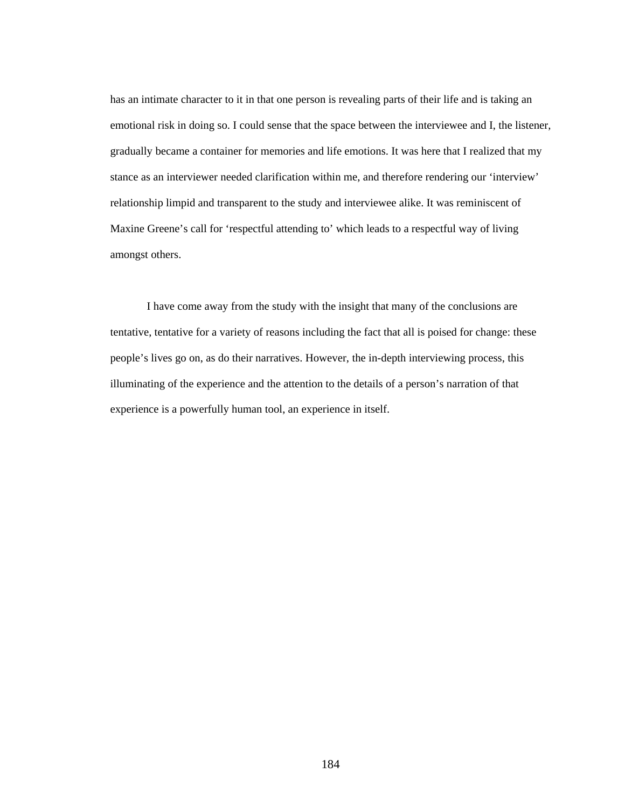has an intimate character to it in that one person is revealing parts of their life and is taking an emotional risk in doing so. I could sense that the space between the interviewee and I, the listener, gradually became a container for memories and life emotions. It was here that I realized that my stance as an interviewer needed clarification within me, and therefore rendering our 'interview' relationship limpid and transparent to the study and interviewee alike. It was reminiscent of Maxine Greene's call for 'respectful attending to' which leads to a respectful way of living amongst others.

 I have come away from the study with the insight that many of the conclusions are tentative, tentative for a variety of reasons including the fact that all is poised for change: these people's lives go on, as do their narratives. However, the in-depth interviewing process, this illuminating of the experience and the attention to the details of a person's narration of that experience is a powerfully human tool, an experience in itself.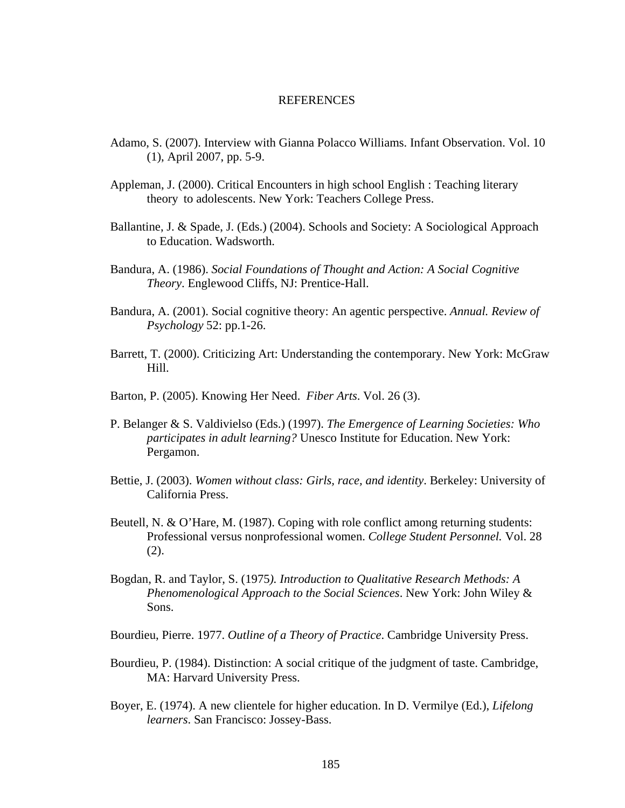#### REFERENCES

- Adamo, S. (2007). Interview with Gianna Polacco Williams. Infant Observation. Vol. 10 (1), April 2007, pp. 5-9.
- Appleman, J. (2000). Critical Encounters in high school English : Teaching literary theory to adolescents. New York: Teachers College Press.
- Ballantine, J. & Spade, J. (Eds.) (2004). Schools and Society: A Sociological Approach to Education. Wadsworth.
- Bandura, A. (1986). *Social Foundations of Thought and Action: A Social Cognitive Theory*. Englewood Cliffs, NJ: Prentice-Hall.
- Bandura, A. (2001). Social cognitive theory: An agentic perspective. *Annual. Review of Psychology* 52: pp.1-26.
- Barrett, T. (2000). Criticizing Art: Understanding the contemporary. New York: McGraw Hill.
- Barton, P. (2005). Knowing Her Need. *Fiber Arts*. Vol. 26 (3).
- P. Belanger & S. Valdivielso (Eds.) (1997). *The Emergence of Learning Societies: Who participates in adult learning?* Unesco Institute for Education. New York: Pergamon.
- Bettie, J. (2003). *Women without class: Girls, race, and identity*. Berkeley: University of California Press.
- Beutell, N. & O'Hare, M. (1987). Coping with role conflict among returning students: Professional versus nonprofessional women. *College Student Personnel.* Vol. 28 (2).
- Bogdan, R. and Taylor, S. (1975*). Introduction to Qualitative Research Methods: A Phenomenological Approach to the Social Sciences*. New York: John Wiley & Sons.
- Bourdieu, Pierre. 1977. *Outline of a Theory of Practice*. Cambridge University Press.
- Bourdieu, P. (1984). Distinction: A social critique of the judgment of taste. Cambridge, MA: Harvard University Press.
- Boyer, E. (1974). A new clientele for higher education. In D. Vermilye (Ed.), *Lifelong learners*. San Francisco: Jossey-Bass.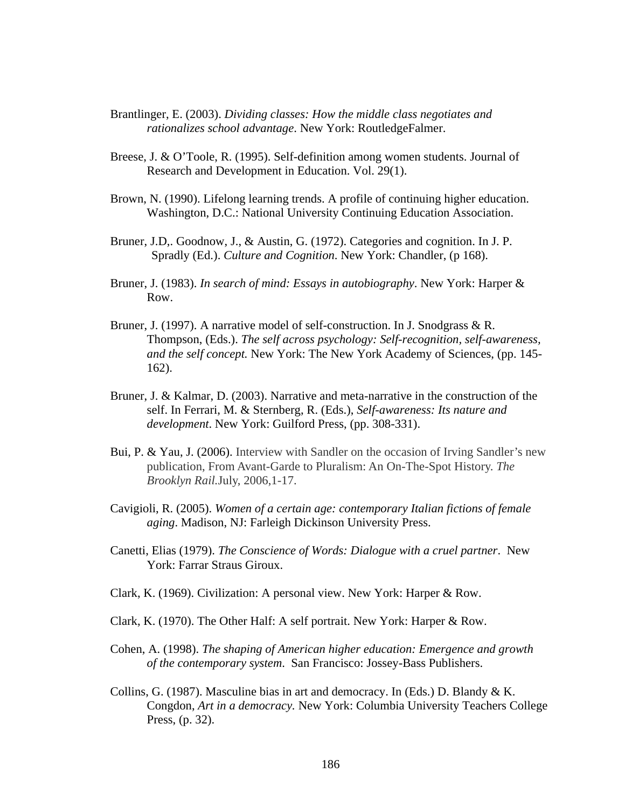- Brantlinger, E. (2003). *Dividing classes: How the middle class negotiates and rationalizes school advantage*. New York: RoutledgeFalmer.
- Breese, J. & O'Toole, R. (1995). Self-definition among women students. Journal of Research and Development in Education. Vol. 29(1).
- Brown, N. (1990). Lifelong learning trends. A profile of continuing higher education. Washington, D.C.: National University Continuing Education Association.
- Bruner, J.D,. Goodnow, J., & Austin, G. (1972). Categories and cognition. In J. P. Spradly (Ed.). *Culture and Cognition*. New York: Chandler, (p 168).
- Bruner, J. (1983). *In search of mind: Essays in autobiography*. New York: Harper & Row.
- Bruner, J. (1997). A narrative model of self-construction. In J. Snodgrass & R. Thompson, (Eds.). *The self across psychology: Self-recognition, self-awareness, and the self concept.* New York: The New York Academy of Sciences, (pp. 145- 162).
- Bruner, J. & Kalmar, D. (2003). Narrative and meta-narrative in the construction of the self. In Ferrari, M. & Sternberg, R. (Eds.), *Self-awareness: Its nature and development*. New York: Guilford Press, (pp. 308-331).
- Bui, P. & Yau, J. (2006). Interview with Sandler on the occasion of Irving Sandler's new publication, From Avant-Garde to Pluralism: An On-The-Spot History. *The Brooklyn Rail.*July, 2006,1-17.
- Cavigioli, R. (2005). *Women of a certain age: contemporary Italian fictions of female aging*. Madison, NJ: Farleigh Dickinson University Press.
- Canetti, Elias (1979). *The Conscience of Words: Dialogue with a cruel partner*. New York: Farrar Straus Giroux.
- Clark, K. (1969). Civilization: A personal view. New York: Harper & Row.
- Clark, K. (1970). The Other Half: A self portrait. New York: Harper & Row.
- Cohen, A. (1998). *The shaping of American higher education: Emergence and growth of the contemporary system*. San Francisco: Jossey-Bass Publishers.
- Collins, G. (1987). Masculine bias in art and democracy. In (Eds.) D. Blandy  $\& K$ . Congdon, *Art in a democracy.* New York: Columbia University Teachers College Press, (p. 32).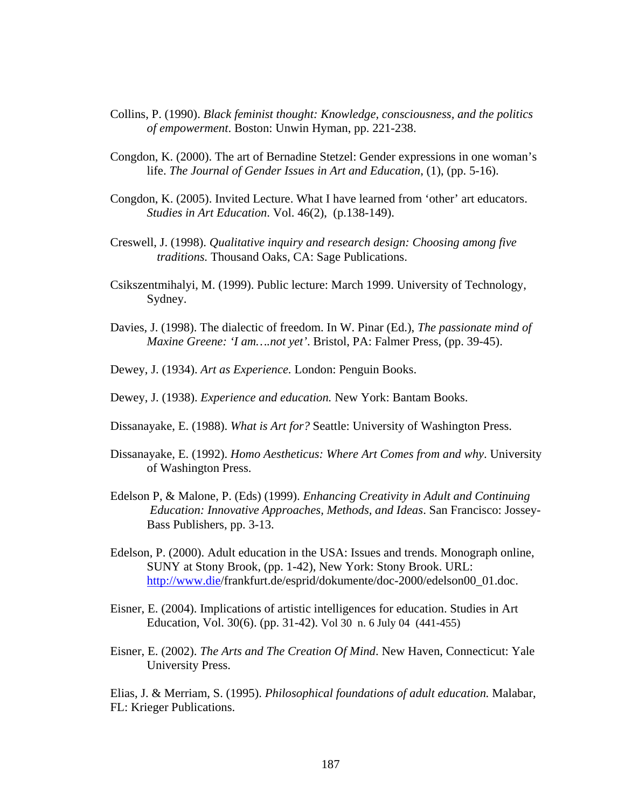- Collins, P. (1990). *Black feminist thought: Knowledge, consciousness, and the politics of empowerment*. Boston: Unwin Hyman, pp. 221-238.
- Congdon, K. (2000). The art of Bernadine Stetzel: Gender expressions in one woman's life. *The Journal of Gender Issues in Art and Education*, (1), (pp. 5-16).
- Congdon, K. (2005). Invited Lecture. What I have learned from 'other' art educators. *Studies in Art Education*. Vol. 46(2), (p.138-149).
- Creswell, J. (1998). *Qualitative inquiry and research design: Choosing among five traditions.* Thousand Oaks, CA: Sage Publications.
- Csikszentmihalyi, M. (1999). Public lecture: March 1999. University of Technology, Sydney.
- Davies, J. (1998). The dialectic of freedom. In W. Pinar (Ed.), *The passionate mind of Maxine Greene: 'I am….not yet'*. Bristol, PA: Falmer Press, (pp. 39-45).
- Dewey, J. (1934). *Art as Experience.* London: Penguin Books.
- Dewey, J. (1938). *Experience and education.* New York: Bantam Books.
- Dissanayake, E. (1988). *What is Art for?* Seattle: University of Washington Press.
- Dissanayake, E. (1992). *Homo Aestheticus: Where Art Comes from and why*. University of Washington Press.
- Edelson P, & Malone, P. (Eds) (1999). *Enhancing Creativity in Adult and Continuing Education: Innovative Approaches, Methods, and Ideas*. San Francisco: Jossey- Bass Publishers, pp. 3-13.
- Edelson, P. (2000). Adult education in the USA: Issues and trends. Monograph online, SUNY at Stony Brook, (pp. 1-42), New York: Stony Brook. URL: <http://www.die>/frankfurt.de/esprid/dokumente/doc-2000/edelson00\_01.doc.
- Eisner, E. (2004). Implications of artistic intelligences for education. Studies in Art Education, Vol. 30(6). (pp. 31-42). Vol 30 n. 6 July 04 (441-455)
- Eisner, E. (2002). *The Arts and The Creation Of Mind*. New Haven, Connecticut: Yale University Press.

Elias, J. & Merriam, S. (1995). *Philosophical foundations of adult education.* Malabar, FL: Krieger Publications.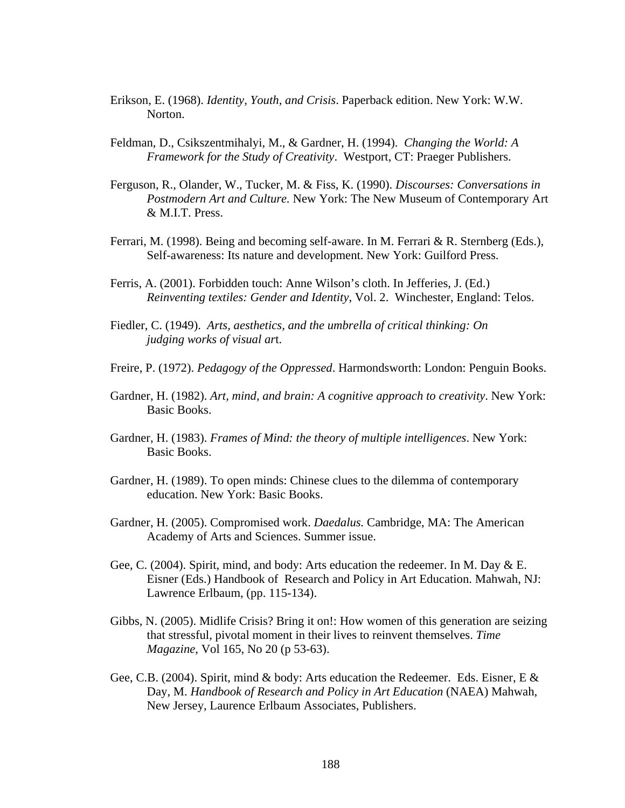- Erikson, E. (1968). *Identity, Youth, and Crisis*. Paperback edition. New York: W.W. Norton.
- Feldman, D., Csikszentmihalyi, M., & Gardner, H. (1994). *Changing the World: A Framework for the Study of Creativity*. Westport, CT: Praeger Publishers.
- Ferguson, R., Olander, W., Tucker, M. & Fiss, K. (1990). *Discourses: Conversations in Postmodern Art and Culture.* New York: The New Museum of Contemporary Art & M.I.T. Press.
- Ferrari, M. (1998). Being and becoming self-aware. In M. Ferrari & R. Sternberg (Eds.), Self-awareness: Its nature and development. New York: Guilford Press.
- Ferris, A. (2001). Forbidden touch: Anne Wilson's cloth. In Jefferies, J. (Ed.)  *Reinventing textiles: Gender and Identity*, Vol. 2. Winchester, England: Telos.
- Fiedler, C. (1949). *Arts, aesthetics, and the umbrella of critical thinking: On judging works of visual ar*t.
- Freire, P. (1972). *Pedagogy of the Oppressed*. Harmondsworth: London: Penguin Books.
- Gardner, H. (1982). *Art, mind, and brain: A cognitive approach to creativity*. New York: Basic Books.
- Gardner, H. (1983). *Frames of Mind: the theory of multiple intelligences*. New York: Basic Books.
- Gardner, H. (1989). To open minds: Chinese clues to the dilemma of contemporary education. New York: Basic Books.
- Gardner, H. (2005). Compromised work. *Daedalus.* Cambridge, MA: The American Academy of Arts and Sciences. Summer issue.
- Gee, C. (2004). Spirit, mind, and body: Arts education the redeemer. In M. Day  $&\,E$ . Eisner (Eds.) Handbook of Research and Policy in Art Education. Mahwah, NJ: Lawrence Erlbaum, (pp. 115-134).
- Gibbs, N. (2005). Midlife Crisis? Bring it on!: How women of this generation are seizing that stressful, pivotal moment in their lives to reinvent themselves. *Time Magazine*, Vol 165, No 20 (p 53-63).
- Gee, C.B. (2004). Spirit, mind & body: Arts education the Redeemer. Eds. Eisner, E & Day, M. *Handbook of Research and Policy in Art Education* (NAEA) Mahwah, New Jersey, Laurence Erlbaum Associates, Publishers.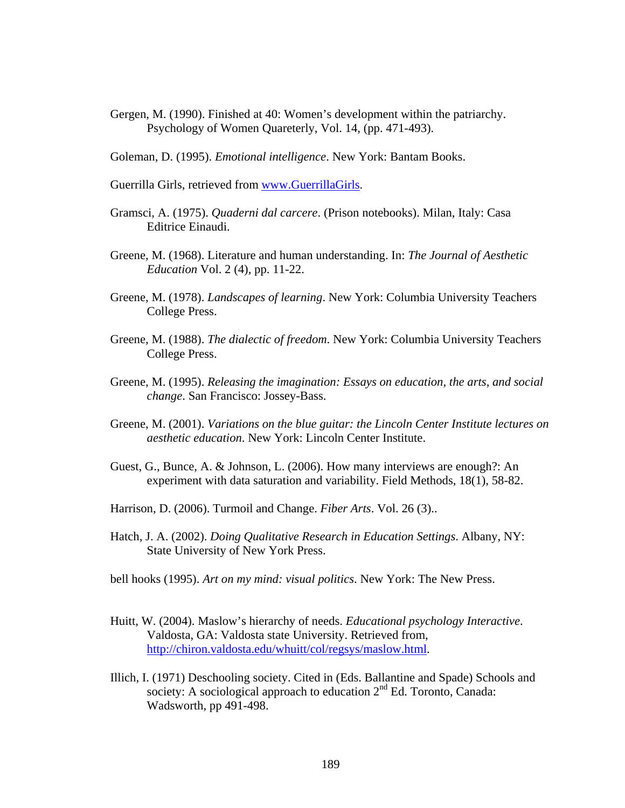Gergen, M. (1990). Finished at 40: Women's development within the patriarchy. Psychology of Women Quareterly, Vol. 14, (pp. 471-493).

Goleman, D. (1995). *Emotional intelligence*. New York: Bantam Books.

Guerrilla Girls, retrieved from [www.GuerrillaGirls.](http://www.GuerrillaGirls)

- Gramsci, A. (1975). *Quaderni dal carcere*. (Prison notebooks). Milan, Italy: Casa Editrice Einaudi.
- Greene, M. (1968). Literature and human understanding. In: *The Journal of Aesthetic Education* Vol. 2 (4), pp. 11-22.
- Greene, M. (1978). *Landscapes of learning*. New York: Columbia University Teachers College Press.
- Greene, M. (1988). *The dialectic of freedom*. New York: Columbia University Teachers College Press.
- Greene, M. (1995). *Releasing the imagination: Essays on education, the arts, and social change*. San Francisco: Jossey-Bass.
- Greene, M. (2001). *Variations on the blue guitar: the Lincoln Center Institute lectures on aesthetic education*. New York: Lincoln Center Institute.
- Guest, G., Bunce, A. & Johnson, L. (2006). How many interviews are enough?: An experiment with data saturation and variability. Field Methods, 18(1), 58-82.
- Harrison, D. (2006). Turmoil and Change. *Fiber Arts*. Vol. 26 (3)..
- Hatch, J. A. (2002). *Doing Qualitative Research in Education Settings*. Albany, NY: State University of New York Press.
- bell hooks (1995). *Art on my mind: visual politics*. New York: The New Press.
- Huitt, W. (2004). Maslow's hierarchy of needs. *Educational psychology Interactive*. Valdosta, GA: Valdosta state University. Retrieved from, <http://chiron.valdosta.edu/whuitt/col/regsys/maslow.html>.
- Illich, I. (1971) Deschooling society. Cited in (Eds. Ballantine and Spade) Schools and society: A sociological approach to education  $2<sup>nd</sup>$  Ed. Toronto, Canada: Wadsworth, pp 491-498.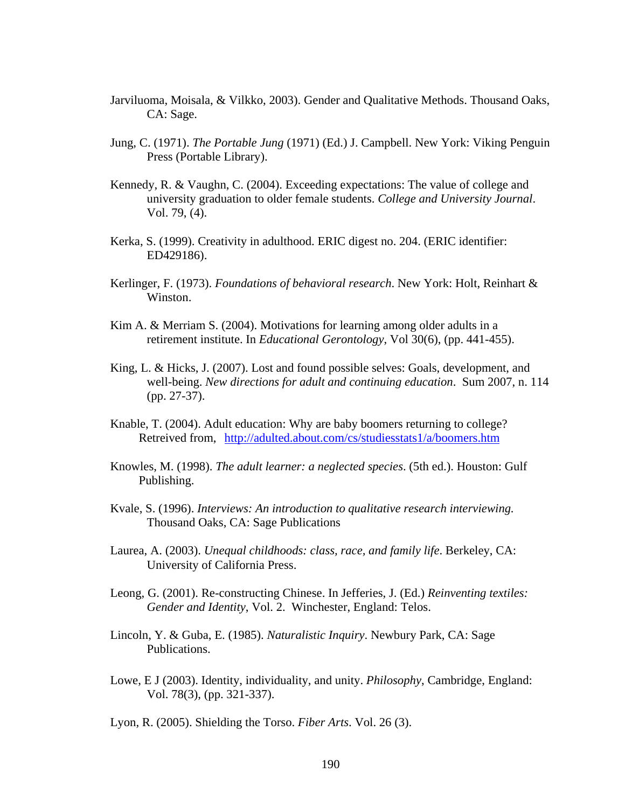- Jarviluoma, Moisala, & Vilkko, 2003). Gender and Qualitative Methods. Thousand Oaks, CA: Sage.
- Jung, C. (1971). *The Portable Jung* (1971) (Ed.) J. Campbell. New York: Viking Penguin Press (Portable Library).
- Kennedy, R. & Vaughn, C. (2004). Exceeding expectations: The value of college and university graduation to older female students. *College and University Journal*. Vol. 79, (4).
- Kerka, S. (1999). Creativity in adulthood. ERIC digest no. 204. (ERIC identifier: ED429186).
- Kerlinger, F. (1973). *Foundations of behavioral research*. New York: Holt, Reinhart & Winston.
- Kim A. & Merriam S. (2004). Motivations for learning among older adults in a retirement institute. In *Educational Gerontology*, Vol 30(6), (pp. 441-455).
- King, L. & Hicks, J. (2007). Lost and found possible selves: Goals, development, and well-being. *New directions for adult and continuing education*. Sum 2007, n. 114 (pp. 27-37).
- Knable, T. (2004). Adult education: Why are baby boomers returning to college? Retreived from, <http://adulted.about.com/cs/studiesstats1/a/boomers.htm>
- Knowles, M. (1998). *The adult learner: a neglected species*. (5th ed.). Houston: Gulf Publishing.
- Kvale, S. (1996). *Interviews: An introduction to qualitative research interviewing.* Thousand Oaks, CA: Sage Publications
- Laurea, A. (2003). *Unequal childhoods: class, race, and family life*. Berkeley, CA: University of California Press.
- Leong, G. (2001). Re-constructing Chinese. In Jefferies, J. (Ed.) *Reinventing textiles: Gender and Identity*, Vol. 2. Winchester, England: Telos.
- Lincoln, Y. & Guba, E. (1985). *Naturalistic Inquiry*. Newbury Park, CA: Sage Publications.
- Lowe, E J (2003). Identity, individuality, and unity. *Philosophy*, Cambridge, England: Vol. 78(3), (pp. 321-337).

Lyon, R. (2005). Shielding the Torso. *Fiber Arts*. Vol. 26 (3).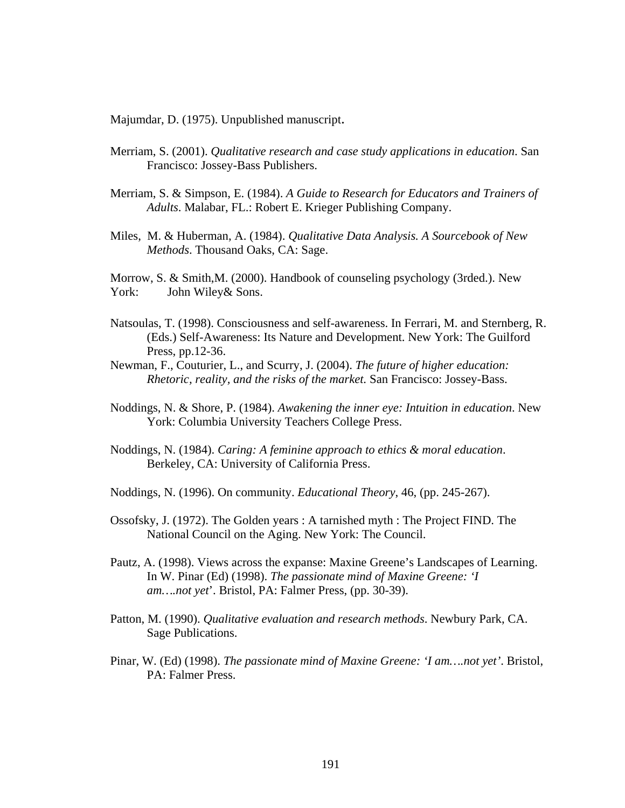Majumdar, D. (1975). Unpublished manuscript.

- Merriam, S. (2001). *Qualitative research and case study applications in education*. San Francisco: Jossey-Bass Publishers.
- Merriam, S. & Simpson, E. (1984). *A Guide to Research for Educators and Trainers of Adults*. Malabar, FL.: Robert E. Krieger Publishing Company.
- Miles, M. & Huberman, A. (1984). *Qualitative Data Analysis. A Sourcebook of New Methods*. Thousand Oaks, CA: Sage.

Morrow, S. & Smith,M. (2000). Handbook of counseling psychology (3rded.). New York: John Wiley & Sons.

- Natsoulas, T. (1998). Consciousness and self-awareness. In Ferrari, M. and Sternberg, R. (Eds.) Self-Awareness: Its Nature and Development. New York: The Guilford Press, pp.12-36.
- Newman, F., Couturier, L., and Scurry, J. (2004). *The future of higher education: Rhetoric, reality, and the risks of the market.* San Francisco: Jossey-Bass.
- Noddings, N. & Shore, P. (1984). *Awakening the inner eye: Intuition in education*. New York: Columbia University Teachers College Press.
- Noddings, N. (1984). *Caring: A feminine approach to ethics & moral education*. Berkeley, CA: University of California Press.
- Noddings, N. (1996). On community. *Educational Theory*, 46, (pp. 245-267).
- Ossofsky, J. (1972). The Golden years : A tarnished myth : The Project FIND. The National Council on the Aging. New York: The Council.
- Pautz, A. (1998). Views across the expanse: Maxine Greene's Landscapes of Learning. In W. Pinar (Ed) (1998). *The passionate mind of Maxine Greene: 'I am….not yet*'. Bristol, PA: Falmer Press, (pp. 30-39).
- Patton, M. (1990). *Qualitative evaluation and research methods*. Newbury Park, CA. Sage Publications.
- Pinar, W. (Ed) (1998). *The passionate mind of Maxine Greene: 'I am….not yet'*. Bristol, PA: Falmer Press.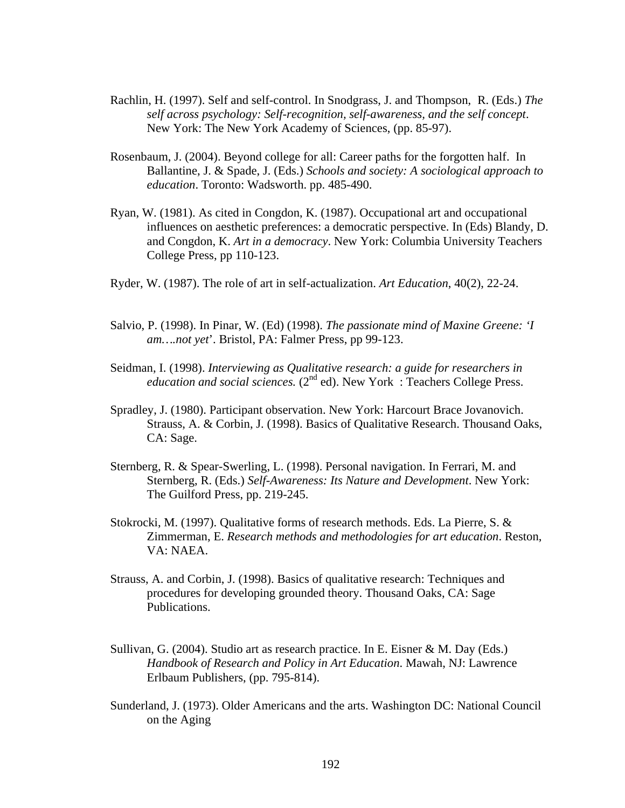- Rachlin, H. (1997). Self and self-control. In Snodgrass, J. and Thompson, R. (Eds.) *The self across psychology: Self-recognition, self-awareness, and the self concept*. New York: The New York Academy of Sciences, (pp. 85-97).
- Rosenbaum, J. (2004). Beyond college for all: Career paths for the forgotten half. In Ballantine, J. & Spade, J. (Eds.) *Schools and society: A sociological approach to education*. Toronto: Wadsworth. pp. 485-490.
- Ryan, W. (1981). As cited in Congdon, K. (1987). Occupational art and occupational influences on aesthetic preferences: a democratic perspective. In (Eds) Blandy, D. and Congdon, K. *Art in a democracy*. New York: Columbia University Teachers College Press, pp 110-123.
- Ryder, W. (1987). The role of art in self-actualization. *Art Education*, 40(2), 22-24.
- Salvio, P. (1998). In Pinar, W. (Ed) (1998). *The passionate mind of Maxine Greene: 'I am….not yet*'. Bristol, PA: Falmer Press, pp 99-123.
- Seidman, I. (1998). *Interviewing as Qualitative research: a guide for researchers in education and social sciences.* (2<sup>nd</sup> ed). New York : Teachers College Press.
- Spradley, J. (1980). Participant observation. New York: Harcourt Brace Jovanovich. Strauss, A. & Corbin, J. (1998). Basics of Qualitative Research. Thousand Oaks, CA: Sage.
- Sternberg, R. & Spear-Swerling, L. (1998). Personal navigation. In Ferrari, M. and Sternberg, R. (Eds.) *Self-Awareness: Its Nature and Development*. New York: The Guilford Press, pp. 219-245.
- Stokrocki, M. (1997). Qualitative forms of research methods. Eds. La Pierre, S. & Zimmerman, E. *Research methods and methodologies for art education*. Reston, VA: NAEA.
- Strauss, A. and Corbin, J. (1998). Basics of qualitative research: Techniques and procedures for developing grounded theory. Thousand Oaks, CA: Sage Publications.
- Sullivan, G. (2004). Studio art as research practice. In E. Eisner & M. Day (Eds.) *Handbook of Research and Policy in Art Education*. Mawah, NJ: Lawrence Erlbaum Publishers, (pp. 795-814).
- Sunderland, J. (1973). Older Americans and the arts. Washington DC: National Council on the Aging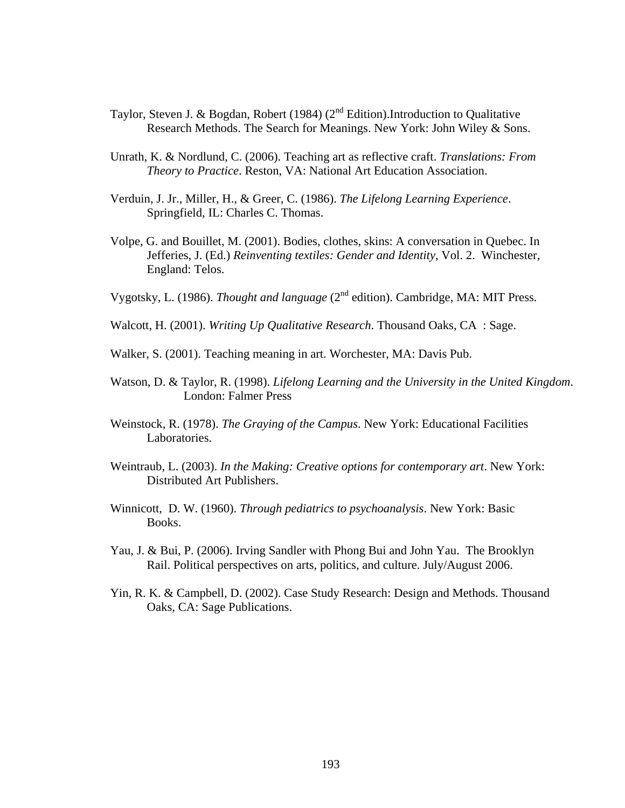- Taylor, Steven J. & Bogdan, Robert (1984) ( $2<sup>nd</sup>$  Edition).Introduction to Qualitative Research Methods. The Search for Meanings. New York: John Wiley & Sons.
- Unrath, K. & Nordlund, C. (2006). Teaching art as reflective craft. *Translations: From Theory to Practice*. Reston, VA: National Art Education Association.
- Verduin, J. Jr., Miller, H., & Greer, C. (1986). *The Lifelong Learning Experience*. Springfield, IL: Charles C. Thomas.
- Volpe, G. and Bouillet, M. (2001). Bodies, clothes, skins: A conversation in Quebec. In Jefferies, J. (Ed.) *Reinventing textiles: Gender and Identity*, Vol. 2. Winchester, England: Telos.
- Vygotsky, L. (1986). *Thought and language* (2nd edition). Cambridge, MA: MIT Press.
- Walcott, H. (2001). *Writing Up Qualitative Research*. Thousand Oaks, CA : Sage.
- Walker, S. (2001). Teaching meaning in art. Worchester, MA: Davis Pub.
- Watson, D. & Taylor, R. (1998). *Lifelong Learning and the University in the United Kingdom*. London: Falmer Press
- Weinstock, R. (1978). *The Graying of the Campus*. New York: Educational Facilities Laboratories.
- Weintraub, L. (2003). *In the Making: Creative options for contemporary art*. New York: Distributed Art Publishers.
- Winnicott, D. W. (1960). *Through pediatrics to psychoanalysis*. New York: Basic Books.
- Yau, J. & Bui, P. (2006). Irving Sandler with Phong Bui and John Yau. The Brooklyn Rail. Political perspectives on arts, politics, and culture. July/August 2006.
- Yin, R. K. & Campbell, D. (2002). Case Study Research: Design and Methods. Thousand Oaks, CA: Sage Publications.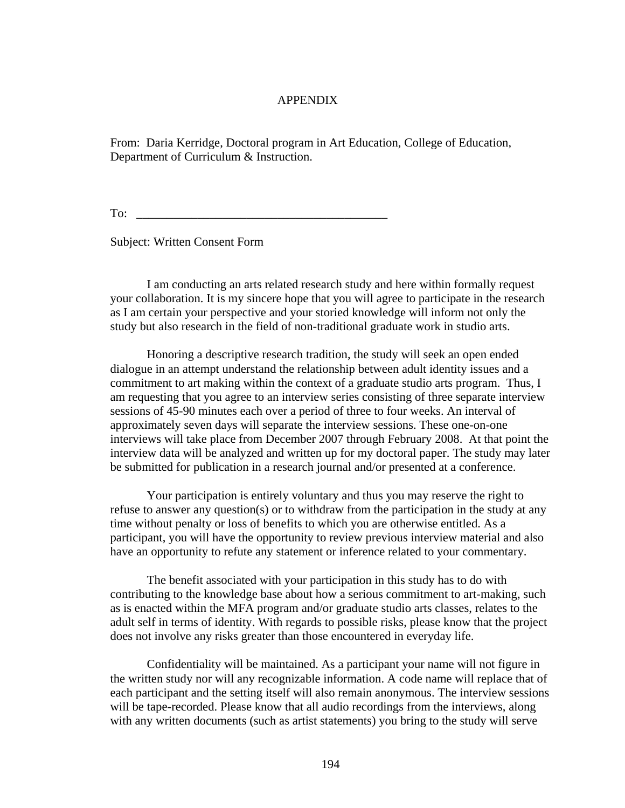# APPENDIX

From: Daria Kerridge, Doctoral program in Art Education, College of Education, Department of Curriculum & Instruction.

To: \_\_\_\_\_\_\_\_\_\_\_\_\_\_\_\_\_\_\_\_\_\_\_\_\_\_\_\_\_\_\_\_\_\_\_\_\_\_\_\_\_

Subject: Written Consent Form

 I am conducting an arts related research study and here within formally request your collaboration. It is my sincere hope that you will agree to participate in the research as I am certain your perspective and your storied knowledge will inform not only the study but also research in the field of non-traditional graduate work in studio arts.

 Honoring a descriptive research tradition, the study will seek an open ended dialogue in an attempt understand the relationship between adult identity issues and a commitment to art making within the context of a graduate studio arts program. Thus, I am requesting that you agree to an interview series consisting of three separate interview sessions of 45-90 minutes each over a period of three to four weeks. An interval of approximately seven days will separate the interview sessions. These one-on-one interviews will take place from December 2007 through February 2008. At that point the interview data will be analyzed and written up for my doctoral paper. The study may later be submitted for publication in a research journal and/or presented at a conference.

 Your participation is entirely voluntary and thus you may reserve the right to refuse to answer any question(s) or to withdraw from the participation in the study at any time without penalty or loss of benefits to which you are otherwise entitled. As a participant, you will have the opportunity to review previous interview material and also have an opportunity to refute any statement or inference related to your commentary.

 The benefit associated with your participation in this study has to do with contributing to the knowledge base about how a serious commitment to art-making, such as is enacted within the MFA program and/or graduate studio arts classes, relates to the adult self in terms of identity. With regards to possible risks, please know that the project does not involve any risks greater than those encountered in everyday life.

 Confidentiality will be maintained. As a participant your name will not figure in the written study nor will any recognizable information. A code name will replace that of each participant and the setting itself will also remain anonymous. The interview sessions will be tape-recorded. Please know that all audio recordings from the interviews, along with any written documents (such as artist statements) you bring to the study will serve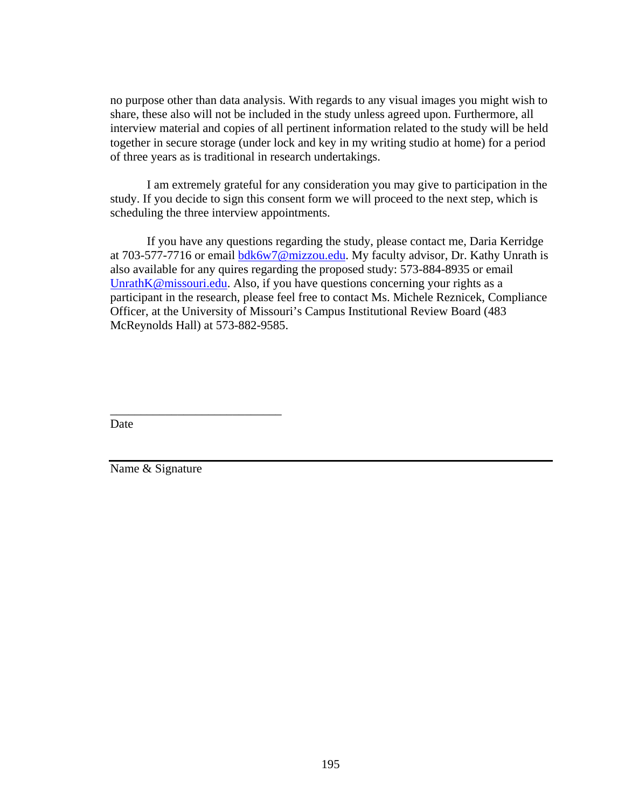no purpose other than data analysis. With regards to any visual images you might wish to share, these also will not be included in the study unless agreed upon. Furthermore, all interview material and copies of all pertinent information related to the study will be held together in secure storage (under lock and key in my writing studio at home) for a period of three years as is traditional in research undertakings.

 I am extremely grateful for any consideration you may give to participation in the study. If you decide to sign this consent form we will proceed to the next step, which is scheduling the three interview appointments.

 If you have any questions regarding the study, please contact me, Daria Kerridge at 703-577-7716 or email [bdk6w7@mizzou.edu.](mailto:bdk6w7@mizzou.edu) My faculty advisor, Dr. Kathy Unrath is also available for any quires regarding the proposed study: 573-884-8935 or email [UnrathK@missouri.edu.](mailto:UnrathK@missouri.edu) Also, if you have questions concerning your rights as a participant in the research, please feel free to contact Ms. Michele Reznicek, Compliance Officer, at the University of Missouri's Campus Institutional Review Board (483 McReynolds Hall) at 573-882-9585.

Date

Name & Signature

\_\_\_\_\_\_\_\_\_\_\_\_\_\_\_\_\_\_\_\_\_\_\_\_\_\_\_\_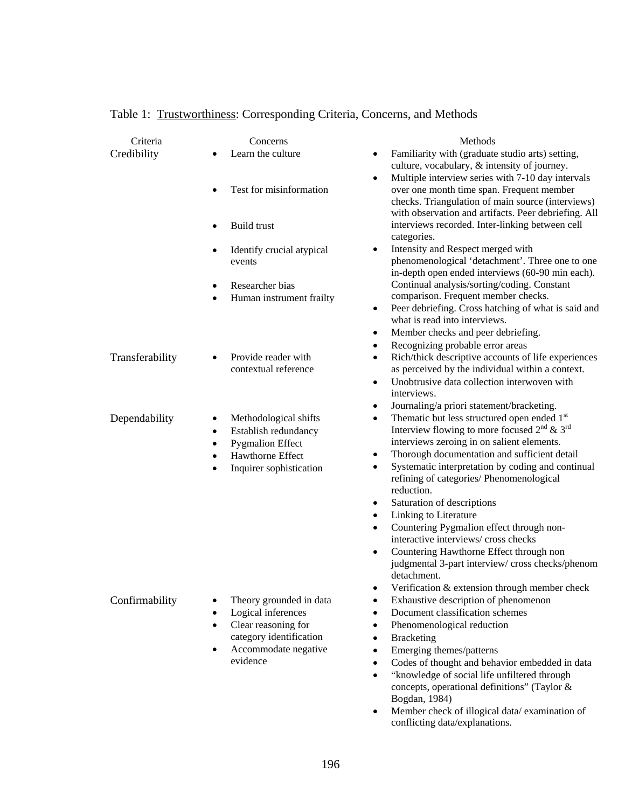| Familiarity with (graduate studio arts) setting,<br>Learn the culture<br>$\bullet$<br>culture, vocabulary, & intensity of journey.<br>Multiple interview series with 7-10 day intervals<br>٠<br>Test for misinformation<br>over one month time span. Frequent member<br>checks. Triangulation of main source (interviews)<br>with observation and artifacts. Peer debriefing. All<br><b>Build trust</b><br>interviews recorded. Inter-linking between cell<br>categories.<br>Intensity and Respect merged with<br>Identify crucial atypical<br>$\bullet$<br>٠<br>phenomenological 'detachment'. Three one to one<br>events<br>in-depth open ended interviews (60-90 min each).<br>Continual analysis/sorting/coding. Constant<br>Researcher bias<br>٠<br>comparison. Frequent member checks.<br>Human instrument frailty<br>٠<br>Peer debriefing. Cross hatching of what is said and<br>$\bullet$<br>what is read into interviews.<br>Member checks and peer debriefing.<br>٠<br>Recognizing probable error areas<br>٠<br>Rich/thick descriptive accounts of life experiences<br>Transferability<br>Provide reader with<br>$\bullet$<br>contextual reference<br>as perceived by the individual within a context.<br>Unobtrusive data collection interwoven with<br>$\bullet$<br>interviews.<br>Journaling/a priori statement/bracketing.<br>٠<br>Thematic but less structured open ended 1st<br>Dependability<br>Methodological shifts<br>٠<br>٠<br>Interview flowing to more focused $2nd \& 3rd$<br>Establish redundancy<br>٠<br>interviews zeroing in on salient elements.<br><b>Pygmalion Effect</b><br>$\bullet$<br>Thorough documentation and sufficient detail<br><b>Hawthorne Effect</b><br>٠<br>$\bullet$<br>Systematic interpretation by coding and continual<br>$\bullet$<br>Inquirer sophistication<br>refining of categories/ Phenomenological<br>reduction.<br>Saturation of descriptions<br>٠<br>Linking to Literature<br>٠<br>Countering Pygmalion effect through non-<br>$\bullet$<br>interactive interviews/ cross checks<br>Countering Hawthorne Effect through non<br>$\bullet$<br>judgmental 3-part interview/cross checks/phenom<br>detachment.<br>Verification & extension through member check<br>Confirmability<br>Exhaustive description of phenomenon<br>Theory grounded in data<br>$\bullet$<br>Logical inferences<br>Document classification schemes<br>$\bullet$<br>$\bullet$<br>Clear reasoning for<br>Phenomenological reduction<br>$\bullet$<br>٠<br>category identification<br><b>Bracketing</b><br>$\bullet$<br>Accommodate negative<br>Emerging themes/patterns<br>$\bullet$<br>evidence<br>Codes of thought and behavior embedded in data<br>$\bullet$ | Criteria    | Concerns | Methods                                                   |
|---------------------------------------------------------------------------------------------------------------------------------------------------------------------------------------------------------------------------------------------------------------------------------------------------------------------------------------------------------------------------------------------------------------------------------------------------------------------------------------------------------------------------------------------------------------------------------------------------------------------------------------------------------------------------------------------------------------------------------------------------------------------------------------------------------------------------------------------------------------------------------------------------------------------------------------------------------------------------------------------------------------------------------------------------------------------------------------------------------------------------------------------------------------------------------------------------------------------------------------------------------------------------------------------------------------------------------------------------------------------------------------------------------------------------------------------------------------------------------------------------------------------------------------------------------------------------------------------------------------------------------------------------------------------------------------------------------------------------------------------------------------------------------------------------------------------------------------------------------------------------------------------------------------------------------------------------------------------------------------------------------------------------------------------------------------------------------------------------------------------------------------------------------------------------------------------------------------------------------------------------------------------------------------------------------------------------------------------------------------------------------------------------------------------------------------------------------------------------------------------------------------------------------------------------------------------------------------------------------------------------------------------------------------------------------------------|-------------|----------|-----------------------------------------------------------|
|                                                                                                                                                                                                                                                                                                                                                                                                                                                                                                                                                                                                                                                                                                                                                                                                                                                                                                                                                                                                                                                                                                                                                                                                                                                                                                                                                                                                                                                                                                                                                                                                                                                                                                                                                                                                                                                                                                                                                                                                                                                                                                                                                                                                                                                                                                                                                                                                                                                                                                                                                                                                                                                                                             | Credibility |          |                                                           |
|                                                                                                                                                                                                                                                                                                                                                                                                                                                                                                                                                                                                                                                                                                                                                                                                                                                                                                                                                                                                                                                                                                                                                                                                                                                                                                                                                                                                                                                                                                                                                                                                                                                                                                                                                                                                                                                                                                                                                                                                                                                                                                                                                                                                                                                                                                                                                                                                                                                                                                                                                                                                                                                                                             |             |          |                                                           |
|                                                                                                                                                                                                                                                                                                                                                                                                                                                                                                                                                                                                                                                                                                                                                                                                                                                                                                                                                                                                                                                                                                                                                                                                                                                                                                                                                                                                                                                                                                                                                                                                                                                                                                                                                                                                                                                                                                                                                                                                                                                                                                                                                                                                                                                                                                                                                                                                                                                                                                                                                                                                                                                                                             |             |          |                                                           |
|                                                                                                                                                                                                                                                                                                                                                                                                                                                                                                                                                                                                                                                                                                                                                                                                                                                                                                                                                                                                                                                                                                                                                                                                                                                                                                                                                                                                                                                                                                                                                                                                                                                                                                                                                                                                                                                                                                                                                                                                                                                                                                                                                                                                                                                                                                                                                                                                                                                                                                                                                                                                                                                                                             |             |          |                                                           |
|                                                                                                                                                                                                                                                                                                                                                                                                                                                                                                                                                                                                                                                                                                                                                                                                                                                                                                                                                                                                                                                                                                                                                                                                                                                                                                                                                                                                                                                                                                                                                                                                                                                                                                                                                                                                                                                                                                                                                                                                                                                                                                                                                                                                                                                                                                                                                                                                                                                                                                                                                                                                                                                                                             |             |          |                                                           |
|                                                                                                                                                                                                                                                                                                                                                                                                                                                                                                                                                                                                                                                                                                                                                                                                                                                                                                                                                                                                                                                                                                                                                                                                                                                                                                                                                                                                                                                                                                                                                                                                                                                                                                                                                                                                                                                                                                                                                                                                                                                                                                                                                                                                                                                                                                                                                                                                                                                                                                                                                                                                                                                                                             |             |          |                                                           |
|                                                                                                                                                                                                                                                                                                                                                                                                                                                                                                                                                                                                                                                                                                                                                                                                                                                                                                                                                                                                                                                                                                                                                                                                                                                                                                                                                                                                                                                                                                                                                                                                                                                                                                                                                                                                                                                                                                                                                                                                                                                                                                                                                                                                                                                                                                                                                                                                                                                                                                                                                                                                                                                                                             |             |          |                                                           |
|                                                                                                                                                                                                                                                                                                                                                                                                                                                                                                                                                                                                                                                                                                                                                                                                                                                                                                                                                                                                                                                                                                                                                                                                                                                                                                                                                                                                                                                                                                                                                                                                                                                                                                                                                                                                                                                                                                                                                                                                                                                                                                                                                                                                                                                                                                                                                                                                                                                                                                                                                                                                                                                                                             |             |          |                                                           |
|                                                                                                                                                                                                                                                                                                                                                                                                                                                                                                                                                                                                                                                                                                                                                                                                                                                                                                                                                                                                                                                                                                                                                                                                                                                                                                                                                                                                                                                                                                                                                                                                                                                                                                                                                                                                                                                                                                                                                                                                                                                                                                                                                                                                                                                                                                                                                                                                                                                                                                                                                                                                                                                                                             |             |          |                                                           |
|                                                                                                                                                                                                                                                                                                                                                                                                                                                                                                                                                                                                                                                                                                                                                                                                                                                                                                                                                                                                                                                                                                                                                                                                                                                                                                                                                                                                                                                                                                                                                                                                                                                                                                                                                                                                                                                                                                                                                                                                                                                                                                                                                                                                                                                                                                                                                                                                                                                                                                                                                                                                                                                                                             |             |          |                                                           |
|                                                                                                                                                                                                                                                                                                                                                                                                                                                                                                                                                                                                                                                                                                                                                                                                                                                                                                                                                                                                                                                                                                                                                                                                                                                                                                                                                                                                                                                                                                                                                                                                                                                                                                                                                                                                                                                                                                                                                                                                                                                                                                                                                                                                                                                                                                                                                                                                                                                                                                                                                                                                                                                                                             |             |          |                                                           |
|                                                                                                                                                                                                                                                                                                                                                                                                                                                                                                                                                                                                                                                                                                                                                                                                                                                                                                                                                                                                                                                                                                                                                                                                                                                                                                                                                                                                                                                                                                                                                                                                                                                                                                                                                                                                                                                                                                                                                                                                                                                                                                                                                                                                                                                                                                                                                                                                                                                                                                                                                                                                                                                                                             |             |          |                                                           |
|                                                                                                                                                                                                                                                                                                                                                                                                                                                                                                                                                                                                                                                                                                                                                                                                                                                                                                                                                                                                                                                                                                                                                                                                                                                                                                                                                                                                                                                                                                                                                                                                                                                                                                                                                                                                                                                                                                                                                                                                                                                                                                                                                                                                                                                                                                                                                                                                                                                                                                                                                                                                                                                                                             |             |          |                                                           |
|                                                                                                                                                                                                                                                                                                                                                                                                                                                                                                                                                                                                                                                                                                                                                                                                                                                                                                                                                                                                                                                                                                                                                                                                                                                                                                                                                                                                                                                                                                                                                                                                                                                                                                                                                                                                                                                                                                                                                                                                                                                                                                                                                                                                                                                                                                                                                                                                                                                                                                                                                                                                                                                                                             |             |          |                                                           |
|                                                                                                                                                                                                                                                                                                                                                                                                                                                                                                                                                                                                                                                                                                                                                                                                                                                                                                                                                                                                                                                                                                                                                                                                                                                                                                                                                                                                                                                                                                                                                                                                                                                                                                                                                                                                                                                                                                                                                                                                                                                                                                                                                                                                                                                                                                                                                                                                                                                                                                                                                                                                                                                                                             |             |          |                                                           |
|                                                                                                                                                                                                                                                                                                                                                                                                                                                                                                                                                                                                                                                                                                                                                                                                                                                                                                                                                                                                                                                                                                                                                                                                                                                                                                                                                                                                                                                                                                                                                                                                                                                                                                                                                                                                                                                                                                                                                                                                                                                                                                                                                                                                                                                                                                                                                                                                                                                                                                                                                                                                                                                                                             |             |          |                                                           |
|                                                                                                                                                                                                                                                                                                                                                                                                                                                                                                                                                                                                                                                                                                                                                                                                                                                                                                                                                                                                                                                                                                                                                                                                                                                                                                                                                                                                                                                                                                                                                                                                                                                                                                                                                                                                                                                                                                                                                                                                                                                                                                                                                                                                                                                                                                                                                                                                                                                                                                                                                                                                                                                                                             |             |          |                                                           |
|                                                                                                                                                                                                                                                                                                                                                                                                                                                                                                                                                                                                                                                                                                                                                                                                                                                                                                                                                                                                                                                                                                                                                                                                                                                                                                                                                                                                                                                                                                                                                                                                                                                                                                                                                                                                                                                                                                                                                                                                                                                                                                                                                                                                                                                                                                                                                                                                                                                                                                                                                                                                                                                                                             |             |          |                                                           |
|                                                                                                                                                                                                                                                                                                                                                                                                                                                                                                                                                                                                                                                                                                                                                                                                                                                                                                                                                                                                                                                                                                                                                                                                                                                                                                                                                                                                                                                                                                                                                                                                                                                                                                                                                                                                                                                                                                                                                                                                                                                                                                                                                                                                                                                                                                                                                                                                                                                                                                                                                                                                                                                                                             |             |          |                                                           |
|                                                                                                                                                                                                                                                                                                                                                                                                                                                                                                                                                                                                                                                                                                                                                                                                                                                                                                                                                                                                                                                                                                                                                                                                                                                                                                                                                                                                                                                                                                                                                                                                                                                                                                                                                                                                                                                                                                                                                                                                                                                                                                                                                                                                                                                                                                                                                                                                                                                                                                                                                                                                                                                                                             |             |          |                                                           |
|                                                                                                                                                                                                                                                                                                                                                                                                                                                                                                                                                                                                                                                                                                                                                                                                                                                                                                                                                                                                                                                                                                                                                                                                                                                                                                                                                                                                                                                                                                                                                                                                                                                                                                                                                                                                                                                                                                                                                                                                                                                                                                                                                                                                                                                                                                                                                                                                                                                                                                                                                                                                                                                                                             |             |          |                                                           |
|                                                                                                                                                                                                                                                                                                                                                                                                                                                                                                                                                                                                                                                                                                                                                                                                                                                                                                                                                                                                                                                                                                                                                                                                                                                                                                                                                                                                                                                                                                                                                                                                                                                                                                                                                                                                                                                                                                                                                                                                                                                                                                                                                                                                                                                                                                                                                                                                                                                                                                                                                                                                                                                                                             |             |          |                                                           |
|                                                                                                                                                                                                                                                                                                                                                                                                                                                                                                                                                                                                                                                                                                                                                                                                                                                                                                                                                                                                                                                                                                                                                                                                                                                                                                                                                                                                                                                                                                                                                                                                                                                                                                                                                                                                                                                                                                                                                                                                                                                                                                                                                                                                                                                                                                                                                                                                                                                                                                                                                                                                                                                                                             |             |          |                                                           |
|                                                                                                                                                                                                                                                                                                                                                                                                                                                                                                                                                                                                                                                                                                                                                                                                                                                                                                                                                                                                                                                                                                                                                                                                                                                                                                                                                                                                                                                                                                                                                                                                                                                                                                                                                                                                                                                                                                                                                                                                                                                                                                                                                                                                                                                                                                                                                                                                                                                                                                                                                                                                                                                                                             |             |          |                                                           |
|                                                                                                                                                                                                                                                                                                                                                                                                                                                                                                                                                                                                                                                                                                                                                                                                                                                                                                                                                                                                                                                                                                                                                                                                                                                                                                                                                                                                                                                                                                                                                                                                                                                                                                                                                                                                                                                                                                                                                                                                                                                                                                                                                                                                                                                                                                                                                                                                                                                                                                                                                                                                                                                                                             |             |          |                                                           |
|                                                                                                                                                                                                                                                                                                                                                                                                                                                                                                                                                                                                                                                                                                                                                                                                                                                                                                                                                                                                                                                                                                                                                                                                                                                                                                                                                                                                                                                                                                                                                                                                                                                                                                                                                                                                                                                                                                                                                                                                                                                                                                                                                                                                                                                                                                                                                                                                                                                                                                                                                                                                                                                                                             |             |          |                                                           |
|                                                                                                                                                                                                                                                                                                                                                                                                                                                                                                                                                                                                                                                                                                                                                                                                                                                                                                                                                                                                                                                                                                                                                                                                                                                                                                                                                                                                                                                                                                                                                                                                                                                                                                                                                                                                                                                                                                                                                                                                                                                                                                                                                                                                                                                                                                                                                                                                                                                                                                                                                                                                                                                                                             |             |          |                                                           |
| concepts, operational definitions" (Taylor &                                                                                                                                                                                                                                                                                                                                                                                                                                                                                                                                                                                                                                                                                                                                                                                                                                                                                                                                                                                                                                                                                                                                                                                                                                                                                                                                                                                                                                                                                                                                                                                                                                                                                                                                                                                                                                                                                                                                                                                                                                                                                                                                                                                                                                                                                                                                                                                                                                                                                                                                                                                                                                                |             |          | "knowledge of social life unfiltered through<br>$\bullet$ |
| Bogdan, 1984)<br>Member check of illogical data/examination of<br>٠                                                                                                                                                                                                                                                                                                                                                                                                                                                                                                                                                                                                                                                                                                                                                                                                                                                                                                                                                                                                                                                                                                                                                                                                                                                                                                                                                                                                                                                                                                                                                                                                                                                                                                                                                                                                                                                                                                                                                                                                                                                                                                                                                                                                                                                                                                                                                                                                                                                                                                                                                                                                                         |             |          |                                                           |

# Table 1: Trustworthiness: Corresponding Criteria, Concerns, and Methods

conflicting data/explanations.